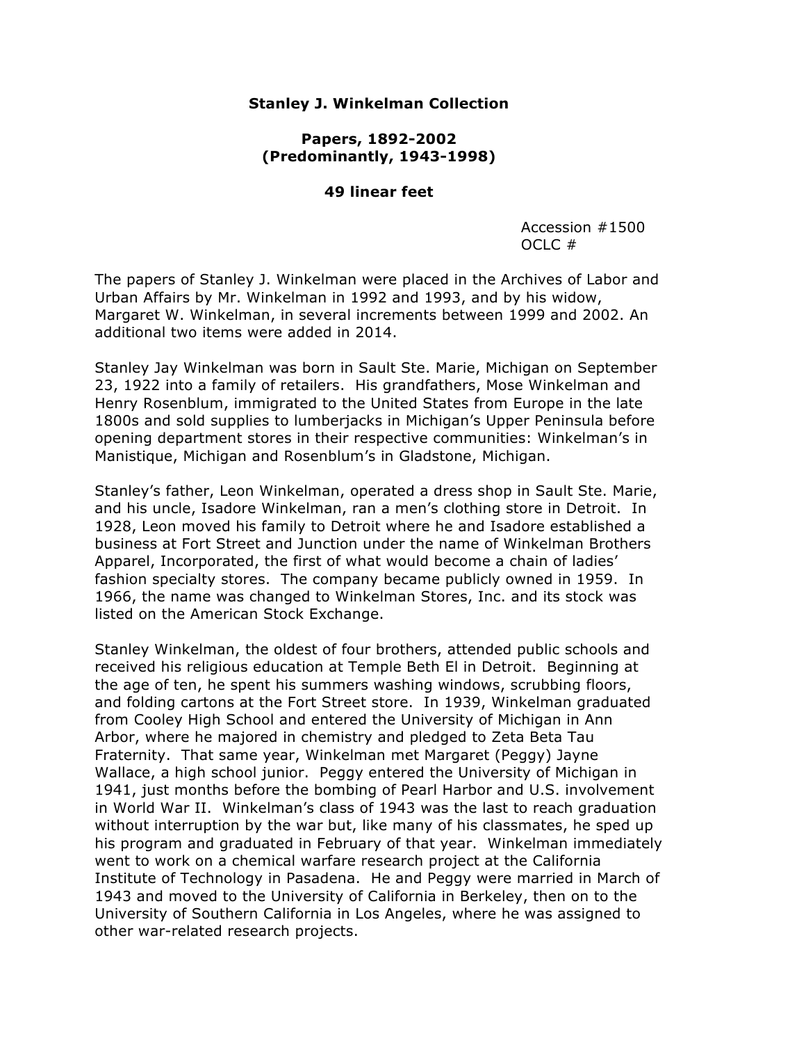#### **Stanley J. Winkelman Collection**

#### **Papers, 1892-2002 (Predominantly, 1943-1998)**

#### **49 linear feet**

Accession #1500 OCLC #

The papers of Stanley J. Winkelman were placed in the Archives of Labor and Urban Affairs by Mr. Winkelman in 1992 and 1993, and by his widow, Margaret W. Winkelman, in several increments between 1999 and 2002. An additional two items were added in 2014.

Stanley Jay Winkelman was born in Sault Ste. Marie, Michigan on September 23, 1922 into a family of retailers. His grandfathers, Mose Winkelman and Henry Rosenblum, immigrated to the United States from Europe in the late 1800s and sold supplies to lumberjacks in Michigan's Upper Peninsula before opening department stores in their respective communities: Winkelman's in Manistique, Michigan and Rosenblum's in Gladstone, Michigan.

Stanley's father, Leon Winkelman, operated a dress shop in Sault Ste. Marie, and his uncle, Isadore Winkelman, ran a men's clothing store in Detroit. In 1928, Leon moved his family to Detroit where he and Isadore established a business at Fort Street and Junction under the name of Winkelman Brothers Apparel, Incorporated, the first of what would become a chain of ladies' fashion specialty stores. The company became publicly owned in 1959. In 1966, the name was changed to Winkelman Stores, Inc. and its stock was listed on the American Stock Exchange.

Stanley Winkelman, the oldest of four brothers, attended public schools and received his religious education at Temple Beth El in Detroit. Beginning at the age of ten, he spent his summers washing windows, scrubbing floors, and folding cartons at the Fort Street store. In 1939, Winkelman graduated from Cooley High School and entered the University of Michigan in Ann Arbor, where he majored in chemistry and pledged to Zeta Beta Tau Fraternity. That same year, Winkelman met Margaret (Peggy) Jayne Wallace, a high school junior. Peggy entered the University of Michigan in 1941, just months before the bombing of Pearl Harbor and U.S. involvement in World War II. Winkelman's class of 1943 was the last to reach graduation without interruption by the war but, like many of his classmates, he sped up his program and graduated in February of that year. Winkelman immediately went to work on a chemical warfare research project at the California Institute of Technology in Pasadena. He and Peggy were married in March of 1943 and moved to the University of California in Berkeley, then on to the University of Southern California in Los Angeles, where he was assigned to other war-related research projects.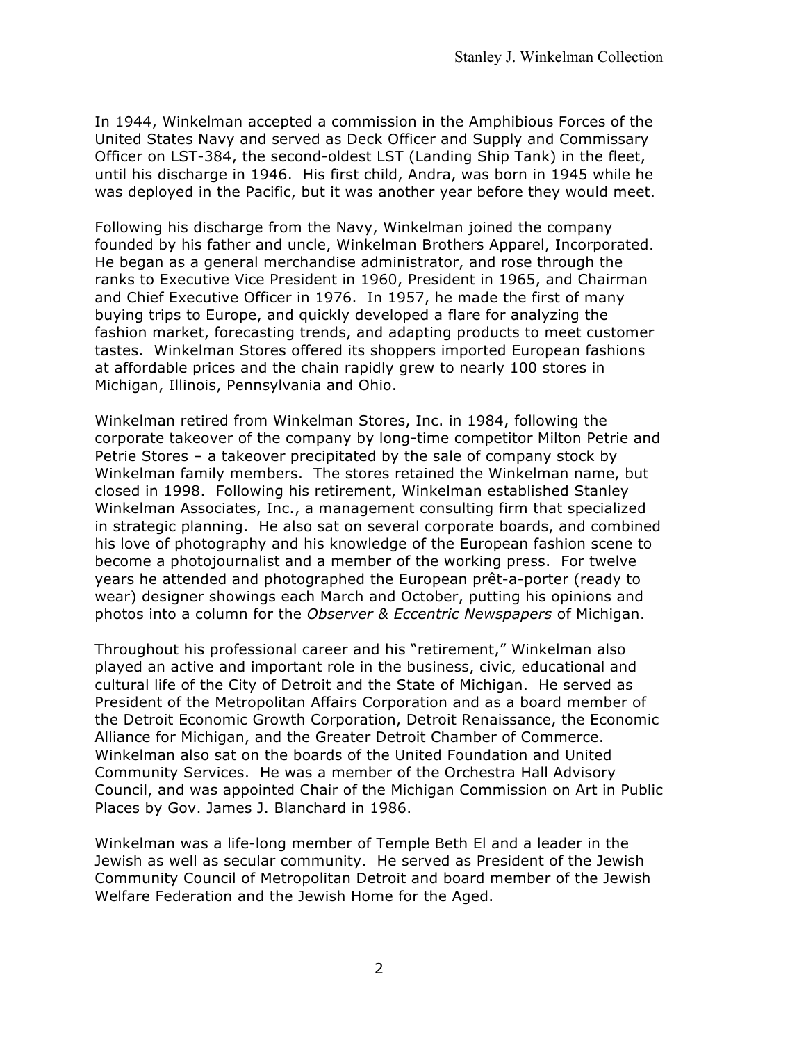In 1944, Winkelman accepted a commission in the Amphibious Forces of the United States Navy and served as Deck Officer and Supply and Commissary Officer on LST-384, the second-oldest LST (Landing Ship Tank) in the fleet, until his discharge in 1946. His first child, Andra, was born in 1945 while he was deployed in the Pacific, but it was another year before they would meet.

Following his discharge from the Navy, Winkelman joined the company founded by his father and uncle, Winkelman Brothers Apparel, Incorporated. He began as a general merchandise administrator, and rose through the ranks to Executive Vice President in 1960, President in 1965, and Chairman and Chief Executive Officer in 1976. In 1957, he made the first of many buying trips to Europe, and quickly developed a flare for analyzing the fashion market, forecasting trends, and adapting products to meet customer tastes. Winkelman Stores offered its shoppers imported European fashions at affordable prices and the chain rapidly grew to nearly 100 stores in Michigan, Illinois, Pennsylvania and Ohio.

Winkelman retired from Winkelman Stores, Inc. in 1984, following the corporate takeover of the company by long-time competitor Milton Petrie and Petrie Stores – a takeover precipitated by the sale of company stock by Winkelman family members. The stores retained the Winkelman name, but closed in 1998. Following his retirement, Winkelman established Stanley Winkelman Associates, Inc., a management consulting firm that specialized in strategic planning. He also sat on several corporate boards, and combined his love of photography and his knowledge of the European fashion scene to become a photojournalist and a member of the working press. For twelve years he attended and photographed the European prêt-a-porter (ready to wear) designer showings each March and October, putting his opinions and photos into a column for the *Observer & Eccentric Newspapers* of Michigan.

Throughout his professional career and his "retirement," Winkelman also played an active and important role in the business, civic, educational and cultural life of the City of Detroit and the State of Michigan. He served as President of the Metropolitan Affairs Corporation and as a board member of the Detroit Economic Growth Corporation, Detroit Renaissance, the Economic Alliance for Michigan, and the Greater Detroit Chamber of Commerce. Winkelman also sat on the boards of the United Foundation and United Community Services. He was a member of the Orchestra Hall Advisory Council, and was appointed Chair of the Michigan Commission on Art in Public Places by Gov. James J. Blanchard in 1986.

Winkelman was a life-long member of Temple Beth El and a leader in the Jewish as well as secular community. He served as President of the Jewish Community Council of Metropolitan Detroit and board member of the Jewish Welfare Federation and the Jewish Home for the Aged.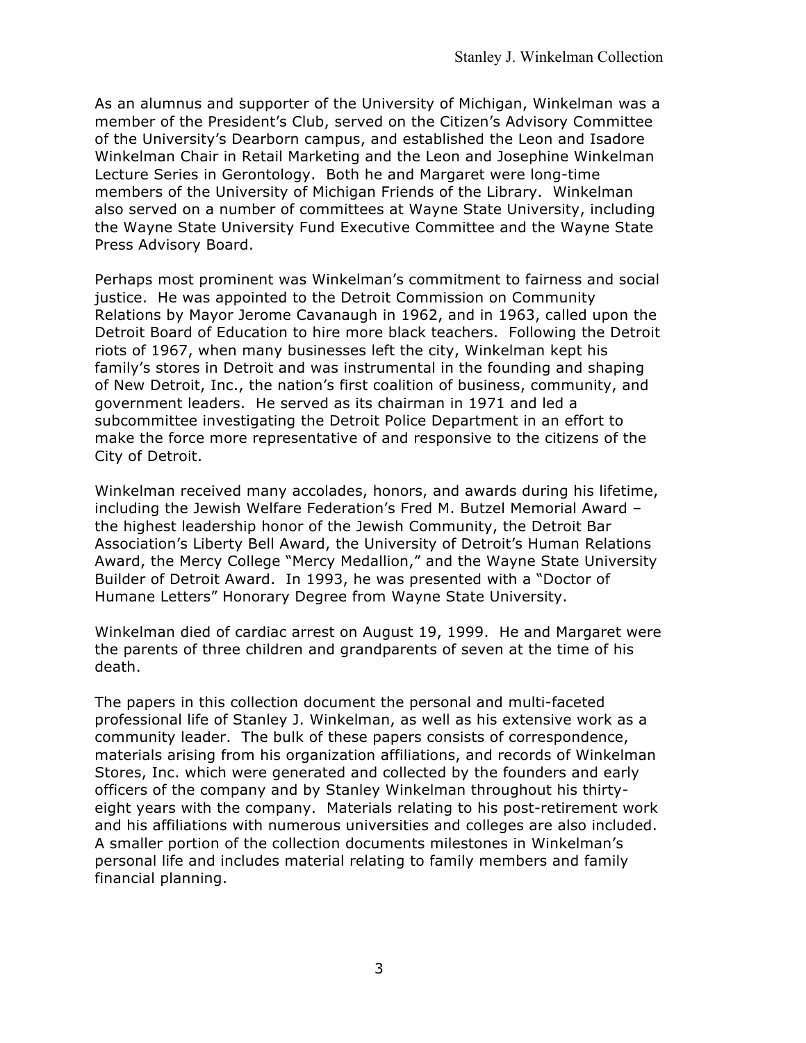As an alumnus and supporter of the University of Michigan, Winkelman was a member of the President's Club, served on the Citizen's Advisory Committee of the University's Dearborn campus, and established the Leon and Isadore Winkelman Chair in Retail Marketing and the Leon and Josephine Winkelman Lecture Series in Gerontology. Both he and Margaret were long-time members of the University of Michigan Friends of the Library. Winkelman also served on a number of committees at Wayne State University, including the Wayne State University Fund Executive Committee and the Wayne State Press Advisory Board.

Perhaps most prominent was Winkelman's commitment to fairness and social justice. He was appointed to the Detroit Commission on Community Relations by Mayor Jerome Cavanaugh in 1962, and in 1963, called upon the Detroit Board of Education to hire more black teachers. Following the Detroit riots of 1967, when many businesses left the city, Winkelman kept his family's stores in Detroit and was instrumental in the founding and shaping of New Detroit, Inc., the nation's first coalition of business, community, and government leaders. He served as its chairman in 1971 and led a subcommittee investigating the Detroit Police Department in an effort to make the force more representative of and responsive to the citizens of the City of Detroit.

Winkelman received many accolades, honors, and awards during his lifetime, including the Jewish Welfare Federation's Fred M. Butzel Memorial Award – the highest leadership honor of the Jewish Community, the Detroit Bar Association's Liberty Bell Award, the University of Detroit's Human Relations Award, the Mercy College "Mercy Medallion," and the Wayne State University Builder of Detroit Award. In 1993, he was presented with a "Doctor of Humane Letters" Honorary Degree from Wayne State University.

Winkelman died of cardiac arrest on August 19, 1999. He and Margaret were the parents of three children and grandparents of seven at the time of his death.

The papers in this collection document the personal and multi-faceted professional life of Stanley J. Winkelman, as well as his extensive work as a community leader. The bulk of these papers consists of correspondence, materials arising from his organization affiliations, and records of Winkelman Stores, Inc. which were generated and collected by the founders and early officers of the company and by Stanley Winkelman throughout his thirtyeight years with the company. Materials relating to his post-retirement work and his affiliations with numerous universities and colleges are also included. A smaller portion of the collection documents milestones in Winkelman's personal life and includes material relating to family members and family financial planning.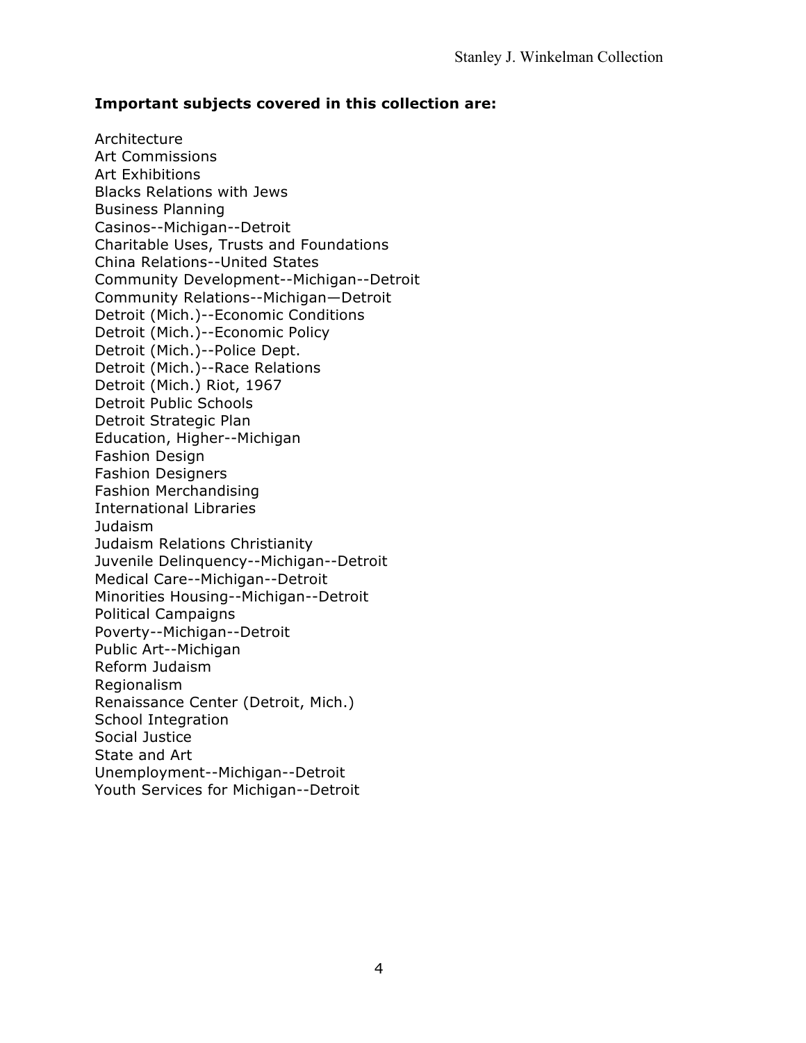## **Important subjects covered in this collection are:**

Architecture Art Commissions Art Exhibitions Blacks Relations with Jews Business Planning Casinos--Michigan--Detroit Charitable Uses, Trusts and Foundations China Relations--United States Community Development--Michigan--Detroit Community Relations--Michigan—Detroit Detroit (Mich.)--Economic Conditions Detroit (Mich.)--Economic Policy Detroit (Mich.)--Police Dept. Detroit (Mich.)--Race Relations Detroit (Mich.) Riot, 1967 Detroit Public Schools Detroit Strategic Plan Education, Higher--Michigan Fashion Design Fashion Designers Fashion Merchandising International Libraries Judaism Judaism Relations Christianity Juvenile Delinquency--Michigan--Detroit Medical Care--Michigan--Detroit Minorities Housing--Michigan--Detroit Political Campaigns Poverty--Michigan--Detroit Public Art--Michigan Reform Judaism Regionalism Renaissance Center (Detroit, Mich.) School Integration Social Justice State and Art Unemployment--Michigan--Detroit Youth Services for Michigan--Detroit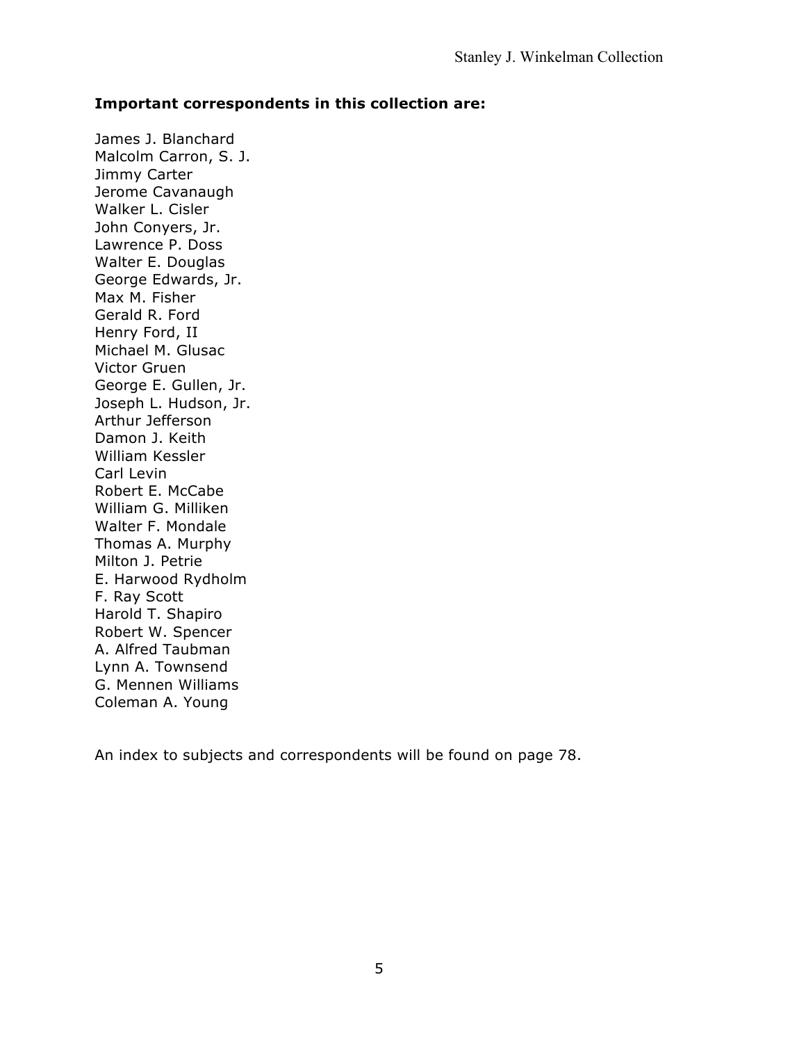#### **Important correspondents in this collection are:**

James J. Blanchard Malcolm Carron, S. J. Jimmy Carter Jerome Cavanaugh Walker L. Cisler John Conyers, Jr. Lawrence P. Doss Walter E. Douglas George Edwards, Jr. Max M. Fisher Gerald R. Ford Henry Ford, II Michael M. Glusac Victor Gruen George E. Gullen, Jr. Joseph L. Hudson, Jr. Arthur Jefferson Damon J. Keith William Kessler Carl Levin Robert E. McCabe William G. Milliken Walter F. Mondale Thomas A. Murphy Milton J. Petrie E. Harwood Rydholm F. Ray Scott Harold T. Shapiro Robert W. Spencer A. Alfred Taubman Lynn A. Townsend G. Mennen Williams Coleman A. Young

An index to subjects and correspondents will be found on page 78.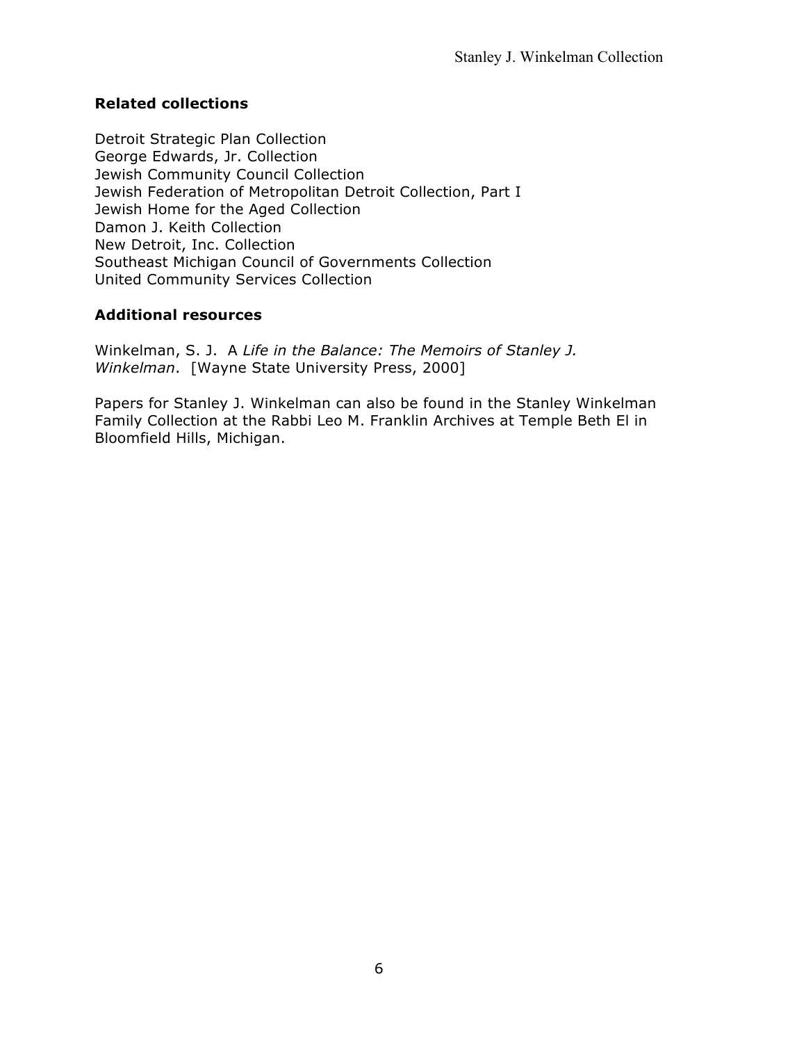# **Related collections**

Detroit Strategic Plan Collection George Edwards, Jr. Collection Jewish Community Council Collection Jewish Federation of Metropolitan Detroit Collection, Part I Jewish Home for the Aged Collection Damon J. Keith Collection New Detroit, Inc. Collection Southeast Michigan Council of Governments Collection United Community Services Collection

# **Additional resources**

Winkelman, S. J. A *Life in the Balance: The Memoirs of Stanley J. Winkelman*. [Wayne State University Press, 2000]

Papers for Stanley J. Winkelman can also be found in the Stanley Winkelman Family Collection at the Rabbi Leo M. Franklin Archives at Temple Beth El in Bloomfield Hills, Michigan.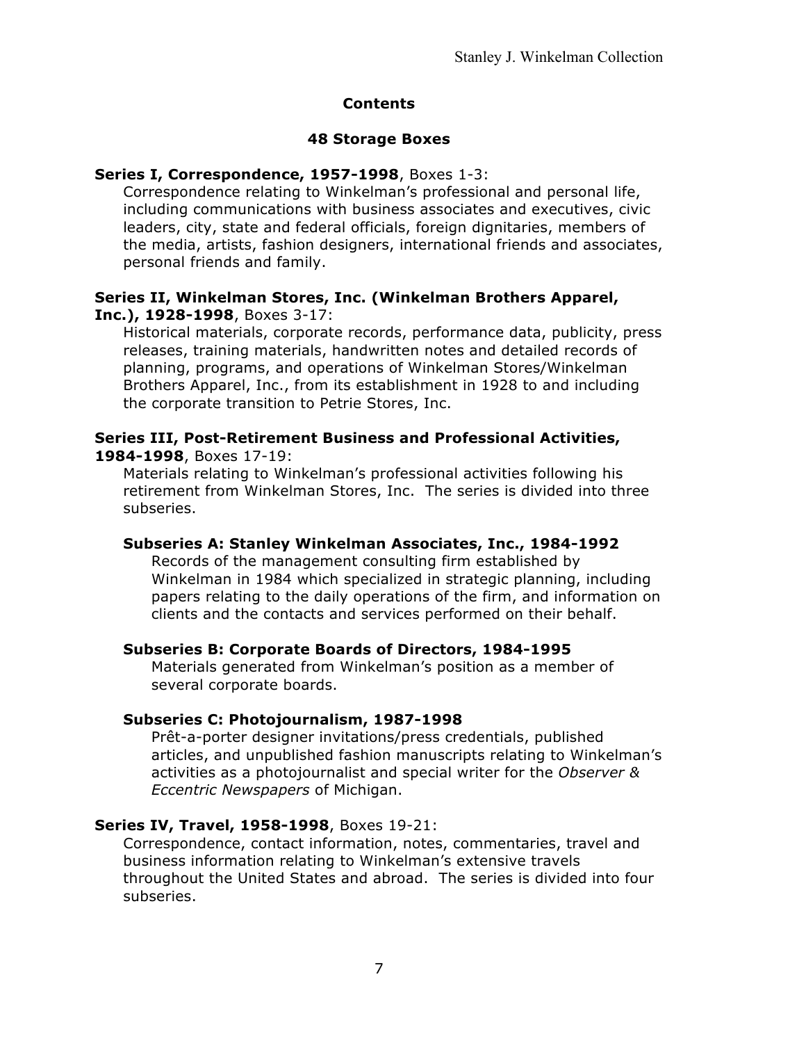#### **Contents**

#### **48 Storage Boxes**

## **Series I, Correspondence, 1957-1998**, Boxes 1-3:

Correspondence relating to Winkelman's professional and personal life, including communications with business associates and executives, civic leaders, city, state and federal officials, foreign dignitaries, members of the media, artists, fashion designers, international friends and associates, personal friends and family.

#### **Series II, Winkelman Stores, Inc. (Winkelman Brothers Apparel, Inc.), 1928-1998**, Boxes 3-17:

Historical materials, corporate records, performance data, publicity, press releases, training materials, handwritten notes and detailed records of planning, programs, and operations of Winkelman Stores/Winkelman Brothers Apparel, Inc., from its establishment in 1928 to and including the corporate transition to Petrie Stores, Inc.

## **Series III, Post-Retirement Business and Professional Activities, 1984-1998**, Boxes 17-19:

Materials relating to Winkelman's professional activities following his retirement from Winkelman Stores, Inc. The series is divided into three subseries.

# **Subseries A: Stanley Winkelman Associates, Inc., 1984-1992**

Records of the management consulting firm established by Winkelman in 1984 which specialized in strategic planning, including papers relating to the daily operations of the firm, and information on clients and the contacts and services performed on their behalf.

#### **Subseries B: Corporate Boards of Directors, 1984-1995**

Materials generated from Winkelman's position as a member of several corporate boards.

# **Subseries C: Photojournalism, 1987-1998**

Prêt-a-porter designer invitations/press credentials, published articles, and unpublished fashion manuscripts relating to Winkelman's activities as a photojournalist and special writer for the *Observer & Eccentric Newspapers* of Michigan.

# **Series IV, Travel, 1958-1998**, Boxes 19-21:

Correspondence, contact information, notes, commentaries, travel and business information relating to Winkelman's extensive travels throughout the United States and abroad. The series is divided into four subseries.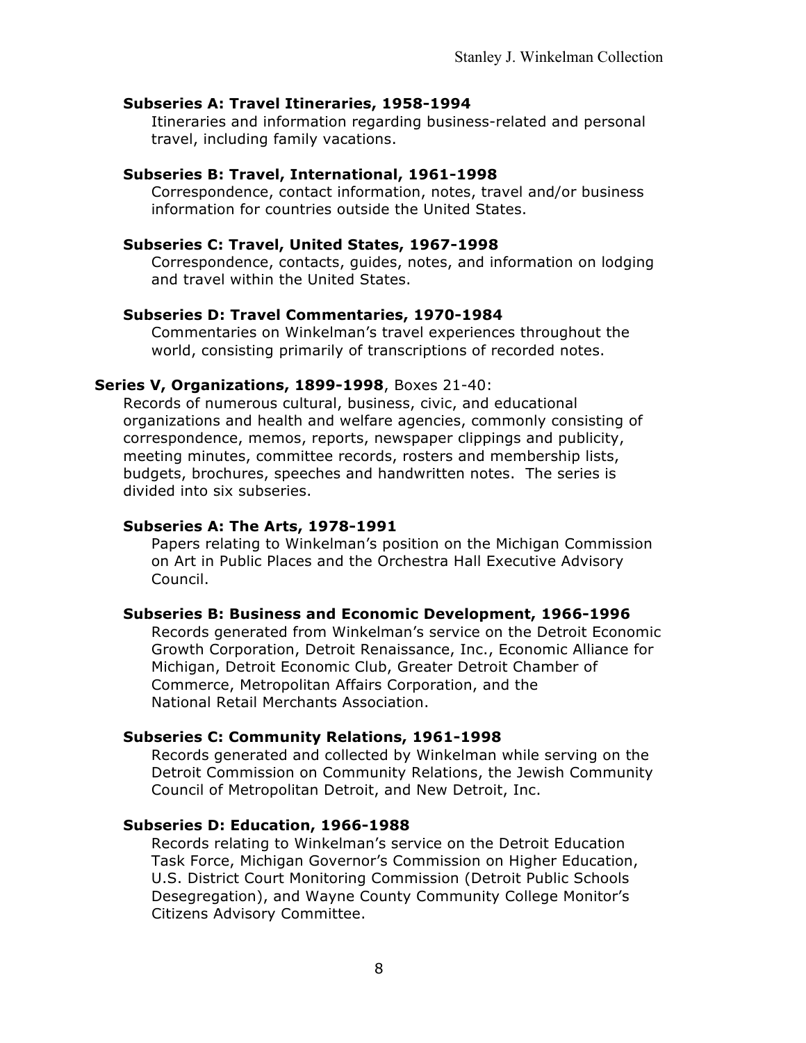#### **Subseries A: Travel Itineraries, 1958-1994**

Itineraries and information regarding business-related and personal travel, including family vacations.

## **Subseries B: Travel, International, 1961-1998**

Correspondence, contact information, notes, travel and/or business information for countries outside the United States.

#### **Subseries C: Travel, United States, 1967-1998**

Correspondence, contacts, guides, notes, and information on lodging and travel within the United States.

#### **Subseries D: Travel Commentaries, 1970-1984**

Commentaries on Winkelman's travel experiences throughout the world, consisting primarily of transcriptions of recorded notes.

#### **Series V, Organizations, 1899-1998**, Boxes 21-40:

Records of numerous cultural, business, civic, and educational organizations and health and welfare agencies, commonly consisting of correspondence, memos, reports, newspaper clippings and publicity, meeting minutes, committee records, rosters and membership lists, budgets, brochures, speeches and handwritten notes. The series is divided into six subseries.

#### **Subseries A: The Arts, 1978-1991**

Papers relating to Winkelman's position on the Michigan Commission on Art in Public Places and the Orchestra Hall Executive Advisory Council.

#### **Subseries B: Business and Economic Development, 1966-1996**

Records generated from Winkelman's service on the Detroit Economic Growth Corporation, Detroit Renaissance, Inc., Economic Alliance for Michigan, Detroit Economic Club, Greater Detroit Chamber of Commerce, Metropolitan Affairs Corporation, and the National Retail Merchants Association.

#### **Subseries C: Community Relations, 1961-1998**

Records generated and collected by Winkelman while serving on the Detroit Commission on Community Relations, the Jewish Community Council of Metropolitan Detroit, and New Detroit, Inc.

#### **Subseries D: Education, 1966-1988**

Records relating to Winkelman's service on the Detroit Education Task Force, Michigan Governor's Commission on Higher Education, U.S. District Court Monitoring Commission (Detroit Public Schools Desegregation), and Wayne County Community College Monitor's Citizens Advisory Committee.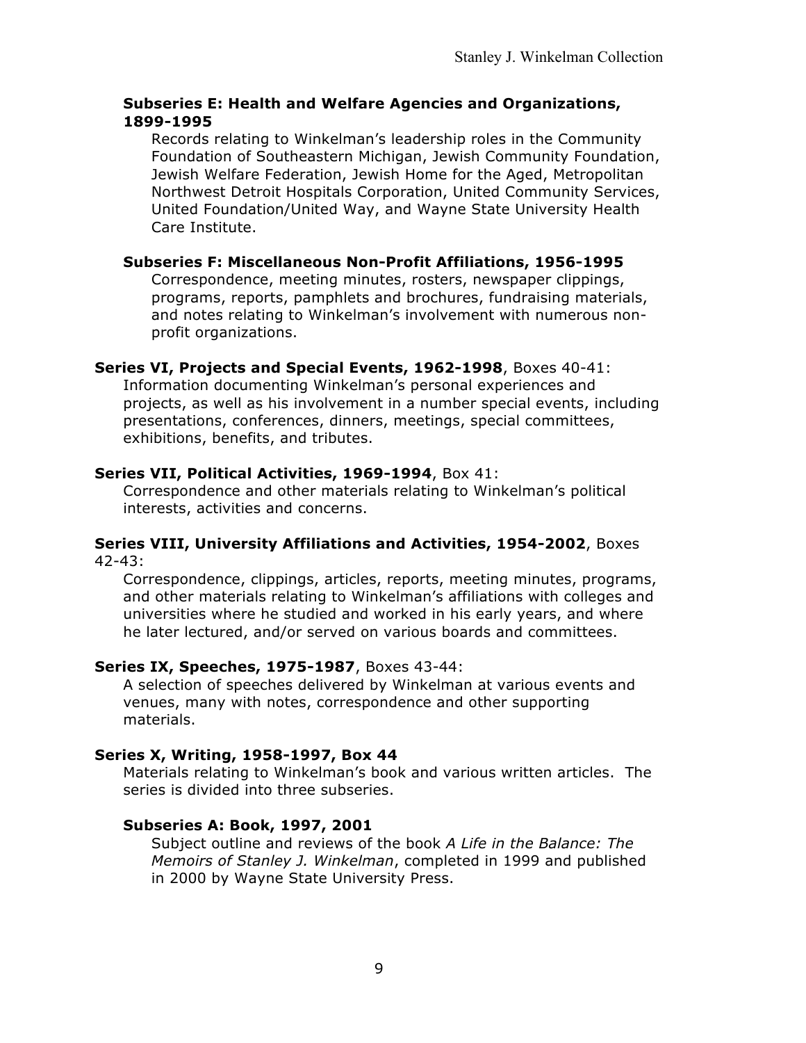## **Subseries E: Health and Welfare Agencies and Organizations, 1899-1995**

Records relating to Winkelman's leadership roles in the Community Foundation of Southeastern Michigan, Jewish Community Foundation, Jewish Welfare Federation, Jewish Home for the Aged, Metropolitan Northwest Detroit Hospitals Corporation, United Community Services, United Foundation/United Way, and Wayne State University Health Care Institute.

#### **Subseries F: Miscellaneous Non-Profit Affiliations, 1956-1995**

Correspondence, meeting minutes, rosters, newspaper clippings, programs, reports, pamphlets and brochures, fundraising materials, and notes relating to Winkelman's involvement with numerous nonprofit organizations.

## **Series VI, Projects and Special Events, 1962-1998**, Boxes 40-41:

Information documenting Winkelman's personal experiences and projects, as well as his involvement in a number special events, including presentations, conferences, dinners, meetings, special committees, exhibitions, benefits, and tributes.

#### **Series VII, Political Activities, 1969-1994**, Box 41:

Correspondence and other materials relating to Winkelman's political interests, activities and concerns.

#### **Series VIII, University Affiliations and Activities, 1954-2002**, Boxes 42-43:

Correspondence, clippings, articles, reports, meeting minutes, programs, and other materials relating to Winkelman's affiliations with colleges and universities where he studied and worked in his early years, and where he later lectured, and/or served on various boards and committees.

# **Series IX, Speeches, 1975-1987**, Boxes 43-44:

A selection of speeches delivered by Winkelman at various events and venues, many with notes, correspondence and other supporting materials.

#### **Series X, Writing, 1958-1997, Box 44**

Materials relating to Winkelman's book and various written articles. The series is divided into three subseries.

#### **Subseries A: Book, 1997, 2001**

Subject outline and reviews of the book *A Life in the Balance: The Memoirs of Stanley J. Winkelman*, completed in 1999 and published in 2000 by Wayne State University Press.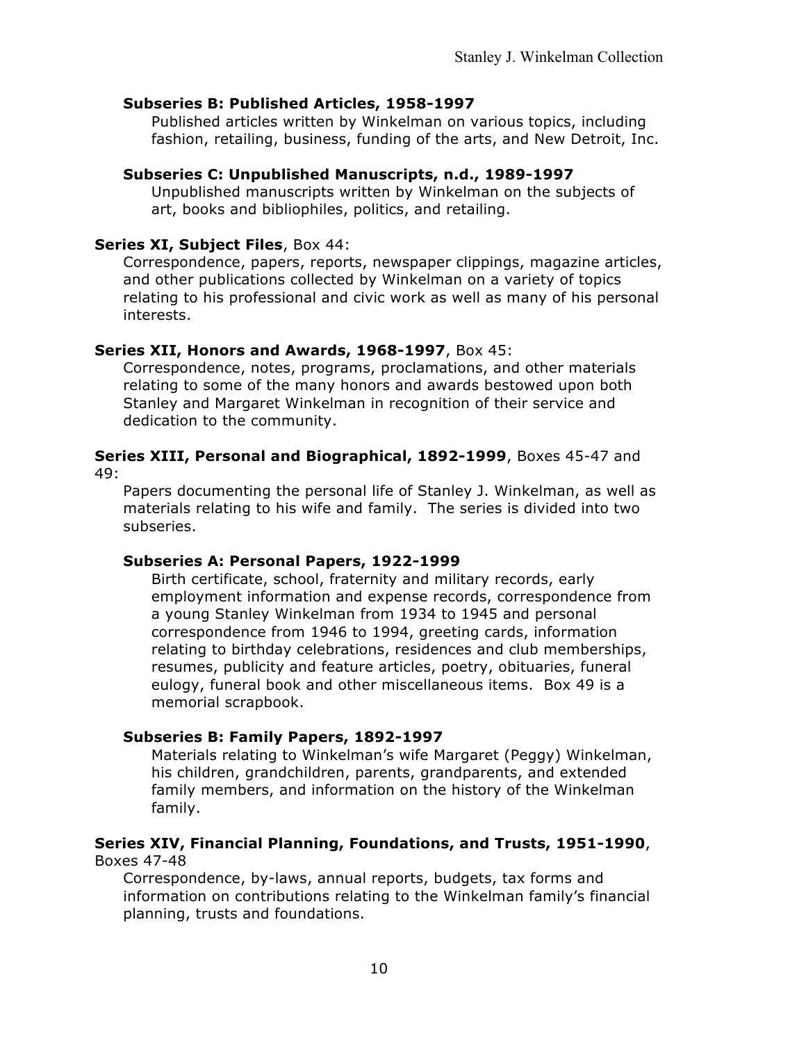#### **Subseries B: Published Articles, 1958-1997**

Published articles written by Winkelman on various topics, including fashion, retailing, business, funding of the arts, and New Detroit, Inc.

## **Subseries C: Unpublished Manuscripts, n.d., 1989-1997**

Unpublished manuscripts written by Winkelman on the subjects of art, books and bibliophiles, politics, and retailing.

#### **Series XI, Subject Files**, Box 44:

Correspondence, papers, reports, newspaper clippings, magazine articles, and other publications collected by Winkelman on a variety of topics relating to his professional and civic work as well as many of his personal interests.

#### **Series XII, Honors and Awards, 1968-1997**, Box 45:

Correspondence, notes, programs, proclamations, and other materials relating to some of the many honors and awards bestowed upon both Stanley and Margaret Winkelman in recognition of their service and dedication to the community.

#### **Series XIII, Personal and Biographical, 1892-1999**, Boxes 45-47 and 49:

Papers documenting the personal life of Stanley J. Winkelman, as well as materials relating to his wife and family. The series is divided into two subseries.

#### **Subseries A: Personal Papers, 1922-1999**

Birth certificate, school, fraternity and military records, early employment information and expense records, correspondence from a young Stanley Winkelman from 1934 to 1945 and personal correspondence from 1946 to 1994, greeting cards, information relating to birthday celebrations, residences and club memberships, resumes, publicity and feature articles, poetry, obituaries, funeral eulogy, funeral book and other miscellaneous items. Box 49 is a memorial scrapbook.

#### **Subseries B: Family Papers, 1892-1997**

Materials relating to Winkelman's wife Margaret (Peggy) Winkelman, his children, grandchildren, parents, grandparents, and extended family members, and information on the history of the Winkelman family.

#### **Series XIV, Financial Planning, Foundations, and Trusts, 1951-1990**, Boxes 47-48

Correspondence, by-laws, annual reports, budgets, tax forms and information on contributions relating to the Winkelman family's financial planning, trusts and foundations.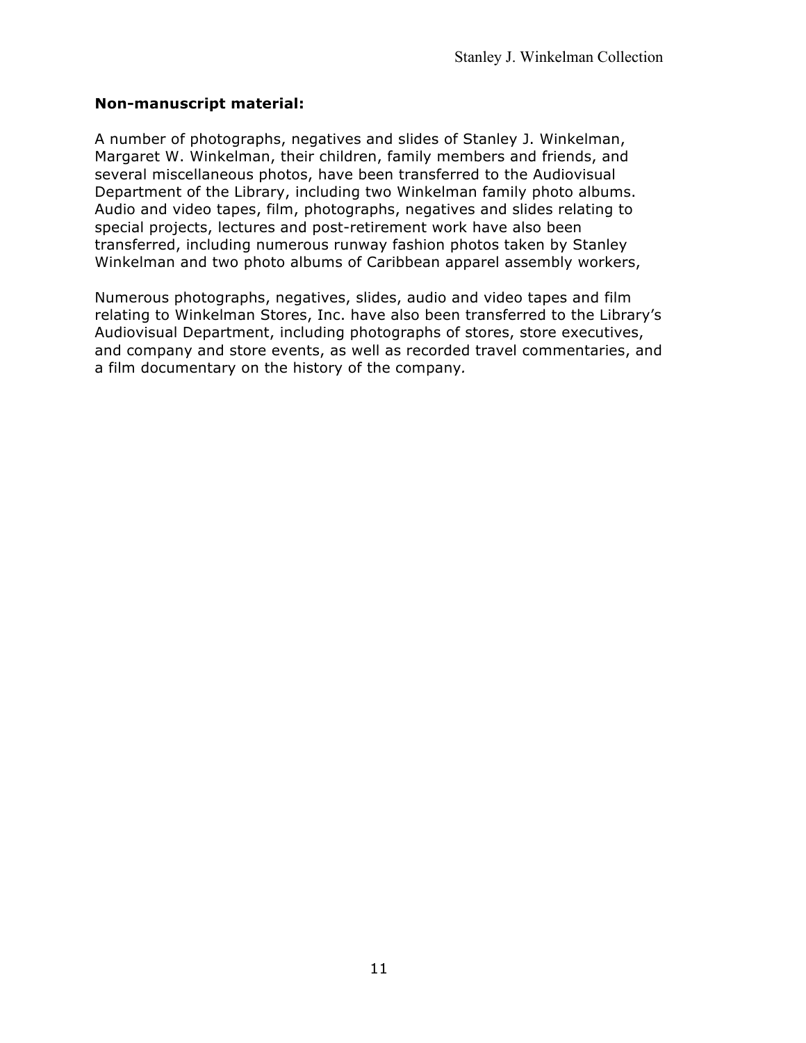## **Non-manuscript material:**

A number of photographs, negatives and slides of Stanley J. Winkelman, Margaret W. Winkelman, their children, family members and friends, and several miscellaneous photos, have been transferred to the Audiovisual Department of the Library, including two Winkelman family photo albums. Audio and video tapes, film, photographs, negatives and slides relating to special projects, lectures and post-retirement work have also been transferred, including numerous runway fashion photos taken by Stanley Winkelman and two photo albums of Caribbean apparel assembly workers,

Numerous photographs, negatives, slides, audio and video tapes and film relating to Winkelman Stores, Inc. have also been transferred to the Library's Audiovisual Department, including photographs of stores, store executives, and company and store events, as well as recorded travel commentaries, and a film documentary on the history of the company*.*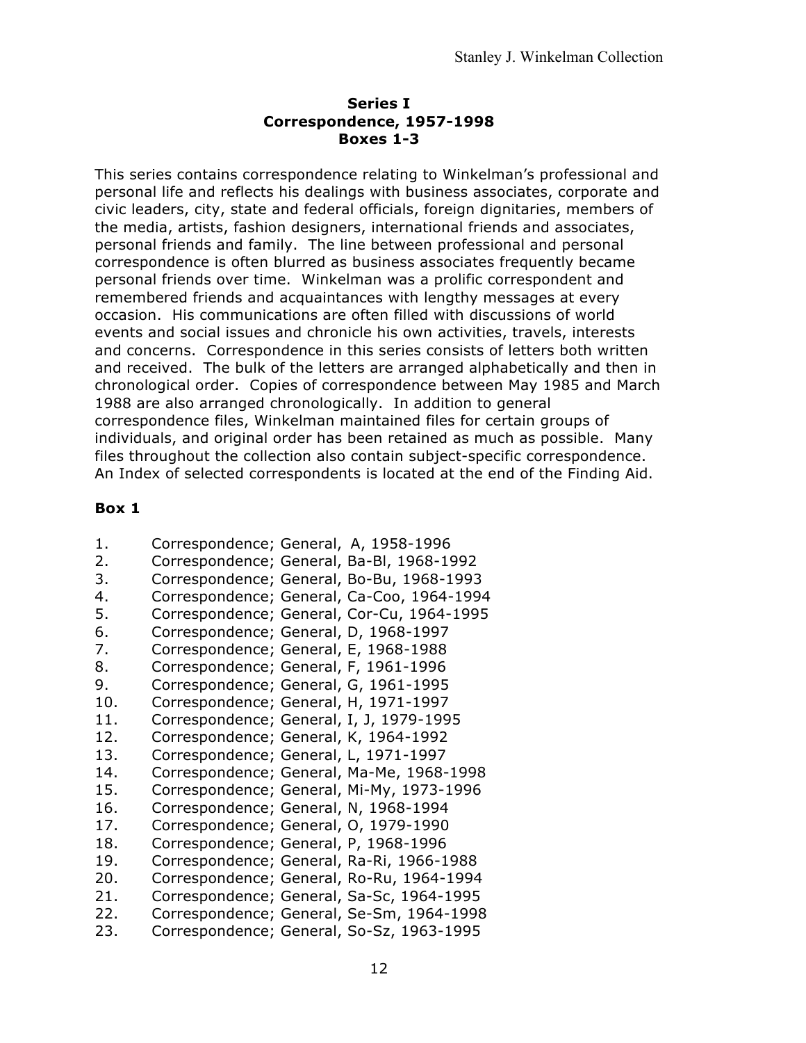#### **Series I Correspondence, 1957-1998 Boxes 1-3**

This series contains correspondence relating to Winkelman's professional and personal life and reflects his dealings with business associates, corporate and civic leaders, city, state and federal officials, foreign dignitaries, members of the media, artists, fashion designers, international friends and associates, personal friends and family. The line between professional and personal correspondence is often blurred as business associates frequently became personal friends over time. Winkelman was a prolific correspondent and remembered friends and acquaintances with lengthy messages at every occasion. His communications are often filled with discussions of world events and social issues and chronicle his own activities, travels, interests and concerns. Correspondence in this series consists of letters both written and received. The bulk of the letters are arranged alphabetically and then in chronological order. Copies of correspondence between May 1985 and March 1988 are also arranged chronologically. In addition to general correspondence files, Winkelman maintained files for certain groups of individuals, and original order has been retained as much as possible. Many files throughout the collection also contain subject-specific correspondence. An Index of selected correspondents is located at the end of the Finding Aid.

- 1. Correspondence; General, A, 1958-1996
- 2. Correspondence; General, Ba-Bl, 1968-1992
- 3. Correspondence; General, Bo-Bu, 1968-1993
- 4. Correspondence; General, Ca-Coo, 1964-1994
- 5. Correspondence; General, Cor-Cu, 1964-1995
- 6. Correspondence; General, D, 1968-1997
- 7. Correspondence; General, E, 1968-1988
- 8. Correspondence; General, F, 1961-1996
- 9. Correspondence; General, G, 1961-1995
- 10. Correspondence; General, H, 1971-1997
- 11. Correspondence; General, I, J, 1979-1995
- 12. Correspondence; General, K, 1964-1992
- 13. Correspondence; General, L, 1971-1997
- 14. Correspondence; General, Ma-Me, 1968-1998
- 15. Correspondence; General, Mi-My, 1973-1996
- 16. Correspondence; General, N, 1968-1994
- 17. Correspondence; General, O, 1979-1990
- 18. Correspondence; General, P, 1968-1996
- 19. Correspondence; General, Ra-Ri, 1966-1988
- 20. Correspondence; General, Ro-Ru, 1964-1994
- 21. Correspondence; General, Sa-Sc, 1964-1995
- 22. Correspondence; General, Se-Sm, 1964-1998
- 23. Correspondence; General, So-Sz, 1963-1995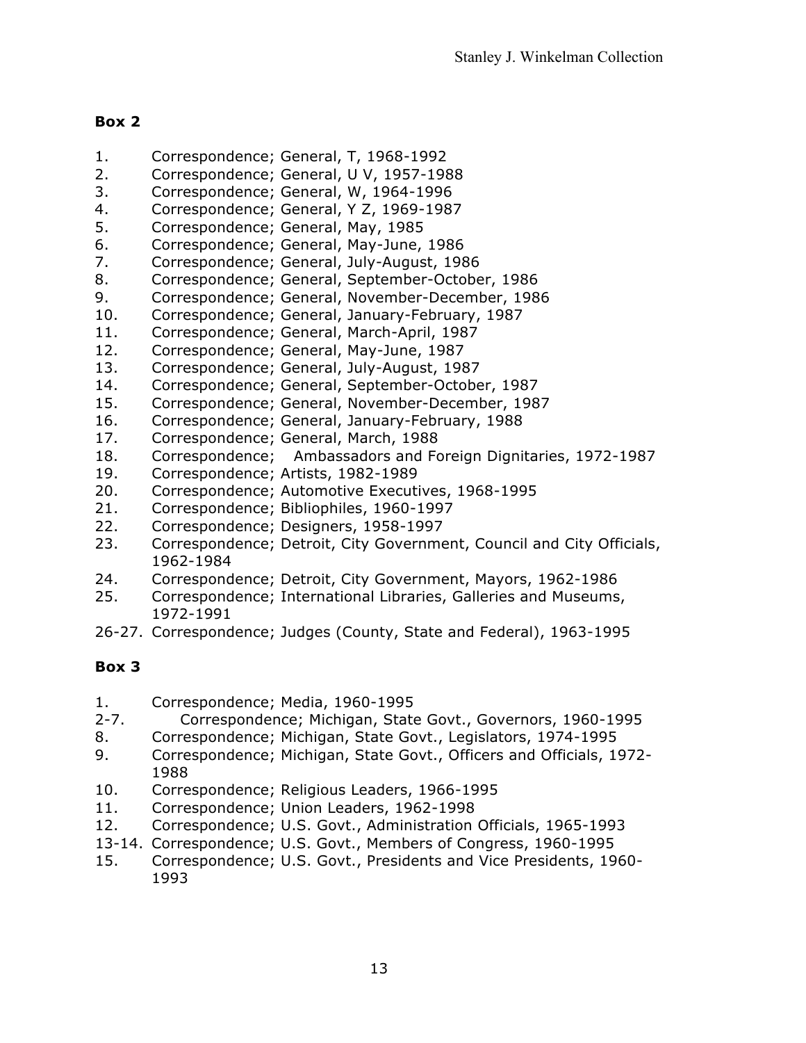- 1. Correspondence; General, T, 1968-1992
- 2. Correspondence; General, U V, 1957-1988
- 3. Correspondence; General, W, 1964-1996
- 4. Correspondence; General, Y Z, 1969-1987
- 5. Correspondence; General, May, 1985
- 6. Correspondence; General, May-June, 1986
- 7. Correspondence; General, July-August, 1986
- 8. Correspondence; General, September-October, 1986
- 9. Correspondence; General, November-December, 1986
- 10. Correspondence; General, January-February, 1987
- 11. Correspondence; General, March-April, 1987
- 12. Correspondence; General, May-June, 1987
- 13. Correspondence; General, July-August, 1987
- 14. Correspondence; General, September-October, 1987
- 15. Correspondence; General, November-December, 1987
- 16. Correspondence; General, January-February, 1988
- 17. Correspondence; General, March, 1988
- 18. Correspondence; Ambassadors and Foreign Dignitaries, 1972-1987
- 19. Correspondence; Artists, 1982-1989
- 20. Correspondence; Automotive Executives, 1968-1995
- 21. Correspondence; Bibliophiles, 1960-1997
- 22. Correspondence; Designers, 1958-1997
- 23. Correspondence; Detroit, City Government, Council and City Officials, 1962-1984
- 24. Correspondence; Detroit, City Government, Mayors, 1962-1986
- 25. Correspondence; International Libraries, Galleries and Museums, 1972-1991
- 26-27. Correspondence; Judges (County, State and Federal), 1963-1995

- 1. Correspondence; Media, 1960-1995
- 2-7. Correspondence; Michigan, State Govt., Governors, 1960-1995
- 8. Correspondence; Michigan, State Govt., Legislators, 1974-1995
- 9. Correspondence; Michigan, State Govt., Officers and Officials, 1972- 1988
- 10. Correspondence; Religious Leaders, 1966-1995
- 11. Correspondence; Union Leaders, 1962-1998
- 12. Correspondence; U.S. Govt., Administration Officials, 1965-1993
- 13-14. Correspondence; U.S. Govt., Members of Congress, 1960-1995
- 15. Correspondence; U.S. Govt., Presidents and Vice Presidents, 1960- 1993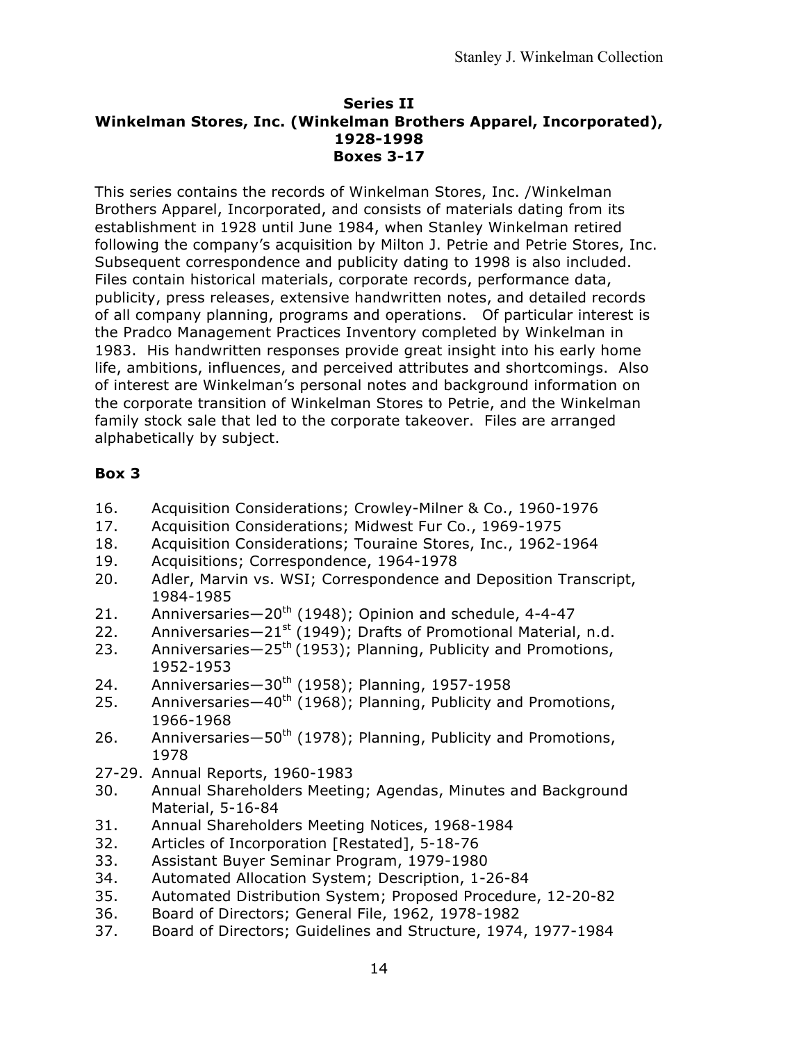#### **Series II Winkelman Stores, Inc. (Winkelman Brothers Apparel, Incorporated), 1928-1998 Boxes 3-17**

This series contains the records of Winkelman Stores, Inc. /Winkelman Brothers Apparel, Incorporated, and consists of materials dating from its establishment in 1928 until June 1984, when Stanley Winkelman retired following the company's acquisition by Milton J. Petrie and Petrie Stores, Inc. Subsequent correspondence and publicity dating to 1998 is also included. Files contain historical materials, corporate records, performance data, publicity, press releases, extensive handwritten notes, and detailed records of all company planning, programs and operations. Of particular interest is the Pradco Management Practices Inventory completed by Winkelman in 1983. His handwritten responses provide great insight into his early home life, ambitions, influences, and perceived attributes and shortcomings. Also of interest are Winkelman's personal notes and background information on the corporate transition of Winkelman Stores to Petrie, and the Winkelman family stock sale that led to the corporate takeover. Files are arranged alphabetically by subject.

- 16. Acquisition Considerations; Crowley-Milner & Co., 1960-1976
- 17. Acquisition Considerations; Midwest Fur Co., 1969-1975
- 18. Acquisition Considerations; Touraine Stores, Inc., 1962-1964
- 19. Acquisitions; Correspondence, 1964-1978
- 20. Adler, Marvin vs. WSI; Correspondence and Deposition Transcript, 1984-1985
- 21. Anniversaries-20<sup>th</sup> (1948); Opinion and schedule, 4-4-47
- 22. Anniversaries $-21^{st}$  (1949); Drafts of Promotional Material, n.d.
- 23. Anniversaries $-25<sup>th</sup>$  (1953); Planning, Publicity and Promotions, 1952-1953
- 24. Anniversaries-30<sup>th</sup> (1958); Planning, 1957-1958
- 25. Anniversaries $-40^{th}$  (1968); Planning, Publicity and Promotions, 1966-1968
- 26. Anniversaries $-50^{th}$  (1978); Planning, Publicity and Promotions, 1978
- 27-29. Annual Reports, 1960-1983
- 30. Annual Shareholders Meeting; Agendas, Minutes and Background Material, 5-16-84
- 31. Annual Shareholders Meeting Notices, 1968-1984
- 32. Articles of Incorporation [Restated], 5-18-76
- 33. Assistant Buyer Seminar Program, 1979-1980
- 34. Automated Allocation System; Description, 1-26-84
- 35. Automated Distribution System; Proposed Procedure, 12-20-82
- 36. Board of Directors; General File, 1962, 1978-1982
- 37. Board of Directors; Guidelines and Structure, 1974, 1977-1984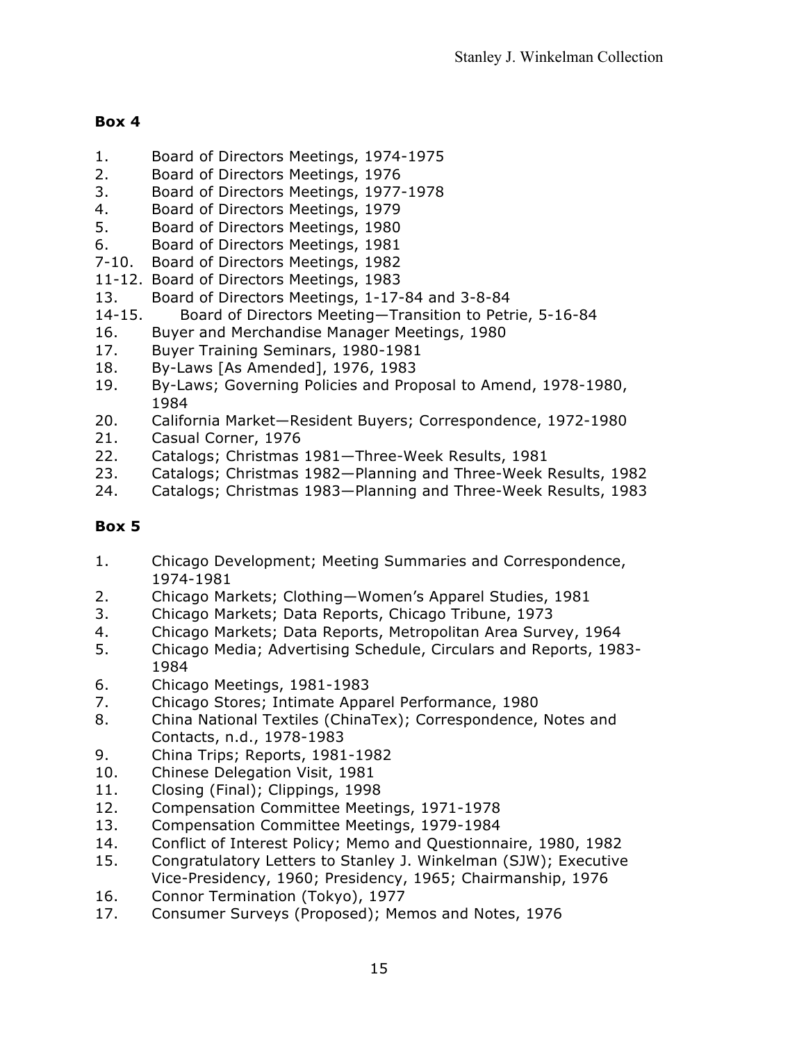- 1. Board of Directors Meetings, 1974-1975
- 2. Board of Directors Meetings, 1976
- 3. Board of Directors Meetings, 1977-1978
- 4. Board of Directors Meetings, 1979
- 5. Board of Directors Meetings, 1980
- 6. Board of Directors Meetings, 1981
- 7-10. Board of Directors Meetings, 1982
- 11-12. Board of Directors Meetings, 1983
- 13. Board of Directors Meetings, 1-17-84 and 3-8-84
- 14-15. Board of Directors Meeting—Transition to Petrie, 5-16-84
- 16. Buyer and Merchandise Manager Meetings, 1980
- 17. Buyer Training Seminars, 1980-1981
- 18. By-Laws [As Amended], 1976, 1983
- 19. By-Laws; Governing Policies and Proposal to Amend, 1978-1980, 1984
- 20. California Market—Resident Buyers; Correspondence, 1972-1980
- 21. Casual Corner, 1976
- 22. Catalogs; Christmas 1981—Three-Week Results, 1981
- 23. Catalogs; Christmas 1982—Planning and Three-Week Results, 1982
- 24. Catalogs; Christmas 1983—Planning and Three-Week Results, 1983

- 1. Chicago Development; Meeting Summaries and Correspondence, 1974-1981
- 2. Chicago Markets; Clothing—Women's Apparel Studies, 1981
- 3. Chicago Markets; Data Reports, Chicago Tribune, 1973
- 4. Chicago Markets; Data Reports, Metropolitan Area Survey, 1964
- 5. Chicago Media; Advertising Schedule, Circulars and Reports, 1983- 1984
- 6. Chicago Meetings, 1981-1983
- 7. Chicago Stores; Intimate Apparel Performance, 1980
- 8. China National Textiles (ChinaTex); Correspondence, Notes and Contacts, n.d., 1978-1983
- 9. China Trips; Reports, 1981-1982
- 10. Chinese Delegation Visit, 1981
- 11. Closing (Final); Clippings, 1998
- 12. Compensation Committee Meetings, 1971-1978
- 13. Compensation Committee Meetings, 1979-1984
- 14. Conflict of Interest Policy; Memo and Questionnaire, 1980, 1982
- 15. Congratulatory Letters to Stanley J. Winkelman (SJW); Executive Vice-Presidency, 1960; Presidency, 1965; Chairmanship, 1976
- 16. Connor Termination (Tokyo), 1977
- 17. Consumer Surveys (Proposed); Memos and Notes, 1976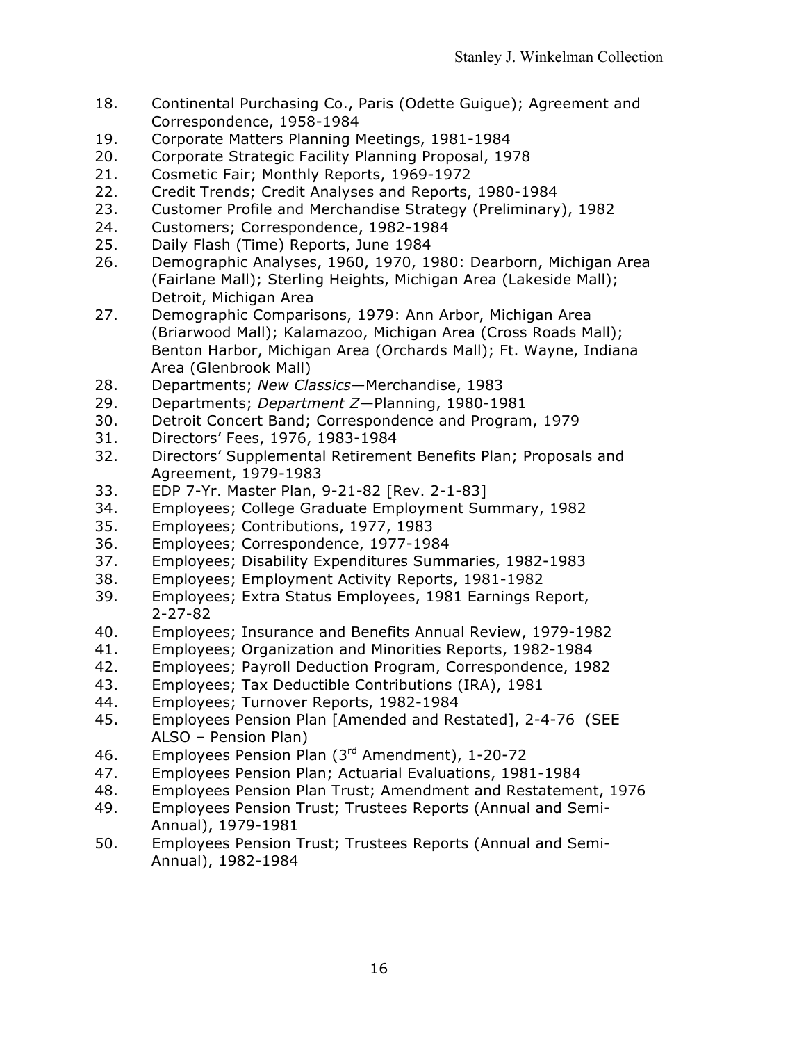- 18. Continental Purchasing Co., Paris (Odette Guigue); Agreement and Correspondence, 1958-1984
- 19. Corporate Matters Planning Meetings, 1981-1984
- 20. Corporate Strategic Facility Planning Proposal, 1978
- 21. Cosmetic Fair; Monthly Reports, 1969-1972
- 22. Credit Trends; Credit Analyses and Reports, 1980-1984
- 23. Customer Profile and Merchandise Strategy (Preliminary), 1982
- 24. Customers; Correspondence, 1982-1984
- 25. Daily Flash (Time) Reports, June 1984
- 26. Demographic Analyses, 1960, 1970, 1980: Dearborn, Michigan Area (Fairlane Mall); Sterling Heights, Michigan Area (Lakeside Mall); Detroit, Michigan Area
- 27. Demographic Comparisons, 1979: Ann Arbor, Michigan Area (Briarwood Mall); Kalamazoo, Michigan Area (Cross Roads Mall); Benton Harbor, Michigan Area (Orchards Mall); Ft. Wayne, Indiana Area (Glenbrook Mall)
- 28. Departments; *New Classics*—Merchandise, 1983
- 29. Departments; *Department Z*—Planning, 1980-1981
- 30. Detroit Concert Band; Correspondence and Program, 1979
- 31. Directors' Fees, 1976, 1983-1984
- 32. Directors' Supplemental Retirement Benefits Plan; Proposals and Agreement, 1979-1983
- 33. EDP 7-Yr. Master Plan, 9-21-82 [Rev. 2-1-83]
- 34. Employees; College Graduate Employment Summary, 1982
- 35. Employees; Contributions, 1977, 1983
- 36. Employees; Correspondence, 1977-1984
- 37. Employees; Disability Expenditures Summaries, 1982-1983
- 38. Employees; Employment Activity Reports, 1981-1982
- 39. Employees; Extra Status Employees, 1981 Earnings Report, 2-27-82
- 40. Employees; Insurance and Benefits Annual Review, 1979-1982
- 41. Employees; Organization and Minorities Reports, 1982-1984
- 42. Employees; Payroll Deduction Program, Correspondence, 1982
- 43. Employees; Tax Deductible Contributions (IRA), 1981
- 44. Employees; Turnover Reports, 1982-1984
- 45. Employees Pension Plan [Amended and Restated], 2-4-76 (SEE ALSO – Pension Plan)
- 46. Employees Pension Plan (3rd Amendment), 1-20-72
- 47. Employees Pension Plan; Actuarial Evaluations, 1981-1984
- 48. Employees Pension Plan Trust; Amendment and Restatement, 1976
- 49. Employees Pension Trust; Trustees Reports (Annual and Semi-Annual), 1979-1981
- 50. Employees Pension Trust; Trustees Reports (Annual and Semi-Annual), 1982-1984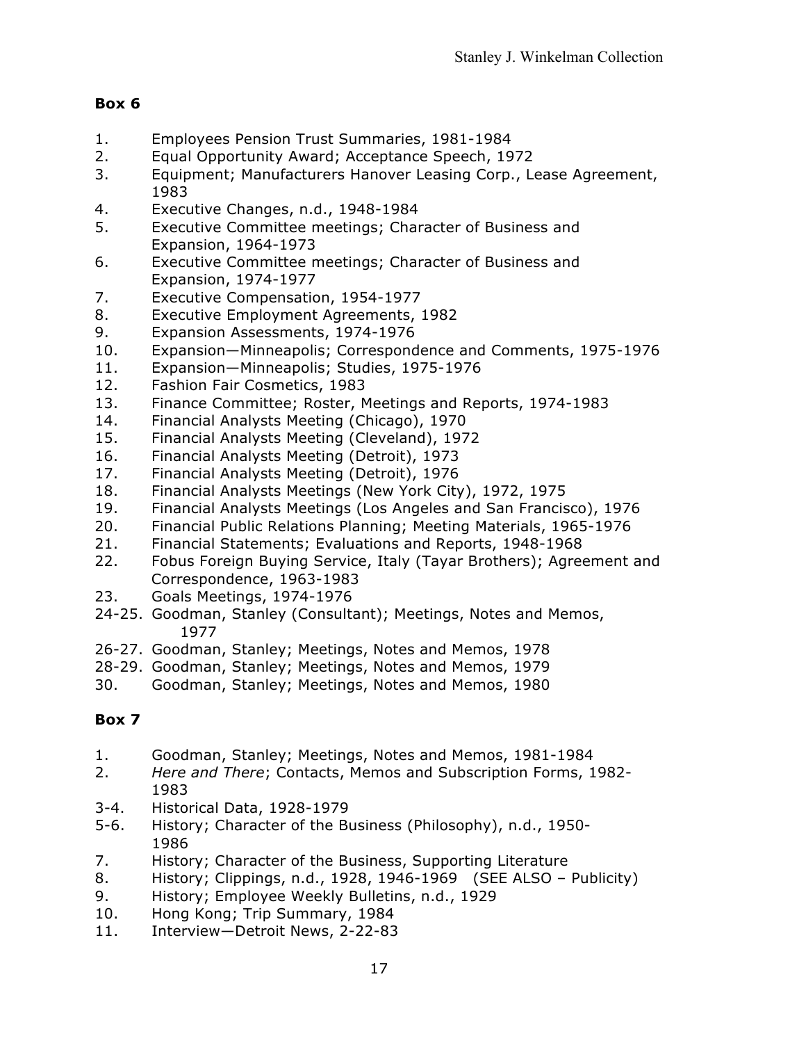- 1. Employees Pension Trust Summaries, 1981-1984
- 2. Equal Opportunity Award; Acceptance Speech, 1972
- 3. Equipment; Manufacturers Hanover Leasing Corp., Lease Agreement, 1983
- 4. Executive Changes, n.d., 1948-1984
- 5. Executive Committee meetings; Character of Business and Expansion, 1964-1973
- 6. Executive Committee meetings; Character of Business and Expansion, 1974-1977
- 7. Executive Compensation, 1954-1977
- 8. Executive Employment Agreements, 1982
- 9. Expansion Assessments, 1974-1976
- 10. Expansion—Minneapolis; Correspondence and Comments, 1975-1976
- 11. Expansion—Minneapolis; Studies, 1975-1976
- 12. Fashion Fair Cosmetics, 1983
- 13. Finance Committee; Roster, Meetings and Reports, 1974-1983
- 14. Financial Analysts Meeting (Chicago), 1970
- 15. Financial Analysts Meeting (Cleveland), 1972
- 16. Financial Analysts Meeting (Detroit), 1973
- 17. Financial Analysts Meeting (Detroit), 1976
- 18. Financial Analysts Meetings (New York City), 1972, 1975
- 19. Financial Analysts Meetings (Los Angeles and San Francisco), 1976
- 20. Financial Public Relations Planning; Meeting Materials, 1965-1976
- 21. Financial Statements; Evaluations and Reports, 1948-1968
- 22. Fobus Foreign Buying Service, Italy (Tayar Brothers); Agreement and Correspondence, 1963-1983
- 23. Goals Meetings, 1974-1976
- 24-25. Goodman, Stanley (Consultant); Meetings, Notes and Memos, 1977
- 26-27. Goodman, Stanley; Meetings, Notes and Memos, 1978
- 28-29. Goodman, Stanley; Meetings, Notes and Memos, 1979
- 30. Goodman, Stanley; Meetings, Notes and Memos, 1980

- 1. Goodman, Stanley; Meetings, Notes and Memos, 1981-1984
- 2. *Here and There*; Contacts, Memos and Subscription Forms, 1982- 1983
- 3-4. Historical Data, 1928-1979
- 5-6. History; Character of the Business (Philosophy), n.d., 1950- 1986
- 7. History; Character of the Business, Supporting Literature
- 8. History; Clippings, n.d., 1928, 1946-1969 (SEE ALSO Publicity)
- 9. History; Employee Weekly Bulletins, n.d., 1929
- 10. Hong Kong; Trip Summary, 1984
- 11. Interview—Detroit News, 2-22-83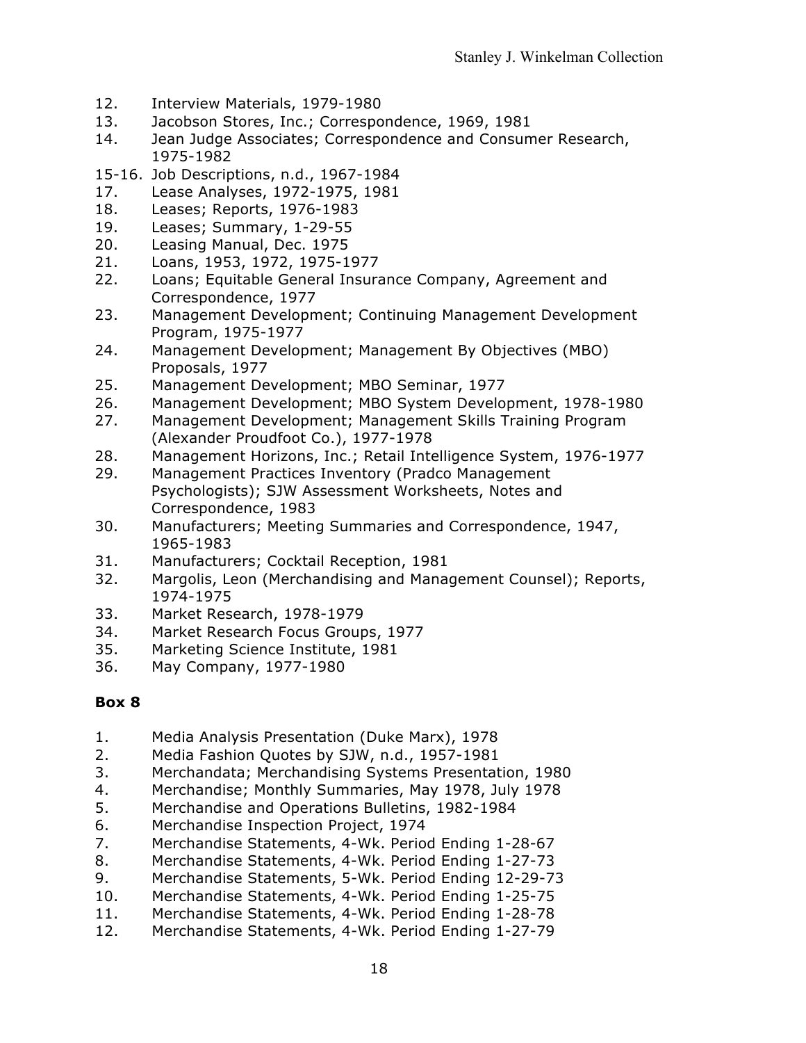- 12. Interview Materials, 1979-1980
- 13. Jacobson Stores, Inc.; Correspondence, 1969, 1981
- 14. Jean Judge Associates; Correspondence and Consumer Research, 1975-1982
- 15-16. Job Descriptions, n.d., 1967-1984
- 17. Lease Analyses, 1972-1975, 1981
- 18. Leases; Reports, 1976-1983
- 19. Leases; Summary, 1-29-55
- 20. Leasing Manual, Dec. 1975
- 21. Loans, 1953, 1972, 1975-1977
- 22. Loans; Equitable General Insurance Company, Agreement and Correspondence, 1977
- 23. Management Development; Continuing Management Development Program, 1975-1977
- 24. Management Development; Management By Objectives (MBO) Proposals, 1977
- 25. Management Development; MBO Seminar, 1977
- 26. Management Development; MBO System Development, 1978-1980
- 27. Management Development; Management Skills Training Program (Alexander Proudfoot Co.), 1977-1978
- 28. Management Horizons, Inc.; Retail Intelligence System, 1976-1977
- 29. Management Practices Inventory (Pradco Management Psychologists); SJW Assessment Worksheets, Notes and Correspondence, 1983
- 30. Manufacturers; Meeting Summaries and Correspondence, 1947, 1965-1983
- 31. Manufacturers; Cocktail Reception, 1981
- 32. Margolis, Leon (Merchandising and Management Counsel); Reports, 1974-1975
- 33. Market Research, 1978-1979
- 34. Market Research Focus Groups, 1977
- 35. Marketing Science Institute, 1981
- 36. May Company, 1977-1980

- 1. Media Analysis Presentation (Duke Marx), 1978
- 2. Media Fashion Quotes by SJW, n.d., 1957-1981
- 3. Merchandata; Merchandising Systems Presentation, 1980
- 4. Merchandise; Monthly Summaries, May 1978, July 1978
- 5. Merchandise and Operations Bulletins, 1982-1984
- 6. Merchandise Inspection Project, 1974
- 7. Merchandise Statements, 4-Wk. Period Ending 1-28-67
- 8. Merchandise Statements, 4-Wk. Period Ending 1-27-73
- 9. Merchandise Statements, 5-Wk. Period Ending 12-29-73
- 10. Merchandise Statements, 4-Wk. Period Ending 1-25-75
- 11. Merchandise Statements, 4-Wk. Period Ending 1-28-78
- 12. Merchandise Statements, 4-Wk. Period Ending 1-27-79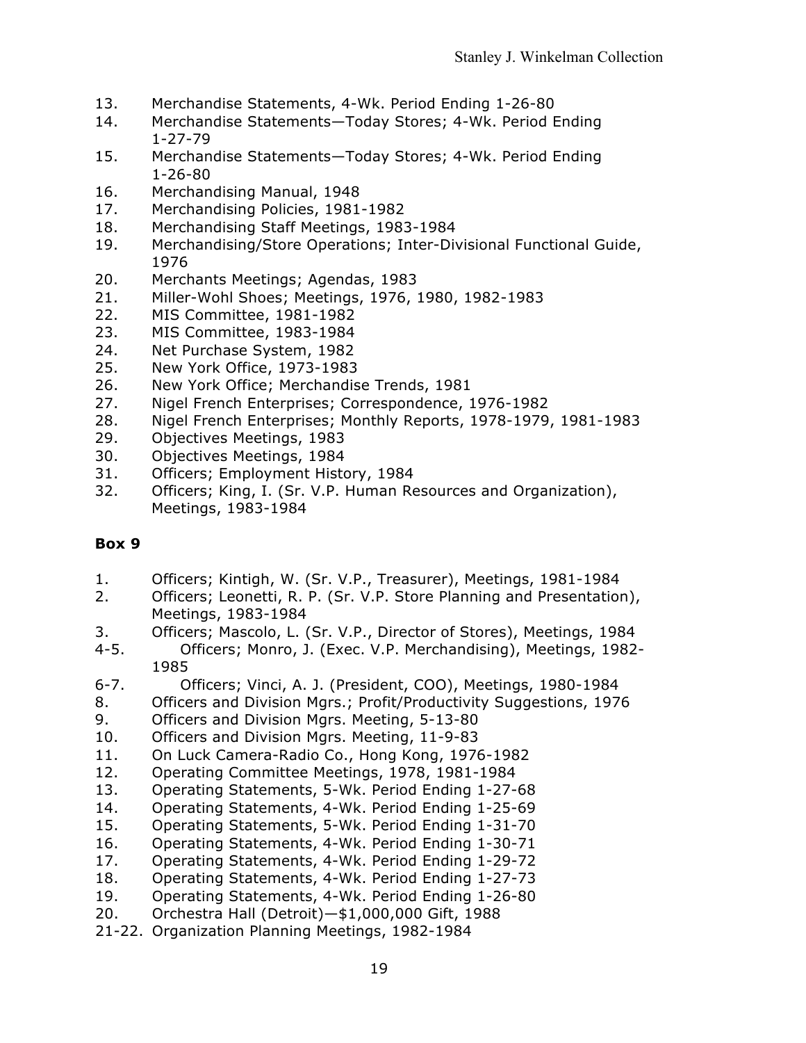- 13. Merchandise Statements, 4-Wk. Period Ending 1-26-80
- 14. Merchandise Statements—Today Stores; 4-Wk. Period Ending 1-27-79
- 15. Merchandise Statements—Today Stores; 4-Wk. Period Ending 1-26-80
- 16. Merchandising Manual, 1948
- 17. Merchandising Policies, 1981-1982
- 18. Merchandising Staff Meetings, 1983-1984
- 19. Merchandising/Store Operations; Inter-Divisional Functional Guide, 1976
- 20. Merchants Meetings; Agendas, 1983
- 21. Miller-Wohl Shoes; Meetings, 1976, 1980, 1982-1983
- 22. MIS Committee, 1981-1982
- 23. MIS Committee, 1983-1984
- 24. Net Purchase System, 1982
- 25. New York Office, 1973-1983
- 26. New York Office; Merchandise Trends, 1981
- 27. Nigel French Enterprises; Correspondence, 1976-1982
- 28. Nigel French Enterprises; Monthly Reports, 1978-1979, 1981-1983
- 29. Objectives Meetings, 1983
- 30. Objectives Meetings, 1984
- 31. Officers; Employment History, 1984
- 32. Officers; King, I. (Sr. V.P. Human Resources and Organization), Meetings, 1983-1984

- 1. Officers; Kintigh, W. (Sr. V.P., Treasurer), Meetings, 1981-1984
- 2. Officers; Leonetti, R. P. (Sr. V.P. Store Planning and Presentation), Meetings, 1983-1984
- 3. Officers; Mascolo, L. (Sr. V.P., Director of Stores), Meetings, 1984
- 4-5. Officers; Monro, J. (Exec. V.P. Merchandising), Meetings, 1982- 1985
- 6-7. Officers; Vinci, A. J. (President, COO), Meetings, 1980-1984
- 8. Officers and Division Mgrs.; Profit/Productivity Suggestions, 1976
- 9. Officers and Division Mgrs. Meeting, 5-13-80
- 10. Officers and Division Mgrs. Meeting, 11-9-83
- 11. On Luck Camera-Radio Co., Hong Kong, 1976-1982
- 12. Operating Committee Meetings, 1978, 1981-1984
- 13. Operating Statements, 5-Wk. Period Ending 1-27-68
- 14. Operating Statements, 4-Wk. Period Ending 1-25-69
- 15. Operating Statements, 5-Wk. Period Ending 1-31-70
- 16. Operating Statements, 4-Wk. Period Ending 1-30-71
- 17. Operating Statements, 4-Wk. Period Ending 1-29-72
- 18. Operating Statements, 4-Wk. Period Ending 1-27-73
- 19. Operating Statements, 4-Wk. Period Ending 1-26-80
- 20. Orchestra Hall (Detroit)—\$1,000,000 Gift, 1988
- 21-22. Organization Planning Meetings, 1982-1984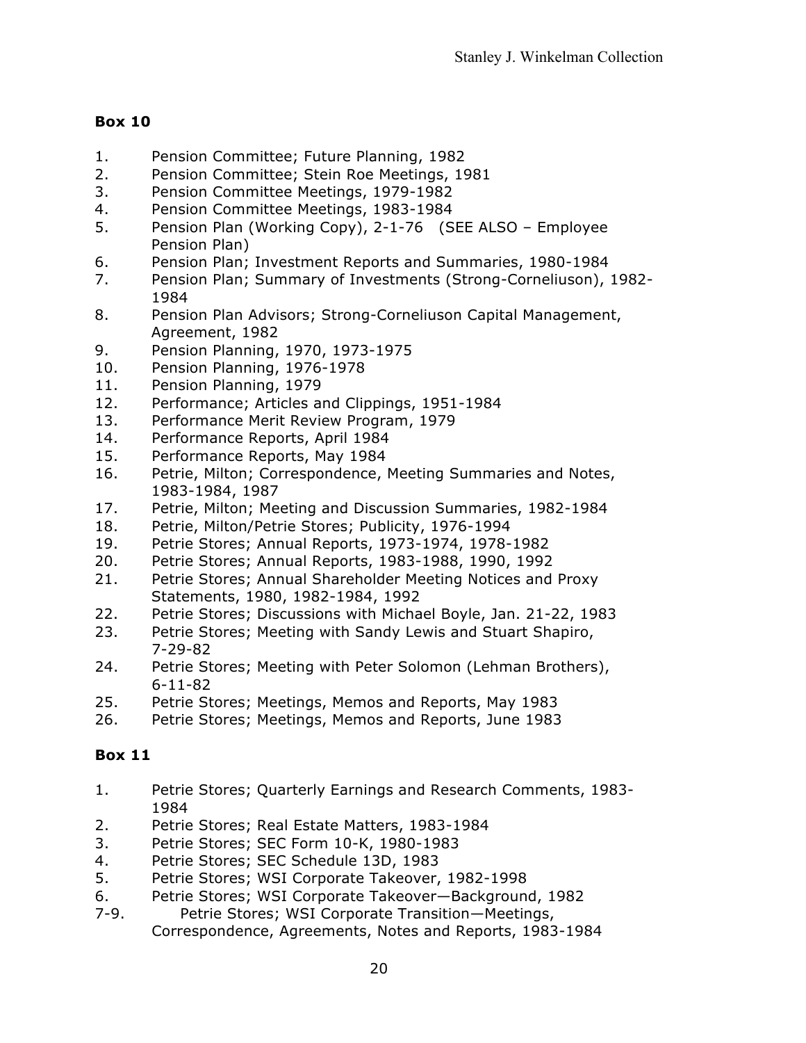- 1. Pension Committee; Future Planning, 1982
- 2. Pension Committee; Stein Roe Meetings, 1981
- 3. Pension Committee Meetings, 1979-1982
- 4. Pension Committee Meetings, 1983-1984
- 5. Pension Plan (Working Copy), 2-1-76 (SEE ALSO Employee Pension Plan)
- 6. Pension Plan; Investment Reports and Summaries, 1980-1984
- 7. Pension Plan; Summary of Investments (Strong-Corneliuson), 1982- 1984
- 8. Pension Plan Advisors; Strong-Corneliuson Capital Management, Agreement, 1982
- 9. Pension Planning, 1970, 1973-1975
- 10. Pension Planning, 1976-1978
- 11. Pension Planning, 1979
- 12. Performance; Articles and Clippings, 1951-1984
- 13. Performance Merit Review Program, 1979
- 14. Performance Reports, April 1984
- 15. Performance Reports, May 1984
- 16. Petrie, Milton; Correspondence, Meeting Summaries and Notes, 1983-1984, 1987
- 17. Petrie, Milton; Meeting and Discussion Summaries, 1982-1984
- 18. Petrie, Milton/Petrie Stores; Publicity, 1976-1994
- 19. Petrie Stores; Annual Reports, 1973-1974, 1978-1982
- 20. Petrie Stores; Annual Reports, 1983-1988, 1990, 1992
- 21. Petrie Stores; Annual Shareholder Meeting Notices and Proxy Statements, 1980, 1982-1984, 1992
- 22. Petrie Stores; Discussions with Michael Boyle, Jan. 21-22, 1983
- 23. Petrie Stores; Meeting with Sandy Lewis and Stuart Shapiro, 7-29-82
- 24. Petrie Stores; Meeting with Peter Solomon (Lehman Brothers), 6-11-82
- 25. Petrie Stores; Meetings, Memos and Reports, May 1983
- 26. Petrie Stores; Meetings, Memos and Reports, June 1983

- 1. Petrie Stores; Quarterly Earnings and Research Comments, 1983- 1984
- 2. Petrie Stores; Real Estate Matters, 1983-1984
- 3. Petrie Stores; SEC Form 10-K, 1980-1983
- 4. Petrie Stores; SEC Schedule 13D, 1983
- 5. Petrie Stores; WSI Corporate Takeover, 1982-1998
- 6. Petrie Stores; WSI Corporate Takeover—Background, 1982
- 7-9. Petrie Stores; WSI Corporate Transition—Meetings, Correspondence, Agreements, Notes and Reports, 1983-1984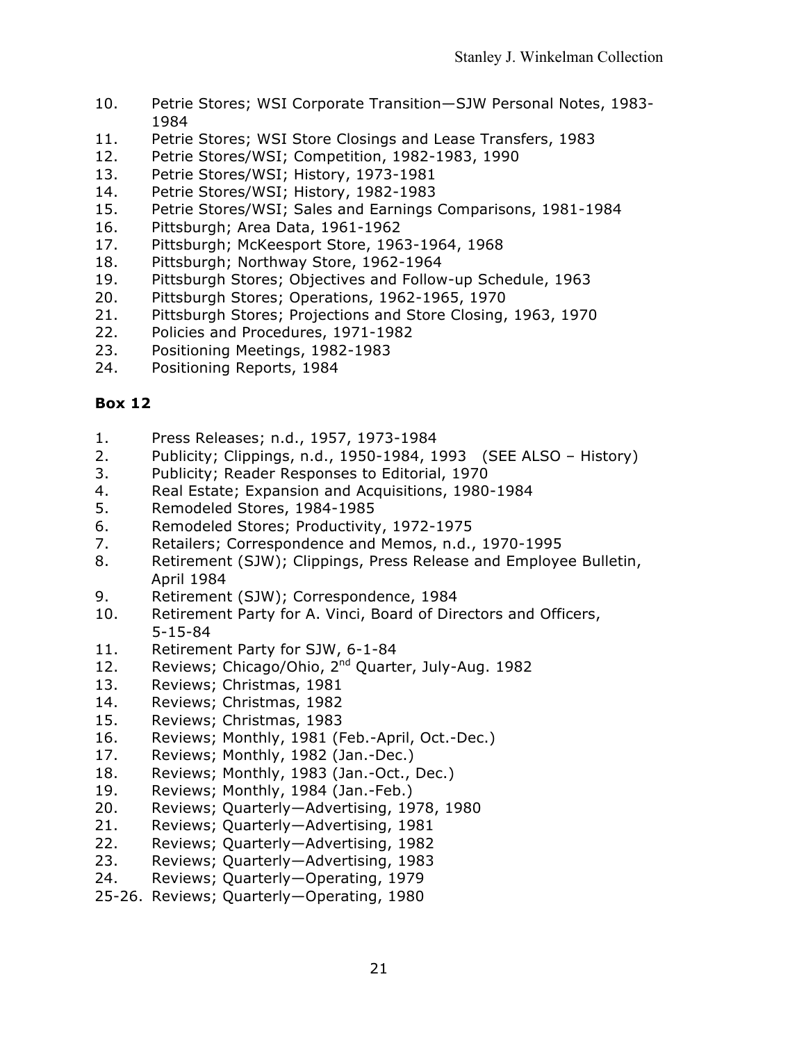- 10. Petrie Stores; WSI Corporate Transition—SJW Personal Notes, 1983- 1984
- 11. Petrie Stores; WSI Store Closings and Lease Transfers, 1983
- 12. Petrie Stores/WSI; Competition, 1982-1983, 1990
- 13. Petrie Stores/WSI; History, 1973-1981
- 14. Petrie Stores/WSI; History, 1982-1983
- 15. Petrie Stores/WSI; Sales and Earnings Comparisons, 1981-1984
- 16. Pittsburgh; Area Data, 1961-1962
- 17. Pittsburgh; McKeesport Store, 1963-1964, 1968
- 18. Pittsburgh; Northway Store, 1962-1964
- 19. Pittsburgh Stores; Objectives and Follow-up Schedule, 1963
- 20. Pittsburgh Stores; Operations, 1962-1965, 1970
- 21. Pittsburgh Stores; Projections and Store Closing, 1963, 1970
- 22. Policies and Procedures, 1971-1982
- 23. Positioning Meetings, 1982-1983
- 24. Positioning Reports, 1984

- 1. Press Releases; n.d., 1957, 1973-1984
- 2. Publicity; Clippings, n.d., 1950-1984, 1993 (SEE ALSO History)
- 3. Publicity; Reader Responses to Editorial, 1970
- 4. Real Estate; Expansion and Acquisitions, 1980-1984
- 5. Remodeled Stores, 1984-1985
- 6. Remodeled Stores; Productivity, 1972-1975
- 7. Retailers; Correspondence and Memos, n.d., 1970-1995
- 8. Retirement (SJW); Clippings, Press Release and Employee Bulletin, April 1984
- 9. Retirement (SJW); Correspondence, 1984
- 10. Retirement Party for A. Vinci, Board of Directors and Officers, 5-15-84
- 11. Retirement Party for SJW, 6-1-84
- 12. Reviews; Chicago/Ohio, 2<sup>nd</sup> Quarter, July-Aug. 1982
- 13. Reviews; Christmas, 1981
- 14. Reviews; Christmas, 1982
- 15. Reviews; Christmas, 1983
- 16. Reviews; Monthly, 1981 (Feb.-April, Oct.-Dec.)
- 17. Reviews; Monthly, 1982 (Jan.-Dec.)
- 18. Reviews; Monthly, 1983 (Jan.-Oct., Dec.)
- 19. Reviews; Monthly, 1984 (Jan.-Feb.)
- 20. Reviews; Quarterly—Advertising, 1978, 1980
- 21. Reviews; Quarterly—Advertising, 1981
- 22. Reviews; Quarterly—Advertising, 1982
- 23. Reviews; Quarterly—Advertising, 1983
- 24. Reviews; Quarterly—Operating, 1979
- 25-26. Reviews; Quarterly—Operating, 1980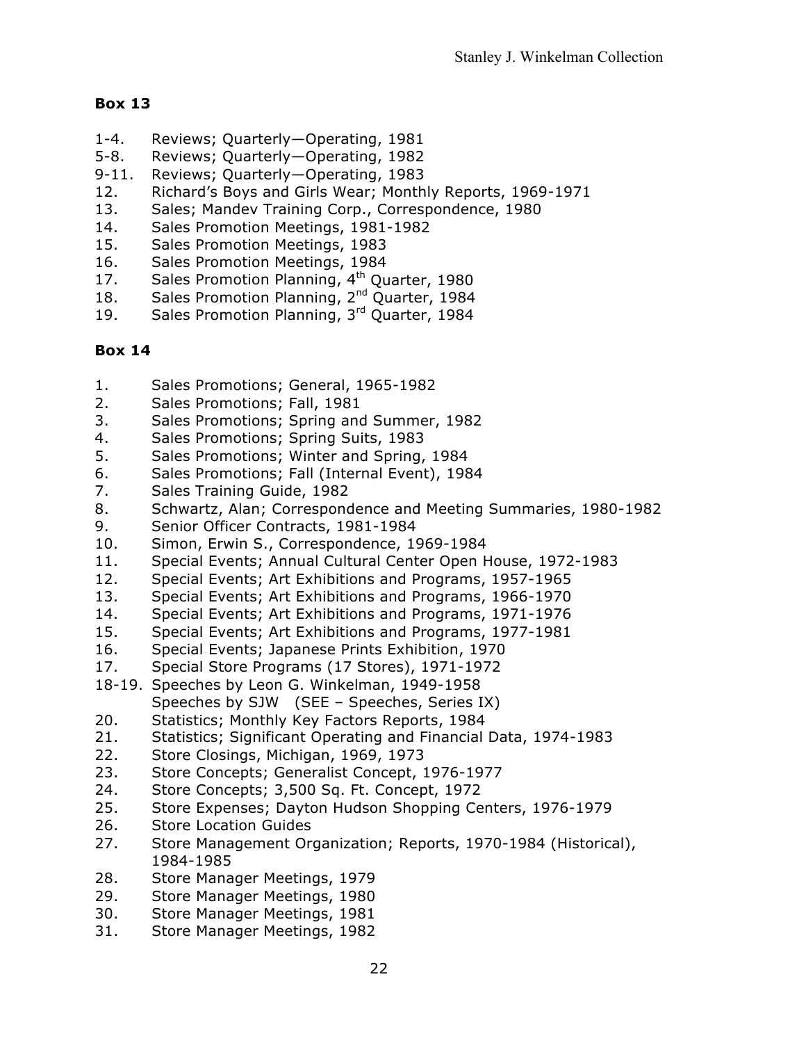- 1-4. Reviews; Quarterly—Operating, 1981
- 5-8. Reviews; Quarterly—Operating, 1982
- 9-11. Reviews; Quarterly—Operating, 1983
- 12. Richard's Boys and Girls Wear; Monthly Reports, 1969-1971
- 13. Sales; Mandev Training Corp., Correspondence, 1980
- 14. Sales Promotion Meetings, 1981-1982
- 15. Sales Promotion Meetings, 1983
- 16. Sales Promotion Meetings, 1984
- 17. Sales Promotion Planning, 4<sup>th</sup> Quarter, 1980
- 18. Sales Promotion Planning, 2<sup>nd</sup> Quarter, 1984
- 19. Sales Promotion Planning, 3rd Quarter, 1984

- 1. Sales Promotions; General, 1965-1982
- 2. Sales Promotions; Fall, 1981
- 3. Sales Promotions; Spring and Summer, 1982
- 4. Sales Promotions; Spring Suits, 1983
- 5. Sales Promotions; Winter and Spring, 1984
- 6. Sales Promotions; Fall (Internal Event), 1984
- 7. Sales Training Guide, 1982
- 8. Schwartz, Alan; Correspondence and Meeting Summaries, 1980-1982
- 9. Senior Officer Contracts, 1981-1984
- 10. Simon, Erwin S., Correspondence, 1969-1984
- 11. Special Events; Annual Cultural Center Open House, 1972-1983
- 12. Special Events; Art Exhibitions and Programs, 1957-1965
- 13. Special Events; Art Exhibitions and Programs, 1966-1970
- 14. Special Events; Art Exhibitions and Programs, 1971-1976
- 15. Special Events; Art Exhibitions and Programs, 1977-1981
- 16. Special Events; Japanese Prints Exhibition, 1970
- 17. Special Store Programs (17 Stores), 1971-1972
- 18-19. Speeches by Leon G. Winkelman, 1949-1958 Speeches by SJW (SEE – Speeches, Series IX)
- 20. Statistics; Monthly Key Factors Reports, 1984
- 21. Statistics; Significant Operating and Financial Data, 1974-1983
- 22. Store Closings, Michigan, 1969, 1973
- 23. Store Concepts; Generalist Concept, 1976-1977
- 24. Store Concepts; 3,500 Sq. Ft. Concept, 1972
- 25. Store Expenses; Dayton Hudson Shopping Centers, 1976-1979
- 26. Store Location Guides
- 27. Store Management Organization; Reports, 1970-1984 (Historical), 1984-1985
- 28. Store Manager Meetings, 1979
- 29. Store Manager Meetings, 1980
- 30. Store Manager Meetings, 1981
- 31. Store Manager Meetings, 1982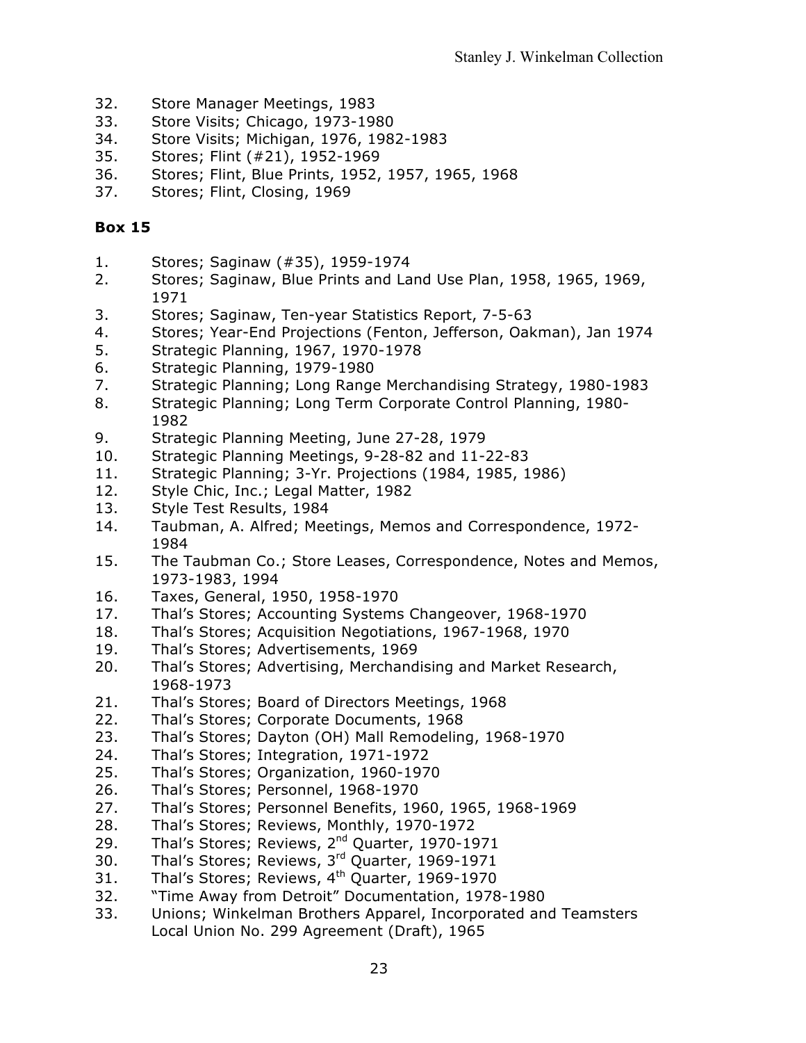- 32. Store Manager Meetings, 1983
- 33. Store Visits; Chicago, 1973-1980
- 34. Store Visits; Michigan, 1976, 1982-1983
- 35. Stores; Flint (#21), 1952-1969
- 36. Stores; Flint, Blue Prints, 1952, 1957, 1965, 1968
- 37. Stores; Flint, Closing, 1969

- 1. Stores; Saginaw (#35), 1959-1974
- 2. Stores; Saginaw, Blue Prints and Land Use Plan, 1958, 1965, 1969, 1971
- 3. Stores; Saginaw, Ten-year Statistics Report, 7-5-63
- 4. Stores; Year-End Projections (Fenton, Jefferson, Oakman), Jan 1974
- 5. Strategic Planning, 1967, 1970-1978
- 6. Strategic Planning, 1979-1980
- 7. Strategic Planning; Long Range Merchandising Strategy, 1980-1983
- 8. Strategic Planning; Long Term Corporate Control Planning, 1980- 1982
- 9. Strategic Planning Meeting, June 27-28, 1979
- 10. Strategic Planning Meetings, 9-28-82 and 11-22-83
- 11. Strategic Planning; 3-Yr. Projections (1984, 1985, 1986)
- 12. Style Chic, Inc.; Legal Matter, 1982
- 13. Style Test Results, 1984
- 14. Taubman, A. Alfred; Meetings, Memos and Correspondence, 1972- 1984
- 15. The Taubman Co.; Store Leases, Correspondence, Notes and Memos, 1973-1983, 1994
- 16. Taxes, General, 1950, 1958-1970
- 17. Thal's Stores; Accounting Systems Changeover, 1968-1970
- 18. Thal's Stores; Acquisition Negotiations, 1967-1968, 1970
- 19. Thal's Stores; Advertisements, 1969
- 20. Thal's Stores; Advertising, Merchandising and Market Research, 1968-1973
- 21. Thal's Stores; Board of Directors Meetings, 1968
- 22. Thal's Stores; Corporate Documents, 1968
- 23. Thal's Stores; Dayton (OH) Mall Remodeling, 1968-1970
- 24. Thal's Stores; Integration, 1971-1972
- 25. Thal's Stores; Organization, 1960-1970
- 26. Thal's Stores; Personnel, 1968-1970
- 27. Thal's Stores; Personnel Benefits, 1960, 1965, 1968-1969
- 28. Thal's Stores; Reviews, Monthly, 1970-1972
- 29. Thal's Stores; Reviews, 2<sup>nd</sup> Quarter, 1970-1971
- 30. Thal's Stores; Reviews, 3rd Quarter, 1969-1971
- 31. Thal's Stores; Reviews, 4<sup>th</sup> Quarter, 1969-1970
- 32. "Time Away from Detroit" Documentation, 1978-1980
- 33. Unions; Winkelman Brothers Apparel, Incorporated and Teamsters Local Union No. 299 Agreement (Draft), 1965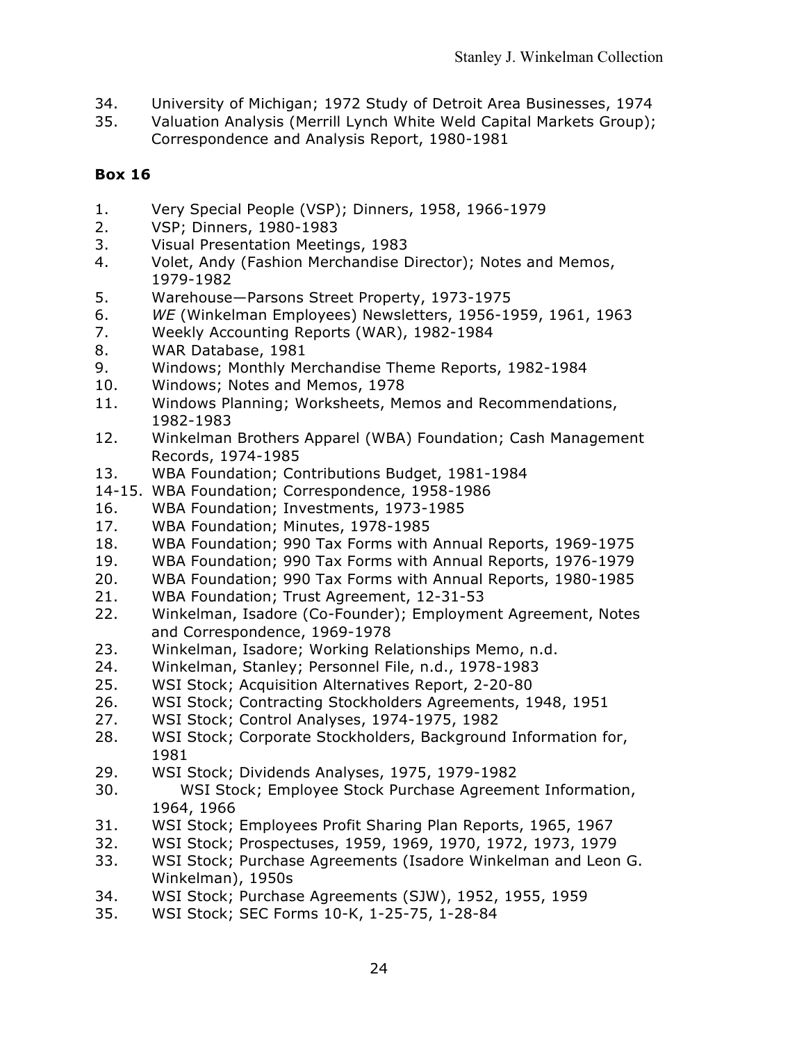- 34. University of Michigan; 1972 Study of Detroit Area Businesses, 1974
- 35. Valuation Analysis (Merrill Lynch White Weld Capital Markets Group); Correspondence and Analysis Report, 1980-1981

- 1. Very Special People (VSP); Dinners, 1958, 1966-1979
- 2. VSP; Dinners, 1980-1983
- 3. Visual Presentation Meetings, 1983
- 4. Volet, Andy (Fashion Merchandise Director); Notes and Memos, 1979-1982
- 5. Warehouse—Parsons Street Property, 1973-1975
- 6. *WE* (Winkelman Employees) Newsletters, 1956-1959, 1961, 1963
- 7. Weekly Accounting Reports (WAR), 1982-1984
- 8. WAR Database, 1981
- 9. Windows; Monthly Merchandise Theme Reports, 1982-1984
- 10. Windows; Notes and Memos, 1978
- 11. Windows Planning; Worksheets, Memos and Recommendations, 1982-1983
- 12. Winkelman Brothers Apparel (WBA) Foundation; Cash Management Records, 1974-1985
- 13. WBA Foundation; Contributions Budget, 1981-1984
- 14-15. WBA Foundation; Correspondence, 1958-1986
- 16. WBA Foundation; Investments, 1973-1985
- 17. WBA Foundation; Minutes, 1978-1985
- 18. WBA Foundation; 990 Tax Forms with Annual Reports, 1969-1975
- 19. WBA Foundation; 990 Tax Forms with Annual Reports, 1976-1979
- 20. WBA Foundation; 990 Tax Forms with Annual Reports, 1980-1985
- 21. WBA Foundation; Trust Agreement, 12-31-53
- 22. Winkelman, Isadore (Co-Founder); Employment Agreement, Notes and Correspondence, 1969-1978
- 23. Winkelman, Isadore; Working Relationships Memo, n.d.
- 24. Winkelman, Stanley; Personnel File, n.d., 1978-1983
- 25. WSI Stock; Acquisition Alternatives Report, 2-20-80
- 26. WSI Stock; Contracting Stockholders Agreements, 1948, 1951
- 27. WSI Stock; Control Analyses, 1974-1975, 1982
- 28. WSI Stock; Corporate Stockholders, Background Information for, 1981
- 29. WSI Stock; Dividends Analyses, 1975, 1979-1982
- 30. WSI Stock; Employee Stock Purchase Agreement Information, 1964, 1966
- 31. WSI Stock; Employees Profit Sharing Plan Reports, 1965, 1967
- 32. WSI Stock; Prospectuses, 1959, 1969, 1970, 1972, 1973, 1979
- 33. WSI Stock; Purchase Agreements (Isadore Winkelman and Leon G. Winkelman), 1950s
- 34. WSI Stock; Purchase Agreements (SJW), 1952, 1955, 1959
- 35. WSI Stock; SEC Forms 10-K, 1-25-75, 1-28-84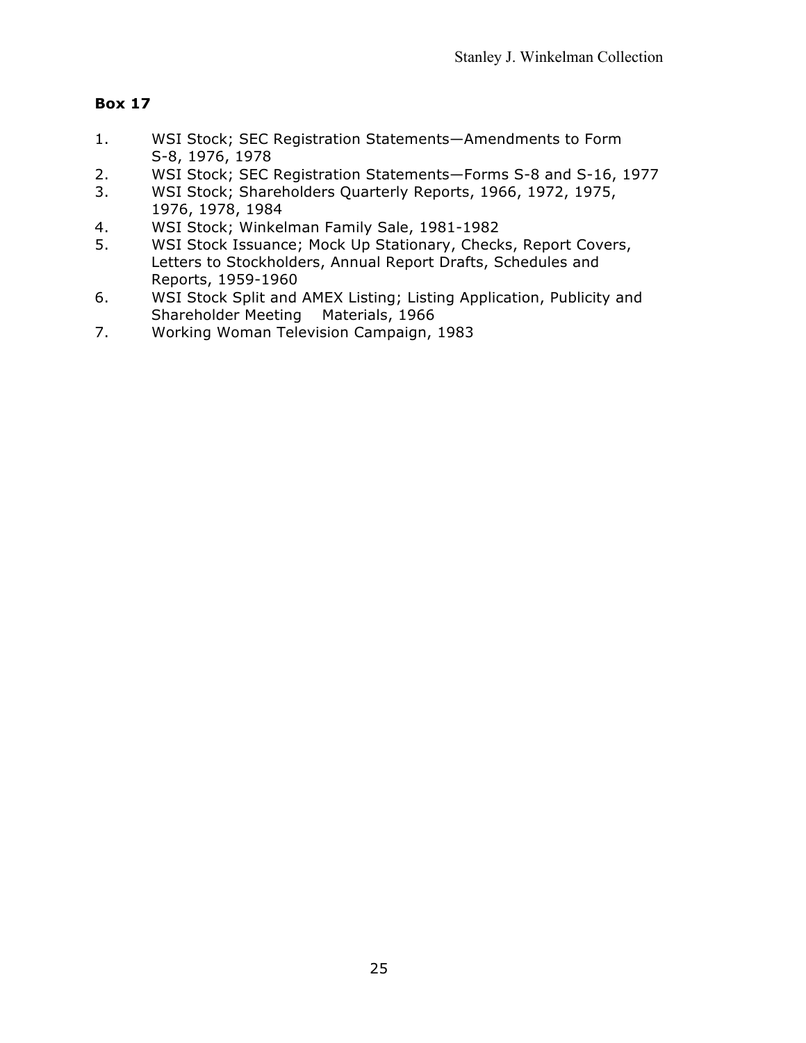- 1. WSI Stock; SEC Registration Statements—Amendments to Form S-8, 1976, 1978
- 2. WSI Stock; SEC Registration Statements—Forms S-8 and S-16, 1977
- 3. WSI Stock; Shareholders Quarterly Reports, 1966, 1972, 1975, 1976, 1978, 1984
- 4. WSI Stock; Winkelman Family Sale, 1981-1982
- 5. WSI Stock Issuance; Mock Up Stationary, Checks, Report Covers, Letters to Stockholders, Annual Report Drafts, Schedules and Reports, 1959-1960
- 6. WSI Stock Split and AMEX Listing; Listing Application, Publicity and Shareholder Meeting Materials, 1966
- 7. Working Woman Television Campaign, 1983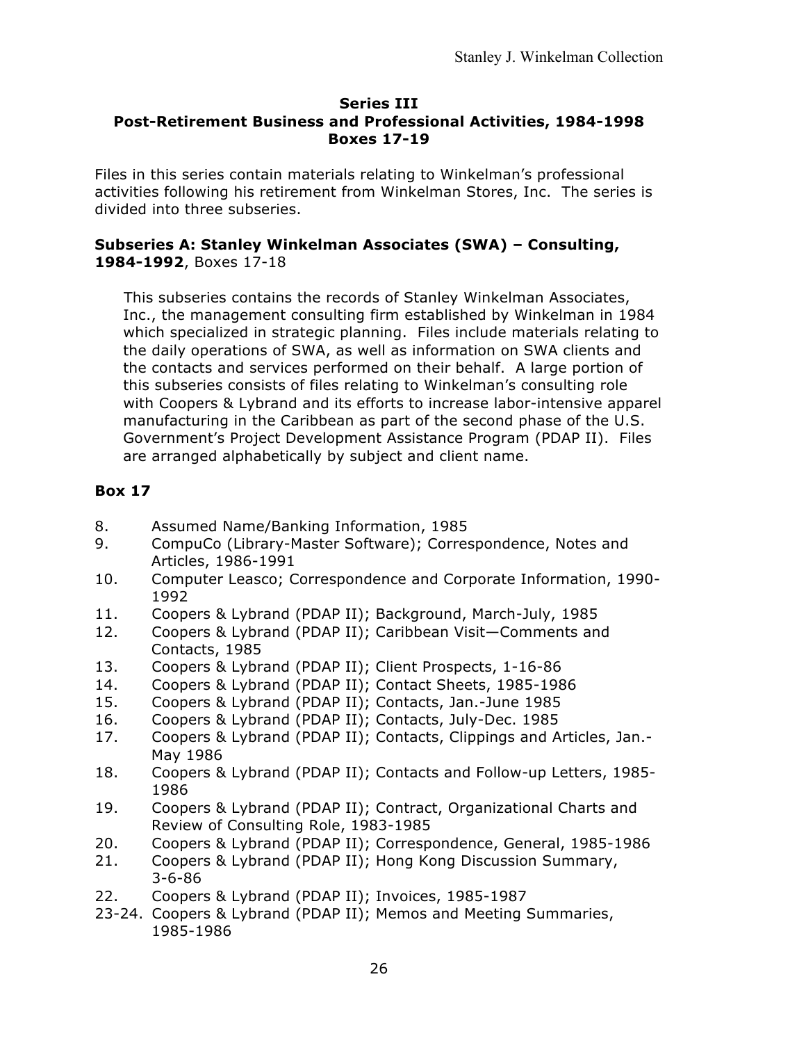#### **Series III Post-Retirement Business and Professional Activities, 1984-1998 Boxes 17-19**

Files in this series contain materials relating to Winkelman's professional activities following his retirement from Winkelman Stores, Inc. The series is divided into three subseries.

## **Subseries A: Stanley Winkelman Associates (SWA) – Consulting, 1984-1992**, Boxes 17-18

This subseries contains the records of Stanley Winkelman Associates, Inc., the management consulting firm established by Winkelman in 1984 which specialized in strategic planning. Files include materials relating to the daily operations of SWA, as well as information on SWA clients and the contacts and services performed on their behalf. A large portion of this subseries consists of files relating to Winkelman's consulting role with Coopers & Lybrand and its efforts to increase labor-intensive apparel manufacturing in the Caribbean as part of the second phase of the U.S. Government's Project Development Assistance Program (PDAP II). Files are arranged alphabetically by subject and client name.

- 8. Assumed Name/Banking Information, 1985
- 9. CompuCo (Library-Master Software); Correspondence, Notes and Articles, 1986-1991
- 10. Computer Leasco; Correspondence and Corporate Information, 1990- 1992
- 11. Coopers & Lybrand (PDAP II); Background, March-July, 1985
- 12. Coopers & Lybrand (PDAP II); Caribbean Visit—Comments and Contacts, 1985
- 13. Coopers & Lybrand (PDAP II); Client Prospects, 1-16-86
- 14. Coopers & Lybrand (PDAP II); Contact Sheets, 1985-1986
- 15. Coopers & Lybrand (PDAP II); Contacts, Jan.-June 1985
- 16. Coopers & Lybrand (PDAP II); Contacts, July-Dec. 1985
- 17. Coopers & Lybrand (PDAP II); Contacts, Clippings and Articles, Jan.- May 1986
- 18. Coopers & Lybrand (PDAP II); Contacts and Follow-up Letters, 1985- 1986
- 19. Coopers & Lybrand (PDAP II); Contract, Organizational Charts and Review of Consulting Role, 1983-1985
- 20. Coopers & Lybrand (PDAP II); Correspondence, General, 1985-1986
- 21. Coopers & Lybrand (PDAP II); Hong Kong Discussion Summary, 3-6-86
- 22. Coopers & Lybrand (PDAP II); Invoices, 1985-1987
- 23-24. Coopers & Lybrand (PDAP II); Memos and Meeting Summaries, 1985-1986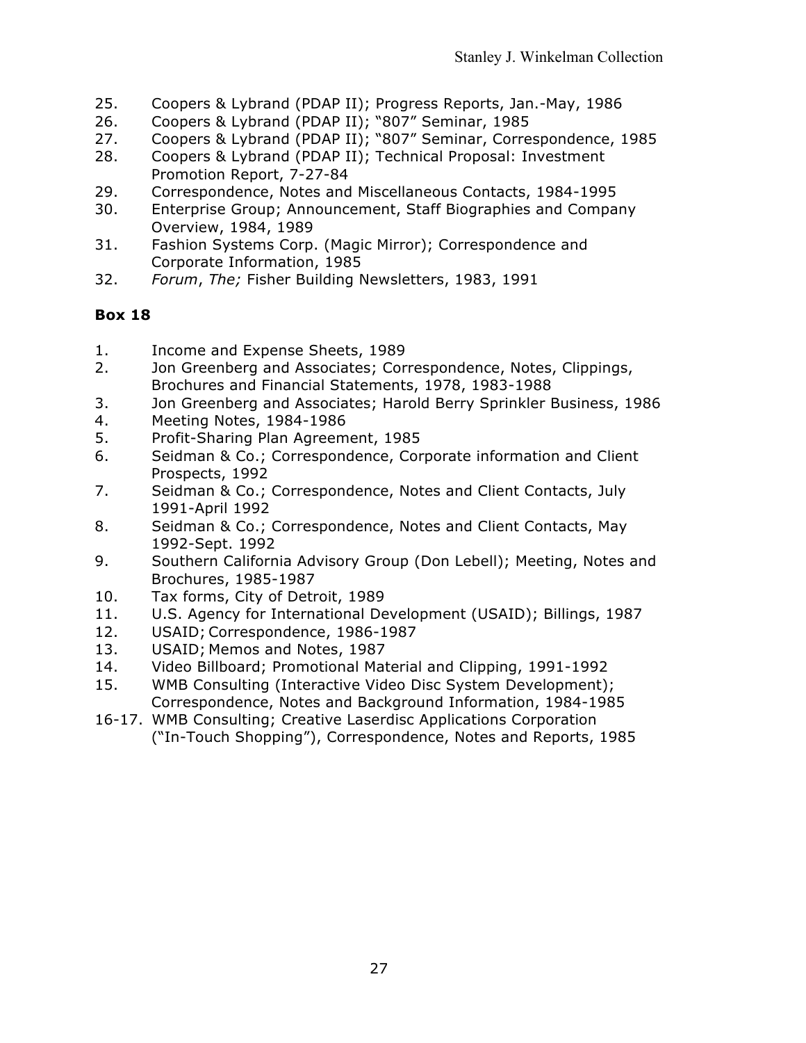- 25. Coopers & Lybrand (PDAP II); Progress Reports, Jan.-May, 1986
- 26. Coopers & Lybrand (PDAP II); "807" Seminar, 1985
- 27. Coopers & Lybrand (PDAP II); "807" Seminar, Correspondence, 1985
- 28. Coopers & Lybrand (PDAP II); Technical Proposal: Investment Promotion Report, 7-27-84
- 29. Correspondence, Notes and Miscellaneous Contacts, 1984-1995
- 30. Enterprise Group; Announcement, Staff Biographies and Company Overview, 1984, 1989
- 31. Fashion Systems Corp. (Magic Mirror); Correspondence and Corporate Information, 1985
- 32. *Forum*, *The;* Fisher Building Newsletters, 1983, 1991

- 1. Income and Expense Sheets, 1989
- 2. Jon Greenberg and Associates; Correspondence, Notes, Clippings, Brochures and Financial Statements, 1978, 1983-1988
- 3. Jon Greenberg and Associates; Harold Berry Sprinkler Business, 1986
- 4. Meeting Notes, 1984-1986
- 5. Profit-Sharing Plan Agreement, 1985
- 6. Seidman & Co.; Correspondence, Corporate information and Client Prospects, 1992
- 7. Seidman & Co.; Correspondence, Notes and Client Contacts, July 1991-April 1992
- 8. Seidman & Co.; Correspondence, Notes and Client Contacts, May 1992-Sept. 1992
- 9. Southern California Advisory Group (Don Lebell); Meeting, Notes and Brochures, 1985-1987
- 10. Tax forms, City of Detroit, 1989
- 11. U.S. Agency for International Development (USAID); Billings, 1987
- 12. USAID; Correspondence, 1986-1987
- 13. USAID; Memos and Notes, 1987
- 14. Video Billboard; Promotional Material and Clipping, 1991-1992
- 15. WMB Consulting (Interactive Video Disc System Development); Correspondence, Notes and Background Information, 1984-1985
- 16-17. WMB Consulting; Creative Laserdisc Applications Corporation ("In-Touch Shopping"), Correspondence, Notes and Reports, 1985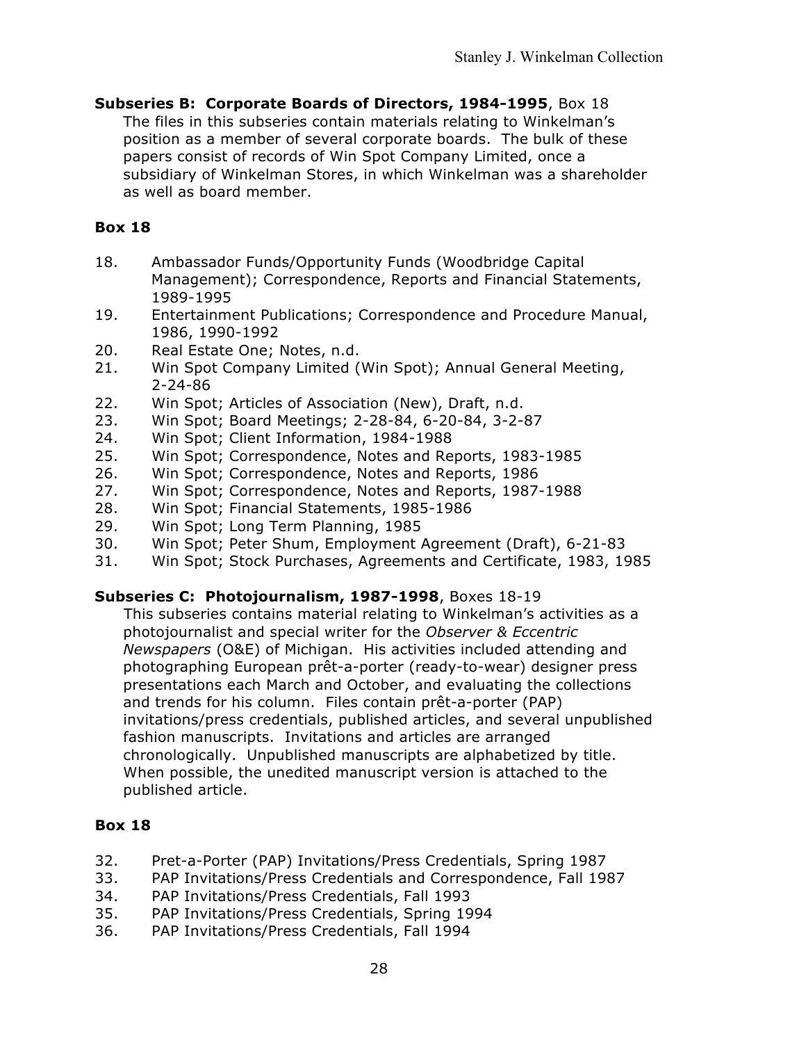**Subseries B: Corporate Boards of Directors, 1984-1995**, Box 18 The files in this subseries contain materials relating to Winkelman's position as a member of several corporate boards. The bulk of these papers consist of records of Win Spot Company Limited, once a subsidiary of Winkelman Stores, in which Winkelman was a shareholder as well as board member.

# **Box 18**

- 18. Ambassador Funds/Opportunity Funds (Woodbridge Capital Management); Correspondence, Reports and Financial Statements, 1989-1995
- 19. Entertainment Publications; Correspondence and Procedure Manual, 1986, 1990-1992
- 20. Real Estate One; Notes, n.d.
- 21. Win Spot Company Limited (Win Spot); Annual General Meeting, 2-24-86
- 22. Win Spot; Articles of Association (New), Draft, n.d.
- 23. Win Spot; Board Meetings; 2-28-84, 6-20-84, 3-2-87
- 24. Win Spot; Client Information, 1984-1988
- 25. Win Spot; Correspondence, Notes and Reports, 1983-1985
- 26. Win Spot; Correspondence, Notes and Reports, 1986
- 27. Win Spot; Correspondence, Notes and Reports, 1987-1988
- 28. Win Spot; Financial Statements, 1985-1986
- 29. Win Spot; Long Term Planning, 1985
- 30. Win Spot; Peter Shum, Employment Agreement (Draft), 6-21-83
- 31. Win Spot; Stock Purchases, Agreements and Certificate, 1983, 1985

# **Subseries C: Photojournalism, 1987-1998**, Boxes 18-19

This subseries contains material relating to Winkelman's activities as a photojournalist and special writer for the *Observer & Eccentric Newspapers* (O&E) of Michigan. His activities included attending and photographing European prêt-a-porter (ready-to-wear) designer press presentations each March and October, and evaluating the collections and trends for his column. Files contain prêt-a-porter (PAP) invitations/press credentials, published articles, and several unpublished fashion manuscripts. Invitations and articles are arranged chronologically. Unpublished manuscripts are alphabetized by title. When possible, the unedited manuscript version is attached to the published article.

- 32. Pret-a-Porter (PAP) Invitations/Press Credentials, Spring 1987
- 33. PAP Invitations/Press Credentials and Correspondence, Fall 1987
- 34. PAP Invitations/Press Credentials, Fall 1993
- 35. PAP Invitations/Press Credentials, Spring 1994
- 36. PAP Invitations/Press Credentials, Fall 1994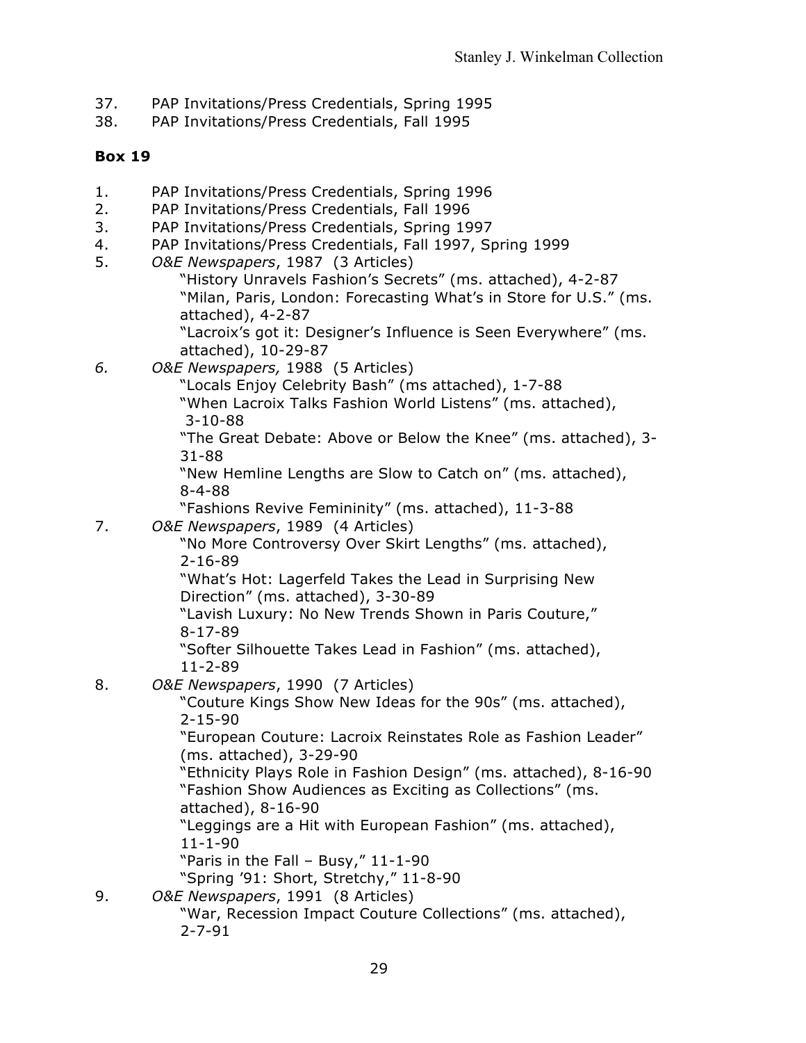- 37. PAP Invitations/Press Credentials, Spring 1995
- 38. PAP Invitations/Press Credentials, Fall 1995

- 1. PAP Invitations/Press Credentials, Spring 1996
- 2. PAP Invitations/Press Credentials, Fall 1996
- 3. PAP Invitations/Press Credentials, Spring 1997
- 4. PAP Invitations/Press Credentials, Fall 1997, Spring 1999
- 5. *O&E Newspapers*, 1987 (3 Articles)
	- "History Unravels Fashion's Secrets" (ms. attached), 4-2-87 "Milan, Paris, London: Forecasting What's in Store for U.S." (ms. attached), 4-2-87
	- "Lacroix's got it: Designer's Influence is Seen Everywhere" (ms. attached), 10-29-87
- *6. O&E Newspapers,* 1988 (5 Articles)
	- "Locals Enjoy Celebrity Bash" (ms attached), 1-7-88
	- "When Lacroix Talks Fashion World Listens" (ms. attached), 3-10-88

"The Great Debate: Above or Below the Knee" (ms. attached), 3- 31-88

"New Hemline Lengths are Slow to Catch on" (ms. attached), 8-4-88

"Fashions Revive Femininity" (ms. attached), 11-3-88

7. *O&E Newspapers*, 1989 (4 Articles)

"No More Controversy Over Skirt Lengths" (ms. attached), 2-16-89

"What's Hot: Lagerfeld Takes the Lead in Surprising New Direction" (ms. attached), 3-30-89

"Lavish Luxury: No New Trends Shown in Paris Couture," 8-17-89

"Softer Silhouette Takes Lead in Fashion" (ms. attached), 11-2-89

8. *O&E Newspapers*, 1990 (7 Articles)

"Couture Kings Show New Ideas for the 90s" (ms. attached), 2-15-90

"European Couture: Lacroix Reinstates Role as Fashion Leader" (ms. attached), 3-29-90

"Ethnicity Plays Role in Fashion Design" (ms. attached), 8-16-90 "Fashion Show Audiences as Exciting as Collections" (ms. attached), 8-16-90

"Leggings are a Hit with European Fashion" (ms. attached), 11-1-90

"Paris in the Fall – Busy," 11-1-90

"Spring '91: Short, Stretchy," 11-8-90

9. *O&E Newspapers*, 1991 (8 Articles)

"War, Recession Impact Couture Collections" (ms. attached), 2-7-91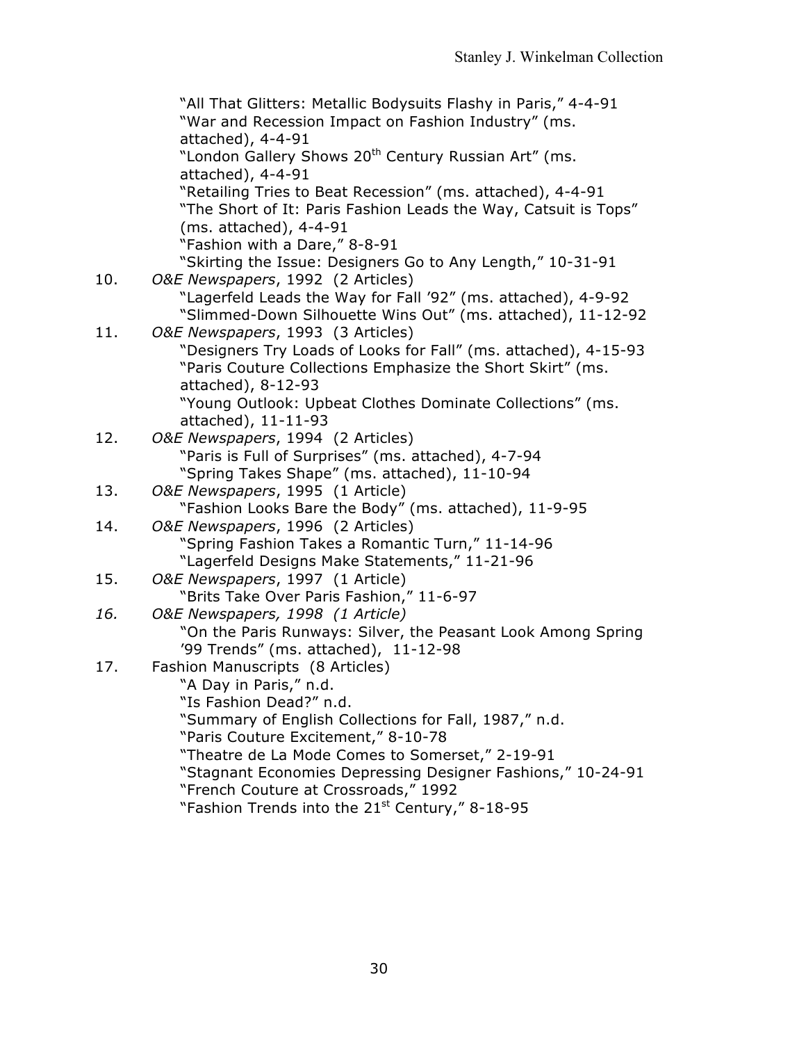"All That Glitters: Metallic Bodysuits Flashy in Paris," 4-4-91 "War and Recession Impact on Fashion Industry" (ms. attached), 4-4-91 "London Gallery Shows 20<sup>th</sup> Century Russian Art" (ms. attached), 4-4-91 "Retailing Tries to Beat Recession" (ms. attached), 4-4-91 "The Short of It: Paris Fashion Leads the Way, Catsuit is Tops" (ms. attached), 4-4-91 "Fashion with a Dare," 8-8-91 "Skirting the Issue: Designers Go to Any Length," 10-31-91 10. *O&E Newspapers*, 1992 (2 Articles) "Lagerfeld Leads the Way for Fall '92" (ms. attached), 4-9-92 "Slimmed-Down Silhouette Wins Out" (ms. attached), 11-12-92 11. *O&E Newspapers*, 1993 (3 Articles) "Designers Try Loads of Looks for Fall" (ms. attached), 4-15-93 "Paris Couture Collections Emphasize the Short Skirt" (ms. attached), 8-12-93 "Young Outlook: Upbeat Clothes Dominate Collections" (ms. attached), 11-11-93 12. *O&E Newspapers*, 1994 (2 Articles) "Paris is Full of Surprises" (ms. attached), 4-7-94 "Spring Takes Shape" (ms. attached), 11-10-94 13. *O&E Newspapers*, 1995 (1 Article) "Fashion Looks Bare the Body" (ms. attached), 11-9-95 14. *O&E Newspapers*, 1996 (2 Articles) "Spring Fashion Takes a Romantic Turn," 11-14-96 "Lagerfeld Designs Make Statements," 11-21-96 15. *O&E Newspapers*, 1997 (1 Article) "Brits Take Over Paris Fashion," 11-6-97 *16. O&E Newspapers, 1998 (1 Article)* "On the Paris Runways: Silver, the Peasant Look Among Spring '99 Trends" (ms. attached), 11-12-98 17. Fashion Manuscripts (8 Articles) "A Day in Paris," n.d. "Is Fashion Dead?" n.d. "Summary of English Collections for Fall, 1987," n.d. "Paris Couture Excitement," 8-10-78 "Theatre de La Mode Comes to Somerset," 2-19-91 "Stagnant Economies Depressing Designer Fashions," 10-24-91 "French Couture at Crossroads," 1992 "Fashion Trends into the  $21<sup>st</sup>$  Century," 8-18-95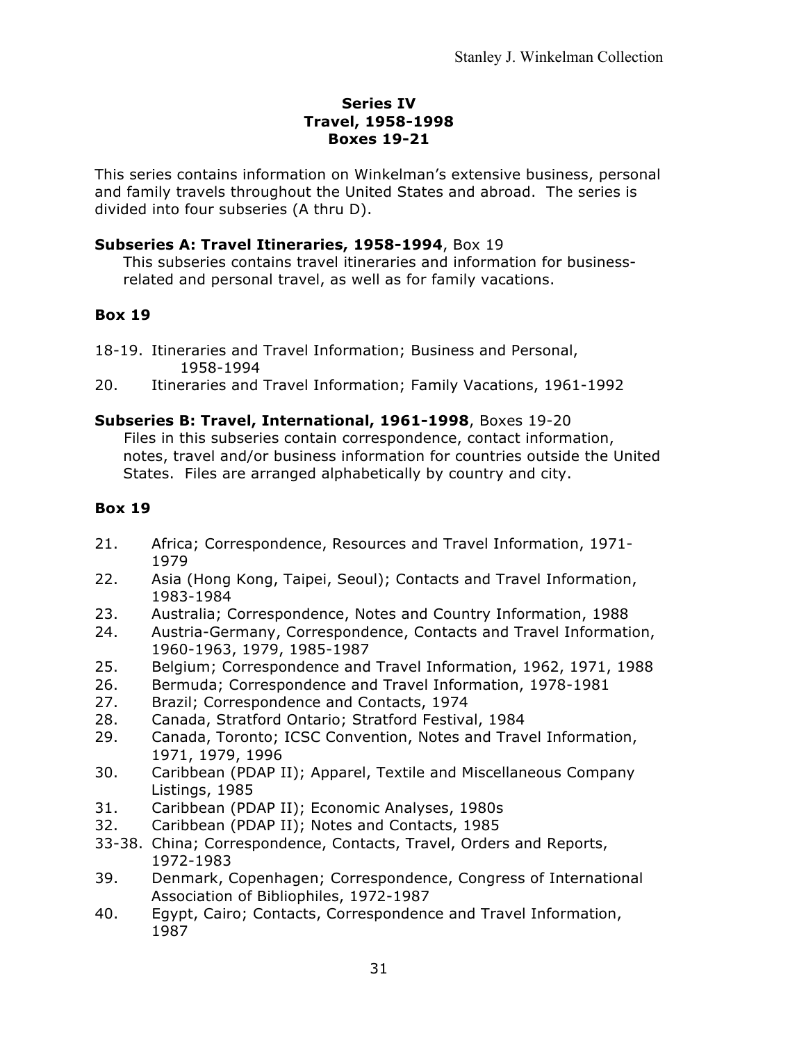## **Series IV Travel, 1958-1998 Boxes 19-21**

This series contains information on Winkelman's extensive business, personal and family travels throughout the United States and abroad. The series is divided into four subseries (A thru D).

## **Subseries A: Travel Itineraries, 1958-1994**, Box 19

This subseries contains travel itineraries and information for businessrelated and personal travel, as well as for family vacations.

# **Box 19**

18-19. Itineraries and Travel Information; Business and Personal, 1958-1994

20. Itineraries and Travel Information; Family Vacations, 1961-1992

# **Subseries B: Travel, International, 1961-1998**, Boxes 19-20

Files in this subseries contain correspondence, contact information, notes, travel and/or business information for countries outside the United States. Files are arranged alphabetically by country and city.

- 21. Africa; Correspondence, Resources and Travel Information, 1971- 1979
- 22. Asia (Hong Kong, Taipei, Seoul); Contacts and Travel Information, 1983-1984
- 23. Australia; Correspondence, Notes and Country Information, 1988
- 24. Austria-Germany, Correspondence, Contacts and Travel Information, 1960-1963, 1979, 1985-1987
- 25. Belgium; Correspondence and Travel Information, 1962, 1971, 1988
- 26. Bermuda; Correspondence and Travel Information, 1978-1981
- 27. Brazil; Correspondence and Contacts, 1974
- 28. Canada, Stratford Ontario; Stratford Festival, 1984
- 29. Canada, Toronto; ICSC Convention, Notes and Travel Information, 1971, 1979, 1996
- 30. Caribbean (PDAP II); Apparel, Textile and Miscellaneous Company Listings, 1985
- 31. Caribbean (PDAP II); Economic Analyses, 1980s
- 32. Caribbean (PDAP II); Notes and Contacts, 1985
- 33-38. China; Correspondence, Contacts, Travel, Orders and Reports, 1972-1983
- 39. Denmark, Copenhagen; Correspondence, Congress of International Association of Bibliophiles, 1972-1987
- 40. Egypt, Cairo; Contacts, Correspondence and Travel Information, 1987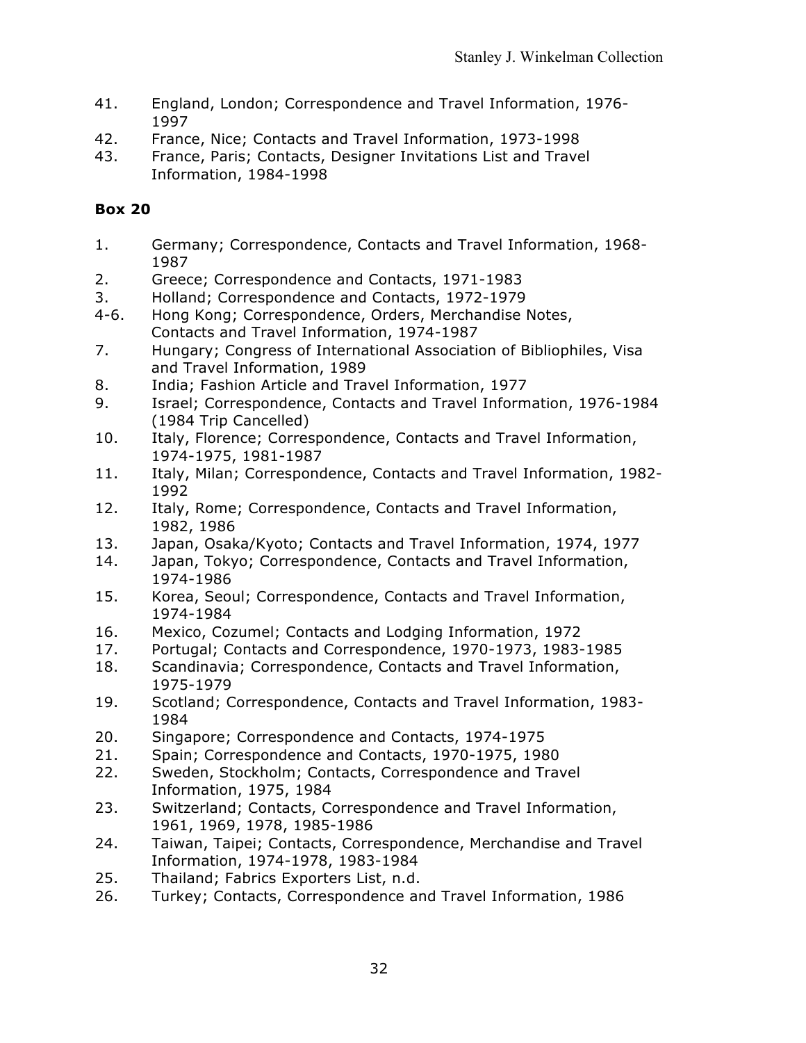- 41. England, London; Correspondence and Travel Information, 1976- 1997
- 42. France, Nice; Contacts and Travel Information, 1973-1998
- 43. France, Paris; Contacts, Designer Invitations List and Travel Information, 1984-1998

- 1. Germany; Correspondence, Contacts and Travel Information, 1968- 1987
- 2. Greece; Correspondence and Contacts, 1971-1983
- 3. Holland; Correspondence and Contacts, 1972-1979
- 4-6. Hong Kong; Correspondence, Orders, Merchandise Notes, Contacts and Travel Information, 1974-1987
- 7. Hungary; Congress of International Association of Bibliophiles, Visa and Travel Information, 1989
- 8. India; Fashion Article and Travel Information, 1977
- 9. Israel; Correspondence, Contacts and Travel Information, 1976-1984 (1984 Trip Cancelled)
- 10. Italy, Florence; Correspondence, Contacts and Travel Information, 1974-1975, 1981-1987
- 11. Italy, Milan; Correspondence, Contacts and Travel Information, 1982- 1992
- 12. Italy, Rome; Correspondence, Contacts and Travel Information, 1982, 1986
- 13. Japan, Osaka/Kyoto; Contacts and Travel Information, 1974, 1977
- 14. Japan, Tokyo; Correspondence, Contacts and Travel Information, 1974-1986
- 15. Korea, Seoul; Correspondence, Contacts and Travel Information, 1974-1984
- 16. Mexico, Cozumel; Contacts and Lodging Information, 1972
- 17. Portugal; Contacts and Correspondence, 1970-1973, 1983-1985
- 18. Scandinavia; Correspondence, Contacts and Travel Information, 1975-1979
- 19. Scotland; Correspondence, Contacts and Travel Information, 1983- 1984
- 20. Singapore; Correspondence and Contacts, 1974-1975
- 21. Spain; Correspondence and Contacts, 1970-1975, 1980
- 22. Sweden, Stockholm; Contacts, Correspondence and Travel Information, 1975, 1984
- 23. Switzerland; Contacts, Correspondence and Travel Information, 1961, 1969, 1978, 1985-1986
- 24. Taiwan, Taipei; Contacts, Correspondence, Merchandise and Travel Information, 1974-1978, 1983-1984
- 25. Thailand; Fabrics Exporters List, n.d.
- 26. Turkey; Contacts, Correspondence and Travel Information, 1986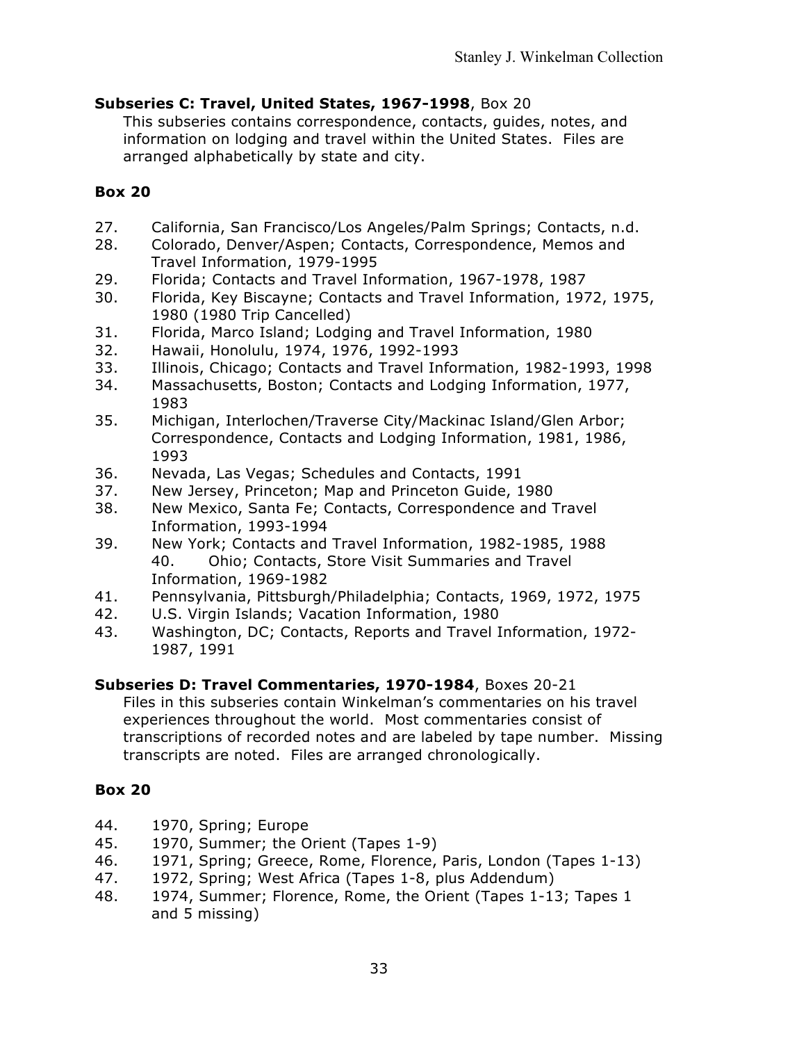# **Subseries C: Travel, United States, 1967-1998**, Box 20

This subseries contains correspondence, contacts, guides, notes, and information on lodging and travel within the United States. Files are arranged alphabetically by state and city.

# **Box 20**

- 27. California, San Francisco/Los Angeles/Palm Springs; Contacts, n.d.
- 28. Colorado, Denver/Aspen; Contacts, Correspondence, Memos and Travel Information, 1979-1995
- 29. Florida; Contacts and Travel Information, 1967-1978, 1987
- 30. Florida, Key Biscayne; Contacts and Travel Information, 1972, 1975, 1980 (1980 Trip Cancelled)
- 31. Florida, Marco Island; Lodging and Travel Information, 1980
- 32. Hawaii, Honolulu, 1974, 1976, 1992-1993
- 33. Illinois, Chicago; Contacts and Travel Information, 1982-1993, 1998
- 34. Massachusetts, Boston; Contacts and Lodging Information, 1977, 1983
- 35. Michigan, Interlochen/Traverse City/Mackinac Island/Glen Arbor; Correspondence, Contacts and Lodging Information, 1981, 1986, 1993
- 36. Nevada, Las Vegas; Schedules and Contacts, 1991
- 37. New Jersey, Princeton; Map and Princeton Guide, 1980
- 38. New Mexico, Santa Fe; Contacts, Correspondence and Travel Information, 1993-1994
- 39. New York; Contacts and Travel Information, 1982-1985, 1988 40. Ohio; Contacts, Store Visit Summaries and Travel Information, 1969-1982
- 41. Pennsylvania, Pittsburgh/Philadelphia; Contacts, 1969, 1972, 1975
- 42. U.S. Virgin Islands; Vacation Information, 1980
- 43. Washington, DC; Contacts, Reports and Travel Information, 1972- 1987, 1991

# **Subseries D: Travel Commentaries, 1970-1984**, Boxes 20-21

Files in this subseries contain Winkelman's commentaries on his travel experiences throughout the world. Most commentaries consist of transcriptions of recorded notes and are labeled by tape number. Missing transcripts are noted. Files are arranged chronologically.

- 44. 1970, Spring; Europe
- 45. 1970, Summer; the Orient (Tapes 1-9)
- 46. 1971, Spring; Greece, Rome, Florence, Paris, London (Tapes 1-13)
- 47. 1972, Spring; West Africa (Tapes 1-8, plus Addendum)
- 48. 1974, Summer; Florence, Rome, the Orient (Tapes 1-13; Tapes 1 and 5 missing)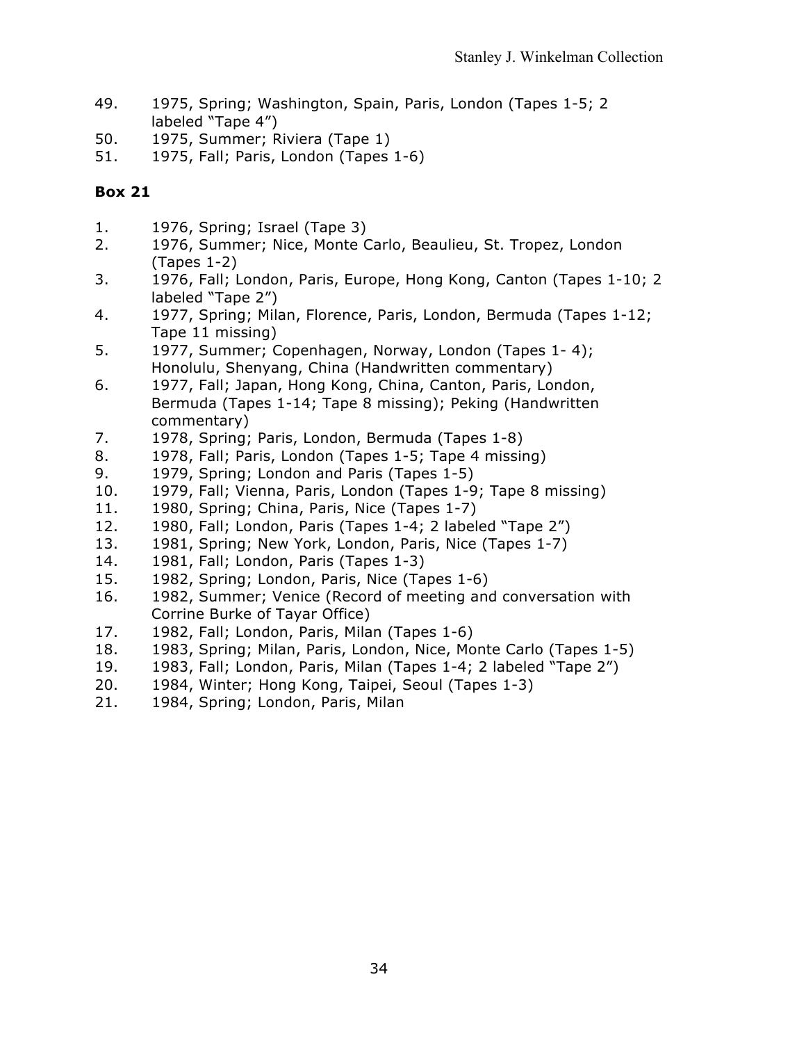- 49. 1975, Spring; Washington, Spain, Paris, London (Tapes 1-5; 2 labeled "Tape 4")
- 50. 1975, Summer; Riviera (Tape 1)
- 51. 1975, Fall; Paris, London (Tapes 1-6)

- 1. 1976, Spring; Israel (Tape 3)
- 2. 1976, Summer; Nice, Monte Carlo, Beaulieu, St. Tropez, London (Tapes 1-2)
- 3. 1976, Fall; London, Paris, Europe, Hong Kong, Canton (Tapes 1-10; 2 labeled "Tape 2")
- 4. 1977, Spring; Milan, Florence, Paris, London, Bermuda (Tapes 1-12; Tape 11 missing)
- 5. 1977, Summer; Copenhagen, Norway, London (Tapes 1- 4); Honolulu, Shenyang, China (Handwritten commentary)
- 6. 1977, Fall; Japan, Hong Kong, China, Canton, Paris, London, Bermuda (Tapes 1-14; Tape 8 missing); Peking (Handwritten commentary)
- 7. 1978, Spring; Paris, London, Bermuda (Tapes 1-8)
- 8. 1978, Fall; Paris, London (Tapes 1-5; Tape 4 missing)
- 9. 1979, Spring; London and Paris (Tapes 1-5)
- 10. 1979, Fall; Vienna, Paris, London (Tapes 1-9; Tape 8 missing)
- 11. 1980, Spring; China, Paris, Nice (Tapes 1-7)
- 12. 1980, Fall; London, Paris (Tapes 1-4; 2 labeled "Tape 2")
- 13. 1981, Spring; New York, London, Paris, Nice (Tapes 1-7)
- 14. 1981, Fall; London, Paris (Tapes 1-3)
- 15. 1982, Spring; London, Paris, Nice (Tapes 1-6)
- 16. 1982, Summer; Venice (Record of meeting and conversation with Corrine Burke of Tayar Office)
- 17. 1982, Fall; London, Paris, Milan (Tapes 1-6)
- 18. 1983, Spring; Milan, Paris, London, Nice, Monte Carlo (Tapes 1-5)
- 19. 1983, Fall; London, Paris, Milan (Tapes 1-4; 2 labeled "Tape 2")
- 20. 1984, Winter; Hong Kong, Taipei, Seoul (Tapes 1-3)
- 21. 1984, Spring; London, Paris, Milan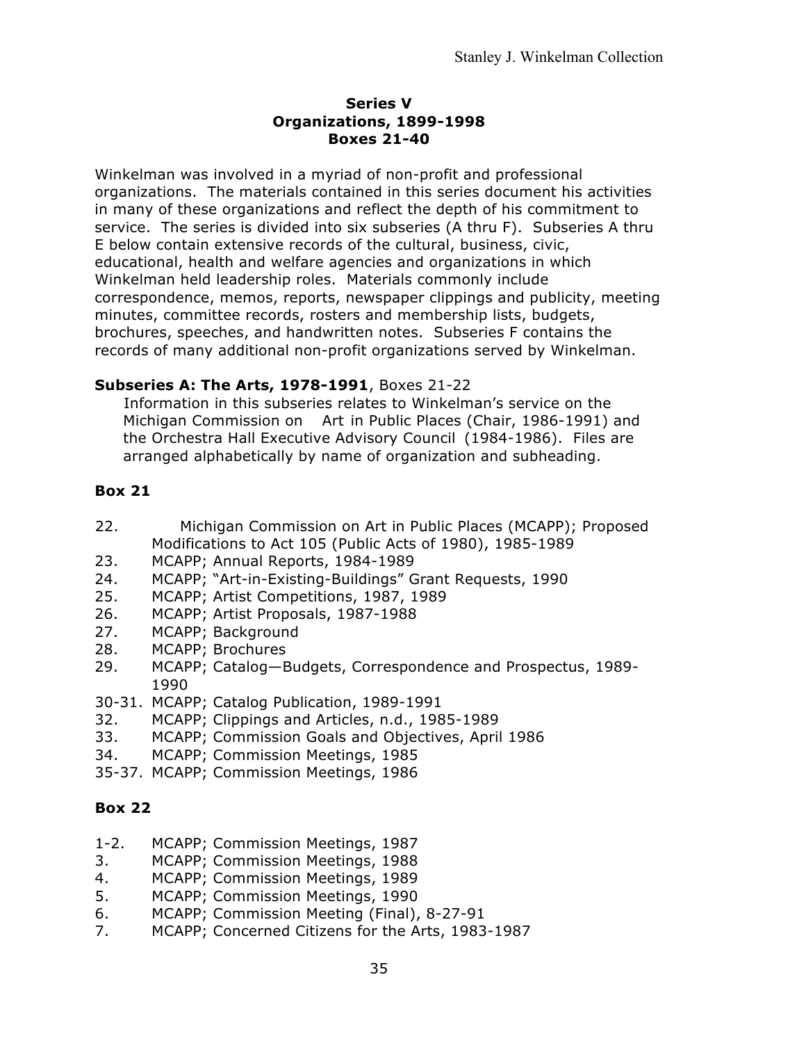#### **Series V Organizations, 1899-1998 Boxes 21-40**

Winkelman was involved in a myriad of non-profit and professional organizations. The materials contained in this series document his activities in many of these organizations and reflect the depth of his commitment to service. The series is divided into six subseries (A thru F). Subseries A thru E below contain extensive records of the cultural, business, civic, educational, health and welfare agencies and organizations in which Winkelman held leadership roles. Materials commonly include correspondence, memos, reports, newspaper clippings and publicity, meeting minutes, committee records, rosters and membership lists, budgets, brochures, speeches, and handwritten notes. Subseries F contains the records of many additional non-profit organizations served by Winkelman.

## **Subseries A: The Arts, 1978-1991**, Boxes 21-22

Information in this subseries relates to Winkelman's service on the Michigan Commission on Art in Public Places (Chair, 1986-1991) and the Orchestra Hall Executive Advisory Council (1984-1986). Files are arranged alphabetically by name of organization and subheading.

## **Box 21**

- 22. Michigan Commission on Art in Public Places (MCAPP); Proposed Modifications to Act 105 (Public Acts of 1980), 1985-1989
- 23. MCAPP; Annual Reports, 1984-1989
- 24. MCAPP; "Art-in-Existing-Buildings" Grant Requests, 1990
- 25. MCAPP; Artist Competitions, 1987, 1989
- 26. MCAPP; Artist Proposals, 1987-1988
- 27. MCAPP; Background
- 28. MCAPP; Brochures
- 29. MCAPP; Catalog—Budgets, Correspondence and Prospectus, 1989- 1990
- 30-31. MCAPP; Catalog Publication, 1989-1991
- 32. MCAPP; Clippings and Articles, n.d., 1985-1989
- 33. MCAPP; Commission Goals and Objectives, April 1986
- 34. MCAPP; Commission Meetings, 1985
- 35-37. MCAPP; Commission Meetings, 1986

- 1-2. MCAPP; Commission Meetings, 1987
- 3. MCAPP; Commission Meetings, 1988
- 4. MCAPP; Commission Meetings, 1989
- 5. MCAPP; Commission Meetings, 1990
- 6. MCAPP; Commission Meeting (Final), 8-27-91
- 7. MCAPP; Concerned Citizens for the Arts, 1983-1987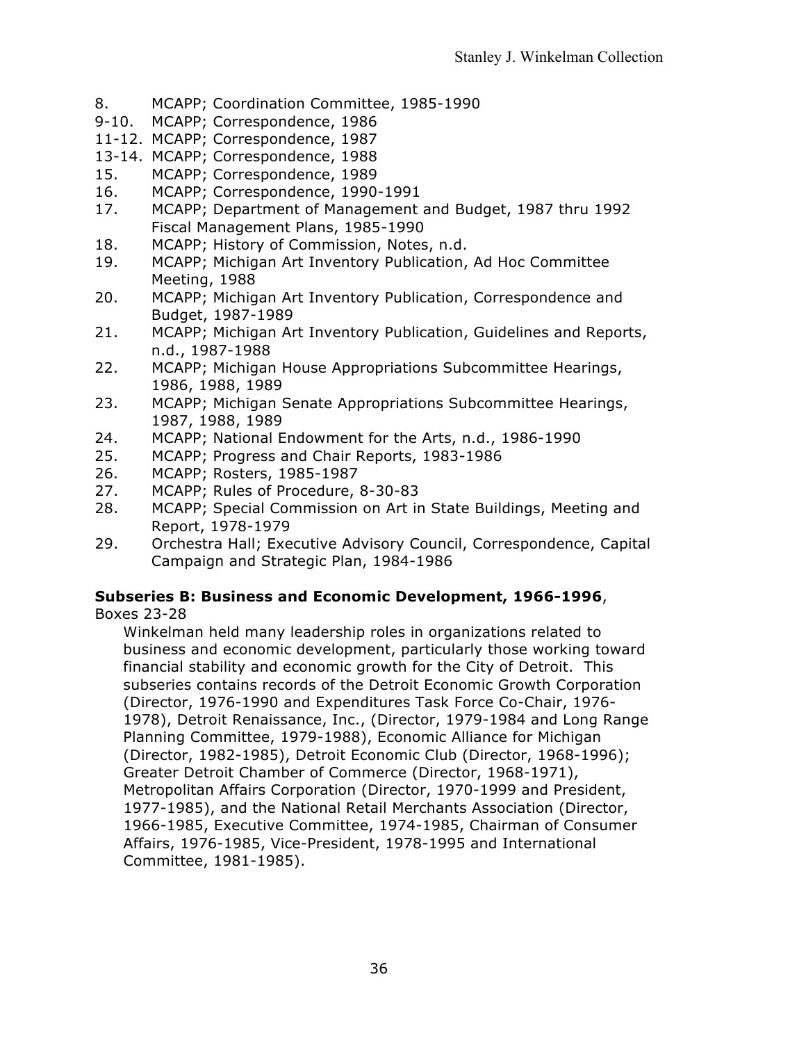- 8. MCAPP; Coordination Committee, 1985-1990
- 9-10. MCAPP; Correspondence, 1986
- 11-12. MCAPP; Correspondence, 1987
- 13-14. MCAPP; Correspondence, 1988
- 15. MCAPP; Correspondence, 1989
- 16. MCAPP; Correspondence, 1990-1991
- 17. MCAPP; Department of Management and Budget, 1987 thru 1992 Fiscal Management Plans, 1985-1990
- 18. MCAPP; History of Commission, Notes, n.d.
- 19. MCAPP; Michigan Art Inventory Publication, Ad Hoc Committee Meeting, 1988
- 20. MCAPP; Michigan Art Inventory Publication, Correspondence and Budget, 1987-1989
- 21. MCAPP; Michigan Art Inventory Publication, Guidelines and Reports, n.d., 1987-1988
- 22. MCAPP; Michigan House Appropriations Subcommittee Hearings, 1986, 1988, 1989
- 23. MCAPP; Michigan Senate Appropriations Subcommittee Hearings, 1987, 1988, 1989
- 24. MCAPP; National Endowment for the Arts, n.d., 1986-1990
- 25. MCAPP; Progress and Chair Reports, 1983-1986
- 26. MCAPP; Rosters, 1985-1987
- 27. MCAPP; Rules of Procedure, 8-30-83
- 28. MCAPP; Special Commission on Art in State Buildings, Meeting and Report, 1978-1979
- 29. Orchestra Hall; Executive Advisory Council, Correspondence, Capital Campaign and Strategic Plan, 1984-1986

# **Subseries B: Business and Economic Development, 1966-1996**,

Boxes 23-28

Winkelman held many leadership roles in organizations related to business and economic development, particularly those working toward financial stability and economic growth for the City of Detroit. This subseries contains records of the Detroit Economic Growth Corporation (Director, 1976-1990 and Expenditures Task Force Co-Chair, 1976- 1978), Detroit Renaissance, Inc., (Director, 1979-1984 and Long Range Planning Committee, 1979-1988), Economic Alliance for Michigan (Director, 1982-1985), Detroit Economic Club (Director, 1968-1996); Greater Detroit Chamber of Commerce (Director, 1968-1971), Metropolitan Affairs Corporation (Director, 1970-1999 and President, 1977-1985), and the National Retail Merchants Association (Director, 1966-1985, Executive Committee, 1974-1985, Chairman of Consumer Affairs, 1976-1985, Vice-President, 1978-1995 and International Committee, 1981-1985).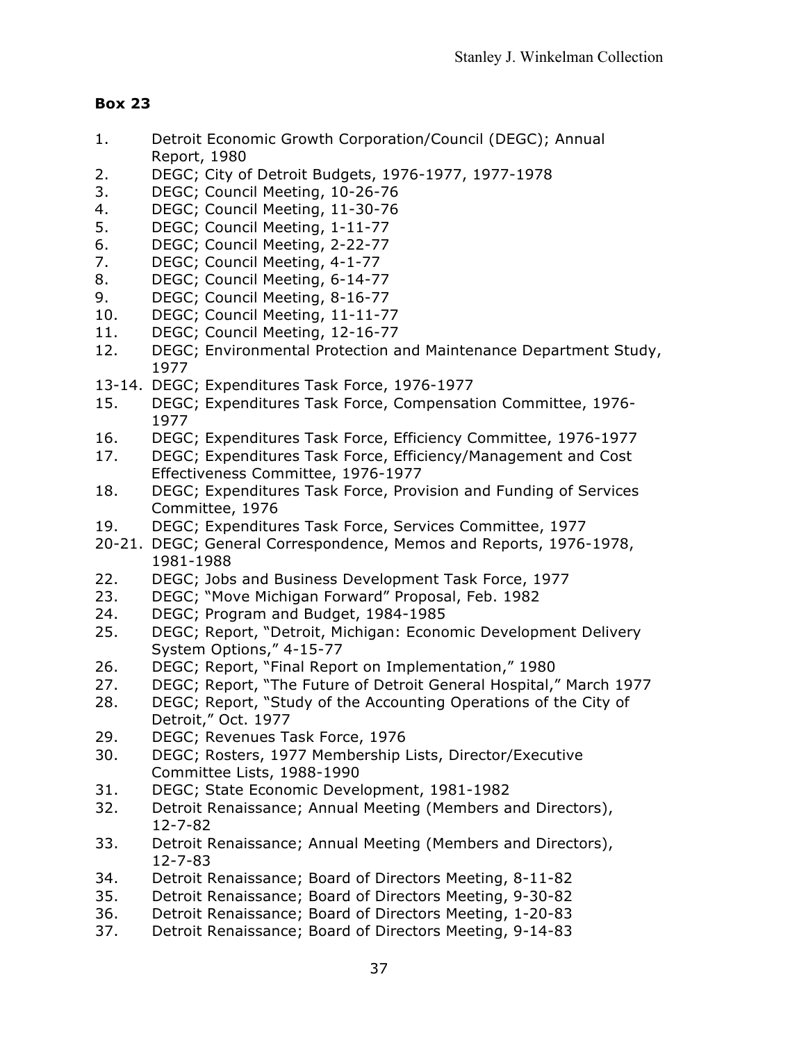- 1. Detroit Economic Growth Corporation/Council (DEGC); Annual Report, 1980
- 2. DEGC; City of Detroit Budgets, 1976-1977, 1977-1978
- 3. DEGC; Council Meeting, 10-26-76
- 4. DEGC; Council Meeting, 11-30-76
- 5. DEGC; Council Meeting, 1-11-77
- 6. DEGC; Council Meeting, 2-22-77
- 7. DEGC; Council Meeting, 4-1-77
- 8. DEGC; Council Meeting, 6-14-77
- 9. DEGC; Council Meeting, 8-16-77
- 10. DEGC; Council Meeting, 11-11-77
- 11. DEGC; Council Meeting, 12-16-77
- 12. DEGC; Environmental Protection and Maintenance Department Study, 1977
- 13-14. DEGC; Expenditures Task Force, 1976-1977
- 15. DEGC; Expenditures Task Force, Compensation Committee, 1976- 1977
- 16. DEGC; Expenditures Task Force, Efficiency Committee, 1976-1977
- 17. DEGC; Expenditures Task Force, Efficiency/Management and Cost Effectiveness Committee, 1976-1977
- 18. DEGC; Expenditures Task Force, Provision and Funding of Services Committee, 1976
- 19. DEGC; Expenditures Task Force, Services Committee, 1977
- 20-21. DEGC; General Correspondence, Memos and Reports, 1976-1978, 1981-1988
- 22. DEGC; Jobs and Business Development Task Force, 1977
- 23. DEGC; "Move Michigan Forward" Proposal, Feb. 1982
- 24. DEGC; Program and Budget, 1984-1985
- 25. DEGC; Report, "Detroit, Michigan: Economic Development Delivery System Options," 4-15-77
- 26. DEGC; Report, "Final Report on Implementation," 1980
- 27. DEGC; Report, "The Future of Detroit General Hospital," March 1977
- 28. DEGC; Report, "Study of the Accounting Operations of the City of Detroit," Oct. 1977
- 29. DEGC; Revenues Task Force, 1976
- 30. DEGC; Rosters, 1977 Membership Lists, Director/Executive Committee Lists, 1988-1990
- 31. DEGC; State Economic Development, 1981-1982
- 32. Detroit Renaissance; Annual Meeting (Members and Directors), 12-7-82
- 33. Detroit Renaissance; Annual Meeting (Members and Directors), 12-7-83
- 34. Detroit Renaissance; Board of Directors Meeting, 8-11-82
- 35. Detroit Renaissance; Board of Directors Meeting, 9-30-82
- 36. Detroit Renaissance; Board of Directors Meeting, 1-20-83
- 37. Detroit Renaissance; Board of Directors Meeting, 9-14-83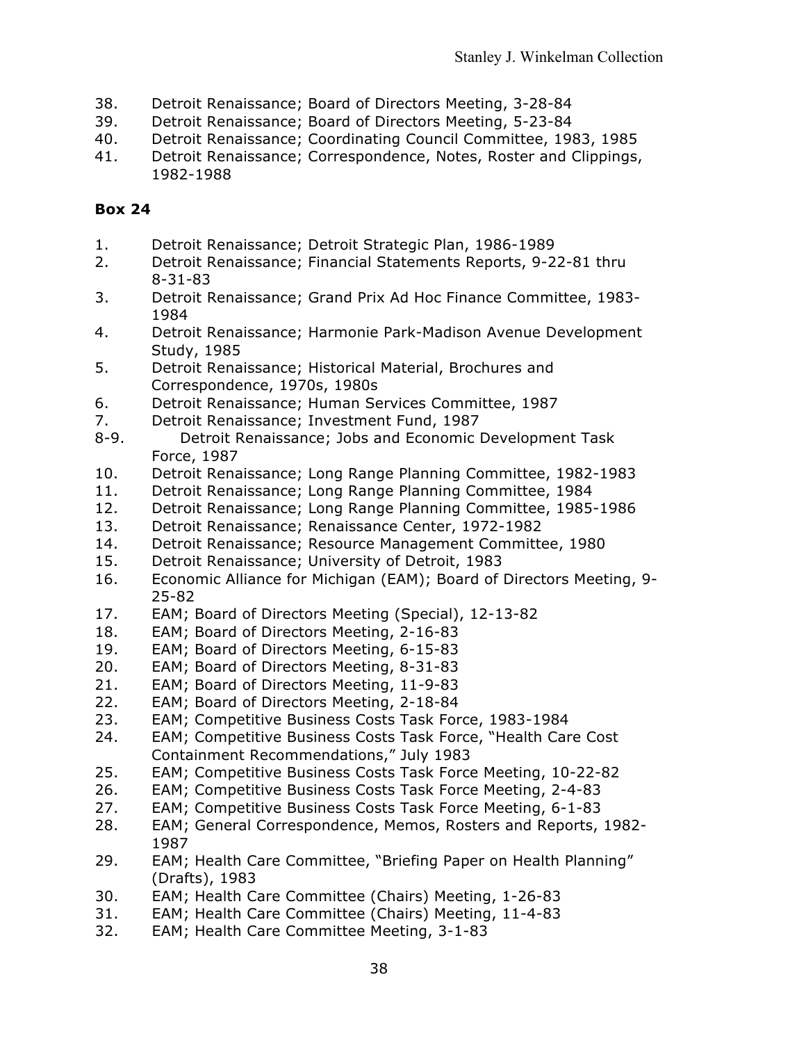- 38. Detroit Renaissance; Board of Directors Meeting, 3-28-84
- 39. Detroit Renaissance; Board of Directors Meeting, 5-23-84
- 40. Detroit Renaissance; Coordinating Council Committee, 1983, 1985
- 41. Detroit Renaissance; Correspondence, Notes, Roster and Clippings, 1982-1988

- 1. Detroit Renaissance; Detroit Strategic Plan, 1986-1989
- 2. Detroit Renaissance; Financial Statements Reports, 9-22-81 thru 8-31-83
- 3. Detroit Renaissance; Grand Prix Ad Hoc Finance Committee, 1983- 1984
- 4. Detroit Renaissance; Harmonie Park-Madison Avenue Development Study, 1985
- 5. Detroit Renaissance; Historical Material, Brochures and Correspondence, 1970s, 1980s
- 6. Detroit Renaissance; Human Services Committee, 1987
- 7. Detroit Renaissance; Investment Fund, 1987
- 8-9. Detroit Renaissance; Jobs and Economic Development Task Force, 1987
- 10. Detroit Renaissance; Long Range Planning Committee, 1982-1983
- 11. Detroit Renaissance; Long Range Planning Committee, 1984
- 12. Detroit Renaissance; Long Range Planning Committee, 1985-1986
- 13. Detroit Renaissance; Renaissance Center, 1972-1982
- 14. Detroit Renaissance; Resource Management Committee, 1980
- 15. Detroit Renaissance; University of Detroit, 1983
- 16. Economic Alliance for Michigan (EAM); Board of Directors Meeting, 9- 25-82
- 17. EAM; Board of Directors Meeting (Special), 12-13-82
- 18. EAM; Board of Directors Meeting, 2-16-83
- 19. EAM; Board of Directors Meeting, 6-15-83
- 20. EAM; Board of Directors Meeting, 8-31-83
- 21. EAM; Board of Directors Meeting, 11-9-83
- 22. EAM; Board of Directors Meeting, 2-18-84
- 23. EAM; Competitive Business Costs Task Force, 1983-1984
- 24. EAM; Competitive Business Costs Task Force, "Health Care Cost Containment Recommendations," July 1983
- 25. EAM; Competitive Business Costs Task Force Meeting, 10-22-82
- 26. EAM; Competitive Business Costs Task Force Meeting, 2-4-83
- 27. EAM; Competitive Business Costs Task Force Meeting, 6-1-83
- 28. EAM; General Correspondence, Memos, Rosters and Reports, 1982- 1987
- 29. EAM; Health Care Committee, "Briefing Paper on Health Planning" (Drafts), 1983
- 30. EAM; Health Care Committee (Chairs) Meeting, 1-26-83
- 31. EAM; Health Care Committee (Chairs) Meeting, 11-4-83
- 32. EAM; Health Care Committee Meeting, 3-1-83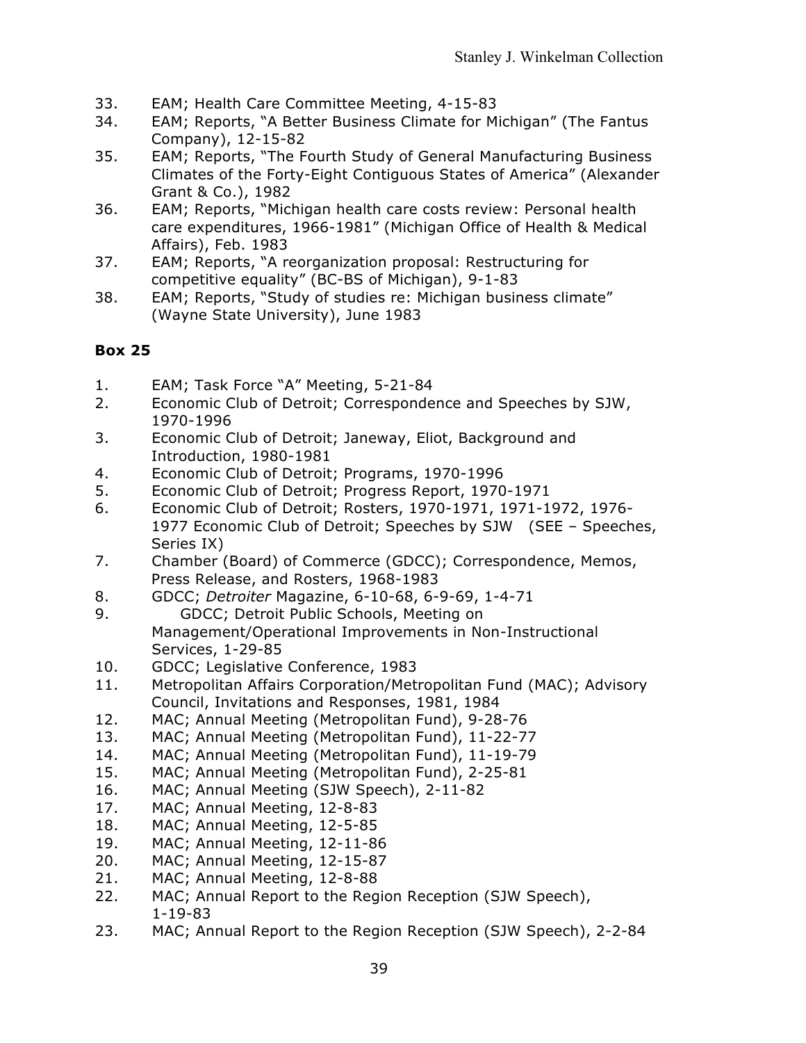- 33. EAM; Health Care Committee Meeting, 4-15-83
- 34. EAM; Reports, "A Better Business Climate for Michigan" (The Fantus Company), 12-15-82
- 35. EAM; Reports, "The Fourth Study of General Manufacturing Business Climates of the Forty-Eight Contiguous States of America" (Alexander Grant & Co.), 1982
- 36. EAM; Reports, "Michigan health care costs review: Personal health care expenditures, 1966-1981" (Michigan Office of Health & Medical Affairs), Feb. 1983
- 37. EAM; Reports, "A reorganization proposal: Restructuring for competitive equality" (BC-BS of Michigan), 9-1-83
- 38. EAM; Reports, "Study of studies re: Michigan business climate" (Wayne State University), June 1983

- 1. EAM; Task Force "A" Meeting, 5-21-84
- 2. Economic Club of Detroit; Correspondence and Speeches by SJW, 1970-1996
- 3. Economic Club of Detroit; Janeway, Eliot, Background and Introduction, 1980-1981
- 4. Economic Club of Detroit; Programs, 1970-1996
- 5. Economic Club of Detroit; Progress Report, 1970-1971
- 6. Economic Club of Detroit; Rosters, 1970-1971, 1971-1972, 1976- 1977 Economic Club of Detroit; Speeches by SJW (SEE – Speeches, Series IX)
- 7. Chamber (Board) of Commerce (GDCC); Correspondence, Memos, Press Release, and Rosters, 1968-1983
- 8. GDCC; *Detroiter* Magazine, 6-10-68, 6-9-69, 1-4-71
- 9. GDCC; Detroit Public Schools, Meeting on Management/Operational Improvements in Non-Instructional Services, 1-29-85
- 10. GDCC; Legislative Conference, 1983
- 11. Metropolitan Affairs Corporation/Metropolitan Fund (MAC); Advisory Council, Invitations and Responses, 1981, 1984
- 12. MAC; Annual Meeting (Metropolitan Fund), 9-28-76
- 13. MAC; Annual Meeting (Metropolitan Fund), 11-22-77
- 14. MAC; Annual Meeting (Metropolitan Fund), 11-19-79
- 15. MAC; Annual Meeting (Metropolitan Fund), 2-25-81
- 16. MAC; Annual Meeting (SJW Speech), 2-11-82
- 17. MAC; Annual Meeting, 12-8-83
- 18. MAC; Annual Meeting, 12-5-85
- 19. MAC; Annual Meeting, 12-11-86
- 20. MAC; Annual Meeting, 12-15-87
- 21. MAC; Annual Meeting, 12-8-88
- 22. MAC; Annual Report to the Region Reception (SJW Speech), 1-19-83
- 23. MAC; Annual Report to the Region Reception (SJW Speech), 2-2-84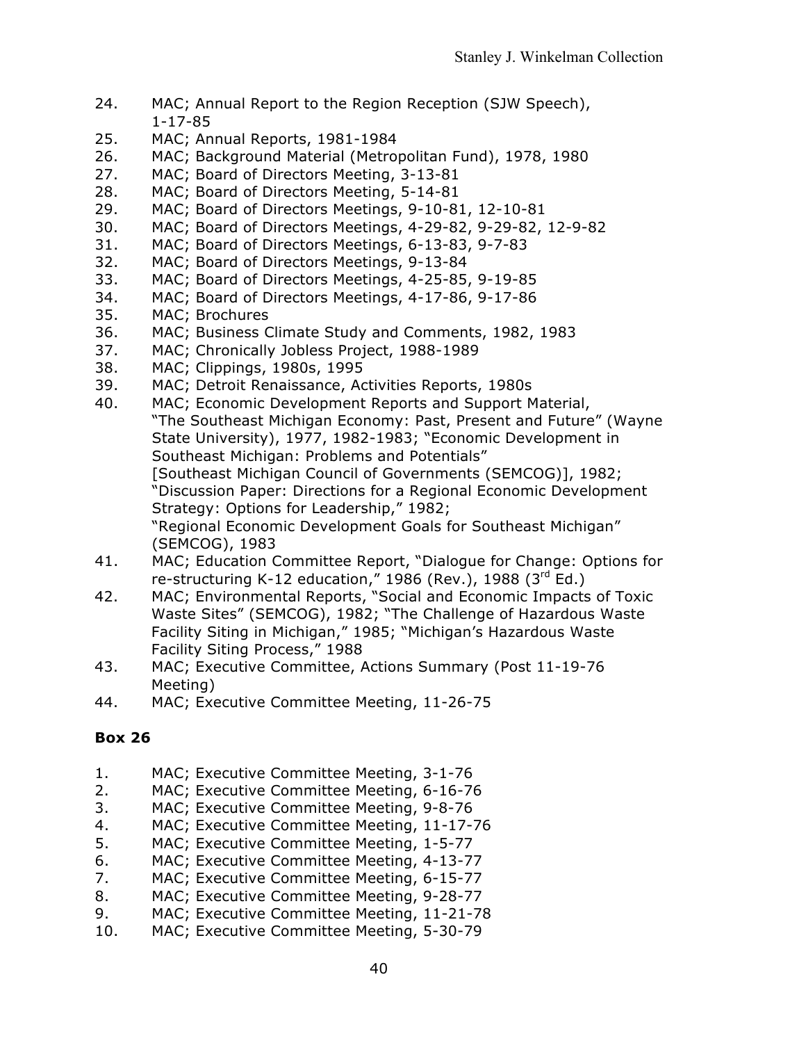- 24. MAC; Annual Report to the Region Reception (SJW Speech), 1-17-85
- 25. MAC; Annual Reports, 1981-1984
- 26. MAC; Background Material (Metropolitan Fund), 1978, 1980
- 27. MAC; Board of Directors Meeting, 3-13-81
- 28. MAC; Board of Directors Meeting, 5-14-81
- 29. MAC; Board of Directors Meetings, 9-10-81, 12-10-81
- 30. MAC; Board of Directors Meetings, 4-29-82, 9-29-82, 12-9-82
- 31. MAC; Board of Directors Meetings, 6-13-83, 9-7-83
- 32. MAC; Board of Directors Meetings, 9-13-84
- 33. MAC; Board of Directors Meetings, 4-25-85, 9-19-85
- 34. MAC; Board of Directors Meetings, 4-17-86, 9-17-86
- 35. MAC; Brochures
- 36. MAC; Business Climate Study and Comments, 1982, 1983
- 37. MAC; Chronically Jobless Project, 1988-1989
- 38. MAC; Clippings, 1980s, 1995
- 39. MAC; Detroit Renaissance, Activities Reports, 1980s
- 40. MAC; Economic Development Reports and Support Material, "The Southeast Michigan Economy: Past, Present and Future" (Wayne State University), 1977, 1982-1983; "Economic Development in Southeast Michigan: Problems and Potentials" [Southeast Michigan Council of Governments (SEMCOG)], 1982; "Discussion Paper: Directions for a Regional Economic Development Strategy: Options for Leadership," 1982; "Regional Economic Development Goals for Southeast Michigan" (SEMCOG), 1983
- 41. MAC; Education Committee Report, "Dialogue for Change: Options for re-structuring K-12 education," 1986 (Rev.), 1988 ( $3^{rd}$  Ed.)
- 42. MAC; Environmental Reports, "Social and Economic Impacts of Toxic Waste Sites" (SEMCOG), 1982; "The Challenge of Hazardous Waste Facility Siting in Michigan," 1985; "Michigan's Hazardous Waste Facility Siting Process," 1988
- 43. MAC; Executive Committee, Actions Summary (Post 11-19-76 Meeting)
- 44. MAC; Executive Committee Meeting, 11-26-75

- 1. MAC; Executive Committee Meeting, 3-1-76
- 2. MAC; Executive Committee Meeting, 6-16-76
- 3. MAC; Executive Committee Meeting, 9-8-76
- 4. MAC; Executive Committee Meeting, 11-17-76
- 5. MAC; Executive Committee Meeting, 1-5-77
- 6. MAC; Executive Committee Meeting, 4-13-77
- 7. MAC; Executive Committee Meeting, 6-15-77
- 8. MAC; Executive Committee Meeting, 9-28-77
- 9. MAC; Executive Committee Meeting, 11-21-78
- 10. MAC; Executive Committee Meeting, 5-30-79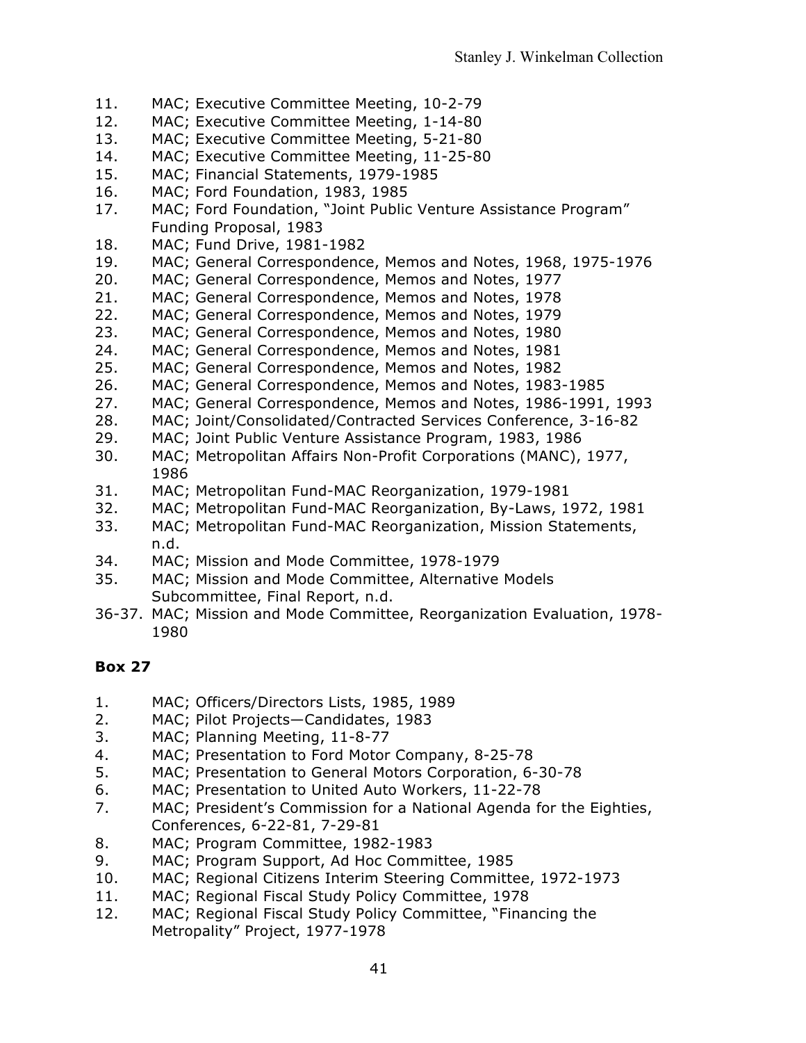- 11. MAC; Executive Committee Meeting, 10-2-79
- 12. MAC; Executive Committee Meeting, 1-14-80
- 13. MAC; Executive Committee Meeting, 5-21-80
- 14. MAC; Executive Committee Meeting, 11-25-80
- 15. MAC; Financial Statements, 1979-1985
- 16. MAC; Ford Foundation, 1983, 1985
- 17. MAC; Ford Foundation, "Joint Public Venture Assistance Program" Funding Proposal, 1983
- 18. MAC; Fund Drive, 1981-1982
- 19. MAC; General Correspondence, Memos and Notes, 1968, 1975-1976
- 20. MAC; General Correspondence, Memos and Notes, 1977
- 21. MAC; General Correspondence, Memos and Notes, 1978
- 22. MAC; General Correspondence, Memos and Notes, 1979
- 23. MAC; General Correspondence, Memos and Notes, 1980
- 24. MAC; General Correspondence, Memos and Notes, 1981
- 25. MAC; General Correspondence, Memos and Notes, 1982
- 26. MAC; General Correspondence, Memos and Notes, 1983-1985
- 27. MAC; General Correspondence, Memos and Notes, 1986-1991, 1993
- 28. MAC; Joint/Consolidated/Contracted Services Conference, 3-16-82
- 29. MAC; Joint Public Venture Assistance Program, 1983, 1986
- 30. MAC; Metropolitan Affairs Non-Profit Corporations (MANC), 1977, 1986
- 31. MAC; Metropolitan Fund-MAC Reorganization, 1979-1981
- 32. MAC; Metropolitan Fund-MAC Reorganization, By-Laws, 1972, 1981
- 33. MAC; Metropolitan Fund-MAC Reorganization, Mission Statements, n.d.
- 34. MAC; Mission and Mode Committee, 1978-1979
- 35. MAC; Mission and Mode Committee, Alternative Models Subcommittee, Final Report, n.d.
- 36-37. MAC; Mission and Mode Committee, Reorganization Evaluation, 1978- 1980

- 1. MAC; Officers/Directors Lists, 1985, 1989
- 2. MAC; Pilot Projects—Candidates, 1983
- 3. MAC; Planning Meeting, 11-8-77
- 4. MAC; Presentation to Ford Motor Company, 8-25-78
- 5. MAC; Presentation to General Motors Corporation, 6-30-78
- 6. MAC; Presentation to United Auto Workers, 11-22-78
- 7. MAC; President's Commission for a National Agenda for the Eighties, Conferences, 6-22-81, 7-29-81
- 8. MAC; Program Committee, 1982-1983
- 9. MAC; Program Support, Ad Hoc Committee, 1985
- 10. MAC; Regional Citizens Interim Steering Committee, 1972-1973
- 11. MAC; Regional Fiscal Study Policy Committee, 1978
- 12. MAC; Regional Fiscal Study Policy Committee, "Financing the Metropality" Project, 1977-1978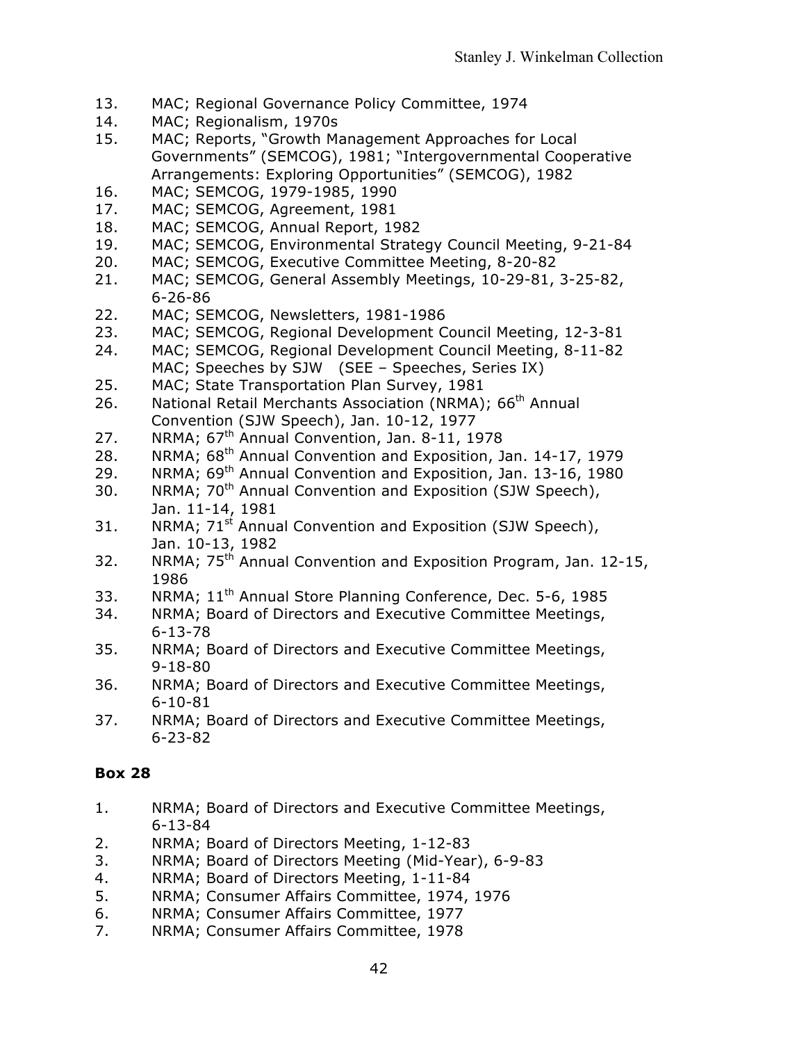- 13. MAC; Regional Governance Policy Committee, 1974
- 14. MAC; Regionalism, 1970s
- 15. MAC; Reports, "Growth Management Approaches for Local Governments" (SEMCOG), 1981; "Intergovernmental Cooperative Arrangements: Exploring Opportunities" (SEMCOG), 1982
- 16. MAC; SEMCOG, 1979-1985, 1990
- 17. MAC; SEMCOG, Agreement, 1981
- 18. MAC; SEMCOG, Annual Report, 1982
- 19. MAC; SEMCOG, Environmental Strategy Council Meeting, 9-21-84
- 20. MAC; SEMCOG, Executive Committee Meeting, 8-20-82
- 21. MAC; SEMCOG, General Assembly Meetings, 10-29-81, 3-25-82, 6-26-86
- 22. MAC; SEMCOG, Newsletters, 1981-1986
- 23. MAC; SEMCOG, Regional Development Council Meeting, 12-3-81
- 24. MAC; SEMCOG, Regional Development Council Meeting, 8-11-82 MAC; Speeches by SJW (SEE – Speeches, Series IX)
- 25. MAC; State Transportation Plan Survey, 1981
- 26. National Retail Merchants Association (NRMA); 66<sup>th</sup> Annual Convention (SJW Speech), Jan. 10-12, 1977
- 27. NRMA; 67<sup>th</sup> Annual Convention, Jan. 8-11, 1978
- 28. NRMA; 68<sup>th</sup> Annual Convention and Exposition, Jan. 14-17, 1979
- 29. NRMA; 69<sup>th</sup> Annual Convention and Exposition, Jan. 13-16, 1980
- 30. NRMA; 70<sup>th</sup> Annual Convention and Exposition (SJW Speech), Jan. 11-14, 1981
- 31. NRMA;  $71^{st}$  Annual Convention and Exposition (SJW Speech), Jan. 10-13, 1982
- 32. NRMA;  $75<sup>th</sup>$  Annual Convention and Exposition Program, Jan. 12-15, 1986
- 33. NRMA; 11<sup>th</sup> Annual Store Planning Conference, Dec. 5-6, 1985
- 34. NRMA; Board of Directors and Executive Committee Meetings, 6-13-78
- 35. NRMA; Board of Directors and Executive Committee Meetings, 9-18-80
- 36. NRMA; Board of Directors and Executive Committee Meetings, 6-10-81
- 37. NRMA; Board of Directors and Executive Committee Meetings, 6-23-82

- 1. NRMA; Board of Directors and Executive Committee Meetings, 6-13-84
- 2. NRMA; Board of Directors Meeting, 1-12-83
- 3. NRMA; Board of Directors Meeting (Mid-Year), 6-9-83
- 4. NRMA; Board of Directors Meeting, 1-11-84
- 5. NRMA; Consumer Affairs Committee, 1974, 1976
- 6. NRMA; Consumer Affairs Committee, 1977
- 7. NRMA; Consumer Affairs Committee, 1978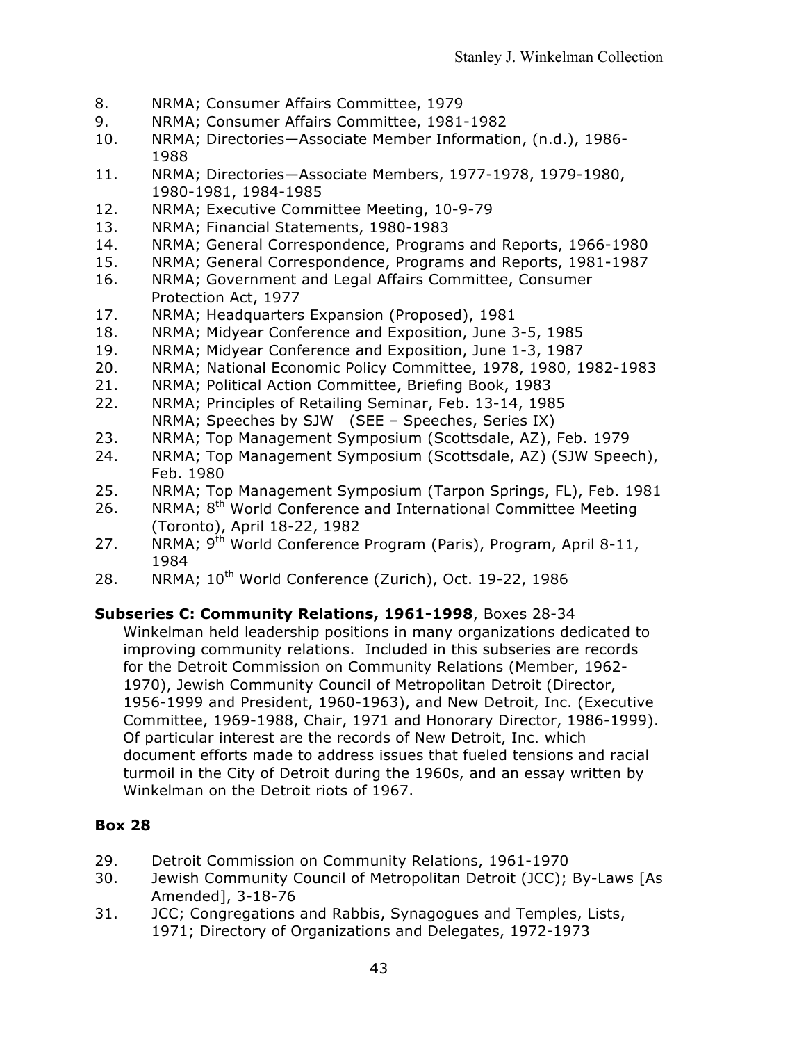- 8. NRMA; Consumer Affairs Committee, 1979
- 9. NRMA; Consumer Affairs Committee, 1981-1982
- 10. NRMA; Directories—Associate Member Information, (n.d.), 1986- 1988
- 11. NRMA; Directories—Associate Members, 1977-1978, 1979-1980, 1980-1981, 1984-1985
- 12. NRMA; Executive Committee Meeting, 10-9-79
- 13. NRMA; Financial Statements, 1980-1983
- 14. NRMA; General Correspondence, Programs and Reports, 1966-1980
- 15. NRMA; General Correspondence, Programs and Reports, 1981-1987
- 16. NRMA; Government and Legal Affairs Committee, Consumer Protection Act, 1977
- 17. NRMA; Headquarters Expansion (Proposed), 1981
- 18. NRMA; Midyear Conference and Exposition, June 3-5, 1985
- 19. NRMA; Midyear Conference and Exposition, June 1-3, 1987
- 20. NRMA; National Economic Policy Committee, 1978, 1980, 1982-1983
- 21. NRMA; Political Action Committee, Briefing Book, 1983
- 22. NRMA; Principles of Retailing Seminar, Feb. 13-14, 1985 NRMA; Speeches by SJW (SEE – Speeches, Series IX)
- 23. NRMA; Top Management Symposium (Scottsdale, AZ), Feb. 1979
- 24. NRMA; Top Management Symposium (Scottsdale, AZ) (SJW Speech), Feb. 1980
- 25. NRMA; Top Management Symposium (Tarpon Springs, FL), Feb. 1981
- 26. NRMA; 8<sup>th</sup> World Conference and International Committee Meeting (Toronto), April 18-22, 1982
- 27. NRMA; 9<sup>th</sup> World Conference Program (Paris), Program, April 8-11, 1984
- 28. NRMA; 10<sup>th</sup> World Conference (Zurich), Oct. 19-22, 1986

## **Subseries C: Community Relations, 1961-1998**, Boxes 28-34

Winkelman held leadership positions in many organizations dedicated to improving community relations. Included in this subseries are records for the Detroit Commission on Community Relations (Member, 1962- 1970), Jewish Community Council of Metropolitan Detroit (Director, 1956-1999 and President, 1960-1963), and New Detroit, Inc. (Executive Committee, 1969-1988, Chair, 1971 and Honorary Director, 1986-1999). Of particular interest are the records of New Detroit, Inc. which document efforts made to address issues that fueled tensions and racial turmoil in the City of Detroit during the 1960s, and an essay written by Winkelman on the Detroit riots of 1967.

- 29. Detroit Commission on Community Relations, 1961-1970
- 30. Jewish Community Council of Metropolitan Detroit (JCC); By-Laws [As Amended], 3-18-76
- 31. JCC; Congregations and Rabbis, Synagogues and Temples, Lists, 1971; Directory of Organizations and Delegates, 1972-1973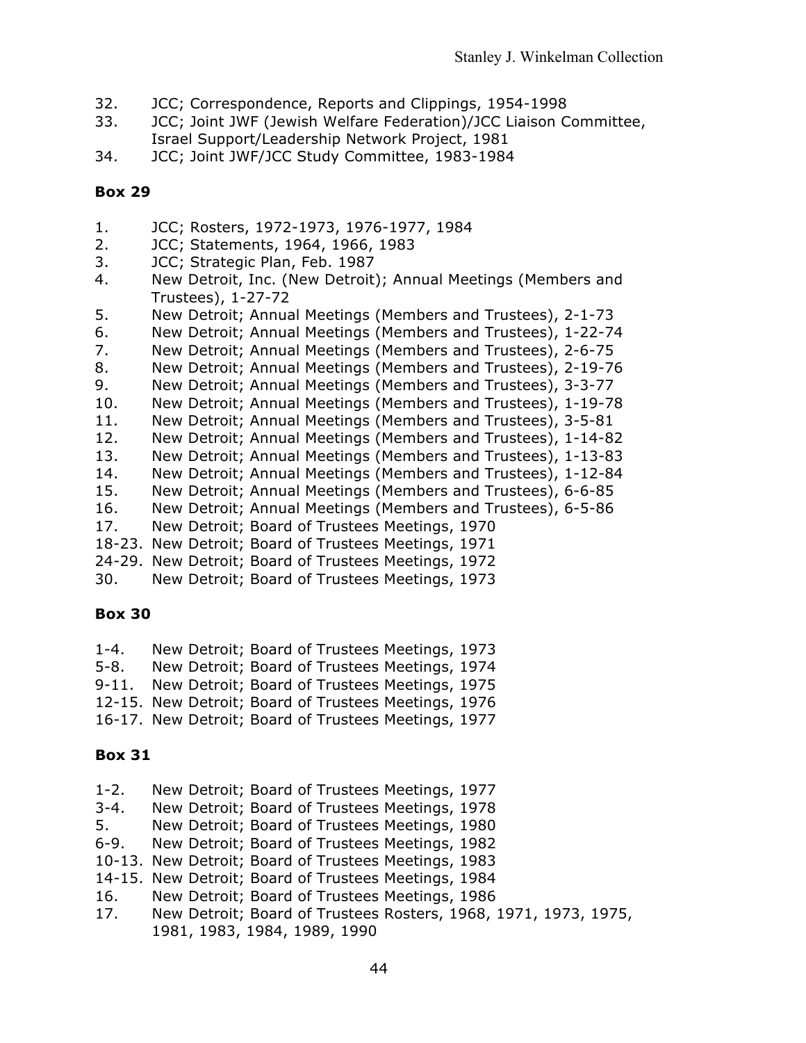- 32. JCC; Correspondence, Reports and Clippings, 1954-1998
- 33. JCC; Joint JWF (Jewish Welfare Federation)/JCC Liaison Committee, Israel Support/Leadership Network Project, 1981
- 34. JCC; Joint JWF/JCC Study Committee, 1983-1984

- 1. JCC; Rosters, 1972-1973, 1976-1977, 1984
- 2. JCC; Statements, 1964, 1966, 1983
- 3. JCC; Strategic Plan, Feb. 1987
- 4. New Detroit, Inc. (New Detroit); Annual Meetings (Members and Trustees), 1-27-72
- 5. New Detroit; Annual Meetings (Members and Trustees), 2-1-73
- 6. New Detroit; Annual Meetings (Members and Trustees), 1-22-74
- 7. New Detroit; Annual Meetings (Members and Trustees), 2-6-75
- 8. New Detroit; Annual Meetings (Members and Trustees), 2-19-76
- 9. New Detroit; Annual Meetings (Members and Trustees), 3-3-77
- 10. New Detroit; Annual Meetings (Members and Trustees), 1-19-78
- 11. New Detroit; Annual Meetings (Members and Trustees), 3-5-81
- 12. New Detroit; Annual Meetings (Members and Trustees), 1-14-82
- 13. New Detroit; Annual Meetings (Members and Trustees), 1-13-83
- 14. New Detroit; Annual Meetings (Members and Trustees), 1-12-84
- 15. New Detroit; Annual Meetings (Members and Trustees), 6-6-85
- 16. New Detroit; Annual Meetings (Members and Trustees), 6-5-86
- 17. New Detroit; Board of Trustees Meetings, 1970
- 18-23. New Detroit; Board of Trustees Meetings, 1971
- 24-29. New Detroit; Board of Trustees Meetings, 1972
- 30. New Detroit; Board of Trustees Meetings, 1973

#### **Box 30**

1-4. New Detroit; Board of Trustees Meetings, 1973 5-8. New Detroit; Board of Trustees Meetings, 1974 9-11. New Detroit; Board of Trustees Meetings, 1975 12-15. New Detroit; Board of Trustees Meetings, 1976 16-17. New Detroit; Board of Trustees Meetings, 1977

#### **Box 31**

1-2. New Detroit; Board of Trustees Meetings, 1977 3-4. New Detroit; Board of Trustees Meetings, 1978 5. New Detroit; Board of Trustees Meetings, 1980 6-9. New Detroit; Board of Trustees Meetings, 1982 10-13. New Detroit; Board of Trustees Meetings, 1983 14-15. New Detroit; Board of Trustees Meetings, 1984 16. New Detroit; Board of Trustees Meetings, 1986 17. New Detroit; Board of Trustees Rosters, 1968, 1971, 1973, 1975, 1981, 1983, 1984, 1989, 1990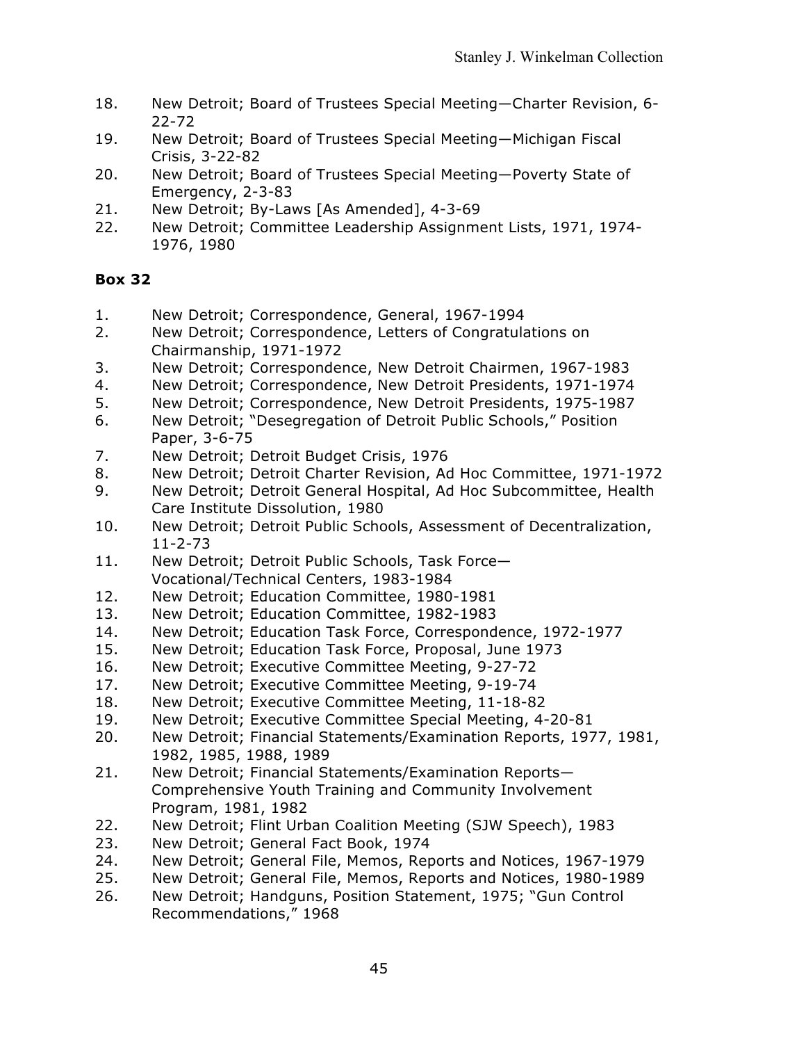- 18. New Detroit; Board of Trustees Special Meeting—Charter Revision, 6- 22-72
- 19. New Detroit; Board of Trustees Special Meeting—Michigan Fiscal Crisis, 3-22-82
- 20. New Detroit; Board of Trustees Special Meeting—Poverty State of Emergency, 2-3-83
- 21. New Detroit; By-Laws [As Amended], 4-3-69
- 22. New Detroit; Committee Leadership Assignment Lists, 1971, 1974- 1976, 1980

- 1. New Detroit; Correspondence, General, 1967-1994
- 2. New Detroit; Correspondence, Letters of Congratulations on Chairmanship, 1971-1972
- 3. New Detroit; Correspondence, New Detroit Chairmen, 1967-1983
- 4. New Detroit; Correspondence, New Detroit Presidents, 1971-1974
- 5. New Detroit; Correspondence, New Detroit Presidents, 1975-1987
- 6. New Detroit; "Desegregation of Detroit Public Schools," Position Paper, 3-6-75
- 7. New Detroit; Detroit Budget Crisis, 1976
- 8. New Detroit; Detroit Charter Revision, Ad Hoc Committee, 1971-1972
- 9. New Detroit; Detroit General Hospital, Ad Hoc Subcommittee, Health Care Institute Dissolution, 1980
- 10. New Detroit; Detroit Public Schools, Assessment of Decentralization, 11-2-73
- 11. New Detroit; Detroit Public Schools, Task Force— Vocational/Technical Centers, 1983-1984
- 12. New Detroit; Education Committee, 1980-1981
- 13. New Detroit; Education Committee, 1982-1983
- 14. New Detroit; Education Task Force, Correspondence, 1972-1977
- 15. New Detroit; Education Task Force, Proposal, June 1973
- 16. New Detroit; Executive Committee Meeting, 9-27-72
- 17. New Detroit; Executive Committee Meeting, 9-19-74
- 18. New Detroit; Executive Committee Meeting, 11-18-82
- 19. New Detroit; Executive Committee Special Meeting, 4-20-81
- 20. New Detroit; Financial Statements/Examination Reports, 1977, 1981, 1982, 1985, 1988, 1989
- 21. New Detroit; Financial Statements/Examination Reports— Comprehensive Youth Training and Community Involvement Program, 1981, 1982
- 22. New Detroit; Flint Urban Coalition Meeting (SJW Speech), 1983
- 23. New Detroit; General Fact Book, 1974
- 24. New Detroit; General File, Memos, Reports and Notices, 1967-1979
- 25. New Detroit; General File, Memos, Reports and Notices, 1980-1989
- 26. New Detroit; Handguns, Position Statement, 1975; "Gun Control Recommendations," 1968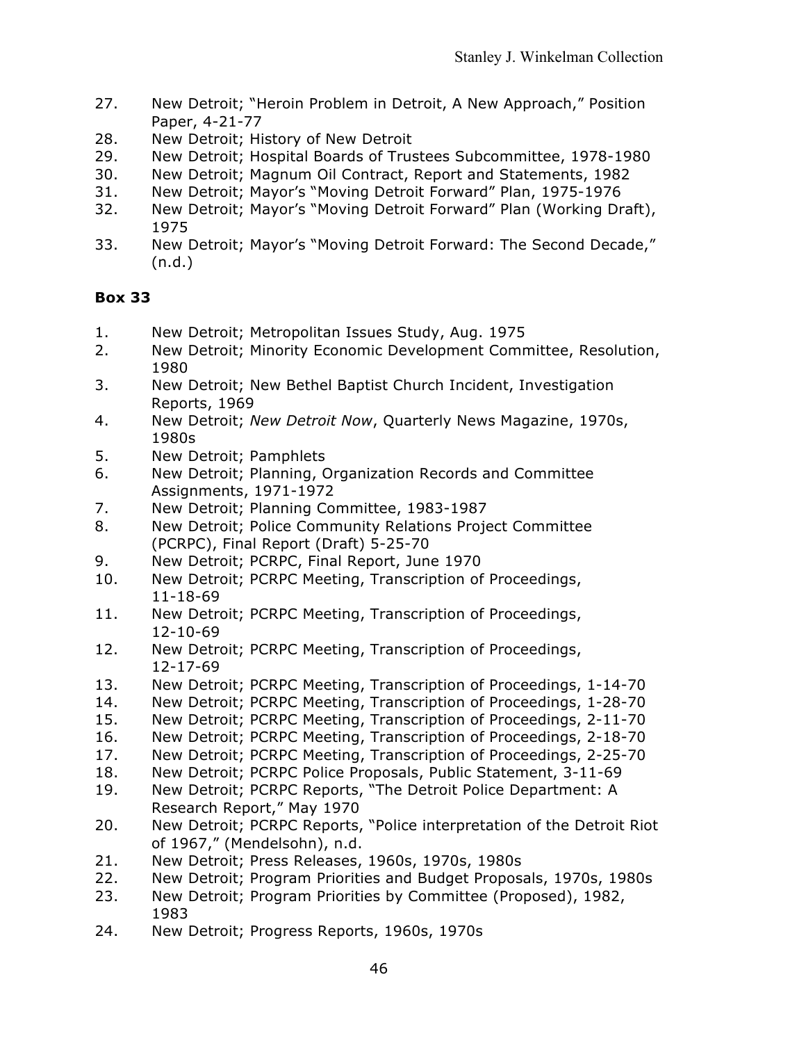- 27. New Detroit; "Heroin Problem in Detroit, A New Approach," Position Paper, 4-21-77
- 28. New Detroit; History of New Detroit
- 29. New Detroit; Hospital Boards of Trustees Subcommittee, 1978-1980
- 30. New Detroit; Magnum Oil Contract, Report and Statements, 1982
- 31. New Detroit; Mayor's "Moving Detroit Forward" Plan, 1975-1976
- 32. New Detroit; Mayor's "Moving Detroit Forward" Plan (Working Draft), 1975
- 33. New Detroit; Mayor's "Moving Detroit Forward: The Second Decade," (n.d.)

- 1. New Detroit; Metropolitan Issues Study, Aug. 1975
- 2. New Detroit; Minority Economic Development Committee, Resolution, 1980
- 3. New Detroit; New Bethel Baptist Church Incident, Investigation Reports, 1969
- 4. New Detroit; *New Detroit Now*, Quarterly News Magazine, 1970s, 1980s
- 5. New Detroit; Pamphlets
- 6. New Detroit; Planning, Organization Records and Committee Assignments, 1971-1972
- 7. New Detroit; Planning Committee, 1983-1987
- 8. New Detroit; Police Community Relations Project Committee (PCRPC), Final Report (Draft) 5-25-70
- 9. New Detroit; PCRPC, Final Report, June 1970
- 10. New Detroit; PCRPC Meeting, Transcription of Proceedings, 11-18-69
- 11. New Detroit; PCRPC Meeting, Transcription of Proceedings, 12-10-69
- 12. New Detroit; PCRPC Meeting, Transcription of Proceedings, 12-17-69
- 13. New Detroit; PCRPC Meeting, Transcription of Proceedings, 1-14-70
- 14. New Detroit; PCRPC Meeting, Transcription of Proceedings, 1-28-70
- 15. New Detroit; PCRPC Meeting, Transcription of Proceedings, 2-11-70
- 16. New Detroit; PCRPC Meeting, Transcription of Proceedings, 2-18-70
- 17. New Detroit; PCRPC Meeting, Transcription of Proceedings, 2-25-70
- 18. New Detroit; PCRPC Police Proposals, Public Statement, 3-11-69
- 19. New Detroit; PCRPC Reports, "The Detroit Police Department: A Research Report," May 1970
- 20. New Detroit; PCRPC Reports, "Police interpretation of the Detroit Riot of 1967," (Mendelsohn), n.d.
- 21. New Detroit; Press Releases, 1960s, 1970s, 1980s
- 22. New Detroit; Program Priorities and Budget Proposals, 1970s, 1980s
- 23. New Detroit; Program Priorities by Committee (Proposed), 1982, 1983
- 24. New Detroit; Progress Reports, 1960s, 1970s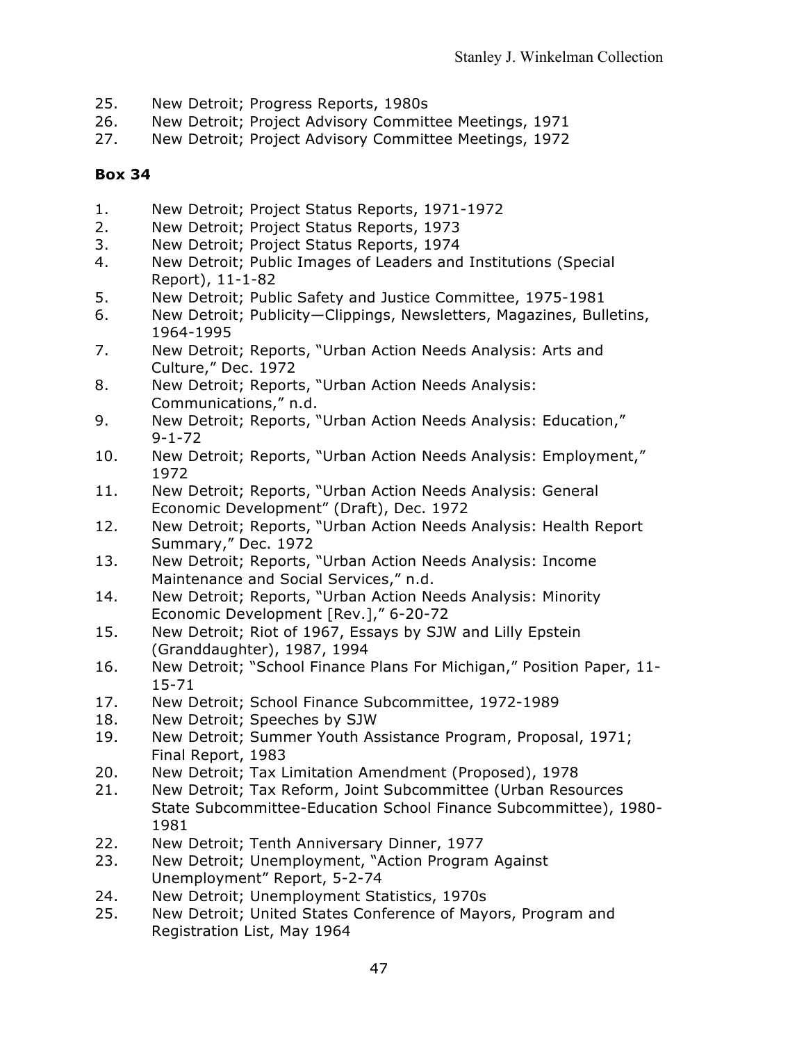- 25. New Detroit; Progress Reports, 1980s
- 26. New Detroit; Project Advisory Committee Meetings, 1971
- 27. New Detroit; Project Advisory Committee Meetings, 1972

- 1. New Detroit; Project Status Reports, 1971-1972
- 2. New Detroit; Project Status Reports, 1973
- 3. New Detroit; Project Status Reports, 1974
- 4. New Detroit; Public Images of Leaders and Institutions (Special Report), 11-1-82
- 5. New Detroit; Public Safety and Justice Committee, 1975-1981
- 6. New Detroit; Publicity—Clippings, Newsletters, Magazines, Bulletins, 1964-1995
- 7. New Detroit; Reports, "Urban Action Needs Analysis: Arts and Culture," Dec. 1972
- 8. New Detroit; Reports, "Urban Action Needs Analysis: Communications," n.d.
- 9. New Detroit; Reports, "Urban Action Needs Analysis: Education," 9-1-72
- 10. New Detroit; Reports, "Urban Action Needs Analysis: Employment," 1972
- 11. New Detroit; Reports, "Urban Action Needs Analysis: General Economic Development" (Draft), Dec. 1972
- 12. New Detroit; Reports, "Urban Action Needs Analysis: Health Report Summary," Dec. 1972
- 13. New Detroit; Reports, "Urban Action Needs Analysis: Income Maintenance and Social Services," n.d.
- 14. New Detroit; Reports, "Urban Action Needs Analysis: Minority Economic Development [Rev.]," 6-20-72
- 15. New Detroit; Riot of 1967, Essays by SJW and Lilly Epstein (Granddaughter), 1987, 1994
- 16. New Detroit; "School Finance Plans For Michigan," Position Paper, 11- 15-71
- 17. New Detroit; School Finance Subcommittee, 1972-1989
- 18. New Detroit; Speeches by SJW
- 19. New Detroit; Summer Youth Assistance Program, Proposal, 1971; Final Report, 1983
- 20. New Detroit; Tax Limitation Amendment (Proposed), 1978
- 21. New Detroit; Tax Reform, Joint Subcommittee (Urban Resources State Subcommittee-Education School Finance Subcommittee), 1980- 1981
- 22. New Detroit; Tenth Anniversary Dinner, 1977
- 23. New Detroit; Unemployment, "Action Program Against Unemployment" Report, 5-2-74
- 24. New Detroit; Unemployment Statistics, 1970s
- 25. New Detroit; United States Conference of Mayors, Program and Registration List, May 1964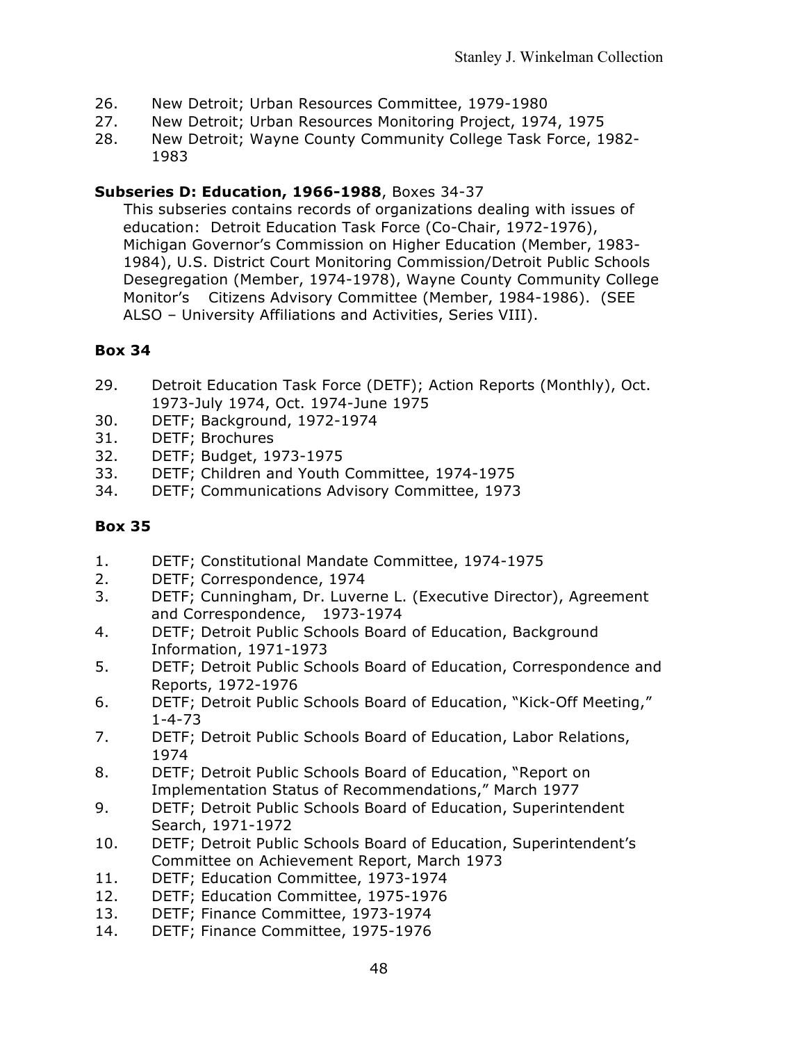- 26. New Detroit; Urban Resources Committee, 1979-1980
- 27. New Detroit; Urban Resources Monitoring Project, 1974, 1975
- 28. New Detroit; Wayne County Community College Task Force, 1982- 1983

### **Subseries D: Education, 1966-1988**, Boxes 34-37

This subseries contains records of organizations dealing with issues of education: Detroit Education Task Force (Co-Chair, 1972-1976), Michigan Governor's Commission on Higher Education (Member, 1983- 1984), U.S. District Court Monitoring Commission/Detroit Public Schools Desegregation (Member, 1974-1978), Wayne County Community College Monitor's Citizens Advisory Committee (Member, 1984-1986). (SEE ALSO – University Affiliations and Activities, Series VIII).

### **Box 34**

- 29. Detroit Education Task Force (DETF); Action Reports (Monthly), Oct. 1973-July 1974, Oct. 1974-June 1975
- 30. DETF; Background, 1972-1974
- 31. DETF; Brochures
- 32. DETF; Budget, 1973-1975
- 33. DETF; Children and Youth Committee, 1974-1975
- 34. DETF; Communications Advisory Committee, 1973

- 1. DETF; Constitutional Mandate Committee, 1974-1975
- 2. DETF; Correspondence, 1974
- 3. DETF; Cunningham, Dr. Luverne L. (Executive Director), Agreement and Correspondence, 1973-1974
- 4. DETF; Detroit Public Schools Board of Education, Background Information, 1971-1973
- 5. DETF; Detroit Public Schools Board of Education, Correspondence and Reports, 1972-1976
- 6. DETF; Detroit Public Schools Board of Education, "Kick-Off Meeting," 1-4-73
- 7. DETF; Detroit Public Schools Board of Education, Labor Relations, 1974
- 8. DETF; Detroit Public Schools Board of Education, "Report on Implementation Status of Recommendations," March 1977
- 9. DETF; Detroit Public Schools Board of Education, Superintendent Search, 1971-1972
- 10. DETF; Detroit Public Schools Board of Education, Superintendent's Committee on Achievement Report, March 1973
- 11. DETF; Education Committee, 1973-1974
- 12. DETF; Education Committee, 1975-1976
- 13. DETF; Finance Committee, 1973-1974
- 14. DETF; Finance Committee, 1975-1976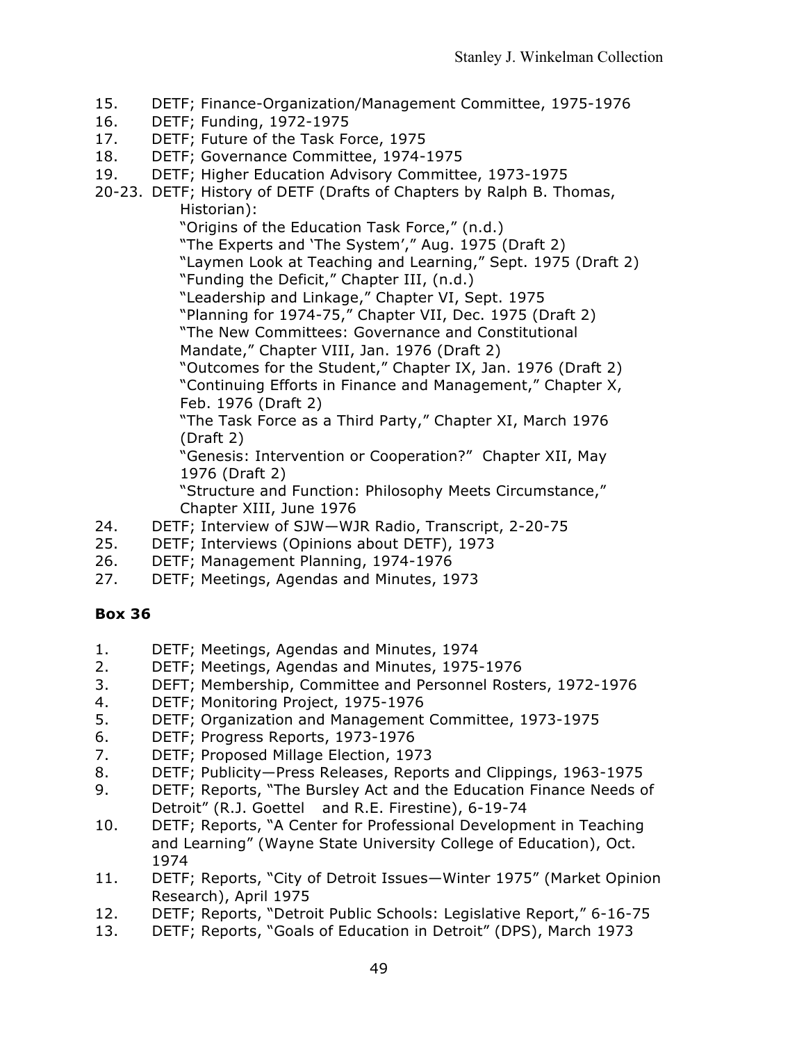- 15. DETF; Finance-Organization/Management Committee, 1975-1976
- 16. DETF; Funding, 1972-1975
- 17. DETF; Future of the Task Force, 1975
- 18. DETF; Governance Committee, 1974-1975
- 19. DETF; Higher Education Advisory Committee, 1973-1975
- 20-23. DETF; History of DETF (Drafts of Chapters by Ralph B. Thomas, Historian):

"Origins of the Education Task Force," (n.d.)

"The Experts and 'The System'," Aug. 1975 (Draft 2)

- "Laymen Look at Teaching and Learning," Sept. 1975 (Draft 2) "Funding the Deficit," Chapter III, (n.d.)
- "Leadership and Linkage," Chapter VI, Sept. 1975
- "Planning for 1974-75," Chapter VII, Dec. 1975 (Draft 2)

"The New Committees: Governance and Constitutional

Mandate," Chapter VIII, Jan. 1976 (Draft 2)

"Outcomes for the Student," Chapter IX, Jan. 1976 (Draft 2) "Continuing Efforts in Finance and Management," Chapter X, Feb. 1976 (Draft 2)

"The Task Force as a Third Party," Chapter XI, March 1976 (Draft 2)

"Genesis: Intervention or Cooperation?" Chapter XII, May 1976 (Draft 2)

"Structure and Function: Philosophy Meets Circumstance," Chapter XIII, June 1976

- 24. DETF; Interview of SJW—WJR Radio, Transcript, 2-20-75
- 25. DETF; Interviews (Opinions about DETF), 1973
- 26. DETF; Management Planning, 1974-1976
- 27. DETF; Meetings, Agendas and Minutes, 1973

- 1. DETF; Meetings, Agendas and Minutes, 1974
- 2. DETF; Meetings, Agendas and Minutes, 1975-1976
- 3. DEFT; Membership, Committee and Personnel Rosters, 1972-1976
- 4. DETF; Monitoring Project, 1975-1976
- 5. DETF; Organization and Management Committee, 1973-1975
- 6. DETF; Progress Reports, 1973-1976
- 7. DETF; Proposed Millage Election, 1973
- 8. DETF; Publicity—Press Releases, Reports and Clippings, 1963-1975
- 9. DETF; Reports, "The Bursley Act and the Education Finance Needs of Detroit" (R.J. Goettel and R.E. Firestine), 6-19-74
- 10. DETF; Reports, "A Center for Professional Development in Teaching and Learning" (Wayne State University College of Education), Oct. 1974
- 11. DETF; Reports, "City of Detroit Issues—Winter 1975" (Market Opinion Research), April 1975
- 12. DETF; Reports, "Detroit Public Schools: Legislative Report," 6-16-75
- 13. DETF; Reports, "Goals of Education in Detroit" (DPS), March 1973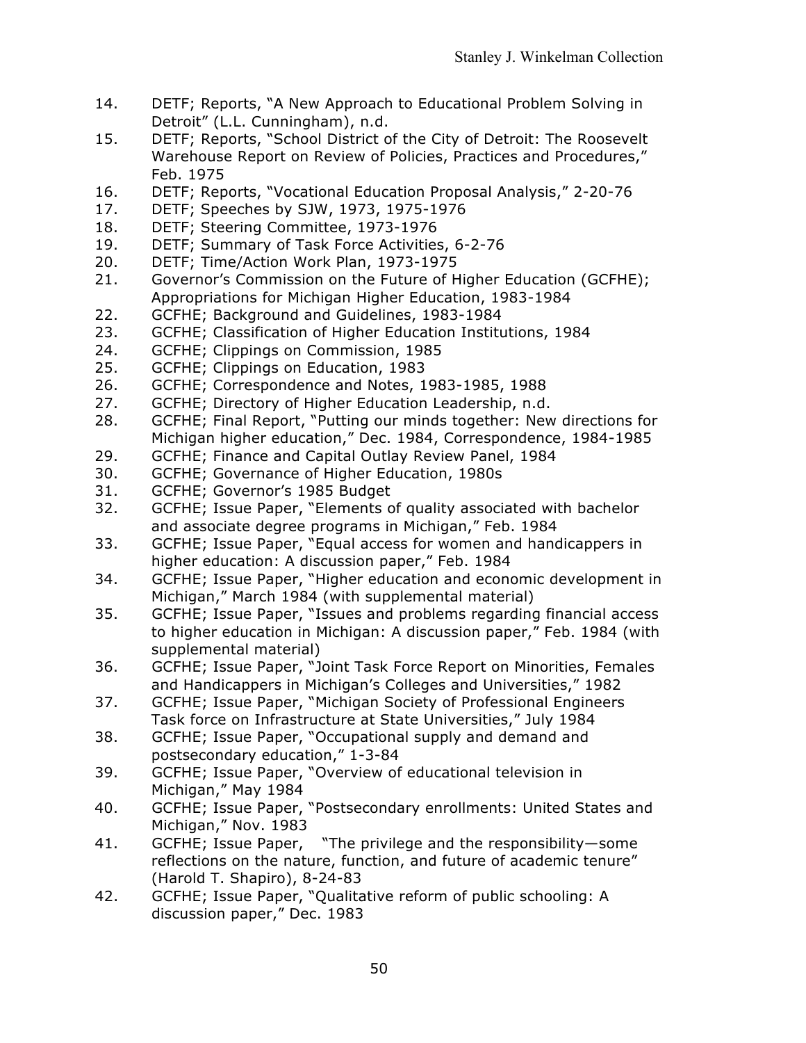- 14. DETF; Reports, "A New Approach to Educational Problem Solving in Detroit" (L.L. Cunningham), n.d.
- 15. DETF; Reports, "School District of the City of Detroit: The Roosevelt Warehouse Report on Review of Policies, Practices and Procedures," Feb. 1975
- 16. DETF; Reports, "Vocational Education Proposal Analysis," 2-20-76
- 17. DETF; Speeches by SJW, 1973, 1975-1976
- 18. DETF; Steering Committee, 1973-1976
- 19. DETF; Summary of Task Force Activities, 6-2-76
- 20. DETF; Time/Action Work Plan, 1973-1975
- 21. Governor's Commission on the Future of Higher Education (GCFHE); Appropriations for Michigan Higher Education, 1983-1984
- 22. GCFHE; Background and Guidelines, 1983-1984
- 23. GCFHE; Classification of Higher Education Institutions, 1984
- 24. GCFHE; Clippings on Commission, 1985
- 25. GCFHE; Clippings on Education, 1983
- 26. GCFHE; Correspondence and Notes, 1983-1985, 1988
- 27. GCFHE; Directory of Higher Education Leadership, n.d.
- 28. GCFHE; Final Report, "Putting our minds together: New directions for Michigan higher education," Dec. 1984, Correspondence, 1984-1985
- 29. GCFHE; Finance and Capital Outlay Review Panel, 1984
- 30. GCFHE; Governance of Higher Education, 1980s
- 31. GCFHE; Governor's 1985 Budget
- 32. GCFHE; Issue Paper, "Elements of quality associated with bachelor and associate degree programs in Michigan," Feb. 1984
- 33. GCFHE; Issue Paper, "Equal access for women and handicappers in higher education: A discussion paper," Feb. 1984
- 34. GCFHE; Issue Paper, "Higher education and economic development in Michigan," March 1984 (with supplemental material)
- 35. GCFHE; Issue Paper, "Issues and problems regarding financial access to higher education in Michigan: A discussion paper," Feb. 1984 (with supplemental material)
- 36. GCFHE; Issue Paper, "Joint Task Force Report on Minorities, Females and Handicappers in Michigan's Colleges and Universities," 1982
- 37. GCFHE; Issue Paper, "Michigan Society of Professional Engineers Task force on Infrastructure at State Universities," July 1984
- 38. GCFHE; Issue Paper, "Occupational supply and demand and postsecondary education," 1-3-84
- 39. GCFHE; Issue Paper, "Overview of educational television in Michigan," May 1984
- 40. GCFHE; Issue Paper, "Postsecondary enrollments: United States and Michigan," Nov. 1983
- 41. GCFHE; Issue Paper, "The privilege and the responsibility—some reflections on the nature, function, and future of academic tenure" (Harold T. Shapiro), 8-24-83
- 42. GCFHE; Issue Paper, "Qualitative reform of public schooling: A discussion paper," Dec. 1983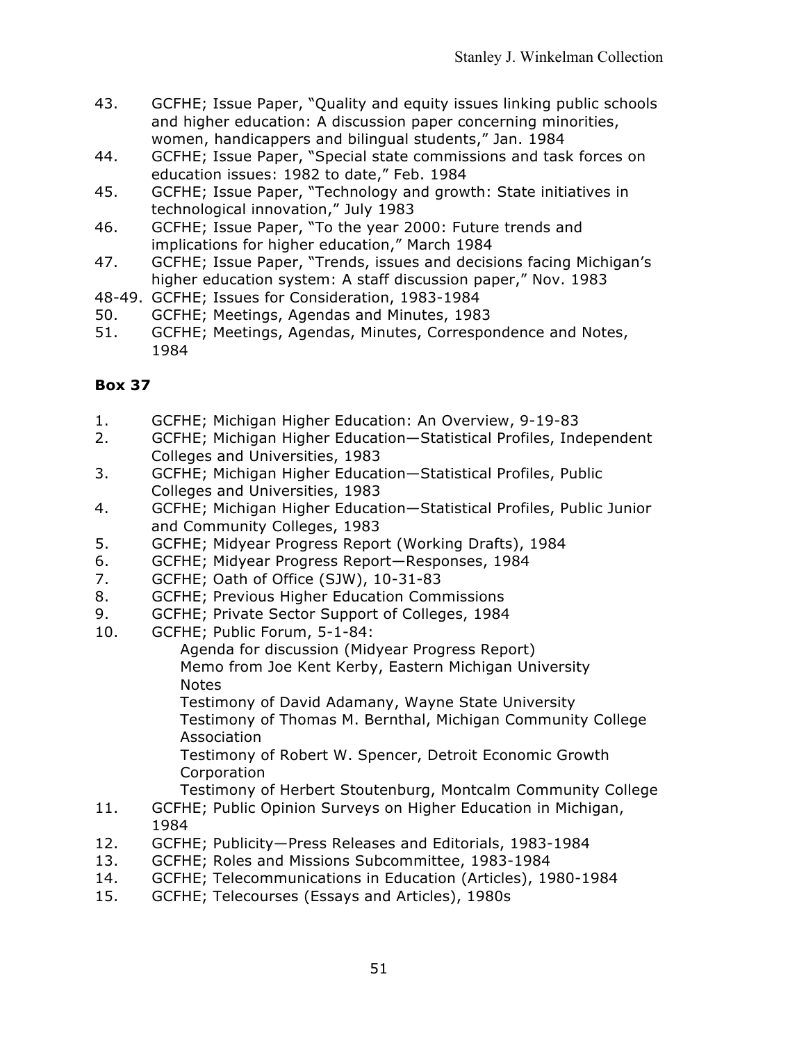- 43. GCFHE; Issue Paper, "Quality and equity issues linking public schools and higher education: A discussion paper concerning minorities, women, handicappers and bilingual students," Jan. 1984
- 44. GCFHE; Issue Paper, "Special state commissions and task forces on education issues: 1982 to date," Feb. 1984
- 45. GCFHE; Issue Paper, "Technology and growth: State initiatives in technological innovation," July 1983
- 46. GCFHE; Issue Paper, "To the year 2000: Future trends and implications for higher education," March 1984
- 47. GCFHE; Issue Paper, "Trends, issues and decisions facing Michigan's higher education system: A staff discussion paper," Nov. 1983
- 48-49. GCFHE; Issues for Consideration, 1983-1984
- 50. GCFHE; Meetings, Agendas and Minutes, 1983
- 51. GCFHE; Meetings, Agendas, Minutes, Correspondence and Notes, 1984

- 1. GCFHE; Michigan Higher Education: An Overview, 9-19-83
- 2. GCFHE; Michigan Higher Education—Statistical Profiles, Independent Colleges and Universities, 1983
- 3. GCFHE; Michigan Higher Education—Statistical Profiles, Public Colleges and Universities, 1983
- 4. GCFHE; Michigan Higher Education—Statistical Profiles, Public Junior and Community Colleges, 1983
- 5. GCFHE; Midyear Progress Report (Working Drafts), 1984
- 6. GCFHE; Midyear Progress Report—Responses, 1984
- 7. GCFHE; Oath of Office (SJW), 10-31-83
- 8. GCFHE; Previous Higher Education Commissions
- 9. GCFHE; Private Sector Support of Colleges, 1984
- 10. GCFHE; Public Forum, 5-1-84:

Agenda for discussion (Midyear Progress Report) Memo from Joe Kent Kerby, Eastern Michigan University **Notes** 

Testimony of David Adamany, Wayne State University Testimony of Thomas M. Bernthal, Michigan Community College Association

Testimony of Robert W. Spencer, Detroit Economic Growth Corporation

Testimony of Herbert Stoutenburg, Montcalm Community College

- 11. GCFHE; Public Opinion Surveys on Higher Education in Michigan, 1984
- 12. GCFHE; Publicity—Press Releases and Editorials, 1983-1984
- 13. GCFHE; Roles and Missions Subcommittee, 1983-1984
- 14. GCFHE; Telecommunications in Education (Articles), 1980-1984
- 15. GCFHE; Telecourses (Essays and Articles), 1980s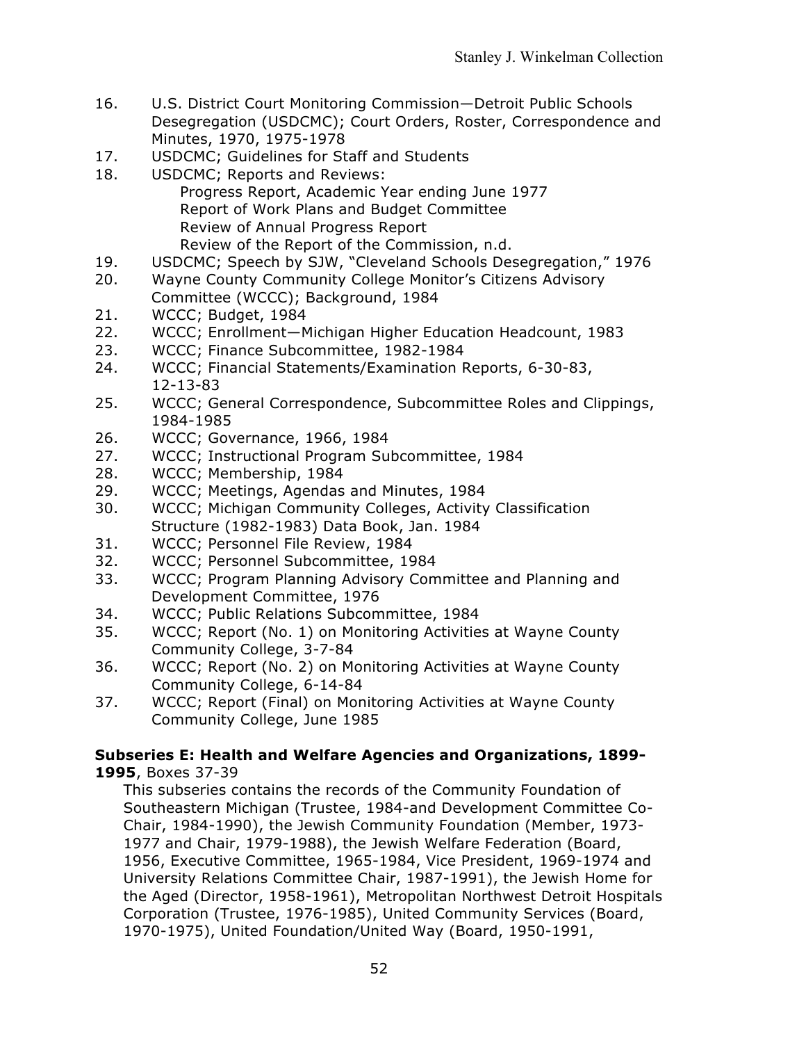- 16. U.S. District Court Monitoring Commission—Detroit Public Schools Desegregation (USDCMC); Court Orders, Roster, Correspondence and Minutes, 1970, 1975-1978
- 17. USDCMC; Guidelines for Staff and Students
- 18. USDCMC; Reports and Reviews: Progress Report, Academic Year ending June 1977 Report of Work Plans and Budget Committee Review of Annual Progress Report Review of the Report of the Commission, n.d.
- 19. USDCMC; Speech by SJW, "Cleveland Schools Desegregation," 1976
- 20. Wayne County Community College Monitor's Citizens Advisory Committee (WCCC); Background, 1984
- 21. WCCC; Budget, 1984
- 22. WCCC; Enrollment—Michigan Higher Education Headcount, 1983
- 23. WCCC; Finance Subcommittee, 1982-1984
- 24. WCCC; Financial Statements/Examination Reports, 6-30-83, 12-13-83
- 25. WCCC; General Correspondence, Subcommittee Roles and Clippings, 1984-1985
- 26. WCCC; Governance, 1966, 1984
- 27. WCCC; Instructional Program Subcommittee, 1984
- 28. WCCC; Membership, 1984
- 29. WCCC; Meetings, Agendas and Minutes, 1984
- 30. WCCC; Michigan Community Colleges, Activity Classification Structure (1982-1983) Data Book, Jan. 1984
- 31. WCCC; Personnel File Review, 1984
- 32. WCCC; Personnel Subcommittee, 1984
- 33. WCCC; Program Planning Advisory Committee and Planning and Development Committee, 1976
- 34. WCCC; Public Relations Subcommittee, 1984
- 35. WCCC; Report (No. 1) on Monitoring Activities at Wayne County Community College, 3-7-84
- 36. WCCC; Report (No. 2) on Monitoring Activities at Wayne County Community College, 6-14-84
- 37. WCCC; Report (Final) on Monitoring Activities at Wayne County Community College, June 1985

#### **Subseries E: Health and Welfare Agencies and Organizations, 1899- 1995**, Boxes 37-39

This subseries contains the records of the Community Foundation of Southeastern Michigan (Trustee, 1984-and Development Committee Co-Chair, 1984-1990), the Jewish Community Foundation (Member, 1973- 1977 and Chair, 1979-1988), the Jewish Welfare Federation (Board, 1956, Executive Committee, 1965-1984, Vice President, 1969-1974 and University Relations Committee Chair, 1987-1991), the Jewish Home for the Aged (Director, 1958-1961), Metropolitan Northwest Detroit Hospitals Corporation (Trustee, 1976-1985), United Community Services (Board, 1970-1975), United Foundation/United Way (Board, 1950-1991,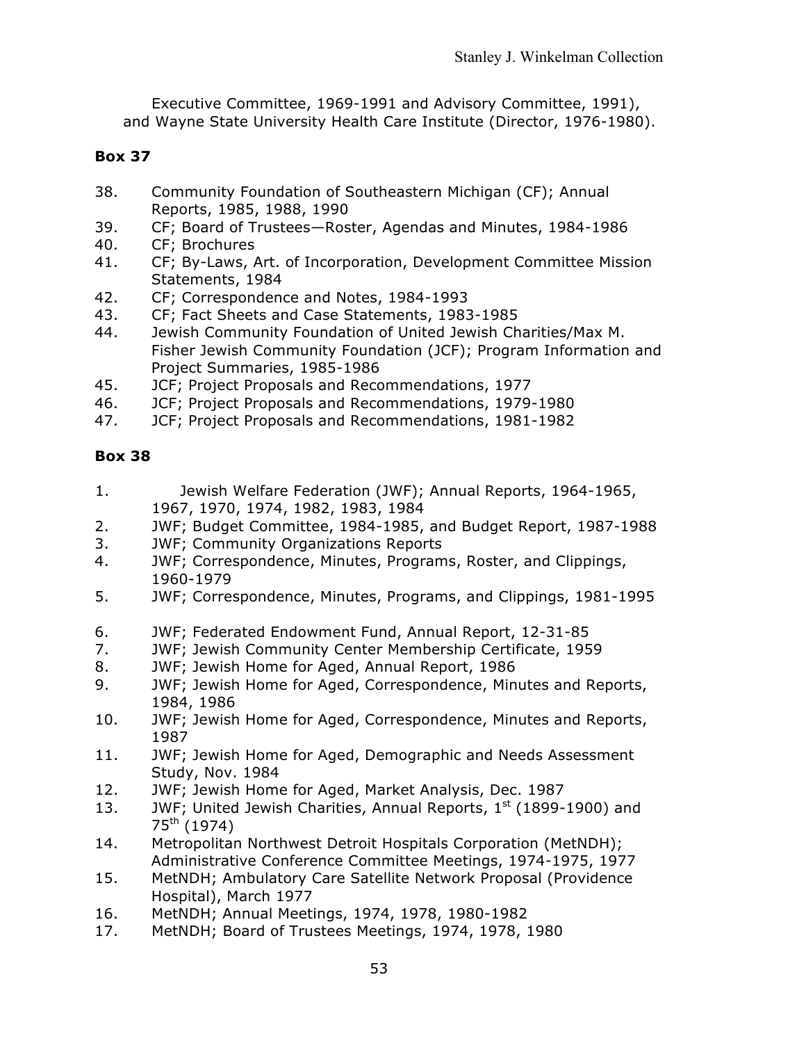Executive Committee, 1969-1991 and Advisory Committee, 1991), and Wayne State University Health Care Institute (Director, 1976-1980).

# **Box 37**

- 38. Community Foundation of Southeastern Michigan (CF); Annual Reports, 1985, 1988, 1990
- 39. CF; Board of Trustees—Roster, Agendas and Minutes, 1984-1986
- 40. CF; Brochures
- 41. CF; By-Laws, Art. of Incorporation, Development Committee Mission Statements, 1984
- 42. CF; Correspondence and Notes, 1984-1993
- 43. CF; Fact Sheets and Case Statements, 1983-1985
- 44. Jewish Community Foundation of United Jewish Charities/Max M. Fisher Jewish Community Foundation (JCF); Program Information and Project Summaries, 1985-1986
- 45. JCF; Project Proposals and Recommendations, 1977
- 46. JCF; Project Proposals and Recommendations, 1979-1980
- 47. JCF; Project Proposals and Recommendations, 1981-1982

- 1. Jewish Welfare Federation (JWF); Annual Reports, 1964-1965, 1967, 1970, 1974, 1982, 1983, 1984
- 2. JWF; Budget Committee, 1984-1985, and Budget Report, 1987-1988
- 3. JWF; Community Organizations Reports
- 4. JWF; Correspondence, Minutes, Programs, Roster, and Clippings, 1960-1979
- 5. JWF; Correspondence, Minutes, Programs, and Clippings, 1981-1995
- 6. JWF; Federated Endowment Fund, Annual Report, 12-31-85
- 7. JWF; Jewish Community Center Membership Certificate, 1959
- 8. JWF; Jewish Home for Aged, Annual Report, 1986
- 9. JWF; Jewish Home for Aged, Correspondence, Minutes and Reports, 1984, 1986
- 10. JWF; Jewish Home for Aged, Correspondence, Minutes and Reports, 1987
- 11. JWF; Jewish Home for Aged, Demographic and Needs Assessment Study, Nov. 1984
- 12. JWF; Jewish Home for Aged, Market Analysis, Dec. 1987
- 13. JWF; United Jewish Charities, Annual Reports,  $1<sup>st</sup>$  (1899-1900) and  $75^{th}$  (1974)
- 14. Metropolitan Northwest Detroit Hospitals Corporation (MetNDH); Administrative Conference Committee Meetings, 1974-1975, 1977
- 15. MetNDH; Ambulatory Care Satellite Network Proposal (Providence Hospital), March 1977
- 16. MetNDH; Annual Meetings, 1974, 1978, 1980-1982
- 17. MetNDH; Board of Trustees Meetings, 1974, 1978, 1980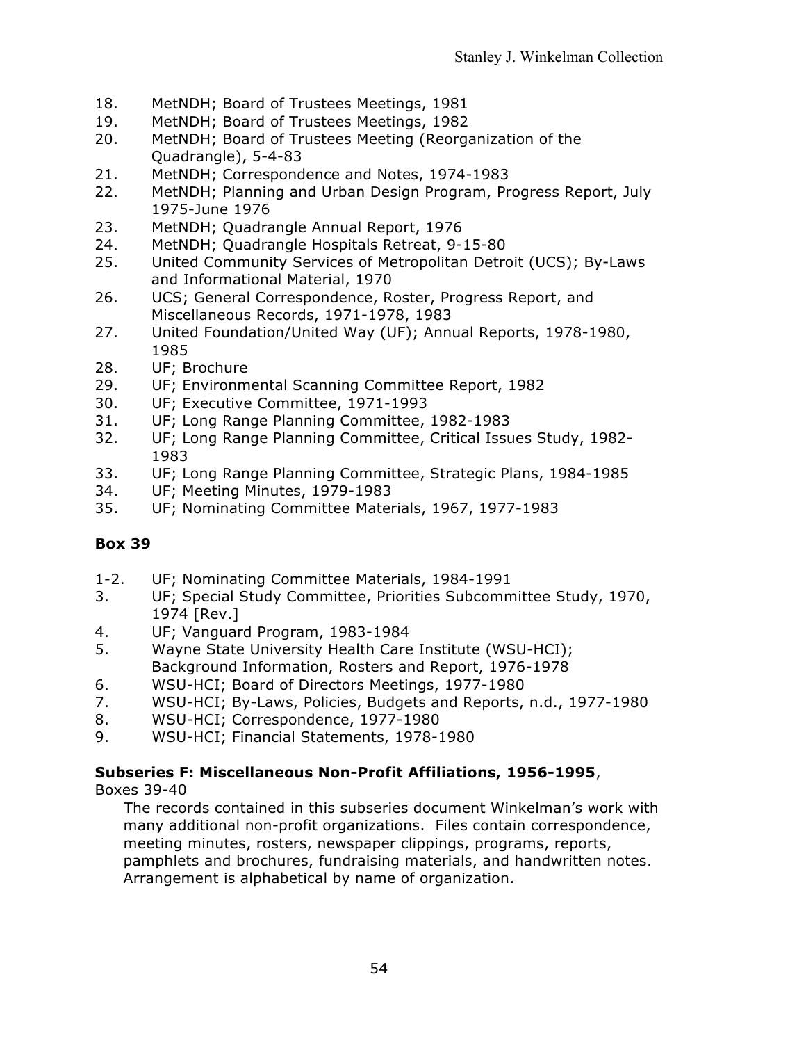- 18. MetNDH; Board of Trustees Meetings, 1981
- 19. MetNDH; Board of Trustees Meetings, 1982
- 20. MetNDH; Board of Trustees Meeting (Reorganization of the Quadrangle), 5-4-83
- 21. MetNDH; Correspondence and Notes, 1974-1983
- 22. MetNDH; Planning and Urban Design Program, Progress Report, July 1975-June 1976
- 23. MetNDH; Quadrangle Annual Report, 1976
- 24. MetNDH; Quadrangle Hospitals Retreat, 9-15-80
- 25. United Community Services of Metropolitan Detroit (UCS); By-Laws and Informational Material, 1970
- 26. UCS; General Correspondence, Roster, Progress Report, and Miscellaneous Records, 1971-1978, 1983
- 27. United Foundation/United Way (UF); Annual Reports, 1978-1980, 1985
- 28. UF; Brochure
- 29. UF; Environmental Scanning Committee Report, 1982
- 30. UF; Executive Committee, 1971-1993
- 31. UF; Long Range Planning Committee, 1982-1983
- 32. UF; Long Range Planning Committee, Critical Issues Study, 1982- 1983
- 33. UF; Long Range Planning Committee, Strategic Plans, 1984-1985
- 34. UF; Meeting Minutes, 1979-1983
- 35. UF; Nominating Committee Materials, 1967, 1977-1983

- 1-2. UF; Nominating Committee Materials, 1984-1991
- 3. UF; Special Study Committee, Priorities Subcommittee Study, 1970, 1974 [Rev.]
- 4. UF; Vanguard Program, 1983-1984
- 5. Wayne State University Health Care Institute (WSU-HCI); Background Information, Rosters and Report, 1976-1978
- 6. WSU-HCI; Board of Directors Meetings, 1977-1980
- 7. WSU-HCI; By-Laws, Policies, Budgets and Reports, n.d., 1977-1980
- 8. WSU-HCI; Correspondence, 1977-1980
- 9. WSU-HCI; Financial Statements, 1978-1980

# **Subseries F: Miscellaneous Non-Profit Affiliations, 1956-1995**,

Boxes 39-40

The records contained in this subseries document Winkelman's work with many additional non-profit organizations. Files contain correspondence, meeting minutes, rosters, newspaper clippings, programs, reports, pamphlets and brochures, fundraising materials, and handwritten notes. Arrangement is alphabetical by name of organization.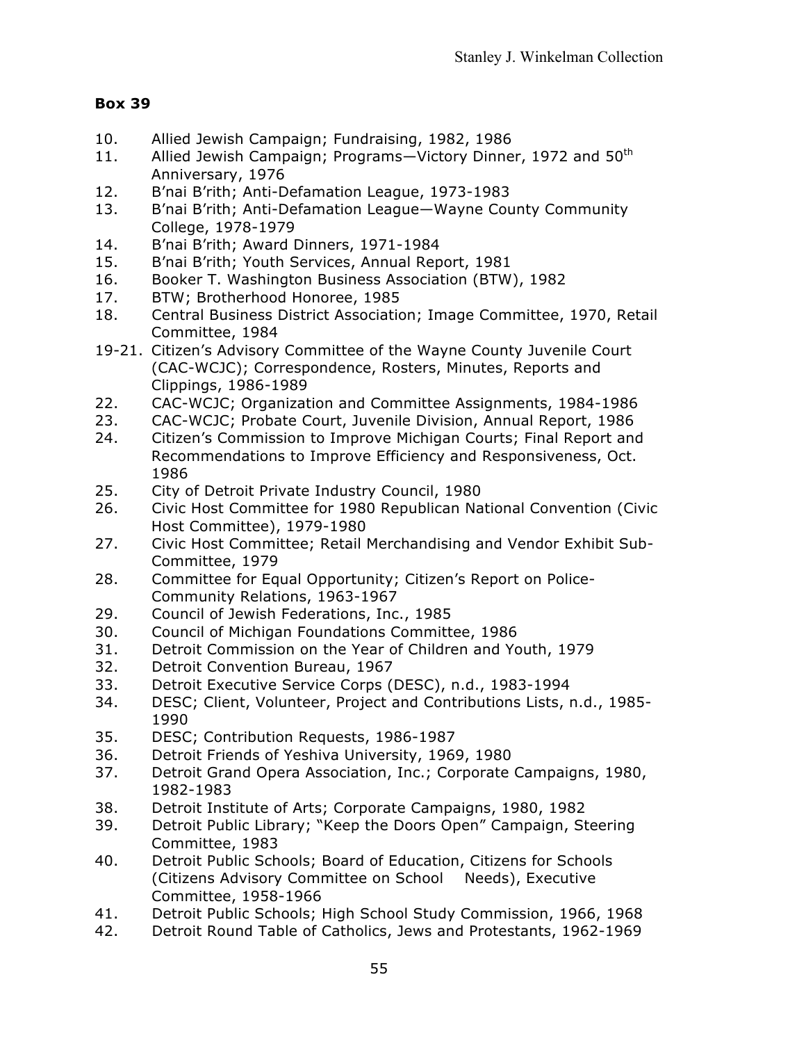- 10. Allied Jewish Campaign; Fundraising, 1982, 1986
- 11. Allied Jewish Campaign; Programs-Victory Dinner, 1972 and 50<sup>th</sup> Anniversary, 1976
- 12. B'nai B'rith; Anti-Defamation League, 1973-1983
- 13. B'nai B'rith; Anti-Defamation League—Wayne County Community College, 1978-1979
- 14. B'nai B'rith; Award Dinners, 1971-1984
- 15. B'nai B'rith; Youth Services, Annual Report, 1981
- 16. Booker T. Washington Business Association (BTW), 1982
- 17. BTW; Brotherhood Honoree, 1985
- 18. Central Business District Association; Image Committee, 1970, Retail Committee, 1984
- 19-21. Citizen's Advisory Committee of the Wayne County Juvenile Court (CAC-WCJC); Correspondence, Rosters, Minutes, Reports and Clippings, 1986-1989
- 22. CAC-WCJC; Organization and Committee Assignments, 1984-1986
- 23. CAC-WCJC; Probate Court, Juvenile Division, Annual Report, 1986
- 24. Citizen's Commission to Improve Michigan Courts; Final Report and Recommendations to Improve Efficiency and Responsiveness, Oct. 1986
- 25. City of Detroit Private Industry Council, 1980
- 26. Civic Host Committee for 1980 Republican National Convention (Civic Host Committee), 1979-1980
- 27. Civic Host Committee; Retail Merchandising and Vendor Exhibit Sub-Committee, 1979
- 28. Committee for Equal Opportunity; Citizen's Report on Police-Community Relations, 1963-1967
- 29. Council of Jewish Federations, Inc., 1985
- 30. Council of Michigan Foundations Committee, 1986
- 31. Detroit Commission on the Year of Children and Youth, 1979
- 32. Detroit Convention Bureau, 1967
- 33. Detroit Executive Service Corps (DESC), n.d., 1983-1994
- 34. DESC; Client, Volunteer, Project and Contributions Lists, n.d., 1985- 1990
- 35. DESC; Contribution Requests, 1986-1987
- 36. Detroit Friends of Yeshiva University, 1969, 1980
- 37. Detroit Grand Opera Association, Inc.; Corporate Campaigns, 1980, 1982-1983
- 38. Detroit Institute of Arts; Corporate Campaigns, 1980, 1982
- 39. Detroit Public Library; "Keep the Doors Open" Campaign, Steering Committee, 1983
- 40. Detroit Public Schools; Board of Education, Citizens for Schools (Citizens Advisory Committee on School Needs), Executive Committee, 1958-1966
- 41. Detroit Public Schools; High School Study Commission, 1966, 1968
- 42. Detroit Round Table of Catholics, Jews and Protestants, 1962-1969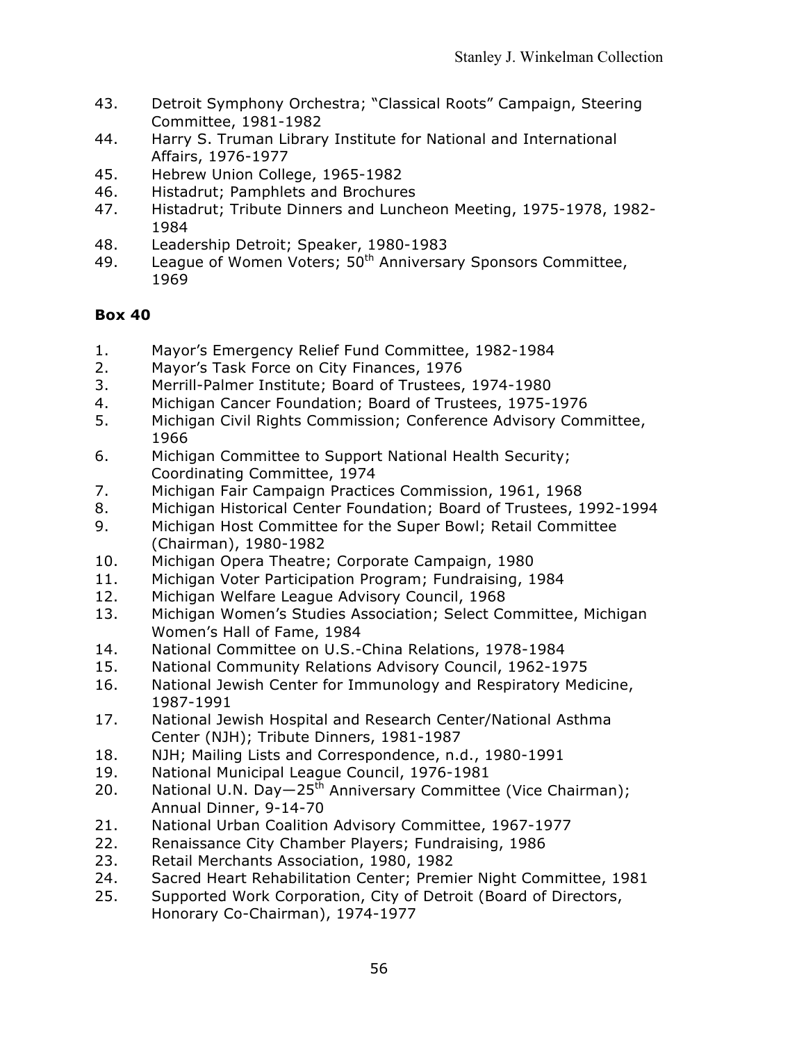- 43. Detroit Symphony Orchestra; "Classical Roots" Campaign, Steering Committee, 1981-1982
- 44. Harry S. Truman Library Institute for National and International Affairs, 1976-1977
- 45. Hebrew Union College, 1965-1982
- 46. Histadrut; Pamphlets and Brochures
- 47. Histadrut; Tribute Dinners and Luncheon Meeting, 1975-1978, 1982- 1984
- 48. Leadership Detroit; Speaker, 1980-1983
- 49. League of Women Voters; 50<sup>th</sup> Anniversary Sponsors Committee, 1969

- 1. Mayor's Emergency Relief Fund Committee, 1982-1984
- 2. Mayor's Task Force on City Finances, 1976
- 3. Merrill-Palmer Institute; Board of Trustees, 1974-1980
- 4. Michigan Cancer Foundation; Board of Trustees, 1975-1976
- 5. Michigan Civil Rights Commission; Conference Advisory Committee, 1966
- 6. Michigan Committee to Support National Health Security; Coordinating Committee, 1974
- 7. Michigan Fair Campaign Practices Commission, 1961, 1968
- 8. Michigan Historical Center Foundation; Board of Trustees, 1992-1994
- 9. Michigan Host Committee for the Super Bowl; Retail Committee (Chairman), 1980-1982
- 10. Michigan Opera Theatre; Corporate Campaign, 1980
- 11. Michigan Voter Participation Program; Fundraising, 1984
- 12. Michigan Welfare League Advisory Council, 1968
- 13. Michigan Women's Studies Association; Select Committee, Michigan Women's Hall of Fame, 1984
- 14. National Committee on U.S.-China Relations, 1978-1984
- 15. National Community Relations Advisory Council, 1962-1975
- 16. National Jewish Center for Immunology and Respiratory Medicine, 1987-1991
- 17. National Jewish Hospital and Research Center/National Asthma Center (NJH); Tribute Dinners, 1981-1987
- 18. NJH; Mailing Lists and Correspondence, n.d., 1980-1991
- 19. National Municipal League Council, 1976-1981
- 20. National U.N. Day $-25<sup>th</sup>$  Anniversary Committee (Vice Chairman); Annual Dinner, 9-14-70
- 21. National Urban Coalition Advisory Committee, 1967-1977
- 22. Renaissance City Chamber Players; Fundraising, 1986
- 23. Retail Merchants Association, 1980, 1982
- 24. Sacred Heart Rehabilitation Center; Premier Night Committee, 1981
- 25. Supported Work Corporation, City of Detroit (Board of Directors, Honorary Co-Chairman), 1974-1977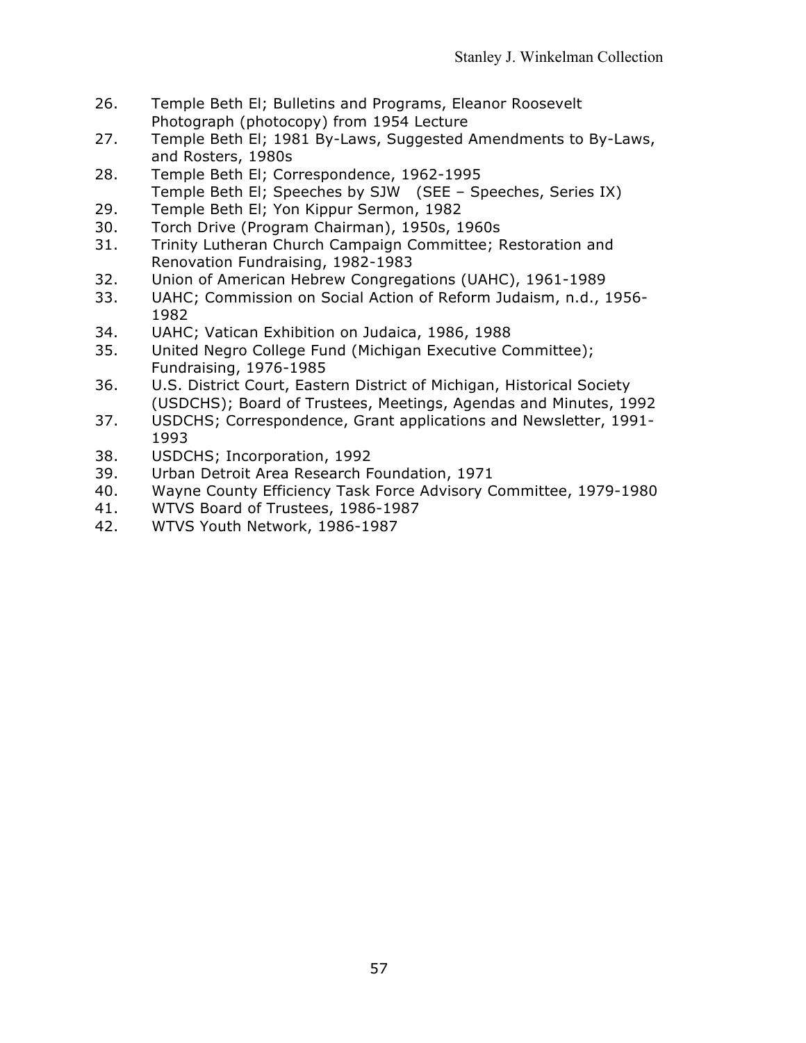- 26. Temple Beth El; Bulletins and Programs, Eleanor Roosevelt Photograph (photocopy) from 1954 Lecture
- 27. Temple Beth El; 1981 By-Laws, Suggested Amendments to By-Laws, and Rosters, 1980s
- 28. Temple Beth El; Correspondence, 1962-1995 Temple Beth El; Speeches by SJW (SEE – Speeches, Series IX)
- 29. Temple Beth El; Yon Kippur Sermon, 1982
- 30. Torch Drive (Program Chairman), 1950s, 1960s
- 31. Trinity Lutheran Church Campaign Committee; Restoration and Renovation Fundraising, 1982-1983
- 32. Union of American Hebrew Congregations (UAHC), 1961-1989
- 33. UAHC; Commission on Social Action of Reform Judaism, n.d., 1956- 1982
- 34. UAHC; Vatican Exhibition on Judaica, 1986, 1988
- 35. United Negro College Fund (Michigan Executive Committee); Fundraising, 1976-1985
- 36. U.S. District Court, Eastern District of Michigan, Historical Society (USDCHS); Board of Trustees, Meetings, Agendas and Minutes, 1992
- 37. USDCHS; Correspondence, Grant applications and Newsletter, 1991- 1993
- 38. USDCHS; Incorporation, 1992
- 39. Urban Detroit Area Research Foundation, 1971
- 40. Wayne County Efficiency Task Force Advisory Committee, 1979-1980
- 41. WTVS Board of Trustees, 1986-1987
- 42. WTVS Youth Network, 1986-1987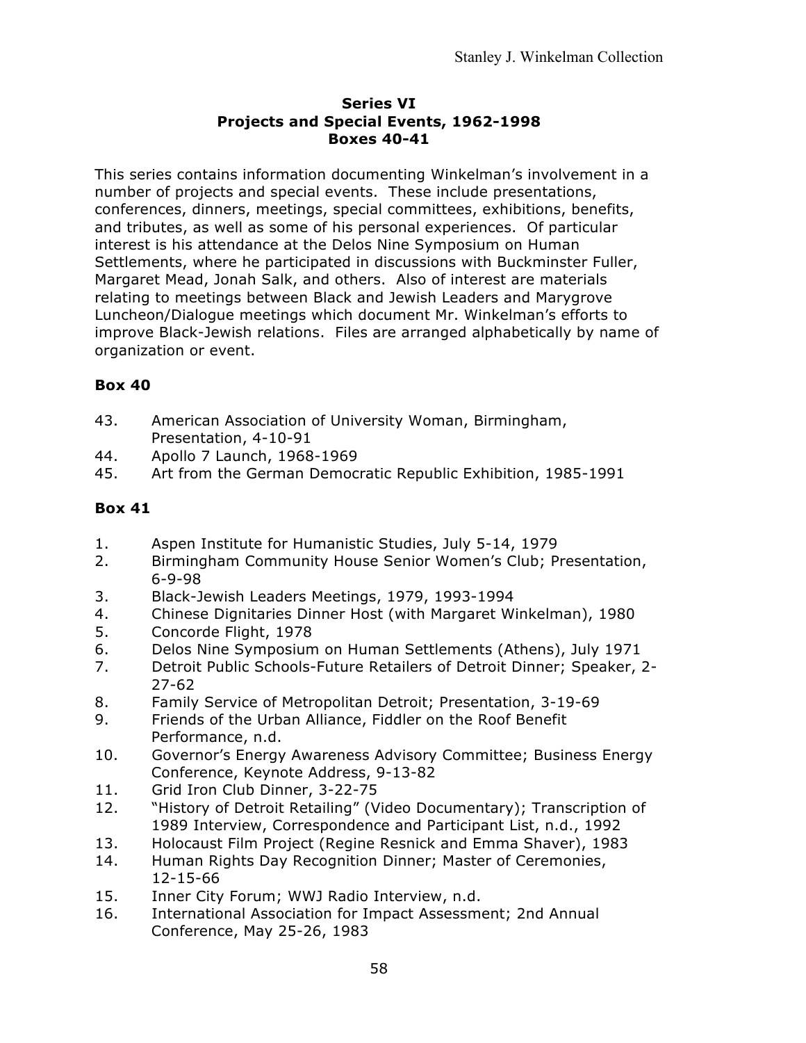### **Series VI Projects and Special Events, 1962-1998 Boxes 40-41**

This series contains information documenting Winkelman's involvement in a number of projects and special events. These include presentations, conferences, dinners, meetings, special committees, exhibitions, benefits, and tributes, as well as some of his personal experiences. Of particular interest is his attendance at the Delos Nine Symposium on Human Settlements, where he participated in discussions with Buckminster Fuller, Margaret Mead, Jonah Salk, and others. Also of interest are materials relating to meetings between Black and Jewish Leaders and Marygrove Luncheon/Dialogue meetings which document Mr. Winkelman's efforts to improve Black-Jewish relations. Files are arranged alphabetically by name of organization or event.

# **Box 40**

- 43. American Association of University Woman, Birmingham, Presentation, 4-10-91
- 44. Apollo 7 Launch, 1968-1969
- 45. Art from the German Democratic Republic Exhibition, 1985-1991

- 1. Aspen Institute for Humanistic Studies, July 5-14, 1979
- 2. Birmingham Community House Senior Women's Club; Presentation, 6-9-98
- 3. Black-Jewish Leaders Meetings, 1979, 1993-1994
- 4. Chinese Dignitaries Dinner Host (with Margaret Winkelman), 1980
- 5. Concorde Flight, 1978
- 6. Delos Nine Symposium on Human Settlements (Athens), July 1971
- 7. Detroit Public Schools-Future Retailers of Detroit Dinner; Speaker, 2- 27-62
- 8. Family Service of Metropolitan Detroit; Presentation, 3-19-69
- 9. Friends of the Urban Alliance, Fiddler on the Roof Benefit Performance, n.d.
- 10. Governor's Energy Awareness Advisory Committee; Business Energy Conference, Keynote Address, 9-13-82
- 11. Grid Iron Club Dinner, 3-22-75
- 12. "History of Detroit Retailing" (Video Documentary); Transcription of 1989 Interview, Correspondence and Participant List, n.d., 1992
- 13. Holocaust Film Project (Regine Resnick and Emma Shaver), 1983
- 14. Human Rights Day Recognition Dinner; Master of Ceremonies, 12-15-66
- 15. Inner City Forum; WWJ Radio Interview, n.d.
- 16. International Association for Impact Assessment; 2nd Annual Conference, May 25-26, 1983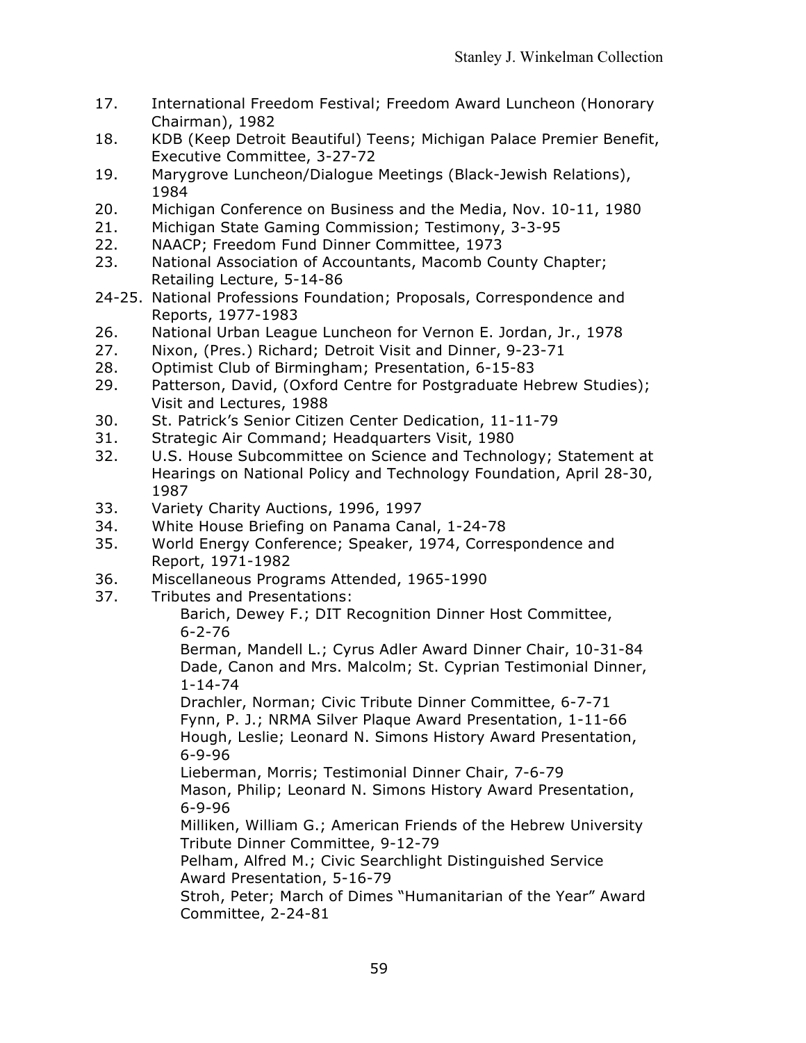- 17. International Freedom Festival; Freedom Award Luncheon (Honorary Chairman), 1982
- 18. KDB (Keep Detroit Beautiful) Teens; Michigan Palace Premier Benefit, Executive Committee, 3-27-72
- 19. Marygrove Luncheon/Dialogue Meetings (Black-Jewish Relations), 1984
- 20. Michigan Conference on Business and the Media, Nov. 10-11, 1980
- 21. Michigan State Gaming Commission; Testimony, 3-3-95
- 22. NAACP; Freedom Fund Dinner Committee, 1973
- 23. National Association of Accountants, Macomb County Chapter; Retailing Lecture, 5-14-86
- 24-25. National Professions Foundation; Proposals, Correspondence and Reports, 1977-1983
- 26. National Urban League Luncheon for Vernon E. Jordan, Jr., 1978
- 27. Nixon, (Pres.) Richard; Detroit Visit and Dinner, 9-23-71
- 28. Optimist Club of Birmingham; Presentation, 6-15-83
- 29. Patterson, David, (Oxford Centre for Postgraduate Hebrew Studies); Visit and Lectures, 1988
- 30. St. Patrick's Senior Citizen Center Dedication, 11-11-79
- 31. Strategic Air Command; Headquarters Visit, 1980
- 32. U.S. House Subcommittee on Science and Technology; Statement at Hearings on National Policy and Technology Foundation, April 28-30, 1987
- 33. Variety Charity Auctions, 1996, 1997
- 34. White House Briefing on Panama Canal, 1-24-78
- 35. World Energy Conference; Speaker, 1974, Correspondence and Report, 1971-1982
- 36. Miscellaneous Programs Attended, 1965-1990
- 37. Tributes and Presentations:

Barich, Dewey F.; DIT Recognition Dinner Host Committee, 6-2-76

Berman, Mandell L.; Cyrus Adler Award Dinner Chair, 10-31-84 Dade, Canon and Mrs. Malcolm; St. Cyprian Testimonial Dinner, 1-14-74

Drachler, Norman; Civic Tribute Dinner Committee, 6-7-71 Fynn, P. J.; NRMA Silver Plaque Award Presentation, 1-11-66 Hough, Leslie; Leonard N. Simons History Award Presentation, 6-9-96

Lieberman, Morris; Testimonial Dinner Chair, 7-6-79 Mason, Philip; Leonard N. Simons History Award Presentation, 6-9-96

Milliken, William G.; American Friends of the Hebrew University Tribute Dinner Committee, 9-12-79

Pelham, Alfred M.; Civic Searchlight Distinguished Service Award Presentation, 5-16-79

Stroh, Peter; March of Dimes "Humanitarian of the Year" Award Committee, 2-24-81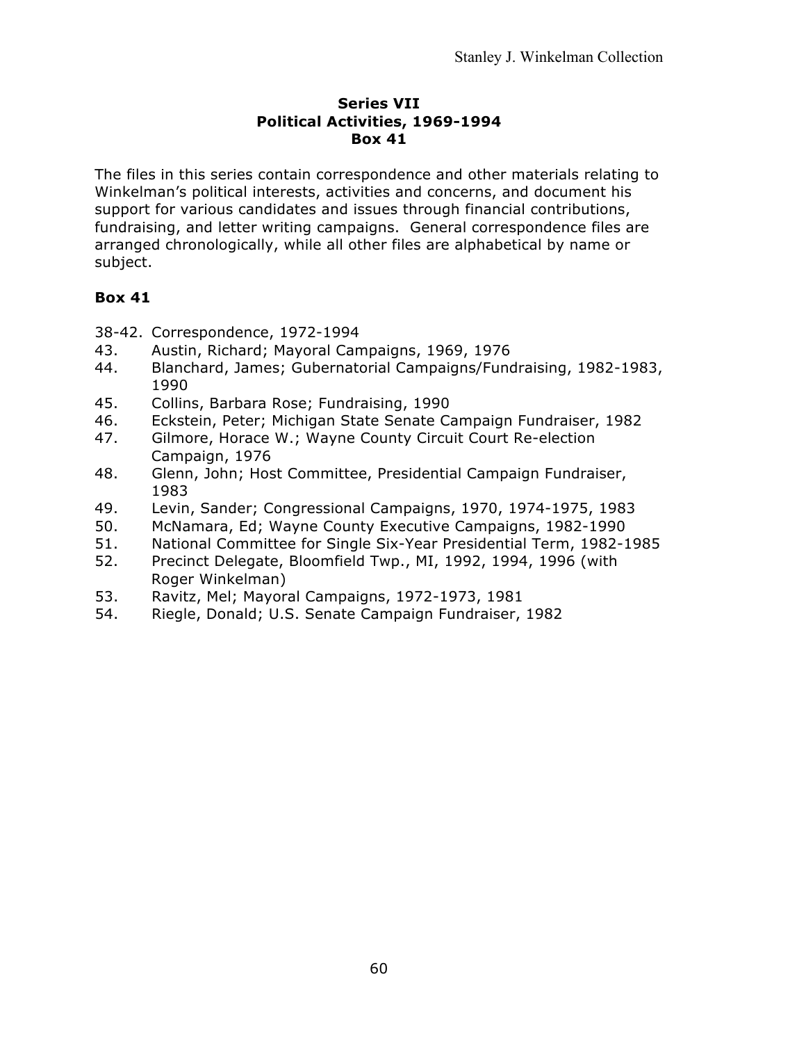#### **Series VII Political Activities, 1969-1994 Box 41**

The files in this series contain correspondence and other materials relating to Winkelman's political interests, activities and concerns, and document his support for various candidates and issues through financial contributions, fundraising, and letter writing campaigns. General correspondence files are arranged chronologically, while all other files are alphabetical by name or subject.

- 38-42. Correspondence, 1972-1994
- 43. Austin, Richard; Mayoral Campaigns, 1969, 1976
- 44. Blanchard, James; Gubernatorial Campaigns/Fundraising, 1982-1983, 1990
- 45. Collins, Barbara Rose; Fundraising, 1990
- 46. Eckstein, Peter; Michigan State Senate Campaign Fundraiser, 1982
- 47. Gilmore, Horace W.; Wayne County Circuit Court Re-election Campaign, 1976
- 48. Glenn, John; Host Committee, Presidential Campaign Fundraiser, 1983
- 49. Levin, Sander; Congressional Campaigns, 1970, 1974-1975, 1983
- 50. McNamara, Ed; Wayne County Executive Campaigns, 1982-1990
- 51. National Committee for Single Six-Year Presidential Term, 1982-1985
- 52. Precinct Delegate, Bloomfield Twp., MI, 1992, 1994, 1996 (with Roger Winkelman)
- 53. Ravitz, Mel; Mayoral Campaigns, 1972-1973, 1981
- 54. Riegle, Donald; U.S. Senate Campaign Fundraiser, 1982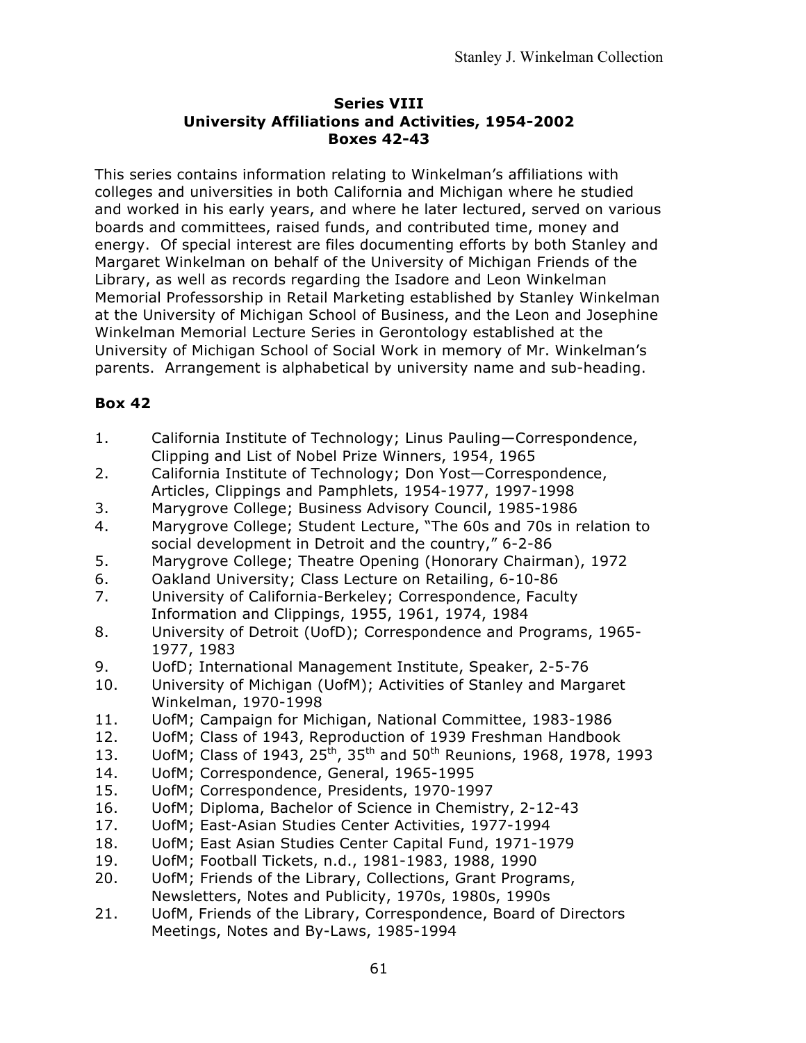#### **Series VIII University Affiliations and Activities, 1954-2002 Boxes 42-43**

This series contains information relating to Winkelman's affiliations with colleges and universities in both California and Michigan where he studied and worked in his early years, and where he later lectured, served on various boards and committees, raised funds, and contributed time, money and energy. Of special interest are files documenting efforts by both Stanley and Margaret Winkelman on behalf of the University of Michigan Friends of the Library, as well as records regarding the Isadore and Leon Winkelman Memorial Professorship in Retail Marketing established by Stanley Winkelman at the University of Michigan School of Business, and the Leon and Josephine Winkelman Memorial Lecture Series in Gerontology established at the University of Michigan School of Social Work in memory of Mr. Winkelman's parents. Arrangement is alphabetical by university name and sub-heading.

- 1. California Institute of Technology; Linus Pauling—Correspondence, Clipping and List of Nobel Prize Winners, 1954, 1965
- 2. California Institute of Technology; Don Yost—Correspondence, Articles, Clippings and Pamphlets, 1954-1977, 1997-1998
- 3. Marygrove College; Business Advisory Council, 1985-1986
- 4. Marygrove College; Student Lecture, "The 60s and 70s in relation to social development in Detroit and the country," 6-2-86
- 5. Marygrove College; Theatre Opening (Honorary Chairman), 1972
- 6. Oakland University; Class Lecture on Retailing, 6-10-86
- 7. University of California-Berkeley; Correspondence, Faculty Information and Clippings, 1955, 1961, 1974, 1984
- 8. University of Detroit (UofD); Correspondence and Programs, 1965- 1977, 1983
- 9. UofD; International Management Institute, Speaker, 2-5-76
- 10. University of Michigan (UofM); Activities of Stanley and Margaret Winkelman, 1970-1998
- 11. UofM; Campaign for Michigan, National Committee, 1983-1986
- 12. UofM; Class of 1943, Reproduction of 1939 Freshman Handbook
- 13. UofM; Class of 1943, 25<sup>th</sup>, 35<sup>th</sup> and 50<sup>th</sup> Reunions, 1968, 1978, 1993
- 14. UofM; Correspondence, General, 1965-1995
- 15. UofM; Correspondence, Presidents, 1970-1997
- 16. UofM; Diploma, Bachelor of Science in Chemistry, 2-12-43
- 17. UofM; East-Asian Studies Center Activities, 1977-1994
- 18. UofM; East Asian Studies Center Capital Fund, 1971-1979
- 19. UofM; Football Tickets, n.d., 1981-1983, 1988, 1990
- 20. UofM; Friends of the Library, Collections, Grant Programs, Newsletters, Notes and Publicity, 1970s, 1980s, 1990s
- 21. UofM, Friends of the Library, Correspondence, Board of Directors Meetings, Notes and By-Laws, 1985-1994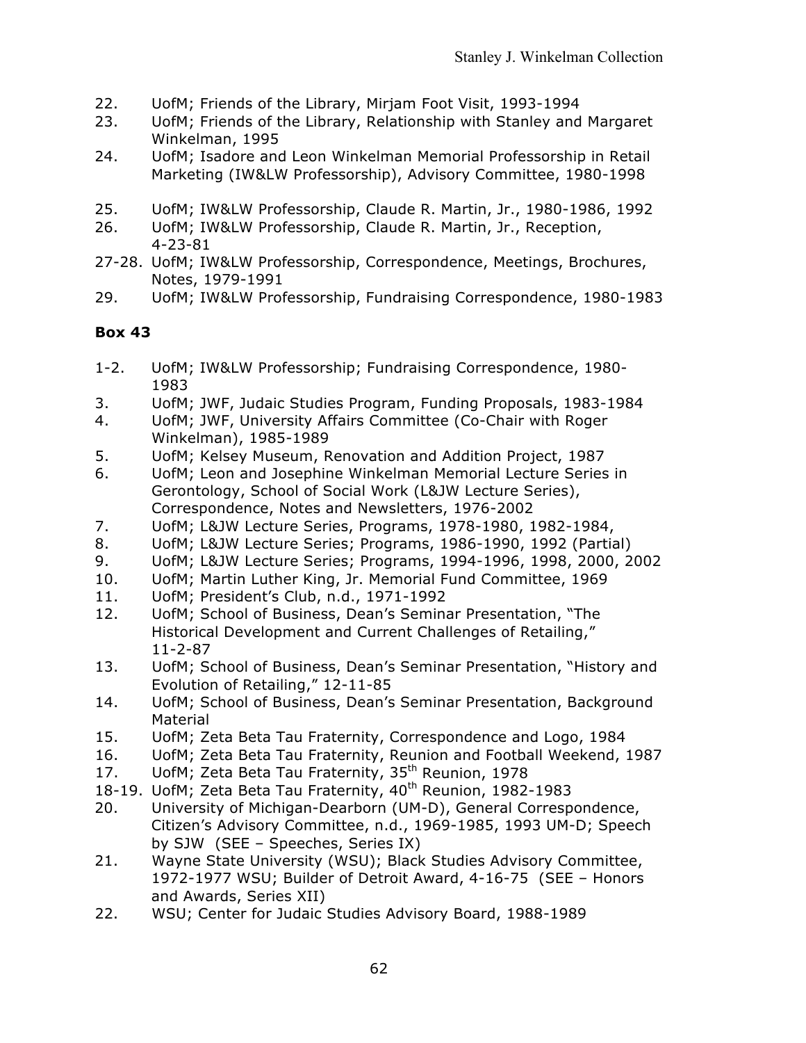- 22. UofM; Friends of the Library, Mirjam Foot Visit, 1993-1994
- 23. UofM; Friends of the Library, Relationship with Stanley and Margaret Winkelman, 1995
- 24. UofM; Isadore and Leon Winkelman Memorial Professorship in Retail Marketing (IW&LW Professorship), Advisory Committee, 1980-1998
- 25. UofM; IW&LW Professorship, Claude R. Martin, Jr., 1980-1986, 1992
- 26. UofM; IW&LW Professorship, Claude R. Martin, Jr., Reception, 4-23-81
- 27-28. UofM; IW&LW Professorship, Correspondence, Meetings, Brochures, Notes, 1979-1991
- 29. UofM; IW&LW Professorship, Fundraising Correspondence, 1980-1983

- 1-2. UofM; IW&LW Professorship; Fundraising Correspondence, 1980- 1983
- 3. UofM; JWF, Judaic Studies Program, Funding Proposals, 1983-1984
- 4. UofM; JWF, University Affairs Committee (Co-Chair with Roger Winkelman), 1985-1989
- 5. UofM; Kelsey Museum, Renovation and Addition Project, 1987
- 6. UofM; Leon and Josephine Winkelman Memorial Lecture Series in Gerontology, School of Social Work (L&JW Lecture Series), Correspondence, Notes and Newsletters, 1976-2002
- 7. UofM; L&JW Lecture Series, Programs, 1978-1980, 1982-1984,
- 8. UofM; L&JW Lecture Series; Programs, 1986-1990, 1992 (Partial)
- 9. UofM; L&JW Lecture Series; Programs, 1994-1996, 1998, 2000, 2002
- 10. UofM; Martin Luther King, Jr. Memorial Fund Committee, 1969
- 11. UofM; President's Club, n.d., 1971-1992
- 12. UofM; School of Business, Dean's Seminar Presentation, "The Historical Development and Current Challenges of Retailing," 11-2-87
- 13. UofM; School of Business, Dean's Seminar Presentation, "History and Evolution of Retailing," 12-11-85
- 14. UofM; School of Business, Dean's Seminar Presentation, Background Material
- 15. UofM; Zeta Beta Tau Fraternity, Correspondence and Logo, 1984
- 16. UofM; Zeta Beta Tau Fraternity, Reunion and Football Weekend, 1987
- 17. UofM; Zeta Beta Tau Fraternity, 35<sup>th</sup> Reunion, 1978
- 18-19. UofM; Zeta Beta Tau Fraternity, 40<sup>th</sup> Reunion, 1982-1983
- 20. University of Michigan-Dearborn (UM-D), General Correspondence, Citizen's Advisory Committee, n.d., 1969-1985, 1993 UM-D; Speech by SJW (SEE – Speeches, Series IX)
- 21. Wayne State University (WSU); Black Studies Advisory Committee, 1972-1977 WSU; Builder of Detroit Award, 4-16-75 (SEE – Honors and Awards, Series XII)
- 22. WSU; Center for Judaic Studies Advisory Board, 1988-1989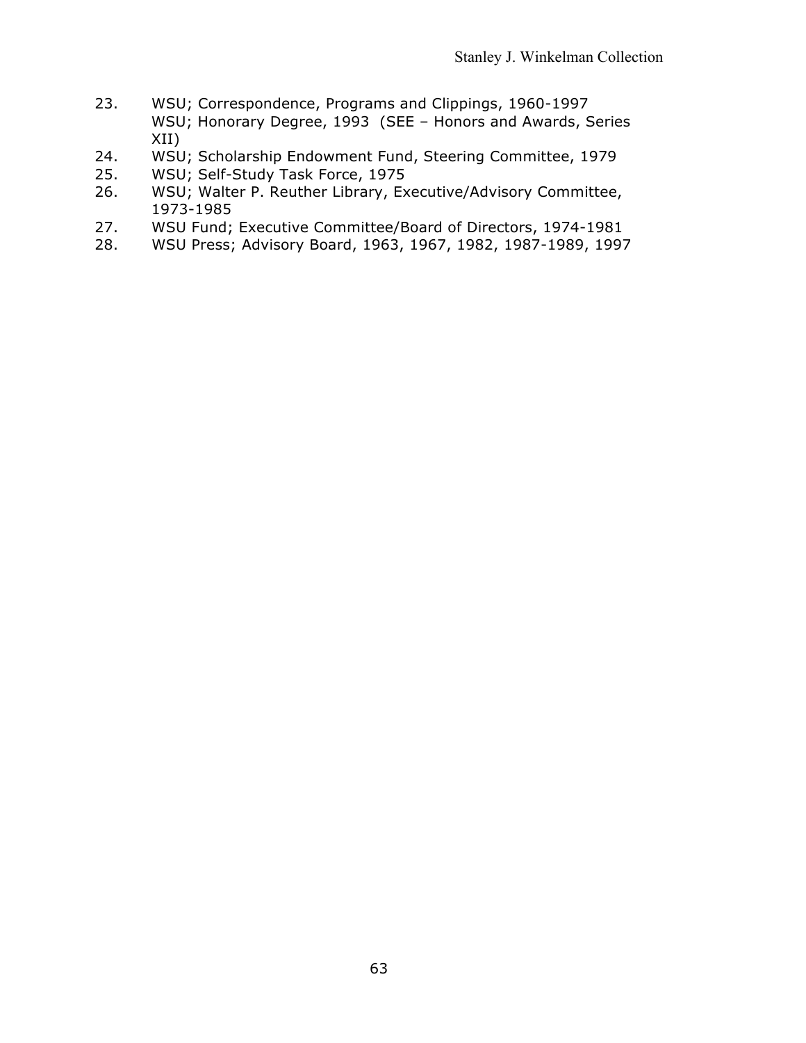- 23. WSU; Correspondence, Programs and Clippings, 1960-1997 WSU; Honorary Degree, 1993 (SEE – Honors and Awards, Series XII)
- 24. WSU; Scholarship Endowment Fund, Steering Committee, 1979
- 25. WSU; Self-Study Task Force, 1975
- 26. WSU; Walter P. Reuther Library, Executive/Advisory Committee, 1973-1985
- 27. WSU Fund; Executive Committee/Board of Directors, 1974-1981
- 28. WSU Press; Advisory Board, 1963, 1967, 1982, 1987-1989, 1997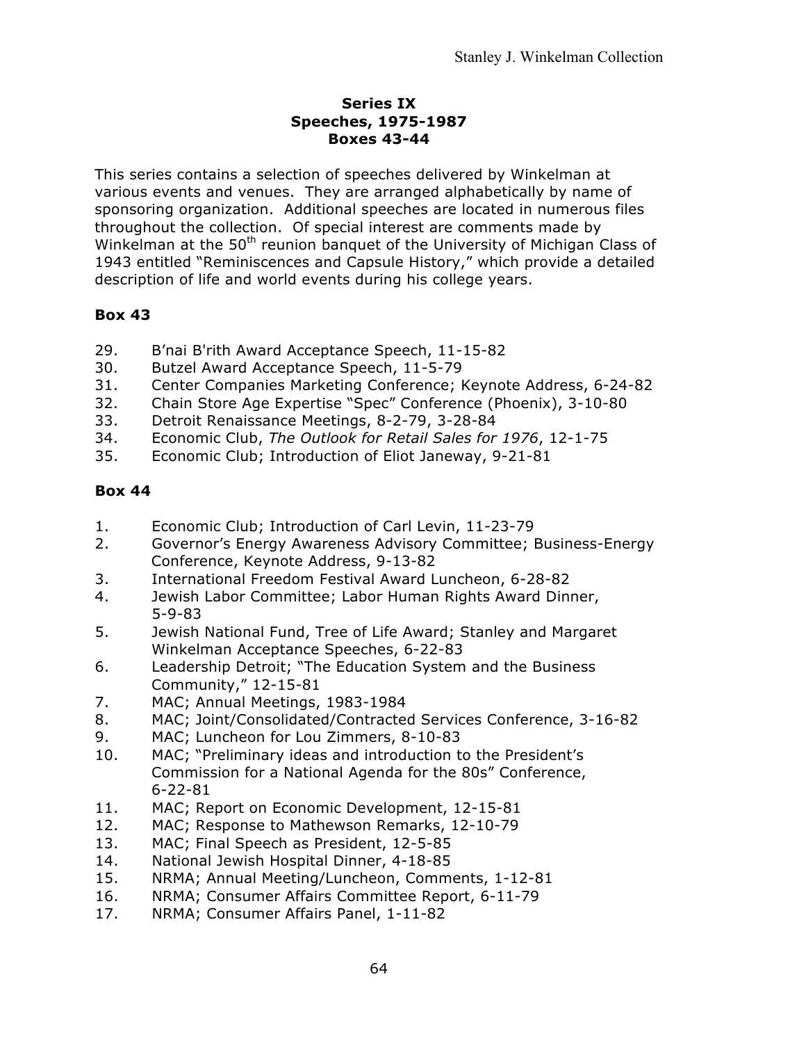#### **Series IX Speeches, 1975-1987 Boxes 43-44**

This series contains a selection of speeches delivered by Winkelman at various events and venues. They are arranged alphabetically by name of sponsoring organization. Additional speeches are located in numerous files throughout the collection. Of special interest are comments made by Winkelman at the 50<sup>th</sup> reunion banquet of the University of Michigan Class of 1943 entitled "Reminiscences and Capsule History," which provide a detailed description of life and world events during his college years.

# **Box 43**

- 29. B'nai B'rith Award Acceptance Speech, 11-15-82
- 30. Butzel Award Acceptance Speech, 11-5-79
- 31. Center Companies Marketing Conference; Keynote Address, 6-24-82
- 32. Chain Store Age Expertise "Spec" Conference (Phoenix), 3-10-80
- 33. Detroit Renaissance Meetings, 8-2-79, 3-28-84
- 34. Economic Club, *The Outlook for Retail Sales for 1976*, 12-1-75
- 35. Economic Club; Introduction of Eliot Janeway, 9-21-81

- 1. Economic Club; Introduction of Carl Levin, 11-23-79
- 2. Governor's Energy Awareness Advisory Committee; Business-Energy Conference, Keynote Address, 9-13-82
- 3. International Freedom Festival Award Luncheon, 6-28-82
- 4. Jewish Labor Committee; Labor Human Rights Award Dinner, 5-9-83
- 5. Jewish National Fund, Tree of Life Award; Stanley and Margaret Winkelman Acceptance Speeches, 6-22-83
- 6. Leadership Detroit; "The Education System and the Business Community," 12-15-81
- 7. MAC; Annual Meetings, 1983-1984
- 8. MAC; Joint/Consolidated/Contracted Services Conference, 3-16-82
- 9. MAC; Luncheon for Lou Zimmers, 8-10-83
- 10. MAC; "Preliminary ideas and introduction to the President's Commission for a National Agenda for the 80s" Conference, 6-22-81
- 11. MAC; Report on Economic Development, 12-15-81
- 12. MAC; Response to Mathewson Remarks, 12-10-79
- 13. MAC; Final Speech as President, 12-5-85
- 14. National Jewish Hospital Dinner, 4-18-85
- 15. NRMA; Annual Meeting/Luncheon, Comments, 1-12-81
- 16. NRMA; Consumer Affairs Committee Report, 6-11-79
- 17. NRMA; Consumer Affairs Panel, 1-11-82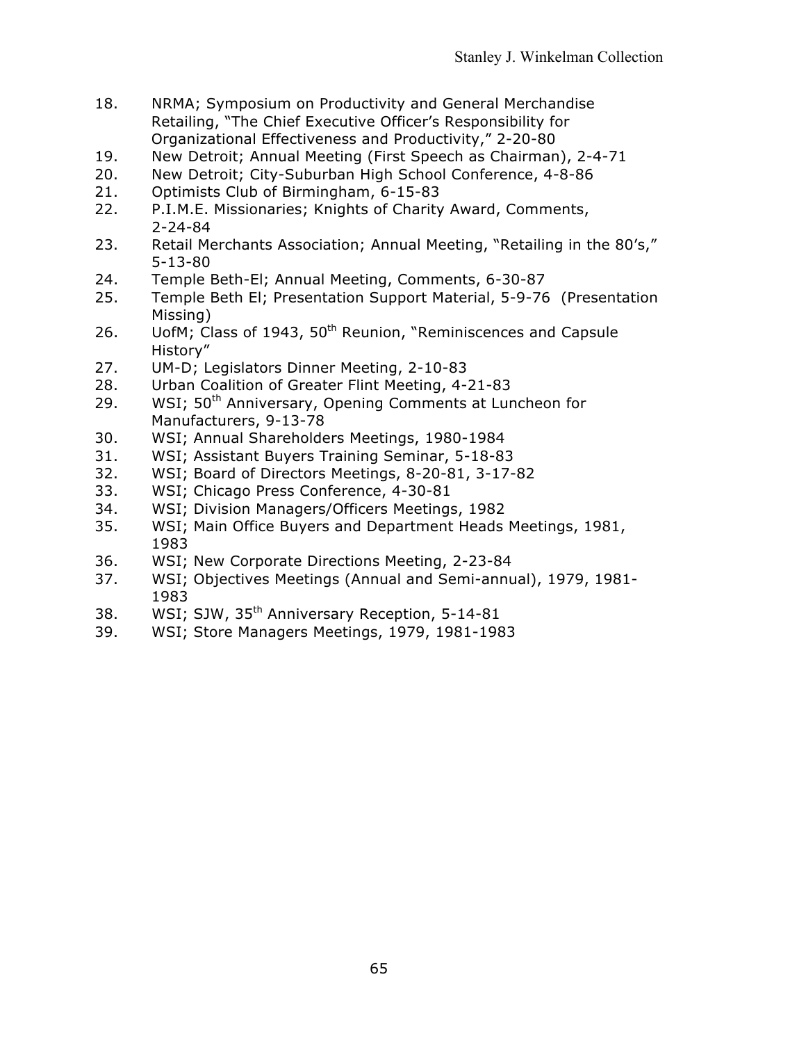- 18. NRMA; Symposium on Productivity and General Merchandise Retailing, "The Chief Executive Officer's Responsibility for Organizational Effectiveness and Productivity," 2-20-80
- 19. New Detroit; Annual Meeting (First Speech as Chairman), 2-4-71
- 20. New Detroit; City-Suburban High School Conference, 4-8-86
- 21. Optimists Club of Birmingham, 6-15-83
- 22. P.I.M.E. Missionaries; Knights of Charity Award, Comments, 2-24-84
- 23. Retail Merchants Association; Annual Meeting, "Retailing in the 80's," 5-13-80
- 24. Temple Beth-El; Annual Meeting, Comments, 6-30-87
- 25. Temple Beth El; Presentation Support Material, 5-9-76 (Presentation Missing)
- 26. UofM; Class of 1943, 50<sup>th</sup> Reunion, "Reminiscences and Capsule History"
- 27. UM-D; Legislators Dinner Meeting, 2-10-83
- 28. Urban Coalition of Greater Flint Meeting, 4-21-83
- 29. WSI; 50<sup>th</sup> Anniversary, Opening Comments at Luncheon for Manufacturers, 9-13-78
- 30. WSI; Annual Shareholders Meetings, 1980-1984
- 31. WSI; Assistant Buyers Training Seminar, 5-18-83
- 32. WSI; Board of Directors Meetings, 8-20-81, 3-17-82
- 33. WSI; Chicago Press Conference, 4-30-81
- 34. WSI; Division Managers/Officers Meetings, 1982
- 35. WSI; Main Office Buyers and Department Heads Meetings, 1981, 1983
- 36. WSI; New Corporate Directions Meeting, 2-23-84
- 37. WSI; Objectives Meetings (Annual and Semi-annual), 1979, 1981- 1983
- 38. WSI; SJW, 35<sup>th</sup> Anniversary Reception, 5-14-81
- 39. WSI; Store Managers Meetings, 1979, 1981-1983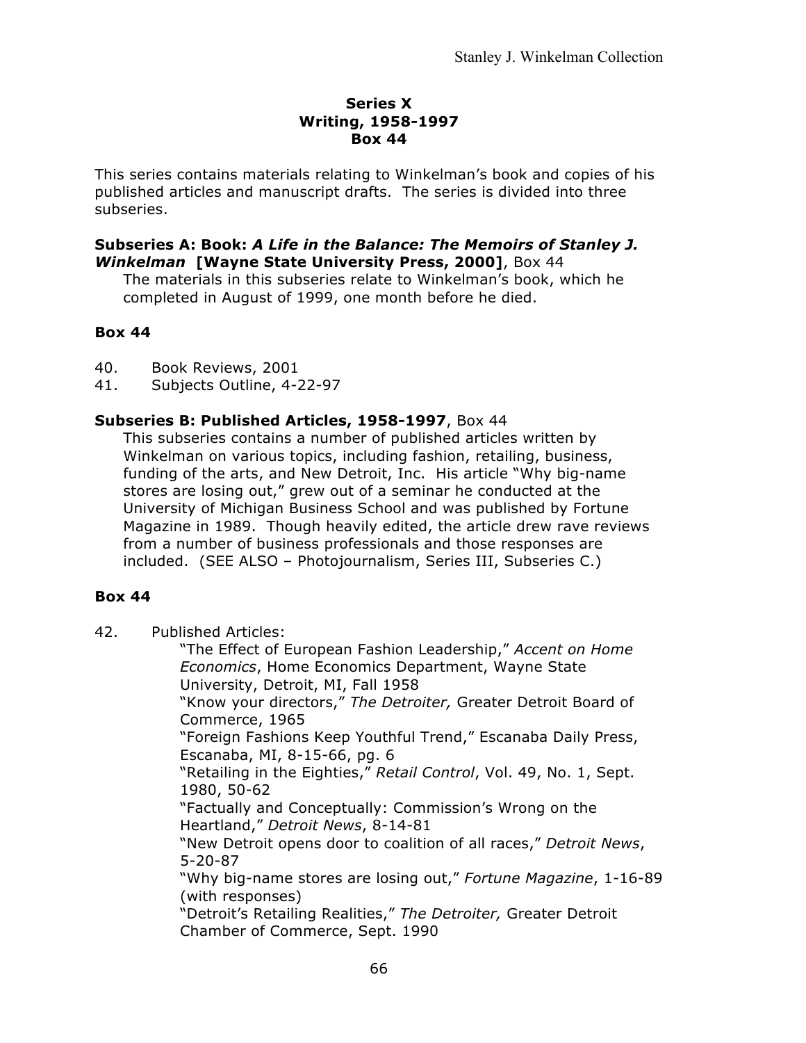#### **Series X Writing, 1958-1997 Box 44**

This series contains materials relating to Winkelman's book and copies of his published articles and manuscript drafts. The series is divided into three subseries.

#### **Subseries A: Book:** *A Life in the Balance: The Memoirs of Stanley J. Winkelman* **[Wayne State University Press, 2000]**, Box 44

The materials in this subseries relate to Winkelman's book, which he completed in August of 1999, one month before he died.

### **Box 44**

40. Book Reviews, 2001

41. Subjects Outline, 4-22-97

## **Subseries B: Published Articles, 1958-1997**, Box 44

This subseries contains a number of published articles written by Winkelman on various topics, including fashion, retailing, business, funding of the arts, and New Detroit, Inc. His article "Why big-name stores are losing out," grew out of a seminar he conducted at the University of Michigan Business School and was published by Fortune Magazine in 1989. Though heavily edited, the article drew rave reviews from a number of business professionals and those responses are included. (SEE ALSO – Photojournalism, Series III, Subseries C.)

#### **Box 44**

42. Published Articles:

"The Effect of European Fashion Leadership," *Accent on Home Economics*, Home Economics Department, Wayne State University, Detroit, MI, Fall 1958 "Know your directors," *The Detroiter,* Greater Detroit Board of Commerce, 1965 "Foreign Fashions Keep Youthful Trend," Escanaba Daily Press, Escanaba, MI, 8-15-66, pg. 6 "Retailing in the Eighties," *Retail Control*, Vol. 49, No. 1, Sept. 1980, 50-62 "Factually and Conceptually: Commission's Wrong on the Heartland," *Detroit News*, 8-14-81 "New Detroit opens door to coalition of all races," *Detroit News*, 5-20-87 "Why big-name stores are losing out," *Fortune Magazine*, 1-16-89 (with responses) "Detroit's Retailing Realities," *The Detroiter,* Greater Detroit Chamber of Commerce, Sept. 1990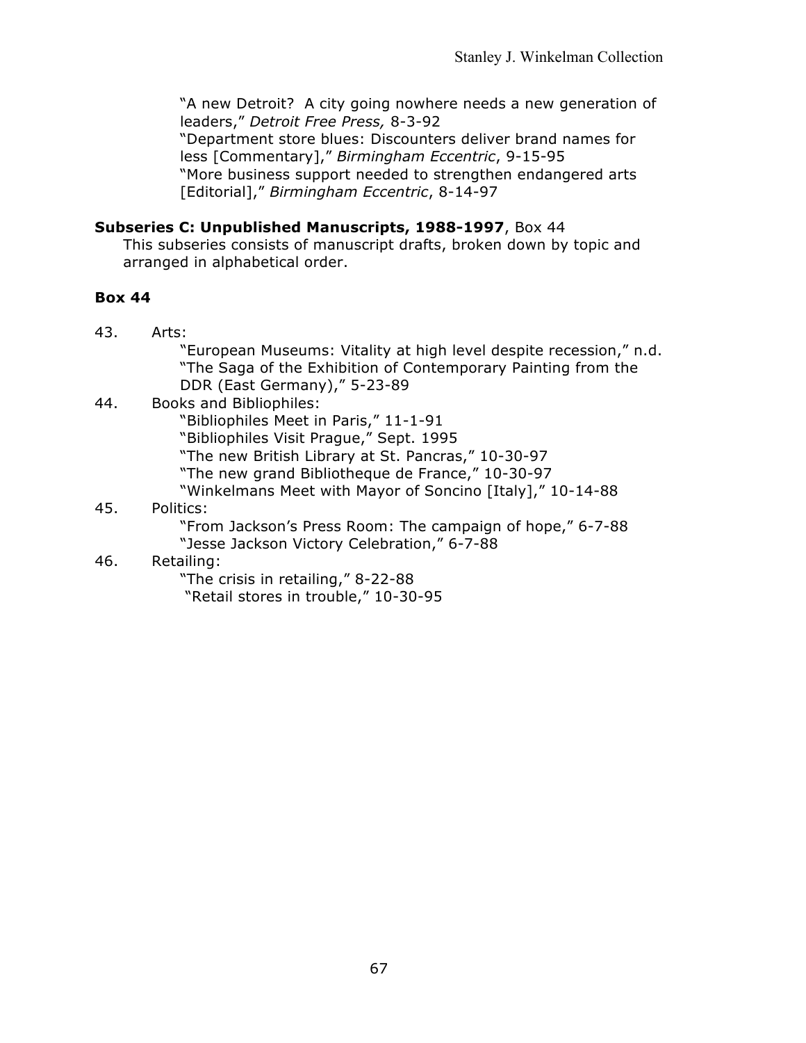"A new Detroit? A city going nowhere needs a new generation of leaders," *Detroit Free Press,* 8-3-92 "Department store blues: Discounters deliver brand names for less [Commentary]," *Birmingham Eccentric*, 9-15-95

"More business support needed to strengthen endangered arts [Editorial]," *Birmingham Eccentric*, 8-14-97

# **Subseries C: Unpublished Manuscripts, 1988-1997**, Box 44

This subseries consists of manuscript drafts, broken down by topic and arranged in alphabetical order.

## **Box 44**

43. Arts:

"European Museums: Vitality at high level despite recession," n.d. "The Saga of the Exhibition of Contemporary Painting from the DDR (East Germany)," 5-23-89

## 44. Books and Bibliophiles:

"Bibliophiles Meet in Paris," 11-1-91

"Bibliophiles Visit Prague," Sept. 1995

"The new British Library at St. Pancras," 10-30-97

"The new grand Bibliotheque de France," 10-30-97

"Winkelmans Meet with Mayor of Soncino [Italy]," 10-14-88

## 45. Politics:

"From Jackson's Press Room: The campaign of hope," 6-7-88 "Jesse Jackson Victory Celebration," 6-7-88

#### 46. Retailing:

"The crisis in retailing," 8-22-88 "Retail stores in trouble," 10-30-95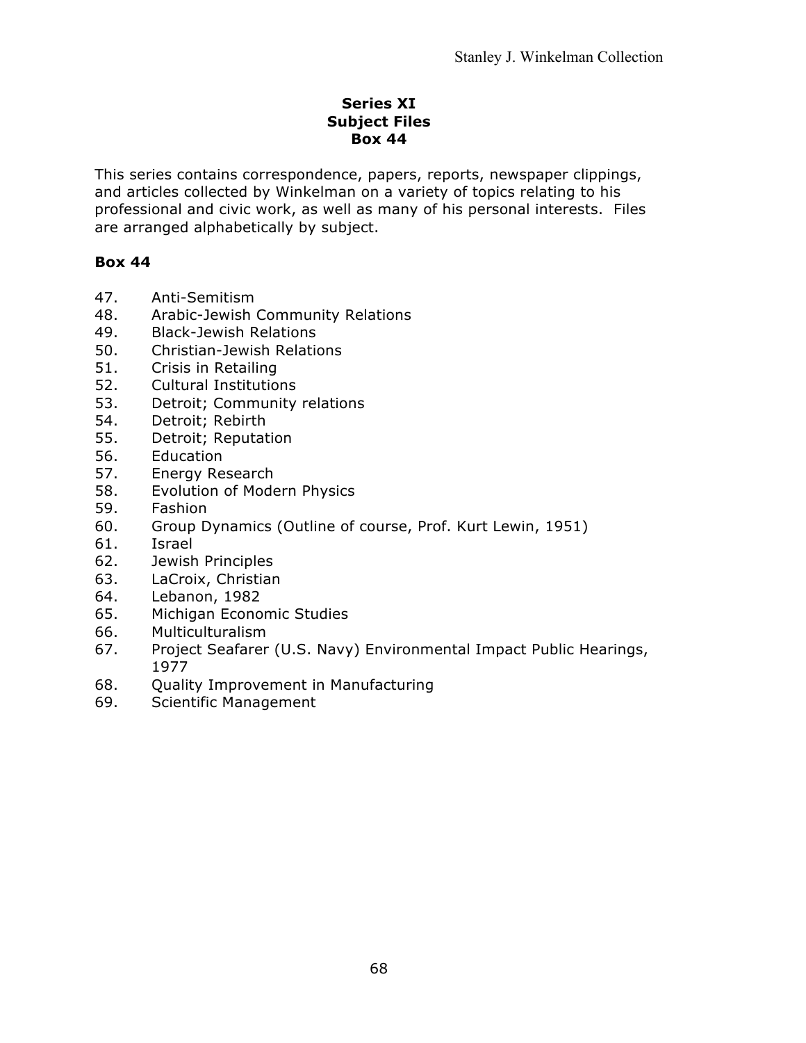### **Series XI Subject Files Box 44**

This series contains correspondence, papers, reports, newspaper clippings, and articles collected by Winkelman on a variety of topics relating to his professional and civic work, as well as many of his personal interests. Files are arranged alphabetically by subject.

- 47. Anti-Semitism
- 48. Arabic-Jewish Community Relations
- 49. Black-Jewish Relations
- 50. Christian-Jewish Relations
- 51. Crisis in Retailing
- 52. Cultural Institutions
- 53. Detroit; Community relations
- 54. Detroit; Rebirth
- 55. Detroit; Reputation
- 56. Education
- 57. Energy Research
- 58. Evolution of Modern Physics
- 59. Fashion
- 60. Group Dynamics (Outline of course, Prof. Kurt Lewin, 1951)
- 61. Israel
- 62. Jewish Principles
- 63. LaCroix, Christian
- 64. Lebanon, 1982
- 65. Michigan Economic Studies
- 66. Multiculturalism
- 67. Project Seafarer (U.S. Navy) Environmental Impact Public Hearings, 1977
- 68. Quality Improvement in Manufacturing
- 69. Scientific Management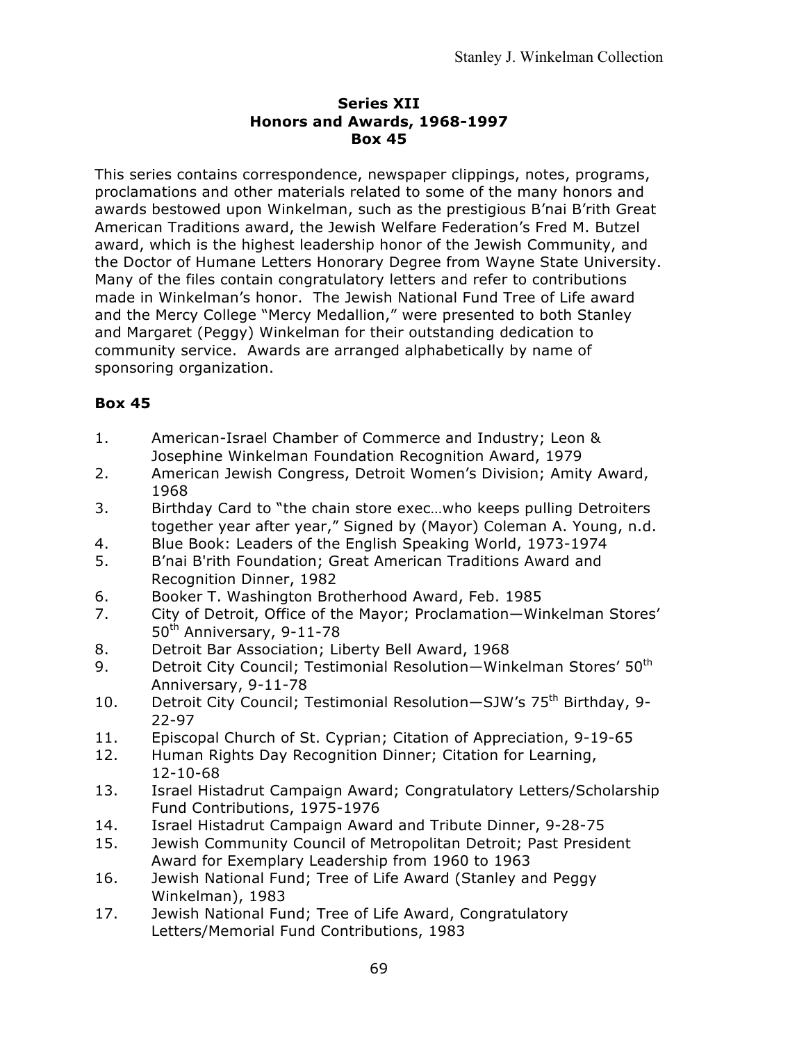### **Series XII Honors and Awards, 1968-1997 Box 45**

This series contains correspondence, newspaper clippings, notes, programs, proclamations and other materials related to some of the many honors and awards bestowed upon Winkelman, such as the prestigious B'nai B'rith Great American Traditions award, the Jewish Welfare Federation's Fred M. Butzel award, which is the highest leadership honor of the Jewish Community, and the Doctor of Humane Letters Honorary Degree from Wayne State University. Many of the files contain congratulatory letters and refer to contributions made in Winkelman's honor. The Jewish National Fund Tree of Life award and the Mercy College "Mercy Medallion," were presented to both Stanley and Margaret (Peggy) Winkelman for their outstanding dedication to community service. Awards are arranged alphabetically by name of sponsoring organization.

- 1. American-Israel Chamber of Commerce and Industry; Leon & Josephine Winkelman Foundation Recognition Award, 1979
- 2. American Jewish Congress, Detroit Women's Division; Amity Award, 1968
- 3. Birthday Card to "the chain store exec…who keeps pulling Detroiters together year after year," Signed by (Mayor) Coleman A. Young, n.d.
- 4. Blue Book: Leaders of the English Speaking World, 1973-1974
- 5. B'nai B'rith Foundation; Great American Traditions Award and Recognition Dinner, 1982
- 6. Booker T. Washington Brotherhood Award, Feb. 1985
- 7. City of Detroit, Office of the Mayor; Proclamation—Winkelman Stores' 50<sup>th</sup> Anniversary, 9-11-78
- 8. Detroit Bar Association; Liberty Bell Award, 1968
- 9. Detroit City Council; Testimonial Resolution—Winkelman Stores' 50<sup>th</sup> Anniversary, 9-11-78
- 10. Detroit City Council; Testimonial Resolution-SJW's 75<sup>th</sup> Birthdav. 9-22-97
- 11. Episcopal Church of St. Cyprian; Citation of Appreciation, 9-19-65
- 12. Human Rights Day Recognition Dinner; Citation for Learning, 12-10-68
- 13. Israel Histadrut Campaign Award; Congratulatory Letters/Scholarship Fund Contributions, 1975-1976
- 14. Israel Histadrut Campaign Award and Tribute Dinner, 9-28-75
- 15. Jewish Community Council of Metropolitan Detroit; Past President Award for Exemplary Leadership from 1960 to 1963
- 16. Jewish National Fund; Tree of Life Award (Stanley and Peggy Winkelman), 1983
- 17. Jewish National Fund; Tree of Life Award, Congratulatory Letters/Memorial Fund Contributions, 1983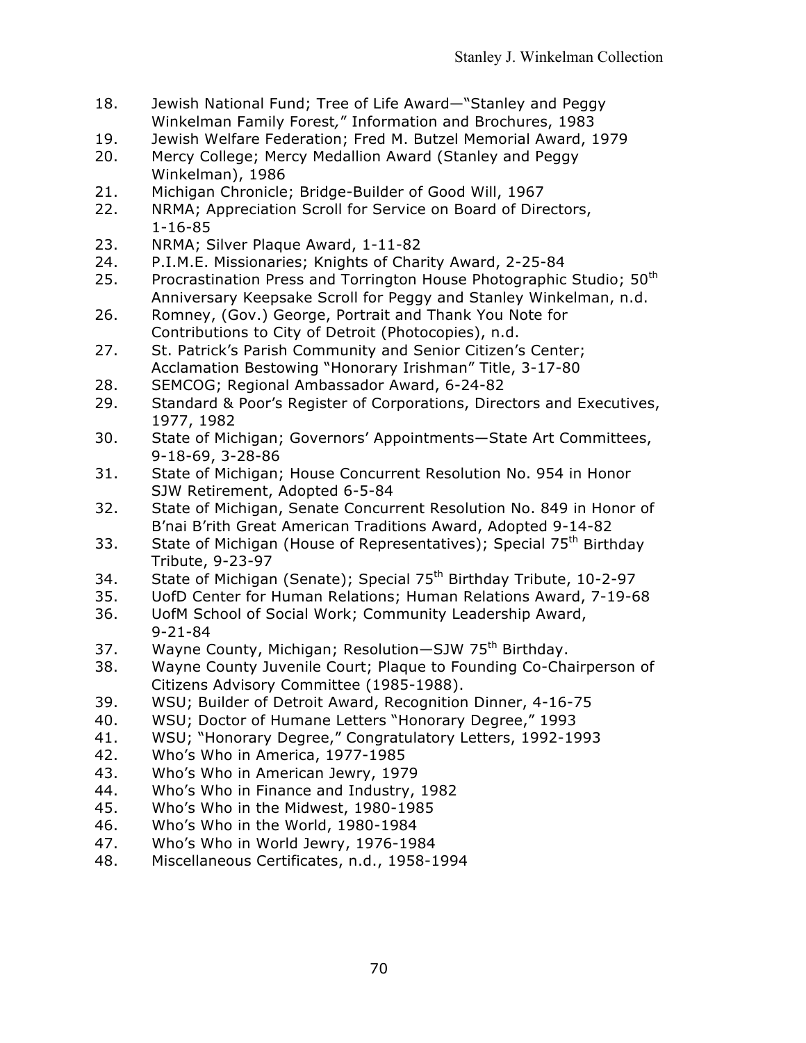- 18. Jewish National Fund; Tree of Life Award—"Stanley and Peggy Winkelman Family Forest*,*" Information and Brochures, 1983
- 19. Jewish Welfare Federation; Fred M. Butzel Memorial Award, 1979
- 20. Mercy College; Mercy Medallion Award (Stanley and Peggy Winkelman), 1986
- 21. Michigan Chronicle; Bridge-Builder of Good Will, 1967
- 22. NRMA; Appreciation Scroll for Service on Board of Directors, 1-16-85
- 23. NRMA; Silver Plaque Award, 1-11-82
- 24. P.I.M.E. Missionaries; Knights of Charity Award, 2-25-84
- 25. Procrastination Press and Torrington House Photographic Studio; 50<sup>th</sup> Anniversary Keepsake Scroll for Peggy and Stanley Winkelman, n.d.
- 26. Romney, (Gov.) George, Portrait and Thank You Note for Contributions to City of Detroit (Photocopies), n.d.
- 27. St. Patrick's Parish Community and Senior Citizen's Center; Acclamation Bestowing "Honorary Irishman" Title, 3-17-80
- 28. SEMCOG; Regional Ambassador Award, 6-24-82
- 29. Standard & Poor's Register of Corporations, Directors and Executives, 1977, 1982
- 30. State of Michigan; Governors' Appointments—State Art Committees, 9-18-69, 3-28-86
- 31. State of Michigan; House Concurrent Resolution No. 954 in Honor SJW Retirement, Adopted 6-5-84
- 32. State of Michigan, Senate Concurrent Resolution No. 849 in Honor of B'nai B'rith Great American Traditions Award, Adopted 9-14-82
- 33. State of Michigan (House of Representatives); Special 75<sup>th</sup> Birthday Tribute, 9-23-97
- 34. State of Michigan (Senate); Special 75<sup>th</sup> Birthday Tribute, 10-2-97
- 35. UofD Center for Human Relations; Human Relations Award, 7-19-68
- 36. UofM School of Social Work; Community Leadership Award, 9-21-84
- 37. Wayne County, Michigan; Resolution-SJW 75<sup>th</sup> Birthday.
- 38. Wayne County Juvenile Court; Plaque to Founding Co-Chairperson of Citizens Advisory Committee (1985-1988).
- 39. WSU; Builder of Detroit Award, Recognition Dinner, 4-16-75
- 40. WSU; Doctor of Humane Letters "Honorary Degree," 1993
- 41. WSU; "Honorary Degree," Congratulatory Letters, 1992-1993
- 42. Who's Who in America, 1977-1985
- 43. Who's Who in American Jewry, 1979
- 44. Who's Who in Finance and Industry, 1982
- 45. Who's Who in the Midwest, 1980-1985
- 46. Who's Who in the World, 1980-1984
- 47. Who's Who in World Jewry, 1976-1984
- 48. Miscellaneous Certificates, n.d., 1958-1994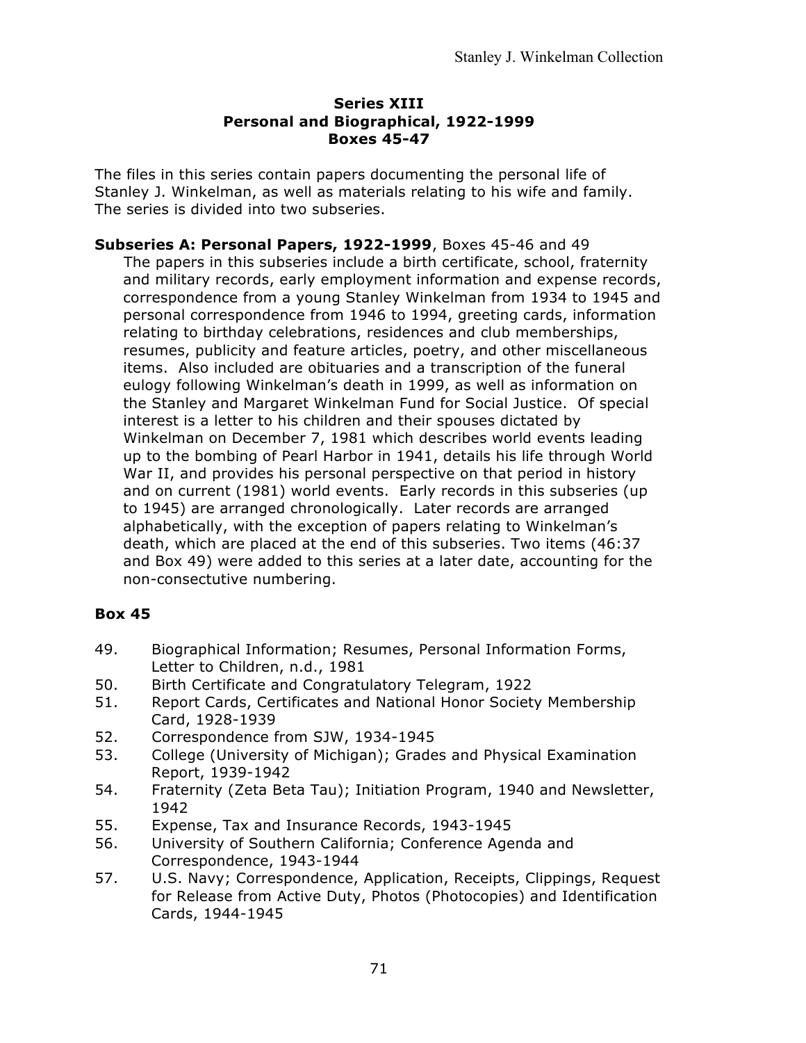#### **Series XIII Personal and Biographical, 1922-1999 Boxes 45-47**

The files in this series contain papers documenting the personal life of Stanley J. Winkelman, as well as materials relating to his wife and family. The series is divided into two subseries.

**Subseries A: Personal Papers, 1922-1999**, Boxes 45-46 and 49 The papers in this subseries include a birth certificate, school, fraternity and military records, early employment information and expense records, correspondence from a young Stanley Winkelman from 1934 to 1945 and personal correspondence from 1946 to 1994, greeting cards, information relating to birthday celebrations, residences and club memberships, resumes, publicity and feature articles, poetry, and other miscellaneous items. Also included are obituaries and a transcription of the funeral eulogy following Winkelman's death in 1999, as well as information on the Stanley and Margaret Winkelman Fund for Social Justice. Of special interest is a letter to his children and their spouses dictated by Winkelman on December 7, 1981 which describes world events leading up to the bombing of Pearl Harbor in 1941, details his life through World War II, and provides his personal perspective on that period in history and on current (1981) world events. Early records in this subseries (up to 1945) are arranged chronologically. Later records are arranged alphabetically, with the exception of papers relating to Winkelman's death, which are placed at the end of this subseries. Two items (46:37 and Box 49) were added to this series at a later date, accounting for the non-consectutive numbering.

- 49. Biographical Information; Resumes, Personal Information Forms, Letter to Children, n.d., 1981
- 50. Birth Certificate and Congratulatory Telegram, 1922
- 51. Report Cards, Certificates and National Honor Society Membership Card, 1928-1939
- 52. Correspondence from SJW, 1934-1945
- 53. College (University of Michigan); Grades and Physical Examination Report, 1939-1942
- 54. Fraternity (Zeta Beta Tau); Initiation Program, 1940 and Newsletter, 1942
- 55. Expense, Tax and Insurance Records, 1943-1945
- 56. University of Southern California; Conference Agenda and Correspondence, 1943-1944
- 57. U.S. Navy; Correspondence, Application, Receipts, Clippings, Request for Release from Active Duty, Photos (Photocopies) and Identification Cards, 1944-1945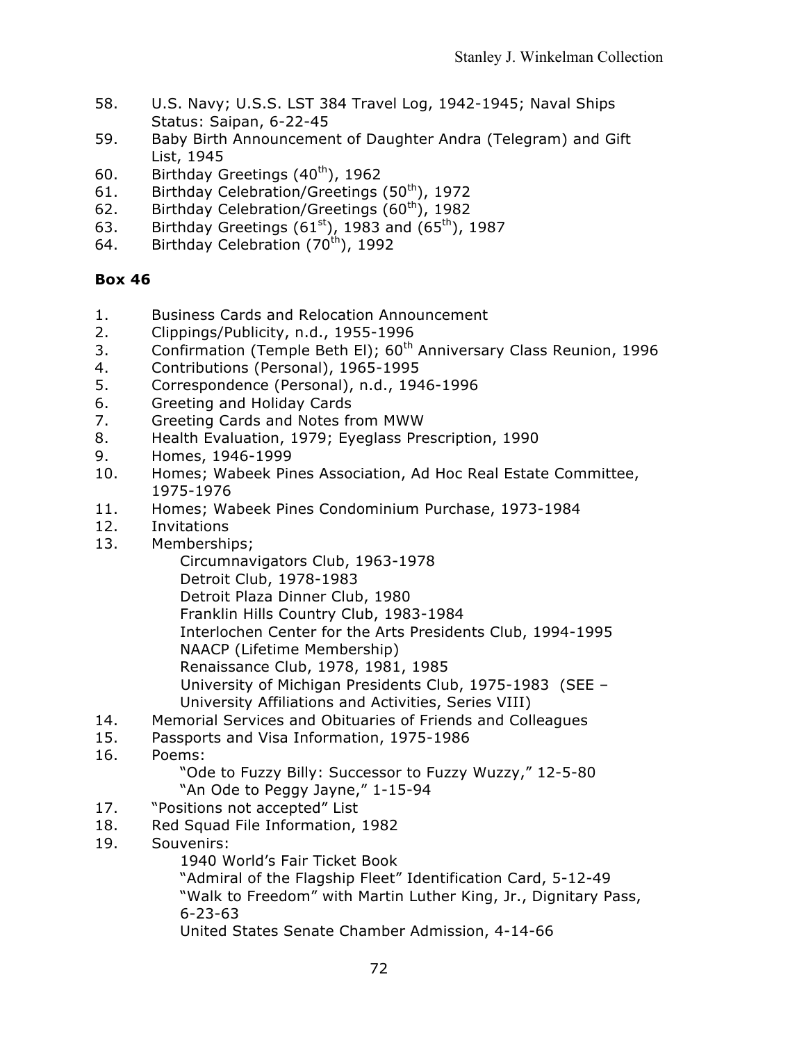- 58. U.S. Navy; U.S.S. LST 384 Travel Log, 1942-1945; Naval Ships Status: Saipan, 6-22-45
- 59. Baby Birth Announcement of Daughter Andra (Telegram) and Gift List, 1945
- 60. Birthday Greetings  $(40<sup>th</sup>)$ , 1962
- 61. Birthday Celebration/Greetings  $(50<sup>th</sup>)$ , 1972
- 62. Birthday Celebration/Greetings  $(60<sup>th</sup>)$ , 1982
- 63. Birthday Greetings ( $61^{st}$ ), 1983 and ( $65^{th}$ ), 1987
- 64. Birthday Celebration  $(70<sup>th</sup>)$ , 1992

- 1. Business Cards and Relocation Announcement
- 2. Clippings/Publicity, n.d., 1955-1996
- 3. Confirmation (Temple Beth El); 60<sup>th</sup> Anniversary Class Reunion, 1996
- 4. Contributions (Personal), 1965-1995
- 5. Correspondence (Personal), n.d., 1946-1996
- 6. Greeting and Holiday Cards
- 7. Greeting Cards and Notes from MWW
- 8. Health Evaluation, 1979; Eyeglass Prescription, 1990
- 9. Homes, 1946-1999
- 10. Homes; Wabeek Pines Association, Ad Hoc Real Estate Committee, 1975-1976
- 11. Homes; Wabeek Pines Condominium Purchase, 1973-1984
- 12. Invitations
- 13. Memberships;

Circumnavigators Club, 1963-1978

Detroit Club, 1978-1983

Detroit Plaza Dinner Club, 1980

Franklin Hills Country Club, 1983-1984

Interlochen Center for the Arts Presidents Club, 1994-1995

- NAACP (Lifetime Membership)
- Renaissance Club, 1978, 1981, 1985
	- University of Michigan Presidents Club, 1975-1983 (SEE University Affiliations and Activities, Series VIII)
- 14. Memorial Services and Obituaries of Friends and Colleagues
- 15. Passports and Visa Information, 1975-1986
- 16. Poems:

"Ode to Fuzzy Billy: Successor to Fuzzy Wuzzy," 12-5-80 "An Ode to Peggy Jayne," 1-15-94

- 
- 17. "Positions not accepted" List
- 18. Red Squad File Information, 1982
- 19. Souvenirs:

1940 World's Fair Ticket Book

"Admiral of the Flagship Fleet" Identification Card, 5-12-49

"Walk to Freedom" with Martin Luther King, Jr., Dignitary Pass, 6-23-63

United States Senate Chamber Admission, 4-14-66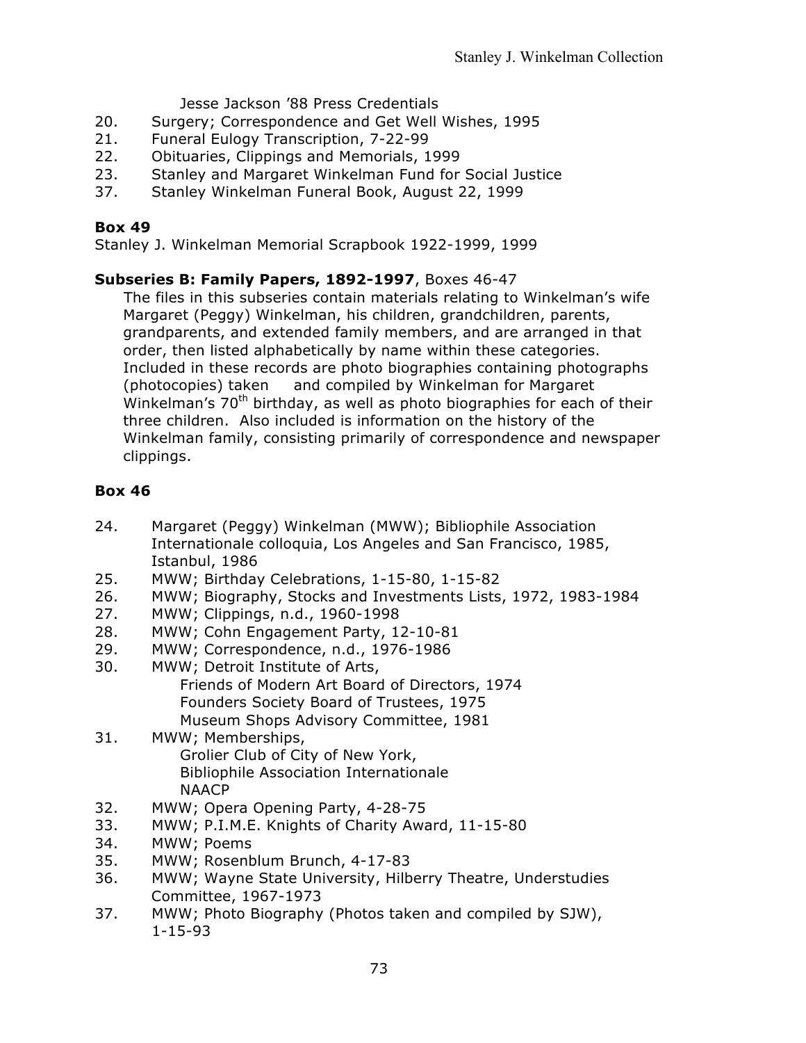Jesse Jackson '88 Press Credentials

- 20. Surgery; Correspondence and Get Well Wishes, 1995
- 21. Funeral Eulogy Transcription, 7-22-99
- 22. Obituaries, Clippings and Memorials, 1999
- 23. Stanley and Margaret Winkelman Fund for Social Justice
- 37. Stanley Winkelman Funeral Book, August 22, 1999

## **Box 49**

Stanley J. Winkelman Memorial Scrapbook 1922-1999, 1999

## **Subseries B: Family Papers, 1892-1997**, Boxes 46-47

The files in this subseries contain materials relating to Winkelman's wife Margaret (Peggy) Winkelman, his children, grandchildren, parents, grandparents, and extended family members, and are arranged in that order, then listed alphabetically by name within these categories. Included in these records are photo biographies containing photographs (photocopies) taken and compiled by Winkelman for Margaret Winkelman's  $70<sup>th</sup>$  birthday, as well as photo biographies for each of their three children. Also included is information on the history of the Winkelman family, consisting primarily of correspondence and newspaper clippings.

## **Box 46**

- 24. Margaret (Peggy) Winkelman (MWW); Bibliophile Association Internationale colloquia, Los Angeles and San Francisco, 1985, Istanbul, 1986
- 25. MWW; Birthday Celebrations, 1-15-80, 1-15-82
- 26. MWW; Biography, Stocks and Investments Lists, 1972, 1983-1984
- 27. MWW; Clippings, n.d., 1960-1998
- 28. MWW; Cohn Engagement Party, 12-10-81
- 29. MWW; Correspondence, n.d., 1976-1986
- 30. MWW; Detroit Institute of Arts, Friends of Modern Art Board of Directors, 1974 Founders Society Board of Trustees, 1975 Museum Shops Advisory Committee, 1981
- 31. MWW; Memberships, Grolier Club of City of New York, Bibliophile Association Internationale **NAACP**
- 32. MWW; Opera Opening Party, 4-28-75
- 33. MWW; P.I.M.E. Knights of Charity Award, 11-15-80
- 34. MWW; Poems
- 35. MWW; Rosenblum Brunch, 4-17-83
- 36. MWW; Wayne State University, Hilberry Theatre, Understudies Committee, 1967-1973
- 37. MWW; Photo Biography (Photos taken and compiled by SJW), 1-15-93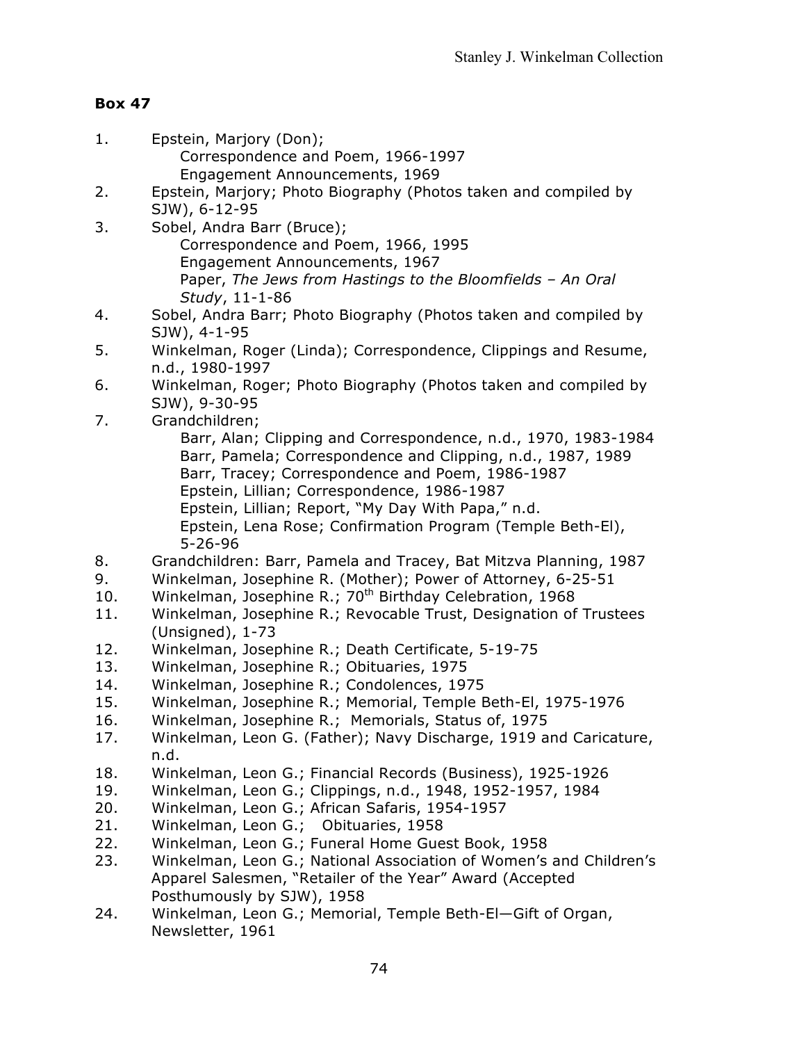### **Box 47**

- 1. Epstein, Marjory (Don); Correspondence and Poem, 1966-1997 Engagement Announcements, 1969
- 2. Epstein, Marjory; Photo Biography (Photos taken and compiled by SJW), 6-12-95
- 3. Sobel, Andra Barr (Bruce); Correspondence and Poem, 1966, 1995 Engagement Announcements, 1967 Paper, *The Jews from Hastings to the Bloomfields – An Oral Study*, 11-1-86
- 4. Sobel, Andra Barr; Photo Biography (Photos taken and compiled by SJW), 4-1-95
- 5. Winkelman, Roger (Linda); Correspondence, Clippings and Resume, n.d., 1980-1997
- 6. Winkelman, Roger; Photo Biography (Photos taken and compiled by SJW), 9-30-95
- 7. Grandchildren;
	- Barr, Alan; Clipping and Correspondence, n.d., 1970, 1983-1984 Barr, Pamela; Correspondence and Clipping, n.d., 1987, 1989 Barr, Tracey; Correspondence and Poem, 1986-1987 Epstein, Lillian; Correspondence, 1986-1987 Epstein, Lillian; Report, "My Day With Papa," n.d. Epstein, Lena Rose; Confirmation Program (Temple Beth-El), 5-26-96
- 8. Grandchildren: Barr, Pamela and Tracey, Bat Mitzva Planning, 1987
- 9. Winkelman, Josephine R. (Mother); Power of Attorney, 6-25-51
- 10. Winkelman, Josephine R.; 70<sup>th</sup> Birthday Celebration, 1968
- 11. Winkelman, Josephine R.; Revocable Trust, Designation of Trustees (Unsigned), 1-73
- 12. Winkelman, Josephine R.; Death Certificate, 5-19-75
- 13. Winkelman, Josephine R.; Obituaries, 1975
- 14. Winkelman, Josephine R.; Condolences, 1975
- 15. Winkelman, Josephine R.; Memorial, Temple Beth-El, 1975-1976
- 16. Winkelman, Josephine R.; Memorials, Status of, 1975
- 17. Winkelman, Leon G. (Father); Navy Discharge, 1919 and Caricature, n.d.
- 18. Winkelman, Leon G.; Financial Records (Business), 1925-1926
- 19. Winkelman, Leon G.; Clippings, n.d., 1948, 1952-1957, 1984
- 20. Winkelman, Leon G.; African Safaris, 1954-1957
- 21. Winkelman, Leon G.; Obituaries, 1958
- 22. Winkelman, Leon G.; Funeral Home Guest Book, 1958
- 23. Winkelman, Leon G.; National Association of Women's and Children's Apparel Salesmen, "Retailer of the Year" Award (Accepted Posthumously by SJW), 1958
- 24. Winkelman, Leon G.; Memorial, Temple Beth-El—Gift of Organ, Newsletter, 1961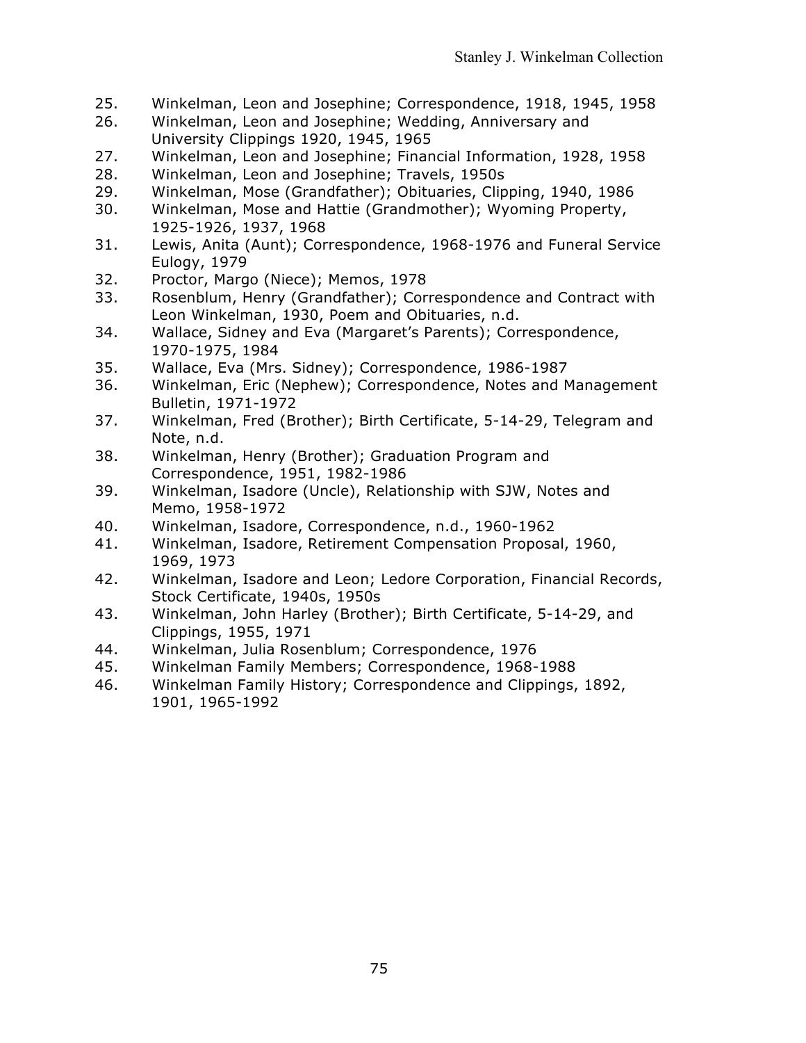- 25. Winkelman, Leon and Josephine; Correspondence, 1918, 1945, 1958
- 26. Winkelman, Leon and Josephine; Wedding, Anniversary and University Clippings 1920, 1945, 1965
- 27. Winkelman, Leon and Josephine; Financial Information, 1928, 1958
- 28. Winkelman, Leon and Josephine; Travels, 1950s
- 29. Winkelman, Mose (Grandfather); Obituaries, Clipping, 1940, 1986
- 30. Winkelman, Mose and Hattie (Grandmother); Wyoming Property, 1925-1926, 1937, 1968
- 31. Lewis, Anita (Aunt); Correspondence, 1968-1976 and Funeral Service Eulogy, 1979
- 32. Proctor, Margo (Niece); Memos, 1978
- 33. Rosenblum, Henry (Grandfather); Correspondence and Contract with Leon Winkelman, 1930, Poem and Obituaries, n.d.
- 34. Wallace, Sidney and Eva (Margaret's Parents); Correspondence, 1970-1975, 1984
- 35. Wallace, Eva (Mrs. Sidney); Correspondence, 1986-1987
- 36. Winkelman, Eric (Nephew); Correspondence, Notes and Management Bulletin, 1971-1972
- 37. Winkelman, Fred (Brother); Birth Certificate, 5-14-29, Telegram and Note, n.d.
- 38. Winkelman, Henry (Brother); Graduation Program and Correspondence, 1951, 1982-1986
- 39. Winkelman, Isadore (Uncle), Relationship with SJW, Notes and Memo, 1958-1972
- 40. Winkelman, Isadore, Correspondence, n.d., 1960-1962
- 41. Winkelman, Isadore, Retirement Compensation Proposal, 1960, 1969, 1973
- 42. Winkelman, Isadore and Leon; Ledore Corporation, Financial Records, Stock Certificate, 1940s, 1950s
- 43. Winkelman, John Harley (Brother); Birth Certificate, 5-14-29, and Clippings, 1955, 1971
- 44. Winkelman, Julia Rosenblum; Correspondence, 1976
- 45. Winkelman Family Members; Correspondence, 1968-1988
- 46. Winkelman Family History; Correspondence and Clippings, 1892, 1901, 1965-1992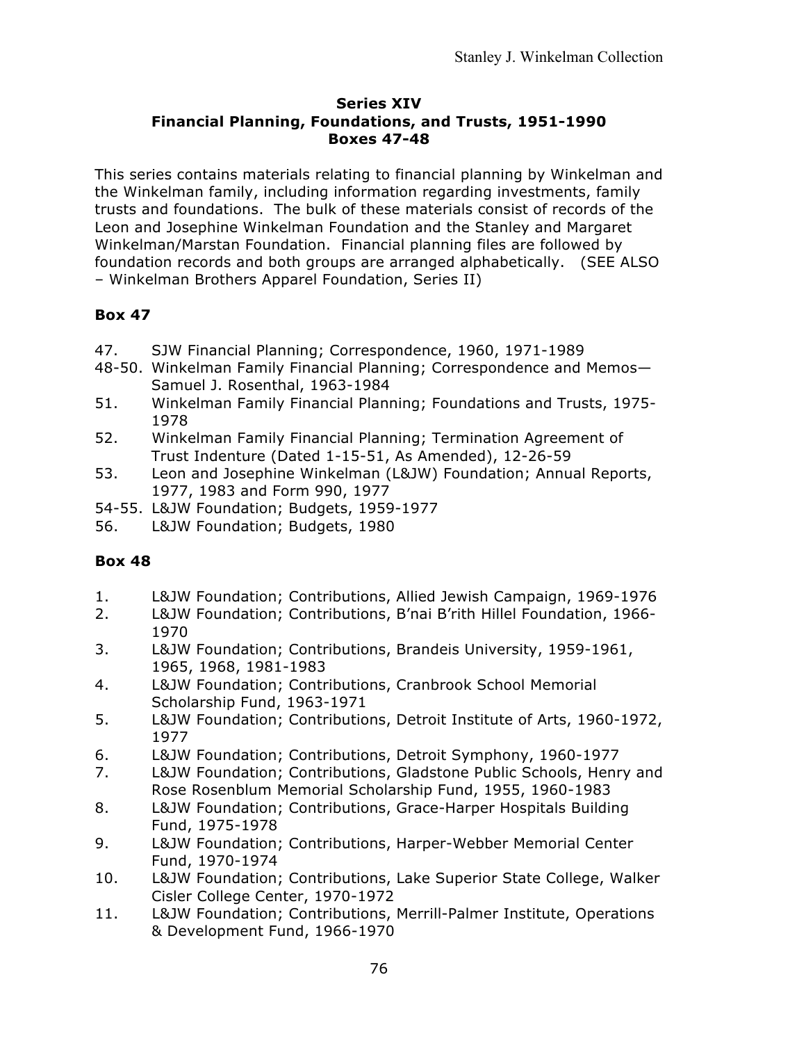#### **Series XIV Financial Planning, Foundations, and Trusts, 1951-1990 Boxes 47-48**

This series contains materials relating to financial planning by Winkelman and the Winkelman family, including information regarding investments, family trusts and foundations. The bulk of these materials consist of records of the Leon and Josephine Winkelman Foundation and the Stanley and Margaret Winkelman/Marstan Foundation. Financial planning files are followed by foundation records and both groups are arranged alphabetically. (SEE ALSO – Winkelman Brothers Apparel Foundation, Series II)

# **Box 47**

- 47. SJW Financial Planning; Correspondence, 1960, 1971-1989
- 48-50. Winkelman Family Financial Planning; Correspondence and Memos— Samuel J. Rosenthal, 1963-1984
- 51. Winkelman Family Financial Planning; Foundations and Trusts, 1975- 1978
- 52. Winkelman Family Financial Planning; Termination Agreement of Trust Indenture (Dated 1-15-51, As Amended), 12-26-59
- 53. Leon and Josephine Winkelman (L&JW) Foundation; Annual Reports, 1977, 1983 and Form 990, 1977
- 54-55. L&JW Foundation; Budgets, 1959-1977
- 56. L&JW Foundation; Budgets, 1980

## **Box 48**

- 1. L&JW Foundation; Contributions, Allied Jewish Campaign, 1969-1976
- 2. L&JW Foundation; Contributions, B'nai B'rith Hillel Foundation, 1966- 1970
- 3. L&JW Foundation; Contributions, Brandeis University, 1959-1961, 1965, 1968, 1981-1983
- 4. L&JW Foundation; Contributions, Cranbrook School Memorial Scholarship Fund, 1963-1971
- 5. L&JW Foundation; Contributions, Detroit Institute of Arts, 1960-1972, 1977
- 6. L&JW Foundation; Contributions, Detroit Symphony, 1960-1977
- 7. L&JW Foundation; Contributions, Gladstone Public Schools, Henry and Rose Rosenblum Memorial Scholarship Fund, 1955, 1960-1983
- 8. L&JW Foundation; Contributions, Grace-Harper Hospitals Building Fund, 1975-1978
- 9. L&JW Foundation; Contributions, Harper-Webber Memorial Center Fund, 1970-1974
- 10. L&JW Foundation; Contributions, Lake Superior State College, Walker Cisler College Center, 1970-1972
- 11. L&JW Foundation; Contributions, Merrill-Palmer Institute, Operations & Development Fund, 1966-1970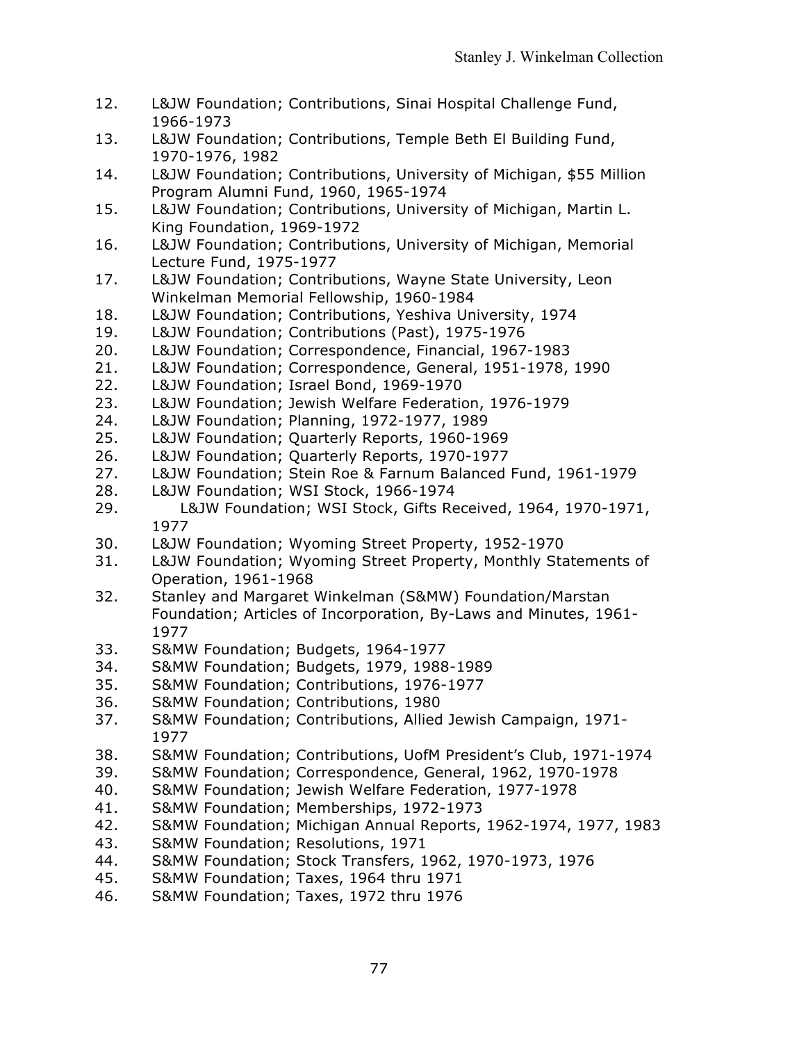- 12. L&JW Foundation; Contributions, Sinai Hospital Challenge Fund, 1966-1973
- 13. L&JW Foundation; Contributions, Temple Beth El Building Fund, 1970-1976, 1982
- 14. L&JW Foundation; Contributions, University of Michigan, \$55 Million Program Alumni Fund, 1960, 1965-1974
- 15. L&JW Foundation; Contributions, University of Michigan, Martin L. King Foundation, 1969-1972
- 16. L&JW Foundation; Contributions, University of Michigan, Memorial Lecture Fund, 1975-1977
- 17. L&JW Foundation; Contributions, Wayne State University, Leon Winkelman Memorial Fellowship, 1960-1984
- 18. L&JW Foundation; Contributions, Yeshiva University, 1974
- 19. L&JW Foundation; Contributions (Past), 1975-1976
- 20. L&JW Foundation; Correspondence, Financial, 1967-1983
- 21. L&JW Foundation; Correspondence, General, 1951-1978, 1990
- 22. L&JW Foundation; Israel Bond, 1969-1970
- 23. L&JW Foundation; Jewish Welfare Federation, 1976-1979
- 24. L&JW Foundation; Planning, 1972-1977, 1989
- 25. L&JW Foundation; Quarterly Reports, 1960-1969
- 26. L&JW Foundation; Quarterly Reports, 1970-1977
- 27. L&JW Foundation; Stein Roe & Farnum Balanced Fund, 1961-1979
- 28. L&JW Foundation; WSI Stock, 1966-1974
- 29. L&JW Foundation; WSI Stock, Gifts Received, 1964, 1970-1971, 1977
- 30. L&JW Foundation; Wyoming Street Property, 1952-1970
- 31. L&JW Foundation; Wyoming Street Property, Monthly Statements of Operation, 1961-1968
- 32. Stanley and Margaret Winkelman (S&MW) Foundation/Marstan Foundation; Articles of Incorporation, By-Laws and Minutes, 1961- 1977
- 33. S&MW Foundation; Budgets, 1964-1977
- 34. S&MW Foundation; Budgets, 1979, 1988-1989
- 35. S&MW Foundation; Contributions, 1976-1977
- 36. S&MW Foundation; Contributions, 1980
- 37. S&MW Foundation; Contributions, Allied Jewish Campaign, 1971- 1977
- 38. S&MW Foundation; Contributions, UofM President's Club, 1971-1974
- 39. S&MW Foundation; Correspondence, General, 1962, 1970-1978
- 40. S&MW Foundation; Jewish Welfare Federation, 1977-1978
- 41. S&MW Foundation; Memberships, 1972-1973
- 42. S&MW Foundation; Michigan Annual Reports, 1962-1974, 1977, 1983
- 43. S&MW Foundation; Resolutions, 1971
- 44. S&MW Foundation; Stock Transfers, 1962, 1970-1973, 1976
- 45. S&MW Foundation; Taxes, 1964 thru 1971
- 46. S&MW Foundation; Taxes, 1972 thru 1976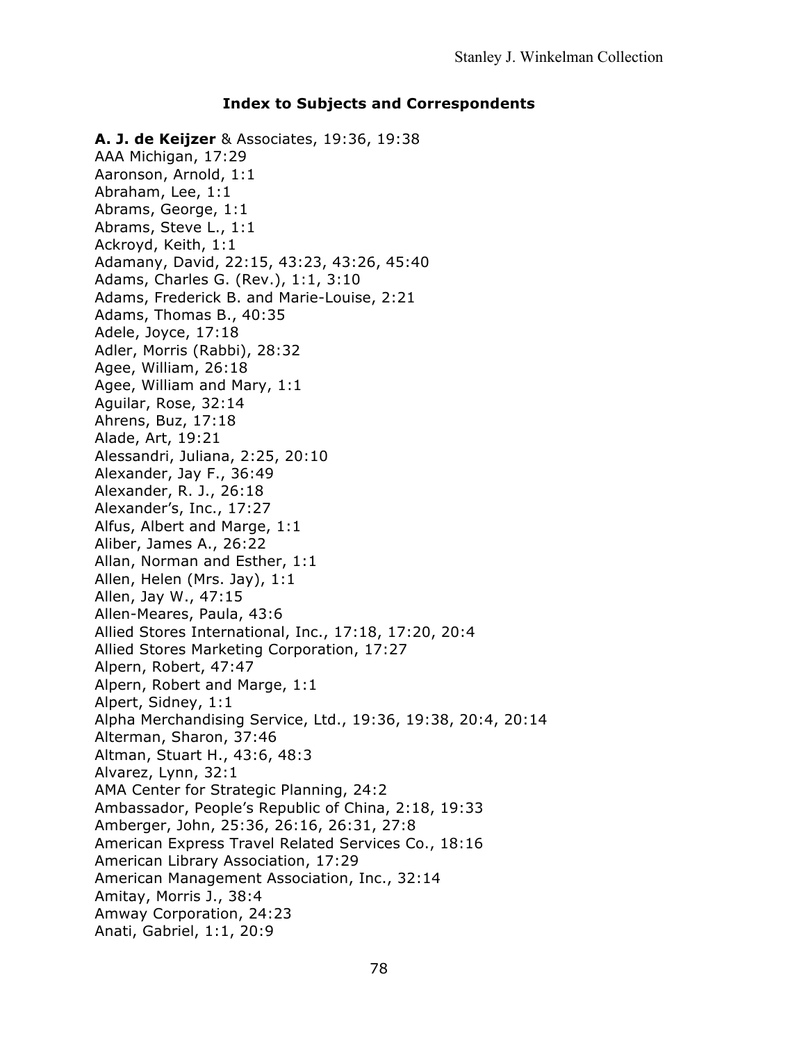#### **Index to Subjects and Correspondents**

**A. J. de Keijzer** & Associates, 19:36, 19:38 AAA Michigan, 17:29 Aaronson, Arnold, 1:1 Abraham, Lee, 1:1 Abrams, George, 1:1 Abrams, Steve L., 1:1 Ackroyd, Keith, 1:1 Adamany, David, 22:15, 43:23, 43:26, 45:40 Adams, Charles G. (Rev.), 1:1, 3:10 Adams, Frederick B. and Marie-Louise, 2:21 Adams, Thomas B., 40:35 Adele, Joyce, 17:18 Adler, Morris (Rabbi), 28:32 Agee, William, 26:18 Agee, William and Mary, 1:1 Aguilar, Rose, 32:14 Ahrens, Buz, 17:18 Alade, Art, 19:21 Alessandri, Juliana, 2:25, 20:10 Alexander, Jay F., 36:49 Alexander, R. J., 26:18 Alexander's, Inc., 17:27 Alfus, Albert and Marge, 1:1 Aliber, James A., 26:22 Allan, Norman and Esther, 1:1 Allen, Helen (Mrs. Jay), 1:1 Allen, Jay W., 47:15 Allen-Meares, Paula, 43:6 Allied Stores International, Inc., 17:18, 17:20, 20:4 Allied Stores Marketing Corporation, 17:27 Alpern, Robert, 47:47 Alpern, Robert and Marge, 1:1 Alpert, Sidney, 1:1 Alpha Merchandising Service, Ltd., 19:36, 19:38, 20:4, 20:14 Alterman, Sharon, 37:46 Altman, Stuart H., 43:6, 48:3 Alvarez, Lynn, 32:1 AMA Center for Strategic Planning, 24:2 Ambassador, People's Republic of China, 2:18, 19:33 Amberger, John, 25:36, 26:16, 26:31, 27:8 American Express Travel Related Services Co., 18:16 American Library Association, 17:29 American Management Association, Inc., 32:14 Amitay, Morris J., 38:4 Amway Corporation, 24:23 Anati, Gabriel, 1:1, 20:9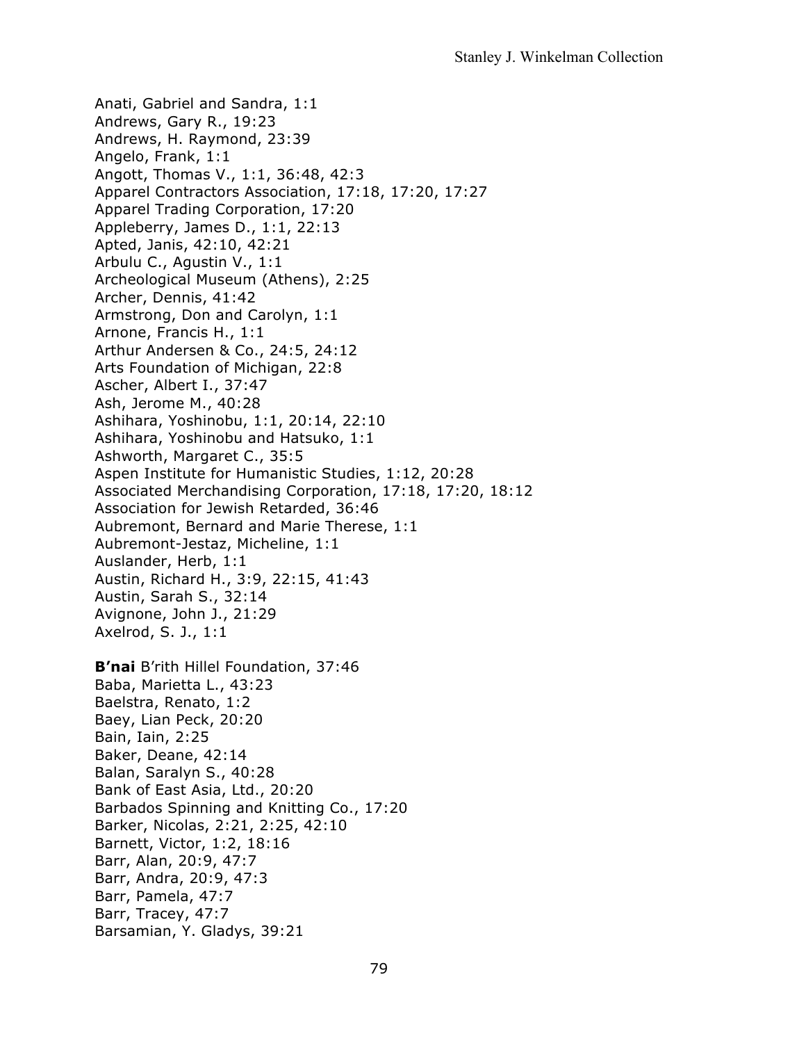Anati, Gabriel and Sandra, 1:1 Andrews, Gary R., 19:23 Andrews, H. Raymond, 23:39 Angelo, Frank, 1:1 Angott, Thomas V., 1:1, 36:48, 42:3 Apparel Contractors Association, 17:18, 17:20, 17:27 Apparel Trading Corporation, 17:20 Appleberry, James D., 1:1, 22:13 Apted, Janis, 42:10, 42:21 Arbulu C., Agustin V., 1:1 Archeological Museum (Athens), 2:25 Archer, Dennis, 41:42 Armstrong, Don and Carolyn, 1:1 Arnone, Francis H., 1:1 Arthur Andersen & Co., 24:5, 24:12 Arts Foundation of Michigan, 22:8 Ascher, Albert I., 37:47 Ash, Jerome M., 40:28 Ashihara, Yoshinobu, 1:1, 20:14, 22:10 Ashihara, Yoshinobu and Hatsuko, 1:1 Ashworth, Margaret C., 35:5 Aspen Institute for Humanistic Studies, 1:12, 20:28 Associated Merchandising Corporation, 17:18, 17:20, 18:12 Association for Jewish Retarded, 36:46 Aubremont, Bernard and Marie Therese, 1:1 Aubremont-Jestaz, Micheline, 1:1 Auslander, Herb, 1:1 Austin, Richard H., 3:9, 22:15, 41:43 Austin, Sarah S., 32:14 Avignone, John J., 21:29 Axelrod, S. J., 1:1 **B'nai** B'rith Hillel Foundation, 37:46 Baba, Marietta L., 43:23 Baelstra, Renato, 1:2 Baey, Lian Peck, 20:20 Bain, Iain, 2:25 Baker, Deane, 42:14 Balan, Saralyn S., 40:28 Bank of East Asia, Ltd., 20:20 Barbados Spinning and Knitting Co., 17:20 Barker, Nicolas, 2:21, 2:25, 42:10 Barnett, Victor, 1:2, 18:16 Barr, Alan, 20:9, 47:7 Barr, Andra, 20:9, 47:3 Barr, Pamela, 47:7

- Barr, Tracey, 47:7
- Barsamian, Y. Gladys, 39:21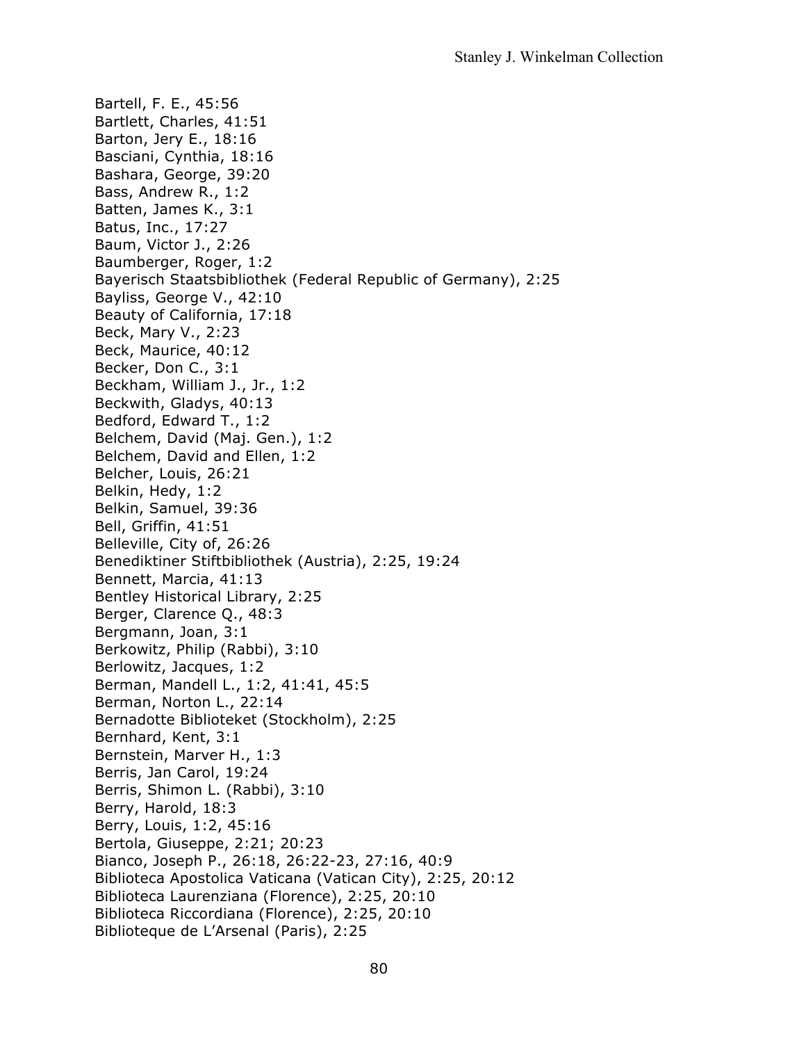Bartell, F. E., 45:56 Bartlett, Charles, 41:51 Barton, Jery E., 18:16 Basciani, Cynthia, 18:16 Bashara, George, 39:20 Bass, Andrew R., 1:2 Batten, James K., 3:1 Batus, Inc., 17:27 Baum, Victor J., 2:26 Baumberger, Roger, 1:2 Bayerisch Staatsbibliothek (Federal Republic of Germany), 2:25 Bayliss, George V., 42:10 Beauty of California, 17:18 Beck, Mary V., 2:23 Beck, Maurice, 40:12 Becker, Don C., 3:1 Beckham, William J., Jr., 1:2 Beckwith, Gladys, 40:13 Bedford, Edward T., 1:2 Belchem, David (Maj. Gen.), 1:2 Belchem, David and Ellen, 1:2 Belcher, Louis, 26:21 Belkin, Hedy, 1:2 Belkin, Samuel, 39:36 Bell, Griffin, 41:51 Belleville, City of, 26:26 Benediktiner Stiftbibliothek (Austria), 2:25, 19:24 Bennett, Marcia, 41:13 Bentley Historical Library, 2:25 Berger, Clarence Q., 48:3 Bergmann, Joan, 3:1 Berkowitz, Philip (Rabbi), 3:10 Berlowitz, Jacques, 1:2 Berman, Mandell L., 1:2, 41:41, 45:5 Berman, Norton L., 22:14 Bernadotte Biblioteket (Stockholm), 2:25 Bernhard, Kent, 3:1 Bernstein, Marver H., 1:3 Berris, Jan Carol, 19:24 Berris, Shimon L. (Rabbi), 3:10 Berry, Harold, 18:3 Berry, Louis, 1:2, 45:16 Bertola, Giuseppe, 2:21; 20:23 Bianco, Joseph P., 26:18, 26:22-23, 27:16, 40:9 Biblioteca Apostolica Vaticana (Vatican City), 2:25, 20:12 Biblioteca Laurenziana (Florence), 2:25, 20:10 Biblioteca Riccordiana (Florence), 2:25, 20:10 Biblioteque de L'Arsenal (Paris), 2:25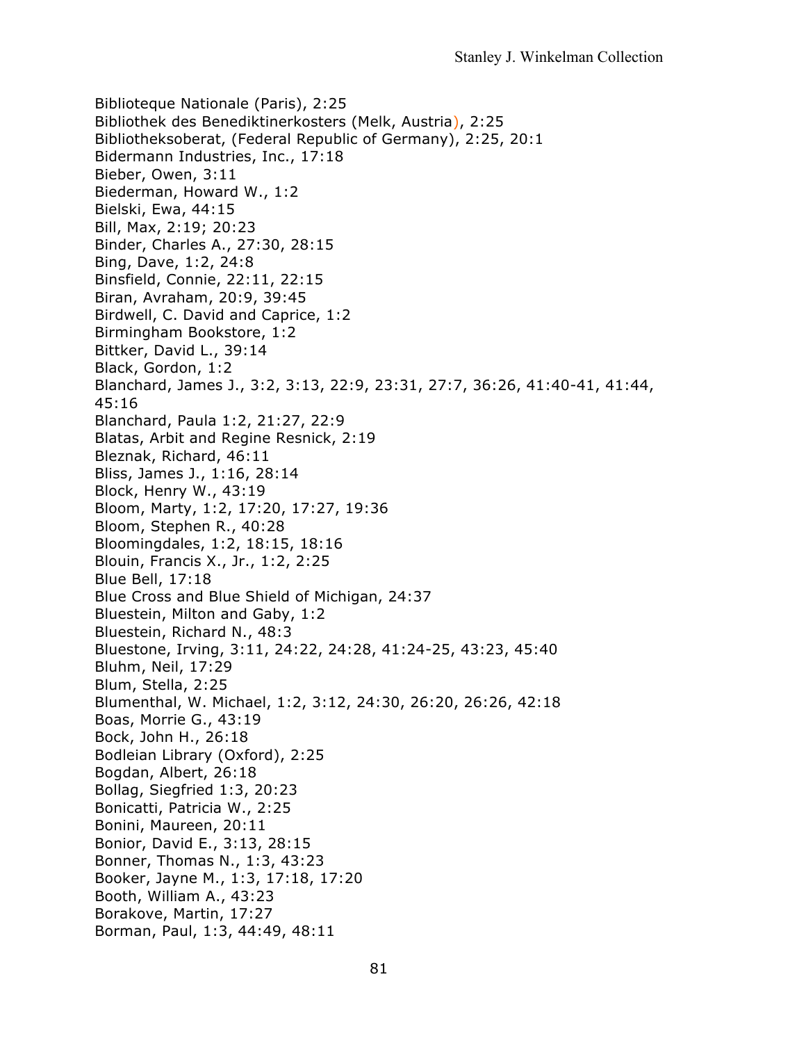Biblioteque Nationale (Paris), 2:25 Bibliothek des Benediktinerkosters (Melk, Austria), 2:25 Bibliotheksoberat, (Federal Republic of Germany), 2:25, 20:1 Bidermann Industries, Inc., 17:18 Bieber, Owen, 3:11 Biederman, Howard W., 1:2 Bielski, Ewa, 44:15 Bill, Max, 2:19; 20:23 Binder, Charles A., 27:30, 28:15 Bing, Dave, 1:2, 24:8 Binsfield, Connie, 22:11, 22:15 Biran, Avraham, 20:9, 39:45 Birdwell, C. David and Caprice, 1:2 Birmingham Bookstore, 1:2 Bittker, David L., 39:14 Black, Gordon, 1:2 Blanchard, James J., 3:2, 3:13, 22:9, 23:31, 27:7, 36:26, 41:40-41, 41:44, 45:16 Blanchard, Paula 1:2, 21:27, 22:9 Blatas, Arbit and Regine Resnick, 2:19 Bleznak, Richard, 46:11 Bliss, James J., 1:16, 28:14 Block, Henry W., 43:19 Bloom, Marty, 1:2, 17:20, 17:27, 19:36 Bloom, Stephen R., 40:28 Bloomingdales, 1:2, 18:15, 18:16 Blouin, Francis X., Jr., 1:2, 2:25 Blue Bell, 17:18 Blue Cross and Blue Shield of Michigan, 24:37 Bluestein, Milton and Gaby, 1:2 Bluestein, Richard N., 48:3 Bluestone, Irving, 3:11, 24:22, 24:28, 41:24-25, 43:23, 45:40 Bluhm, Neil, 17:29 Blum, Stella, 2:25 Blumenthal, W. Michael, 1:2, 3:12, 24:30, 26:20, 26:26, 42:18 Boas, Morrie G., 43:19 Bock, John H., 26:18 Bodleian Library (Oxford), 2:25 Bogdan, Albert, 26:18 Bollag, Siegfried 1:3, 20:23 Bonicatti, Patricia W., 2:25 Bonini, Maureen, 20:11 Bonior, David E., 3:13, 28:15 Bonner, Thomas N., 1:3, 43:23 Booker, Jayne M., 1:3, 17:18, 17:20 Booth, William A., 43:23 Borakove, Martin, 17:27 Borman, Paul, 1:3, 44:49, 48:11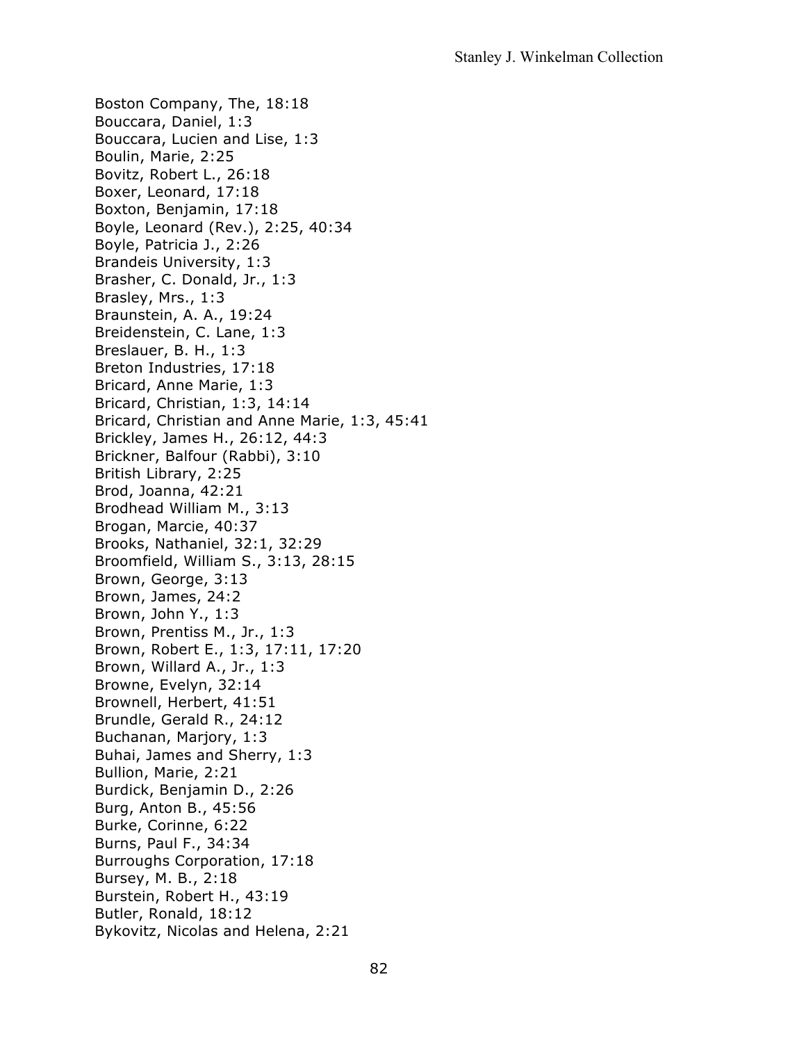Boston Company, The, 18:18 Bouccara, Daniel, 1:3 Bouccara, Lucien and Lise, 1:3 Boulin, Marie, 2:25 Bovitz, Robert L., 26:18 Boxer, Leonard, 17:18 Boxton, Benjamin, 17:18 Boyle, Leonard (Rev.), 2:25, 40:34 Boyle, Patricia J., 2:26 Brandeis University, 1:3 Brasher, C. Donald, Jr., 1:3 Brasley, Mrs., 1:3 Braunstein, A. A., 19:24 Breidenstein, C. Lane, 1:3 Breslauer, B. H., 1:3 Breton Industries, 17:18 Bricard, Anne Marie, 1:3 Bricard, Christian, 1:3, 14:14 Bricard, Christian and Anne Marie, 1:3, 45:41 Brickley, James H., 26:12, 44:3 Brickner, Balfour (Rabbi), 3:10 British Library, 2:25 Brod, Joanna, 42:21 Brodhead William M., 3:13 Brogan, Marcie, 40:37 Brooks, Nathaniel, 32:1, 32:29 Broomfield, William S., 3:13, 28:15 Brown, George, 3:13 Brown, James, 24:2 Brown, John Y., 1:3 Brown, Prentiss M., Jr., 1:3 Brown, Robert E., 1:3, 17:11, 17:20 Brown, Willard A., Jr., 1:3 Browne, Evelyn, 32:14 Brownell, Herbert, 41:51 Brundle, Gerald R., 24:12 Buchanan, Marjory, 1:3 Buhai, James and Sherry, 1:3 Bullion, Marie, 2:21 Burdick, Benjamin D., 2:26 Burg, Anton B., 45:56 Burke, Corinne, 6:22 Burns, Paul F., 34:34 Burroughs Corporation, 17:18 Bursey, M. B., 2:18 Burstein, Robert H., 43:19 Butler, Ronald, 18:12 Bykovitz, Nicolas and Helena, 2:21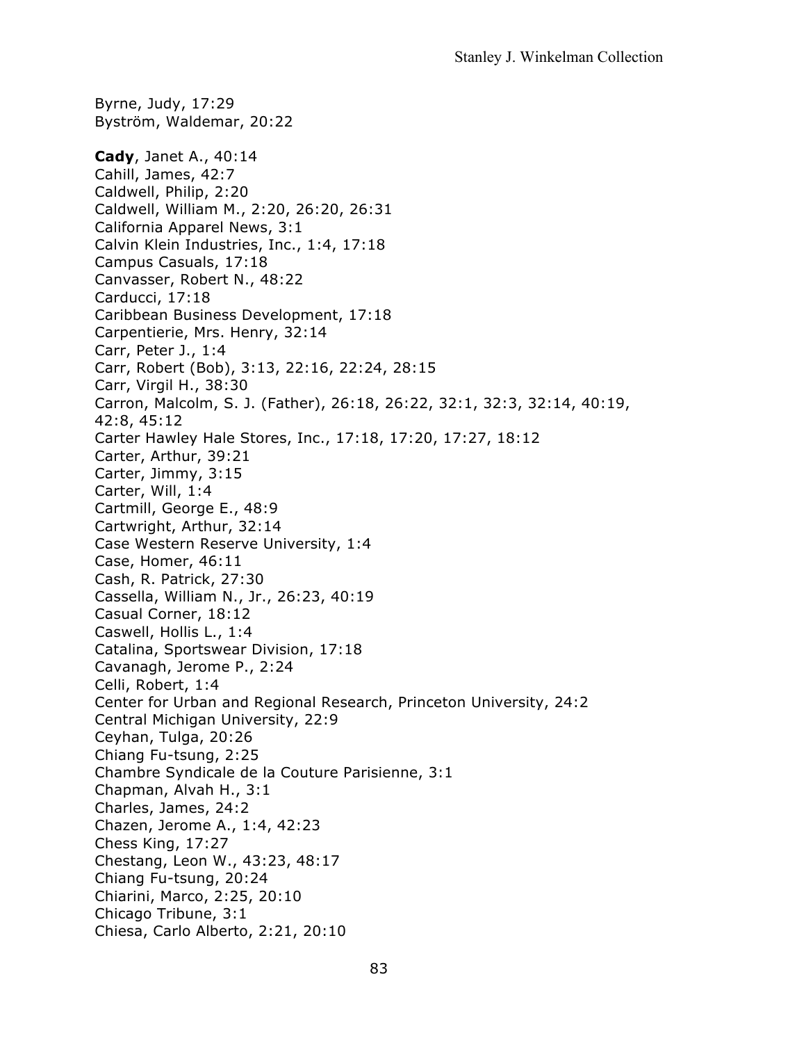Byrne, Judy, 17:29 Byström, Waldemar, 20:22 **Cady**, Janet A., 40:14 Cahill, James, 42:7 Caldwell, Philip, 2:20 Caldwell, William M., 2:20, 26:20, 26:31 California Apparel News, 3:1 Calvin Klein Industries, Inc., 1:4, 17:18 Campus Casuals, 17:18 Canvasser, Robert N., 48:22 Carducci, 17:18 Caribbean Business Development, 17:18 Carpentierie, Mrs. Henry, 32:14 Carr, Peter J., 1:4 Carr, Robert (Bob), 3:13, 22:16, 22:24, 28:15 Carr, Virgil H., 38:30 Carron, Malcolm, S. J. (Father), 26:18, 26:22, 32:1, 32:3, 32:14, 40:19, 42:8, 45:12 Carter Hawley Hale Stores, Inc., 17:18, 17:20, 17:27, 18:12 Carter, Arthur, 39:21 Carter, Jimmy, 3:15 Carter, Will, 1:4 Cartmill, George E., 48:9 Cartwright, Arthur, 32:14 Case Western Reserve University, 1:4 Case, Homer, 46:11 Cash, R. Patrick, 27:30 Cassella, William N., Jr., 26:23, 40:19 Casual Corner, 18:12 Caswell, Hollis L., 1:4 Catalina, Sportswear Division, 17:18 Cavanagh, Jerome P., 2:24 Celli, Robert, 1:4 Center for Urban and Regional Research, Princeton University, 24:2 Central Michigan University, 22:9 Ceyhan, Tulga, 20:26 Chiang Fu-tsung, 2:25 Chambre Syndicale de la Couture Parisienne, 3:1 Chapman, Alvah H., 3:1 Charles, James, 24:2 Chazen, Jerome A., 1:4, 42:23 Chess King, 17:27 Chestang, Leon W., 43:23, 48:17 Chiang Fu-tsung, 20:24 Chiarini, Marco, 2:25, 20:10 Chicago Tribune, 3:1 Chiesa, Carlo Alberto, 2:21, 20:10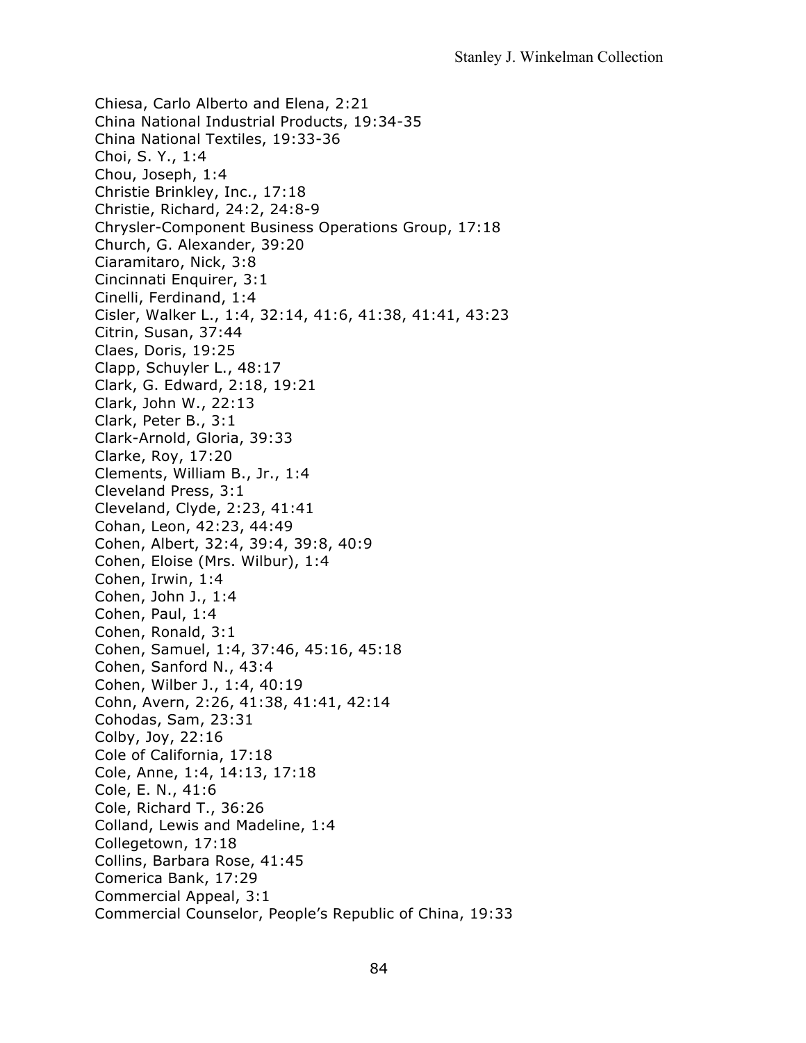Chiesa, Carlo Alberto and Elena, 2:21 China National Industrial Products, 19:34-35 China National Textiles, 19:33-36 Choi, S. Y., 1:4 Chou, Joseph, 1:4 Christie Brinkley, Inc., 17:18 Christie, Richard, 24:2, 24:8-9 Chrysler-Component Business Operations Group, 17:18 Church, G. Alexander, 39:20 Ciaramitaro, Nick, 3:8 Cincinnati Enquirer, 3:1 Cinelli, Ferdinand, 1:4 Cisler, Walker L., 1:4, 32:14, 41:6, 41:38, 41:41, 43:23 Citrin, Susan, 37:44 Claes, Doris, 19:25 Clapp, Schuyler L., 48:17 Clark, G. Edward, 2:18, 19:21 Clark, John W., 22:13 Clark, Peter B., 3:1 Clark-Arnold, Gloria, 39:33 Clarke, Roy, 17:20 Clements, William B., Jr., 1:4 Cleveland Press, 3:1 Cleveland, Clyde, 2:23, 41:41 Cohan, Leon, 42:23, 44:49 Cohen, Albert, 32:4, 39:4, 39:8, 40:9 Cohen, Eloise (Mrs. Wilbur), 1:4 Cohen, Irwin, 1:4 Cohen, John J., 1:4 Cohen, Paul, 1:4 Cohen, Ronald, 3:1 Cohen, Samuel, 1:4, 37:46, 45:16, 45:18 Cohen, Sanford N., 43:4 Cohen, Wilber J., 1:4, 40:19 Cohn, Avern, 2:26, 41:38, 41:41, 42:14 Cohodas, Sam, 23:31 Colby, Joy, 22:16 Cole of California, 17:18 Cole, Anne, 1:4, 14:13, 17:18 Cole, E. N., 41:6 Cole, Richard T., 36:26 Colland, Lewis and Madeline, 1:4 Collegetown, 17:18 Collins, Barbara Rose, 41:45 Comerica Bank, 17:29 Commercial Appeal, 3:1 Commercial Counselor, People's Republic of China, 19:33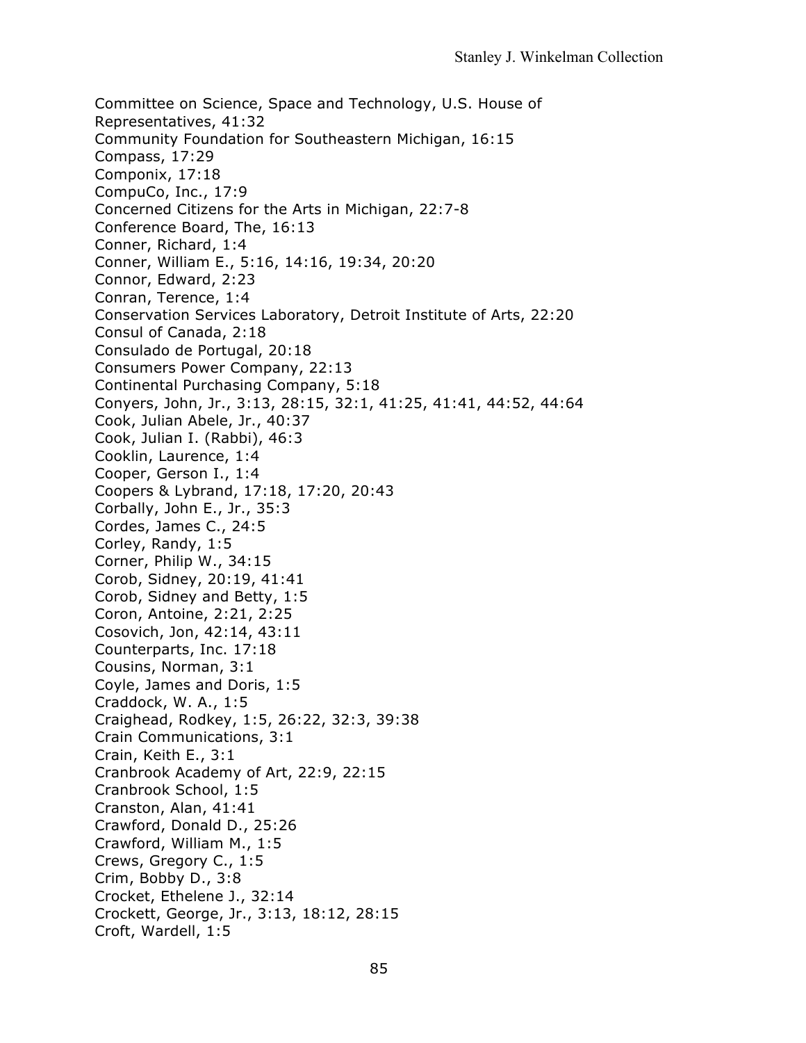Committee on Science, Space and Technology, U.S. House of Representatives, 41:32 Community Foundation for Southeastern Michigan, 16:15 Compass, 17:29 Componix, 17:18 CompuCo, Inc., 17:9 Concerned Citizens for the Arts in Michigan, 22:7-8 Conference Board, The, 16:13 Conner, Richard, 1:4 Conner, William E., 5:16, 14:16, 19:34, 20:20 Connor, Edward, 2:23 Conran, Terence, 1:4 Conservation Services Laboratory, Detroit Institute of Arts, 22:20 Consul of Canada, 2:18 Consulado de Portugal, 20:18 Consumers Power Company, 22:13 Continental Purchasing Company, 5:18 Conyers, John, Jr., 3:13, 28:15, 32:1, 41:25, 41:41, 44:52, 44:64 Cook, Julian Abele, Jr., 40:37 Cook, Julian I. (Rabbi), 46:3 Cooklin, Laurence, 1:4 Cooper, Gerson I., 1:4 Coopers & Lybrand, 17:18, 17:20, 20:43 Corbally, John E., Jr., 35:3 Cordes, James C., 24:5 Corley, Randy, 1:5 Corner, Philip W., 34:15 Corob, Sidney, 20:19, 41:41 Corob, Sidney and Betty, 1:5 Coron, Antoine, 2:21, 2:25 Cosovich, Jon, 42:14, 43:11 Counterparts, Inc. 17:18 Cousins, Norman, 3:1 Coyle, James and Doris, 1:5 Craddock, W. A., 1:5 Craighead, Rodkey, 1:5, 26:22, 32:3, 39:38 Crain Communications, 3:1 Crain, Keith E., 3:1 Cranbrook Academy of Art, 22:9, 22:15 Cranbrook School, 1:5 Cranston, Alan, 41:41 Crawford, Donald D., 25:26 Crawford, William M., 1:5 Crews, Gregory C., 1:5 Crim, Bobby D., 3:8 Crocket, Ethelene J., 32:14 Crockett, George, Jr., 3:13, 18:12, 28:15 Croft, Wardell, 1:5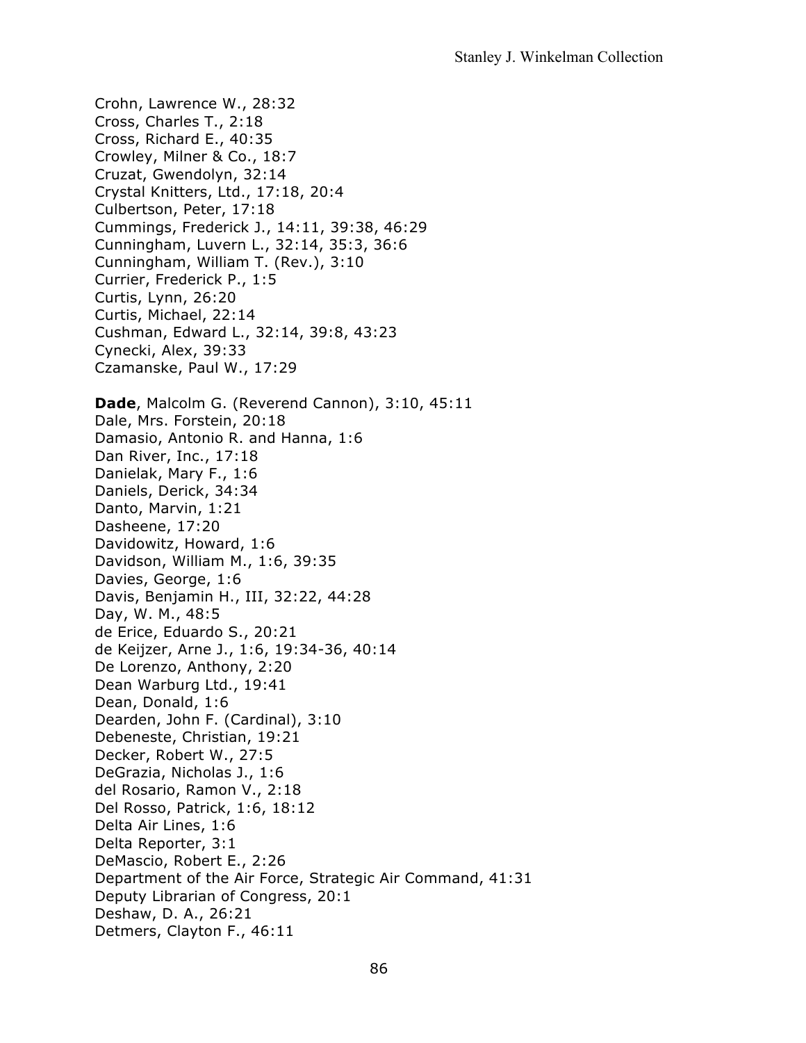Crohn, Lawrence W., 28:32 Cross, Charles T., 2:18 Cross, Richard E., 40:35 Crowley, Milner & Co., 18:7 Cruzat, Gwendolyn, 32:14 Crystal Knitters, Ltd., 17:18, 20:4 Culbertson, Peter, 17:18 Cummings, Frederick J., 14:11, 39:38, 46:29 Cunningham, Luvern L., 32:14, 35:3, 36:6 Cunningham, William T. (Rev.), 3:10 Currier, Frederick P., 1:5 Curtis, Lynn, 26:20 Curtis, Michael, 22:14 Cushman, Edward L., 32:14, 39:8, 43:23 Cynecki, Alex, 39:33 Czamanske, Paul W., 17:29 **Dade**, Malcolm G. (Reverend Cannon), 3:10, 45:11 Dale, Mrs. Forstein, 20:18 Damasio, Antonio R. and Hanna, 1:6 Dan River, Inc., 17:18 Danielak, Mary F., 1:6 Daniels, Derick, 34:34 Danto, Marvin, 1:21 Dasheene, 17:20 Davidowitz, Howard, 1:6 Davidson, William M., 1:6, 39:35 Davies, George, 1:6 Davis, Benjamin H., III, 32:22, 44:28 Day, W. M., 48:5 de Erice, Eduardo S., 20:21 de Keijzer, Arne J., 1:6, 19:34-36, 40:14 De Lorenzo, Anthony, 2:20 Dean Warburg Ltd., 19:41 Dean, Donald, 1:6 Dearden, John F. (Cardinal), 3:10 Debeneste, Christian, 19:21 Decker, Robert W., 27:5 DeGrazia, Nicholas J., 1:6 del Rosario, Ramon V., 2:18 Del Rosso, Patrick, 1:6, 18:12 Delta Air Lines, 1:6 Delta Reporter, 3:1 DeMascio, Robert E., 2:26 Department of the Air Force, Strategic Air Command, 41:31 Deputy Librarian of Congress, 20:1 Deshaw, D. A., 26:21 Detmers, Clayton F., 46:11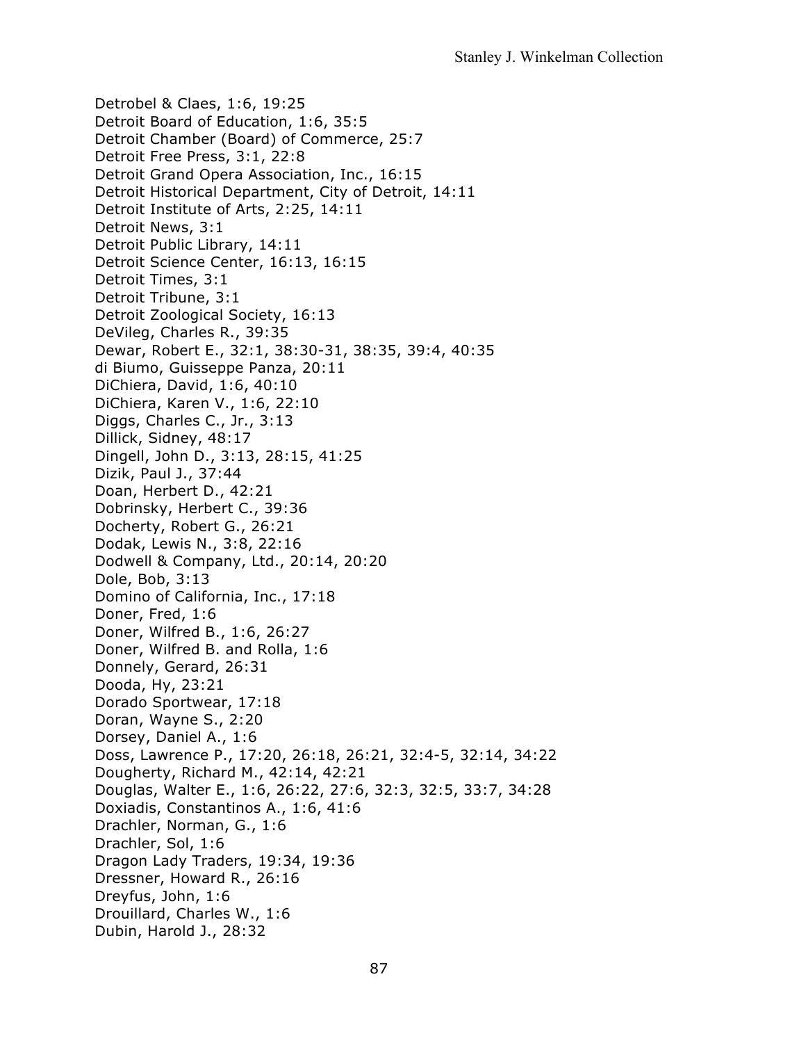Detrobel & Claes, 1:6, 19:25 Detroit Board of Education, 1:6, 35:5 Detroit Chamber (Board) of Commerce, 25:7 Detroit Free Press, 3:1, 22:8 Detroit Grand Opera Association, Inc., 16:15 Detroit Historical Department, City of Detroit, 14:11 Detroit Institute of Arts, 2:25, 14:11 Detroit News, 3:1 Detroit Public Library, 14:11 Detroit Science Center, 16:13, 16:15 Detroit Times, 3:1 Detroit Tribune, 3:1 Detroit Zoological Society, 16:13 DeVileg, Charles R., 39:35 Dewar, Robert E., 32:1, 38:30-31, 38:35, 39:4, 40:35 di Biumo, Guisseppe Panza, 20:11 DiChiera, David, 1:6, 40:10 DiChiera, Karen V., 1:6, 22:10 Diggs, Charles C., Jr., 3:13 Dillick, Sidney, 48:17 Dingell, John D., 3:13, 28:15, 41:25 Dizik, Paul J., 37:44 Doan, Herbert D., 42:21 Dobrinsky, Herbert C., 39:36 Docherty, Robert G., 26:21 Dodak, Lewis N., 3:8, 22:16 Dodwell & Company, Ltd., 20:14, 20:20 Dole, Bob, 3:13 Domino of California, Inc., 17:18 Doner, Fred, 1:6 Doner, Wilfred B., 1:6, 26:27 Doner, Wilfred B. and Rolla, 1:6 Donnely, Gerard, 26:31 Dooda, Hy, 23:21 Dorado Sportwear, 17:18 Doran, Wayne S., 2:20 Dorsey, Daniel A., 1:6 Doss, Lawrence P., 17:20, 26:18, 26:21, 32:4-5, 32:14, 34:22 Dougherty, Richard M., 42:14, 42:21 Douglas, Walter E., 1:6, 26:22, 27:6, 32:3, 32:5, 33:7, 34:28 Doxiadis, Constantinos A., 1:6, 41:6 Drachler, Norman, G., 1:6 Drachler, Sol, 1:6 Dragon Lady Traders, 19:34, 19:36 Dressner, Howard R., 26:16 Dreyfus, John, 1:6 Drouillard, Charles W., 1:6 Dubin, Harold J., 28:32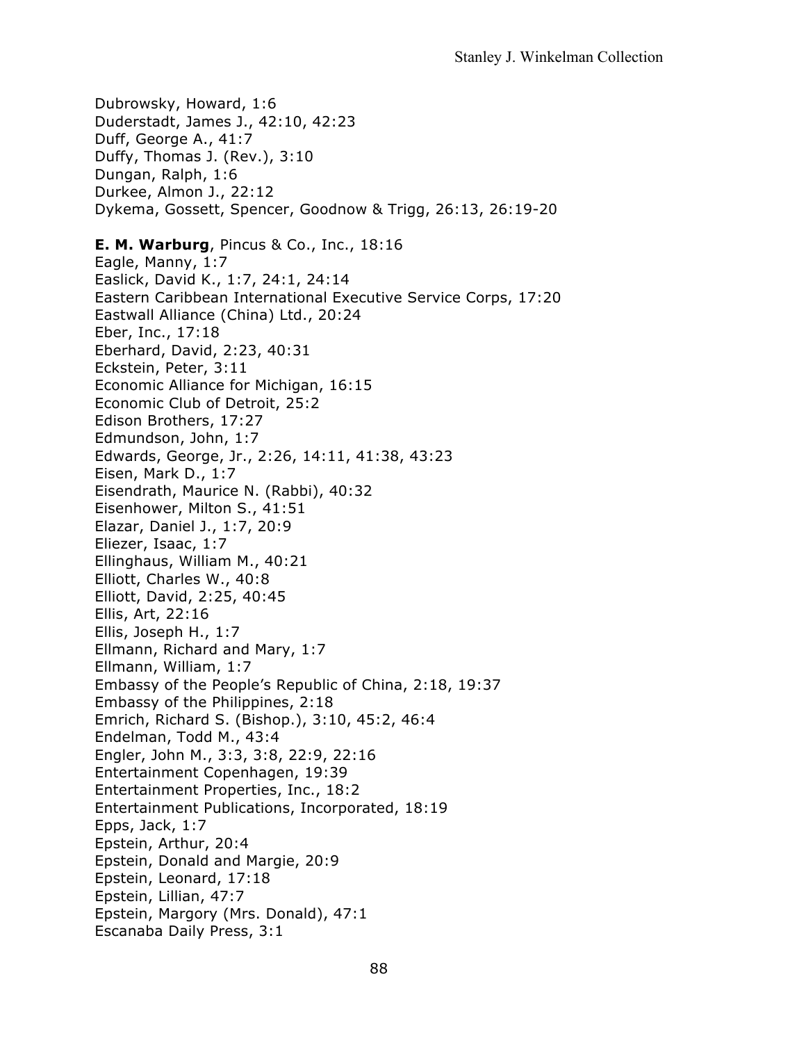Dubrowsky, Howard, 1:6 Duderstadt, James J., 42:10, 42:23 Duff, George A., 41:7 Duffy, Thomas J. (Rev.), 3:10 Dungan, Ralph, 1:6 Durkee, Almon J., 22:12 Dykema, Gossett, Spencer, Goodnow & Trigg, 26:13, 26:19-20 **E. M. Warburg**, Pincus & Co., Inc., 18:16 Eagle, Manny, 1:7 Easlick, David K., 1:7, 24:1, 24:14 Eastern Caribbean International Executive Service Corps, 17:20 Eastwall Alliance (China) Ltd., 20:24 Eber, Inc., 17:18 Eberhard, David, 2:23, 40:31 Eckstein, Peter, 3:11 Economic Alliance for Michigan, 16:15 Economic Club of Detroit, 25:2 Edison Brothers, 17:27 Edmundson, John, 1:7 Edwards, George, Jr., 2:26, 14:11, 41:38, 43:23 Eisen, Mark D., 1:7 Eisendrath, Maurice N. (Rabbi), 40:32 Eisenhower, Milton S., 41:51 Elazar, Daniel J., 1:7, 20:9 Eliezer, Isaac, 1:7 Ellinghaus, William M., 40:21 Elliott, Charles W., 40:8 Elliott, David, 2:25, 40:45 Ellis, Art, 22:16 Ellis, Joseph H., 1:7 Ellmann, Richard and Mary, 1:7 Ellmann, William, 1:7 Embassy of the People's Republic of China, 2:18, 19:37 Embassy of the Philippines, 2:18 Emrich, Richard S. (Bishop.), 3:10, 45:2, 46:4 Endelman, Todd M., 43:4 Engler, John M., 3:3, 3:8, 22:9, 22:16 Entertainment Copenhagen, 19:39 Entertainment Properties, Inc., 18:2 Entertainment Publications, Incorporated, 18:19 Epps, Jack, 1:7 Epstein, Arthur, 20:4 Epstein, Donald and Margie, 20:9 Epstein, Leonard, 17:18 Epstein, Lillian, 47:7 Epstein, Margory (Mrs. Donald), 47:1 Escanaba Daily Press, 3:1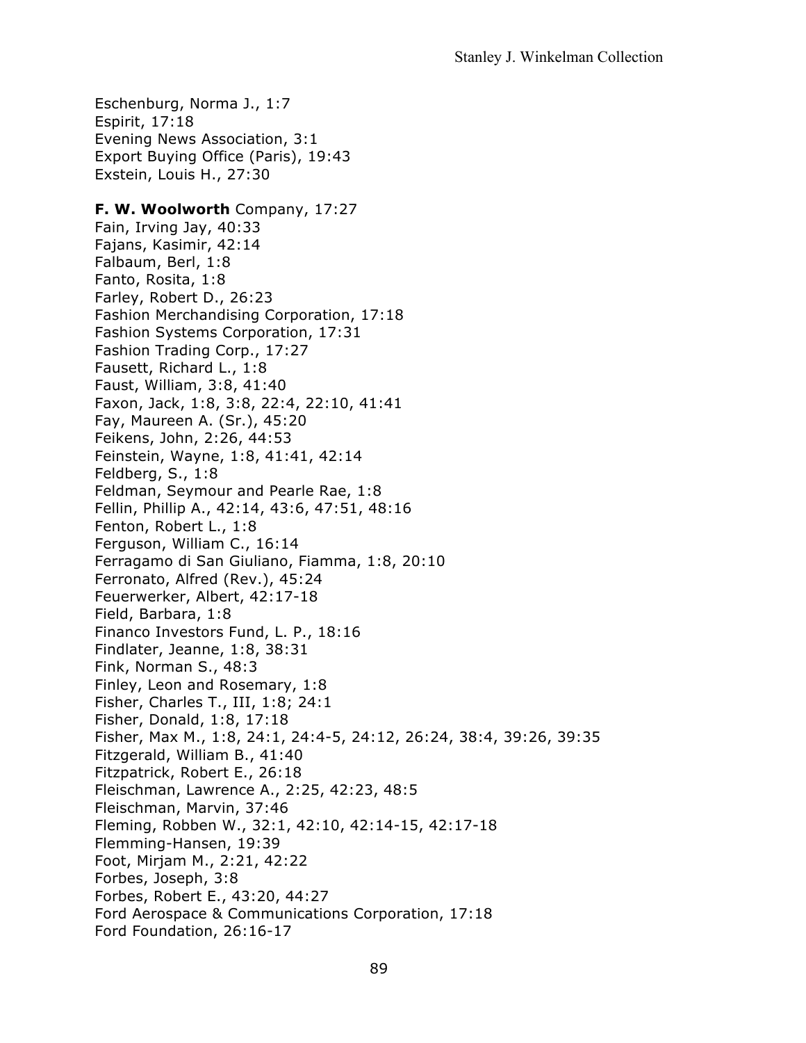Eschenburg, Norma J., 1:7 Espirit, 17:18 Evening News Association, 3:1 Export Buying Office (Paris), 19:43 Exstein, Louis H., 27:30

#### **F. W. Woolworth** Company, 17:27

Fain, Irving Jay, 40:33 Fajans, Kasimir, 42:14 Falbaum, Berl, 1:8 Fanto, Rosita, 1:8 Farley, Robert D., 26:23 Fashion Merchandising Corporation, 17:18 Fashion Systems Corporation, 17:31 Fashion Trading Corp., 17:27 Fausett, Richard L., 1:8 Faust, William, 3:8, 41:40 Faxon, Jack, 1:8, 3:8, 22:4, 22:10, 41:41 Fay, Maureen A. (Sr.), 45:20 Feikens, John, 2:26, 44:53 Feinstein, Wayne, 1:8, 41:41, 42:14 Feldberg, S., 1:8 Feldman, Seymour and Pearle Rae, 1:8 Fellin, Phillip A., 42:14, 43:6, 47:51, 48:16 Fenton, Robert L., 1:8 Ferguson, William C., 16:14 Ferragamo di San Giuliano, Fiamma, 1:8, 20:10 Ferronato, Alfred (Rev.), 45:24 Feuerwerker, Albert, 42:17-18 Field, Barbara, 1:8 Financo Investors Fund, L. P., 18:16 Findlater, Jeanne, 1:8, 38:31 Fink, Norman S., 48:3 Finley, Leon and Rosemary, 1:8 Fisher, Charles T., III, 1:8; 24:1 Fisher, Donald, 1:8, 17:18 Fisher, Max M., 1:8, 24:1, 24:4-5, 24:12, 26:24, 38:4, 39:26, 39:35 Fitzgerald, William B., 41:40 Fitzpatrick, Robert E., 26:18 Fleischman, Lawrence A., 2:25, 42:23, 48:5 Fleischman, Marvin, 37:46 Fleming, Robben W., 32:1, 42:10, 42:14-15, 42:17-18 Flemming-Hansen, 19:39 Foot, Mirjam M., 2:21, 42:22 Forbes, Joseph, 3:8 Forbes, Robert E., 43:20, 44:27 Ford Aerospace & Communications Corporation, 17:18 Ford Foundation, 26:16-17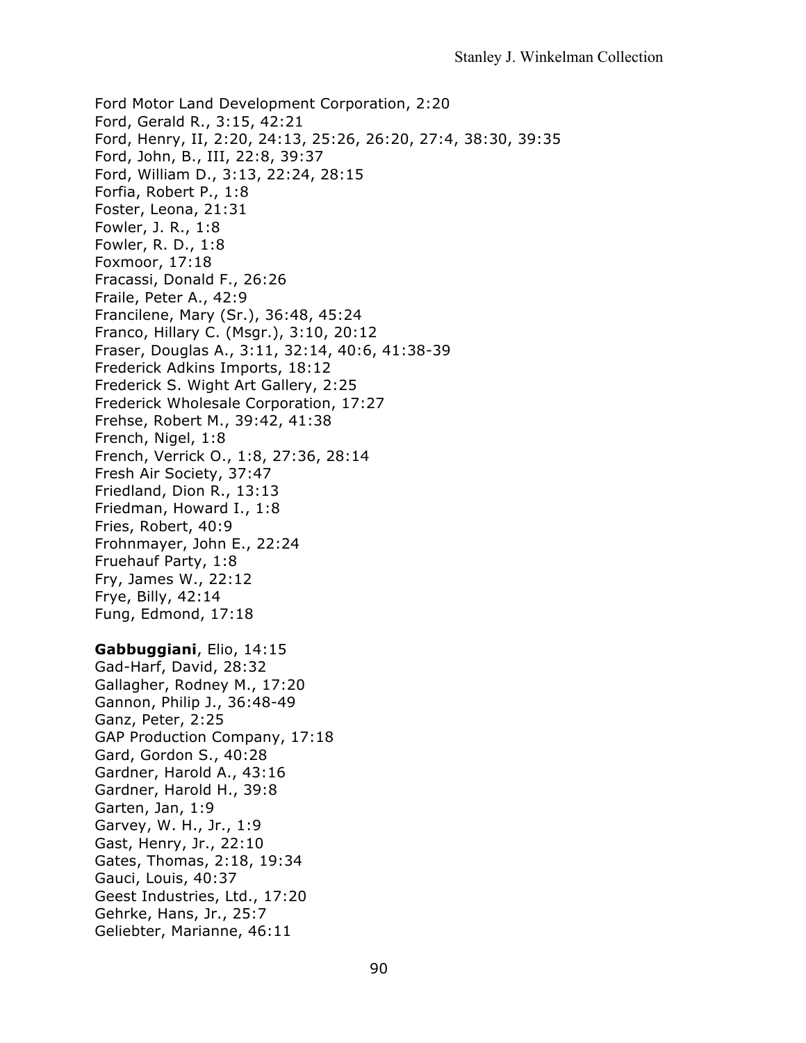Ford Motor Land Development Corporation, 2:20 Ford, Gerald R., 3:15, 42:21 Ford, Henry, II, 2:20, 24:13, 25:26, 26:20, 27:4, 38:30, 39:35 Ford, John, B., III, 22:8, 39:37 Ford, William D., 3:13, 22:24, 28:15 Forfia, Robert P., 1:8 Foster, Leona, 21:31 Fowler, J. R., 1:8 Fowler, R. D., 1:8 Foxmoor, 17:18 Fracassi, Donald F., 26:26 Fraile, Peter A., 42:9 Francilene, Mary (Sr.), 36:48, 45:24 Franco, Hillary C. (Msgr.), 3:10, 20:12 Fraser, Douglas A., 3:11, 32:14, 40:6, 41:38-39 Frederick Adkins Imports, 18:12 Frederick S. Wight Art Gallery, 2:25 Frederick Wholesale Corporation, 17:27 Frehse, Robert M., 39:42, 41:38 French, Nigel, 1:8 French, Verrick O., 1:8, 27:36, 28:14 Fresh Air Society, 37:47 Friedland, Dion R., 13:13 Friedman, Howard I., 1:8 Fries, Robert, 40:9 Frohnmayer, John E., 22:24 Fruehauf Party, 1:8 Fry, James W., 22:12 Frye, Billy, 42:14 Fung, Edmond, 17:18 **Gabbuggiani**, Elio, 14:15 Gad-Harf, David, 28:32 Gallagher, Rodney M., 17:20 Gannon, Philip J., 36:48-49 Ganz, Peter, 2:25 GAP Production Company, 17:18 Gard, Gordon S., 40:28 Gardner, Harold A., 43:16 Gardner, Harold H., 39:8 Garten, Jan, 1:9 Garvey, W. H., Jr., 1:9 Gast, Henry, Jr., 22:10 Gates, Thomas, 2:18, 19:34 Gauci, Louis, 40:37 Geest Industries, Ltd., 17:20 Gehrke, Hans, Jr., 25:7 Geliebter, Marianne, 46:11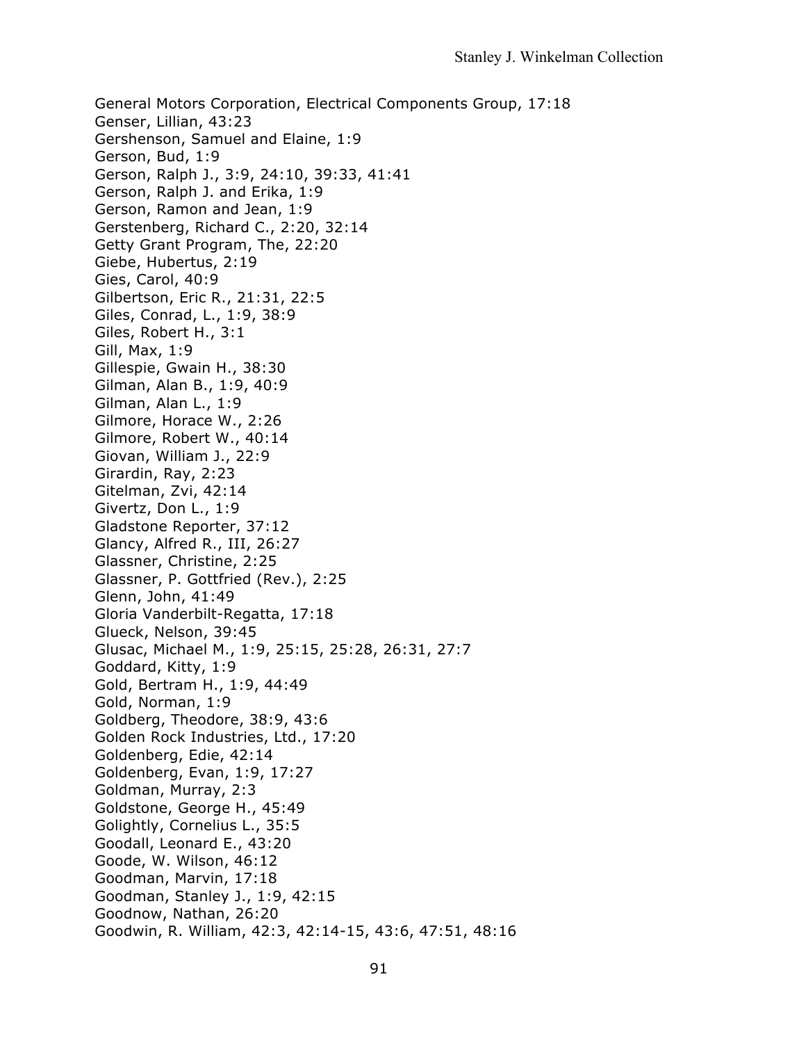General Motors Corporation, Electrical Components Group, 17:18 Genser, Lillian, 43:23 Gershenson, Samuel and Elaine, 1:9 Gerson, Bud, 1:9 Gerson, Ralph J., 3:9, 24:10, 39:33, 41:41 Gerson, Ralph J. and Erika, 1:9 Gerson, Ramon and Jean, 1:9 Gerstenberg, Richard C., 2:20, 32:14 Getty Grant Program, The, 22:20 Giebe, Hubertus, 2:19 Gies, Carol, 40:9 Gilbertson, Eric R., 21:31, 22:5 Giles, Conrad, L., 1:9, 38:9 Giles, Robert H., 3:1 Gill, Max, 1:9 Gillespie, Gwain H., 38:30 Gilman, Alan B., 1:9, 40:9 Gilman, Alan L., 1:9 Gilmore, Horace W., 2:26 Gilmore, Robert W., 40:14 Giovan, William J., 22:9 Girardin, Ray, 2:23 Gitelman, Zvi, 42:14 Givertz, Don L., 1:9 Gladstone Reporter, 37:12 Glancy, Alfred R., III, 26:27 Glassner, Christine, 2:25 Glassner, P. Gottfried (Rev.), 2:25 Glenn, John, 41:49 Gloria Vanderbilt-Regatta, 17:18 Glueck, Nelson, 39:45 Glusac, Michael M., 1:9, 25:15, 25:28, 26:31, 27:7 Goddard, Kitty, 1:9 Gold, Bertram H., 1:9, 44:49 Gold, Norman, 1:9 Goldberg, Theodore, 38:9, 43:6 Golden Rock Industries, Ltd., 17:20 Goldenberg, Edie, 42:14 Goldenberg, Evan, 1:9, 17:27 Goldman, Murray, 2:3 Goldstone, George H., 45:49 Golightly, Cornelius L., 35:5 Goodall, Leonard E., 43:20 Goode, W. Wilson, 46:12 Goodman, Marvin, 17:18 Goodman, Stanley J., 1:9, 42:15 Goodnow, Nathan, 26:20 Goodwin, R. William, 42:3, 42:14-15, 43:6, 47:51, 48:16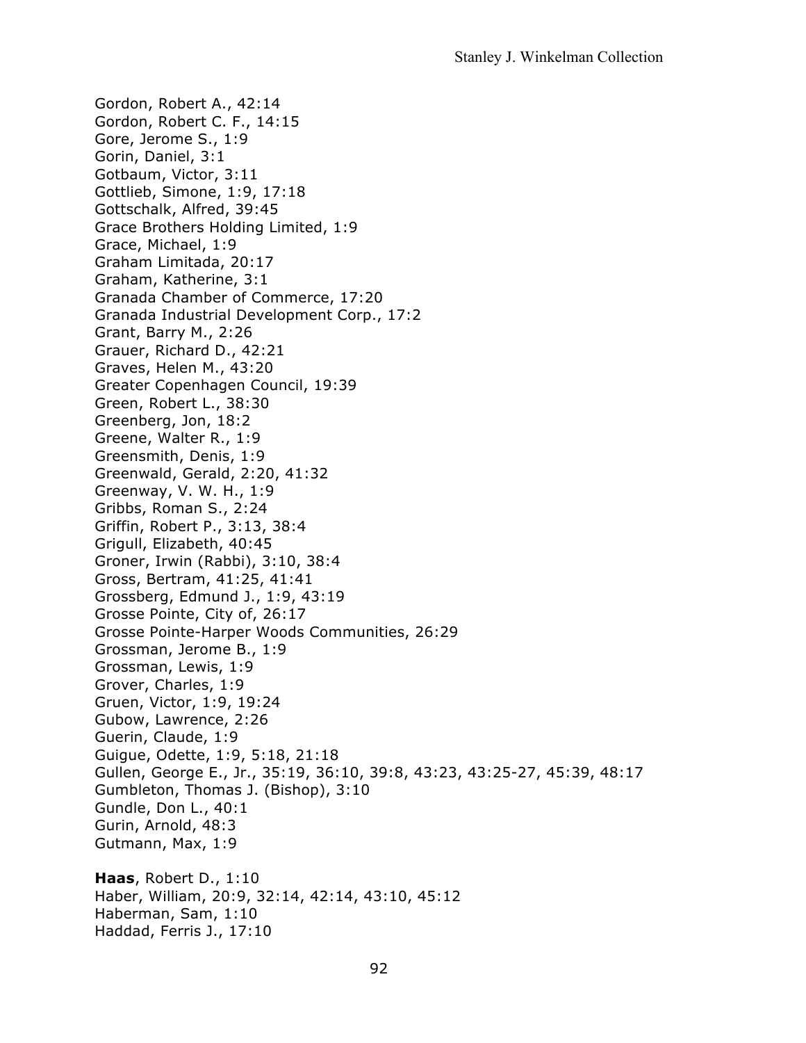Gordon, Robert A., 42:14 Gordon, Robert C. F., 14:15 Gore, Jerome S., 1:9 Gorin, Daniel, 3:1 Gotbaum, Victor, 3:11 Gottlieb, Simone, 1:9, 17:18 Gottschalk, Alfred, 39:45 Grace Brothers Holding Limited, 1:9 Grace, Michael, 1:9 Graham Limitada, 20:17 Graham, Katherine, 3:1 Granada Chamber of Commerce, 17:20 Granada Industrial Development Corp., 17:2 Grant, Barry M., 2:26 Grauer, Richard D., 42:21 Graves, Helen M., 43:20 Greater Copenhagen Council, 19:39 Green, Robert L., 38:30 Greenberg, Jon, 18:2 Greene, Walter R., 1:9 Greensmith, Denis, 1:9 Greenwald, Gerald, 2:20, 41:32 Greenway, V. W. H., 1:9 Gribbs, Roman S., 2:24 Griffin, Robert P., 3:13, 38:4 Grigull, Elizabeth, 40:45 Groner, Irwin (Rabbi), 3:10, 38:4 Gross, Bertram, 41:25, 41:41 Grossberg, Edmund J., 1:9, 43:19 Grosse Pointe, City of, 26:17 Grosse Pointe-Harper Woods Communities, 26:29 Grossman, Jerome B., 1:9 Grossman, Lewis, 1:9 Grover, Charles, 1:9 Gruen, Victor, 1:9, 19:24 Gubow, Lawrence, 2:26 Guerin, Claude, 1:9 Guigue, Odette, 1:9, 5:18, 21:18 Gullen, George E., Jr., 35:19, 36:10, 39:8, 43:23, 43:25-27, 45:39, 48:17 Gumbleton, Thomas J. (Bishop), 3:10 Gundle, Don L., 40:1 Gurin, Arnold, 48:3 Gutmann, Max, 1:9 **Haas**, Robert D., 1:10 Haber, William, 20:9, 32:14, 42:14, 43:10, 45:12

Haberman, Sam, 1:10 Haddad, Ferris J., 17:10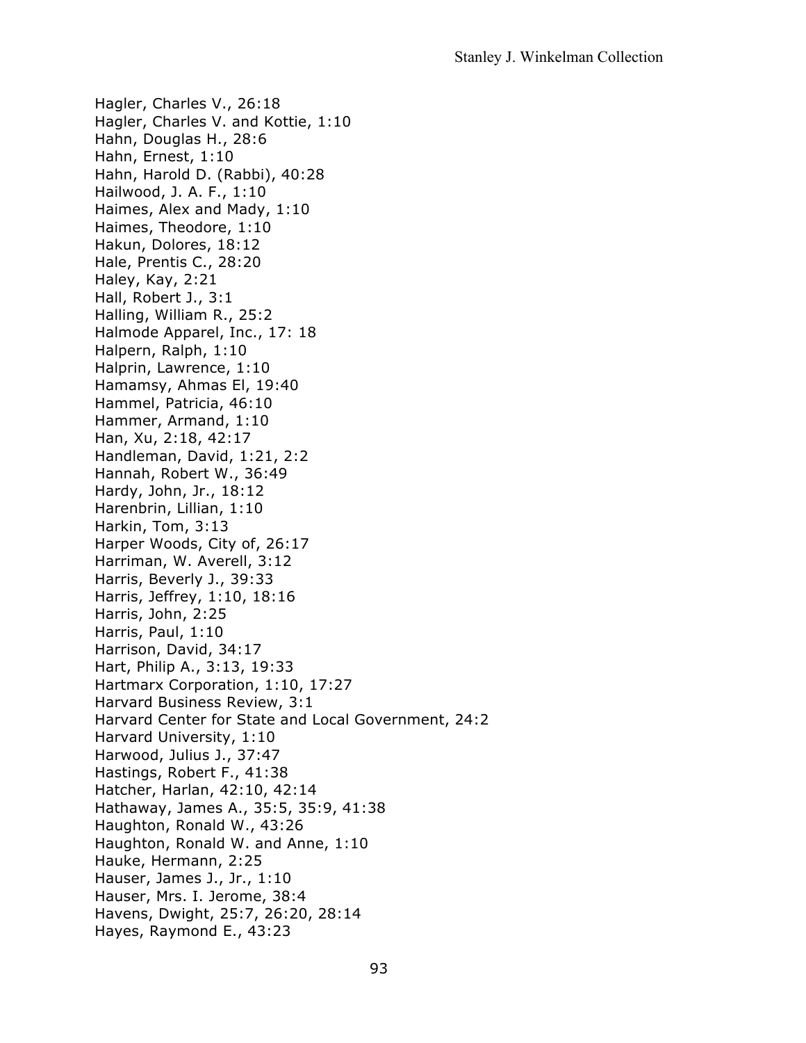Hagler, Charles V., 26:18 Hagler, Charles V. and Kottie, 1:10 Hahn, Douglas H., 28:6 Hahn, Ernest, 1:10 Hahn, Harold D. (Rabbi), 40:28 Hailwood, J. A. F., 1:10 Haimes, Alex and Mady, 1:10 Haimes, Theodore, 1:10 Hakun, Dolores, 18:12 Hale, Prentis C., 28:20 Haley, Kay, 2:21 Hall, Robert J., 3:1 Halling, William R., 25:2 Halmode Apparel, Inc., 17: 18 Halpern, Ralph, 1:10 Halprin, Lawrence, 1:10 Hamamsy, Ahmas El, 19:40 Hammel, Patricia, 46:10 Hammer, Armand, 1:10 Han, Xu, 2:18, 42:17 Handleman, David, 1:21, 2:2 Hannah, Robert W., 36:49 Hardy, John, Jr., 18:12 Harenbrin, Lillian, 1:10 Harkin, Tom, 3:13 Harper Woods, City of, 26:17 Harriman, W. Averell, 3:12 Harris, Beverly J., 39:33 Harris, Jeffrey, 1:10, 18:16 Harris, John, 2:25 Harris, Paul, 1:10 Harrison, David, 34:17 Hart, Philip A., 3:13, 19:33 Hartmarx Corporation, 1:10, 17:27 Harvard Business Review, 3:1 Harvard Center for State and Local Government, 24:2 Harvard University, 1:10 Harwood, Julius J., 37:47 Hastings, Robert F., 41:38 Hatcher, Harlan, 42:10, 42:14 Hathaway, James A., 35:5, 35:9, 41:38 Haughton, Ronald W., 43:26 Haughton, Ronald W. and Anne, 1:10 Hauke, Hermann, 2:25 Hauser, James J., Jr., 1:10 Hauser, Mrs. I. Jerome, 38:4 Havens, Dwight, 25:7, 26:20, 28:14 Hayes, Raymond E., 43:23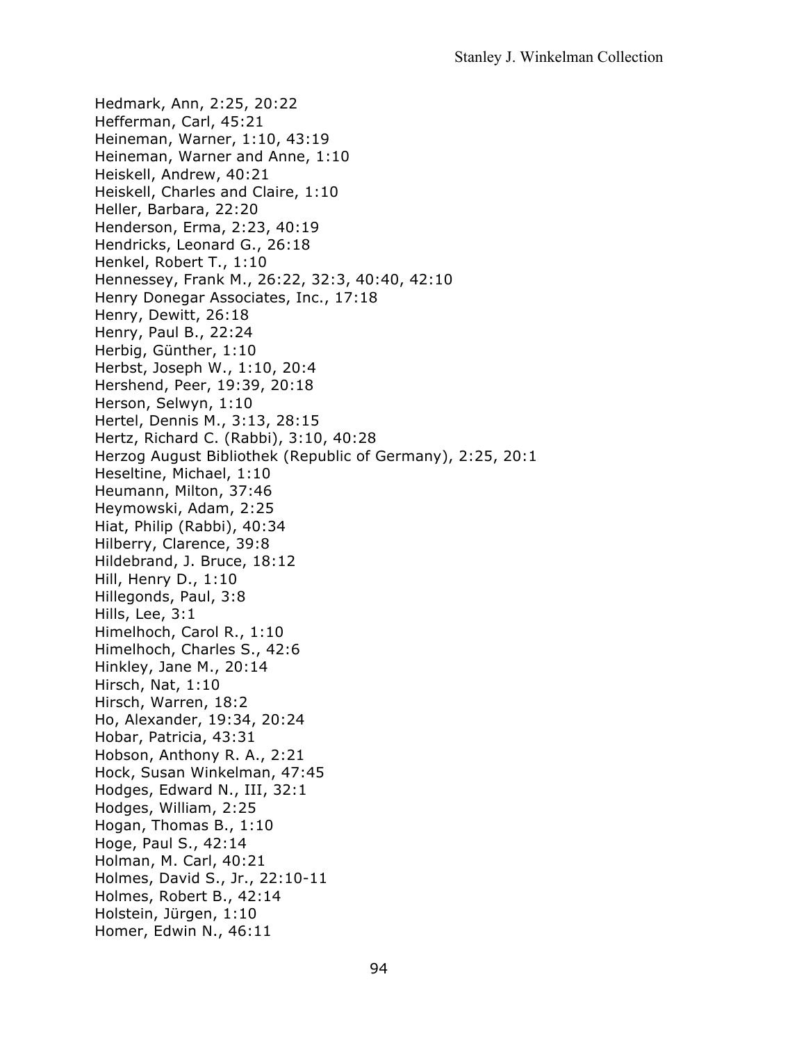Hedmark, Ann, 2:25, 20:22 Hefferman, Carl, 45:21 Heineman, Warner, 1:10, 43:19 Heineman, Warner and Anne, 1:10 Heiskell, Andrew, 40:21 Heiskell, Charles and Claire, 1:10 Heller, Barbara, 22:20 Henderson, Erma, 2:23, 40:19 Hendricks, Leonard G., 26:18 Henkel, Robert T., 1:10 Hennessey, Frank M., 26:22, 32:3, 40:40, 42:10 Henry Donegar Associates, Inc., 17:18 Henry, Dewitt, 26:18 Henry, Paul B., 22:24 Herbig, Günther, 1:10 Herbst, Joseph W., 1:10, 20:4 Hershend, Peer, 19:39, 20:18 Herson, Selwyn, 1:10 Hertel, Dennis M., 3:13, 28:15 Hertz, Richard C. (Rabbi), 3:10, 40:28 Herzog August Bibliothek (Republic of Germany), 2:25, 20:1 Heseltine, Michael, 1:10 Heumann, Milton, 37:46 Heymowski, Adam, 2:25 Hiat, Philip (Rabbi), 40:34 Hilberry, Clarence, 39:8 Hildebrand, J. Bruce, 18:12 Hill, Henry D., 1:10 Hillegonds, Paul, 3:8 Hills, Lee, 3:1 Himelhoch, Carol R., 1:10 Himelhoch, Charles S., 42:6 Hinkley, Jane M., 20:14 Hirsch, Nat, 1:10 Hirsch, Warren, 18:2 Ho, Alexander, 19:34, 20:24 Hobar, Patricia, 43:31 Hobson, Anthony R. A., 2:21 Hock, Susan Winkelman, 47:45 Hodges, Edward N., III, 32:1 Hodges, William, 2:25 Hogan, Thomas B., 1:10 Hoge, Paul S., 42:14 Holman, M. Carl, 40:21 Holmes, David S., Jr., 22:10-11 Holmes, Robert B., 42:14 Holstein, Jürgen, 1:10 Homer, Edwin N., 46:11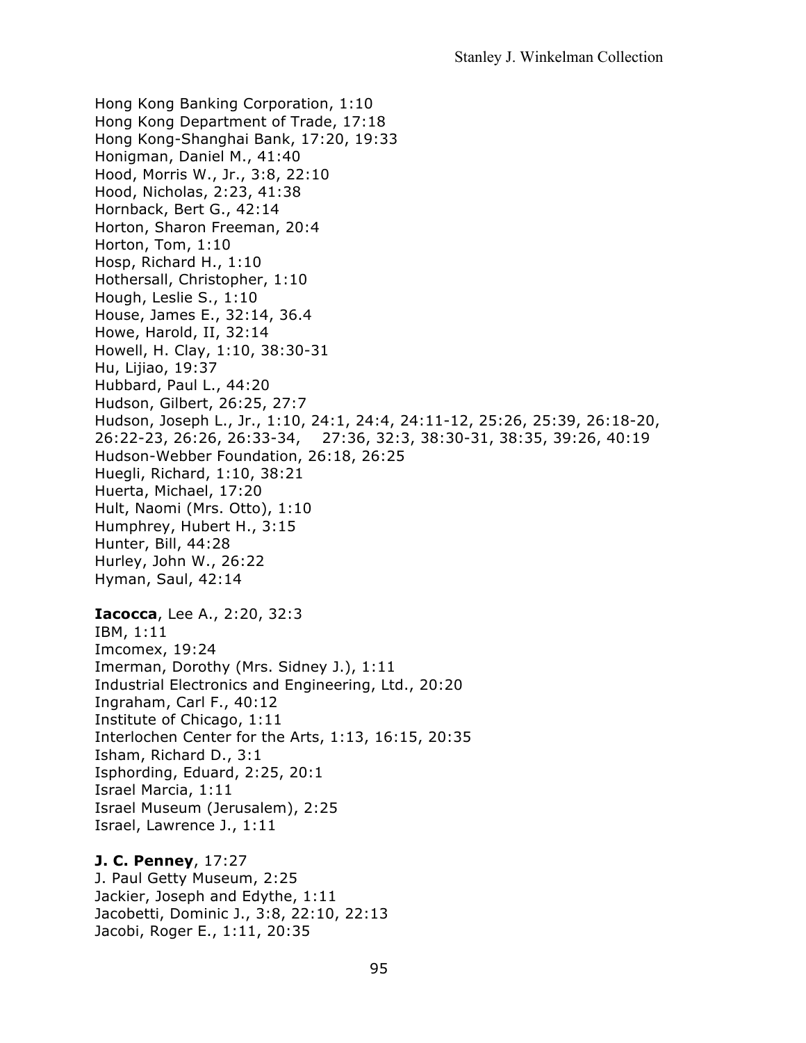Hong Kong Banking Corporation, 1:10 Hong Kong Department of Trade, 17:18 Hong Kong-Shanghai Bank, 17:20, 19:33 Honigman, Daniel M., 41:40 Hood, Morris W., Jr., 3:8, 22:10 Hood, Nicholas, 2:23, 41:38 Hornback, Bert G., 42:14 Horton, Sharon Freeman, 20:4 Horton, Tom, 1:10 Hosp, Richard H., 1:10 Hothersall, Christopher, 1:10 Hough, Leslie S., 1:10 House, James E., 32:14, 36.4 Howe, Harold, II, 32:14 Howell, H. Clay, 1:10, 38:30-31 Hu, Lijiao, 19:37 Hubbard, Paul L., 44:20 Hudson, Gilbert, 26:25, 27:7 Hudson, Joseph L., Jr., 1:10, 24:1, 24:4, 24:11-12, 25:26, 25:39, 26:18-20, 26:22-23, 26:26, 26:33-34, 27:36, 32:3, 38:30-31, 38:35, 39:26, 40:19 Hudson-Webber Foundation, 26:18, 26:25 Huegli, Richard, 1:10, 38:21 Huerta, Michael, 17:20 Hult, Naomi (Mrs. Otto), 1:10 Humphrey, Hubert H., 3:15 Hunter, Bill, 44:28 Hurley, John W., 26:22 Hyman, Saul, 42:14 **Iacocca**, Lee A., 2:20, 32:3 IBM, 1:11 Imcomex, 19:24 Imerman, Dorothy (Mrs. Sidney J.), 1:11 Industrial Electronics and Engineering, Ltd., 20:20 Ingraham, Carl F., 40:12 Institute of Chicago, 1:11 Interlochen Center for the Arts, 1:13, 16:15, 20:35 Isham, Richard D., 3:1 Isphording, Eduard, 2:25, 20:1 Israel Marcia, 1:11 Israel Museum (Jerusalem), 2:25 Israel, Lawrence J., 1:11

**J. C. Penney**, 17:27 J. Paul Getty Museum, 2:25 Jackier, Joseph and Edythe, 1:11 Jacobetti, Dominic J., 3:8, 22:10, 22:13 Jacobi, Roger E., 1:11, 20:35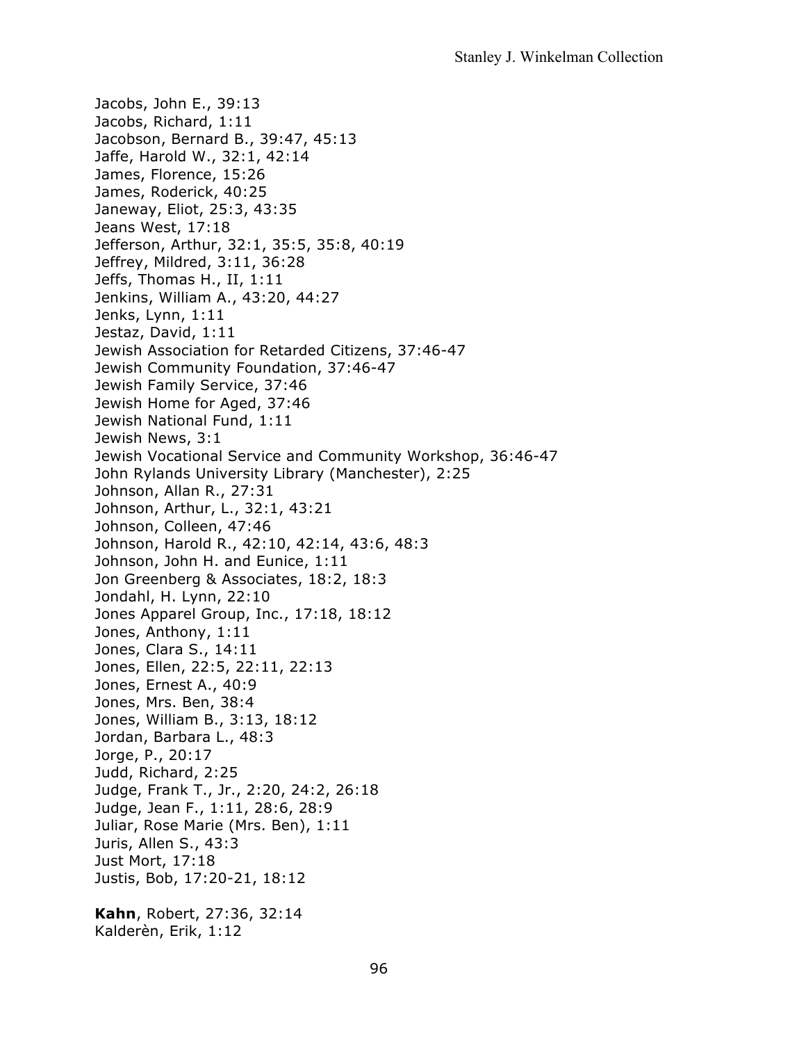Jacobs, John E., 39:13 Jacobs, Richard, 1:11 Jacobson, Bernard B., 39:47, 45:13 Jaffe, Harold W., 32:1, 42:14 James, Florence, 15:26 James, Roderick, 40:25 Janeway, Eliot, 25:3, 43:35 Jeans West, 17:18 Jefferson, Arthur, 32:1, 35:5, 35:8, 40:19 Jeffrey, Mildred, 3:11, 36:28 Jeffs, Thomas H., II, 1:11 Jenkins, William A., 43:20, 44:27 Jenks, Lynn, 1:11 Jestaz, David, 1:11 Jewish Association for Retarded Citizens, 37:46-47 Jewish Community Foundation, 37:46-47 Jewish Family Service, 37:46 Jewish Home for Aged, 37:46 Jewish National Fund, 1:11 Jewish News, 3:1 Jewish Vocational Service and Community Workshop, 36:46-47 John Rylands University Library (Manchester), 2:25 Johnson, Allan R., 27:31 Johnson, Arthur, L., 32:1, 43:21 Johnson, Colleen, 47:46 Johnson, Harold R., 42:10, 42:14, 43:6, 48:3 Johnson, John H. and Eunice, 1:11 Jon Greenberg & Associates, 18:2, 18:3 Jondahl, H. Lynn, 22:10 Jones Apparel Group, Inc., 17:18, 18:12 Jones, Anthony, 1:11 Jones, Clara S., 14:11 Jones, Ellen, 22:5, 22:11, 22:13 Jones, Ernest A., 40:9 Jones, Mrs. Ben, 38:4 Jones, William B., 3:13, 18:12 Jordan, Barbara L., 48:3 Jorge, P., 20:17 Judd, Richard, 2:25 Judge, Frank T., Jr., 2:20, 24:2, 26:18 Judge, Jean F., 1:11, 28:6, 28:9 Juliar, Rose Marie (Mrs. Ben), 1:11 Juris, Allen S., 43:3 Just Mort, 17:18 Justis, Bob, 17:20-21, 18:12 **Kahn**, Robert, 27:36, 32:14 Kalderèn, Erik, 1:12

96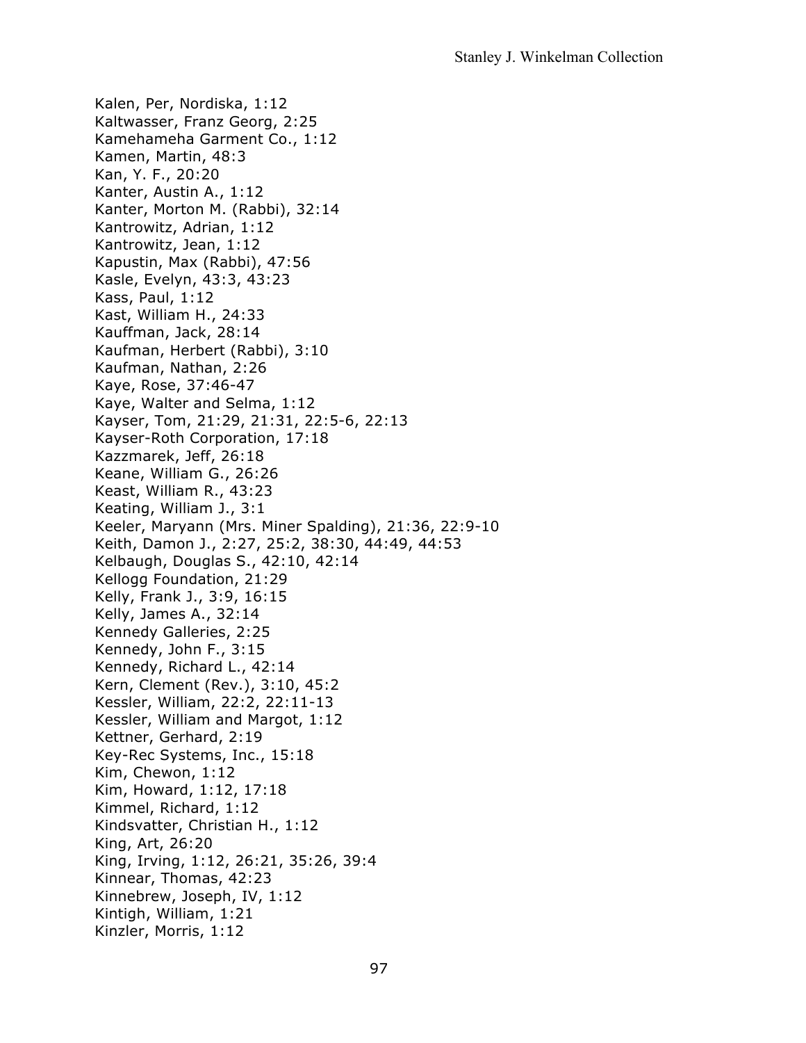Kalen, Per, Nordiska, 1:12 Kaltwasser, Franz Georg, 2:25 Kamehameha Garment Co., 1:12 Kamen, Martin, 48:3 Kan, Y. F., 20:20 Kanter, Austin A., 1:12 Kanter, Morton M. (Rabbi), 32:14 Kantrowitz, Adrian, 1:12 Kantrowitz, Jean, 1:12 Kapustin, Max (Rabbi), 47:56 Kasle, Evelyn, 43:3, 43:23 Kass, Paul, 1:12 Kast, William H., 24:33 Kauffman, Jack, 28:14 Kaufman, Herbert (Rabbi), 3:10 Kaufman, Nathan, 2:26 Kaye, Rose, 37:46-47 Kaye, Walter and Selma, 1:12 Kayser, Tom, 21:29, 21:31, 22:5-6, 22:13 Kayser-Roth Corporation, 17:18 Kazzmarek, Jeff, 26:18 Keane, William G., 26:26 Keast, William R., 43:23 Keating, William J., 3:1 Keeler, Maryann (Mrs. Miner Spalding), 21:36, 22:9-10 Keith, Damon J., 2:27, 25:2, 38:30, 44:49, 44:53 Kelbaugh, Douglas S., 42:10, 42:14 Kellogg Foundation, 21:29 Kelly, Frank J., 3:9, 16:15 Kelly, James A., 32:14 Kennedy Galleries, 2:25 Kennedy, John F., 3:15 Kennedy, Richard L., 42:14 Kern, Clement (Rev.), 3:10, 45:2 Kessler, William, 22:2, 22:11-13 Kessler, William and Margot, 1:12 Kettner, Gerhard, 2:19 Key-Rec Systems, Inc., 15:18 Kim, Chewon, 1:12 Kim, Howard, 1:12, 17:18 Kimmel, Richard, 1:12 Kindsvatter, Christian H., 1:12 King, Art, 26:20 King, Irving, 1:12, 26:21, 35:26, 39:4 Kinnear, Thomas, 42:23 Kinnebrew, Joseph, IV, 1:12 Kintigh, William, 1:21 Kinzler, Morris, 1:12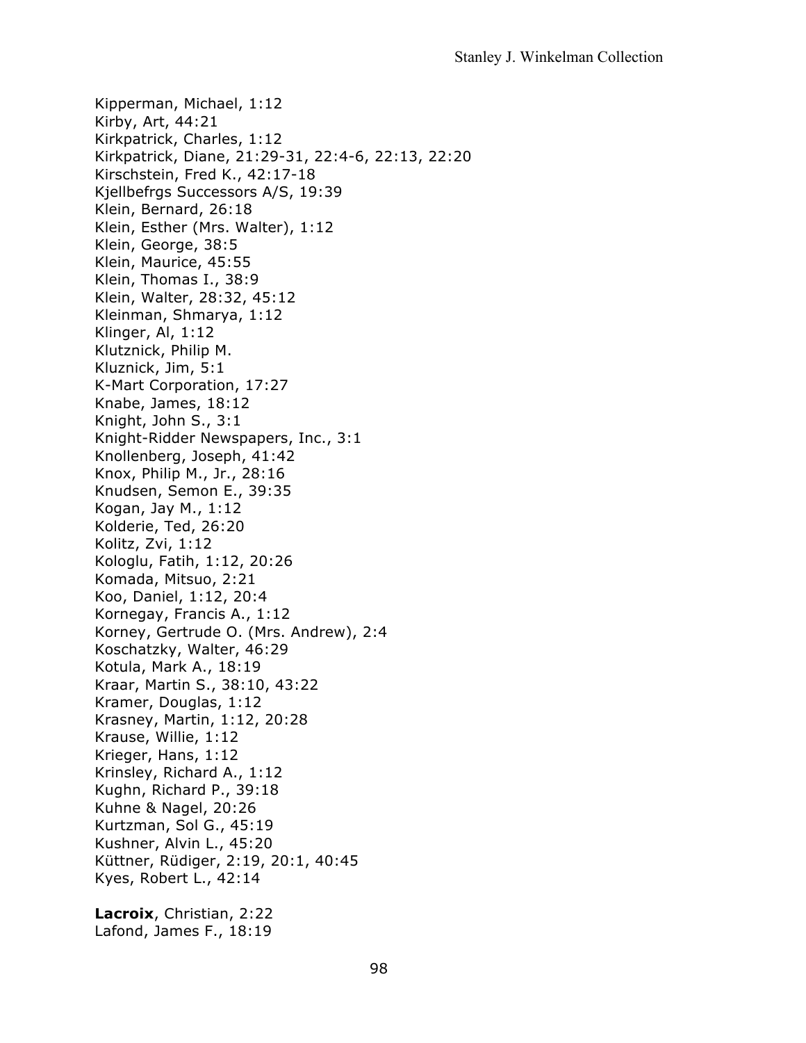Kipperman, Michael, 1:12 Kirby, Art, 44:21 Kirkpatrick, Charles, 1:12 Kirkpatrick, Diane, 21:29-31, 22:4-6, 22:13, 22:20 Kirschstein, Fred K., 42:17-18 Kjellbefrgs Successors A/S, 19:39 Klein, Bernard, 26:18 Klein, Esther (Mrs. Walter), 1:12 Klein, George, 38:5 Klein, Maurice, 45:55 Klein, Thomas I., 38:9 Klein, Walter, 28:32, 45:12 Kleinman, Shmarya, 1:12 Klinger, Al, 1:12 Klutznick, Philip M. Kluznick, Jim, 5:1 K-Mart Corporation, 17:27 Knabe, James, 18:12 Knight, John S., 3:1 Knight-Ridder Newspapers, Inc., 3:1 Knollenberg, Joseph, 41:42 Knox, Philip M., Jr., 28:16 Knudsen, Semon E., 39:35 Kogan, Jay M., 1:12 Kolderie, Ted, 26:20 Kolitz, Zvi, 1:12 Kologlu, Fatih, 1:12, 20:26 Komada, Mitsuo, 2:21 Koo, Daniel, 1:12, 20:4 Kornegay, Francis A., 1:12 Korney, Gertrude O. (Mrs. Andrew), 2:4 Koschatzky, Walter, 46:29 Kotula, Mark A., 18:19 Kraar, Martin S., 38:10, 43:22 Kramer, Douglas, 1:12 Krasney, Martin, 1:12, 20:28 Krause, Willie, 1:12 Krieger, Hans, 1:12 Krinsley, Richard A., 1:12 Kughn, Richard P., 39:18 Kuhne & Nagel, 20:26 Kurtzman, Sol G., 45:19 Kushner, Alvin L., 45:20 Küttner, Rüdiger, 2:19, 20:1, 40:45 Kyes, Robert L., 42:14

**Lacroix**, Christian, 2:22 Lafond, James F., 18:19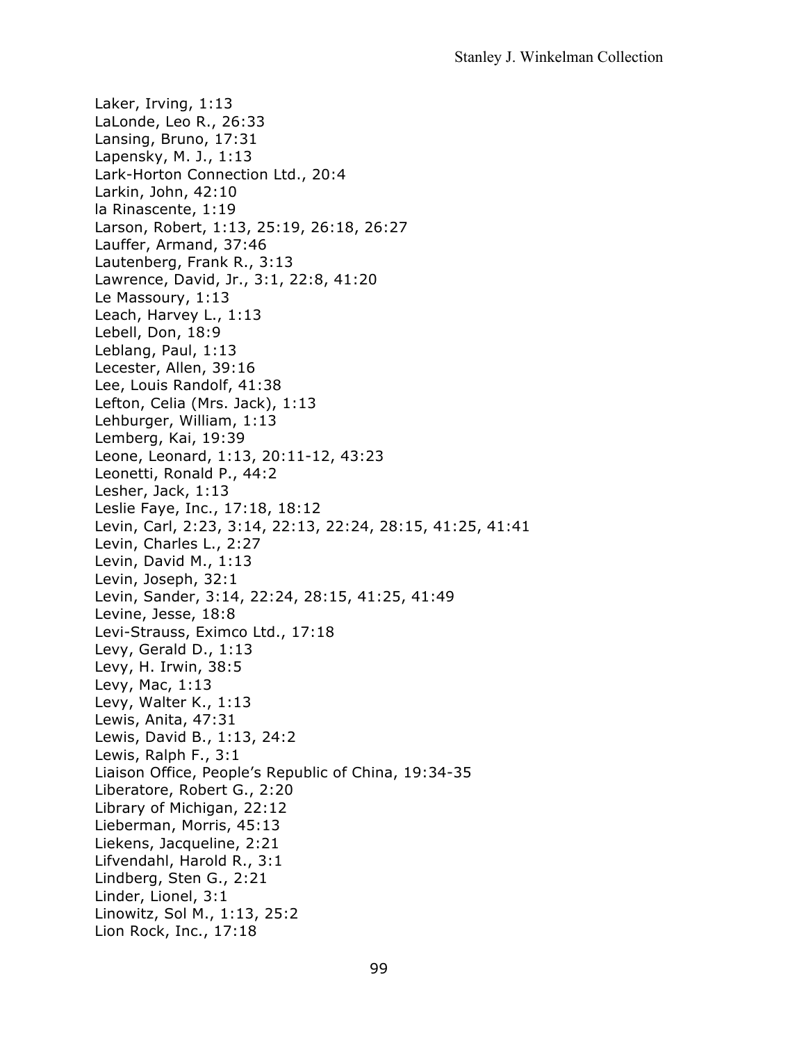Laker, Irving, 1:13 LaLonde, Leo R., 26:33 Lansing, Bruno, 17:31 Lapensky, M. J., 1:13 Lark-Horton Connection Ltd., 20:4 Larkin, John, 42:10 la Rinascente, 1:19 Larson, Robert, 1:13, 25:19, 26:18, 26:27 Lauffer, Armand, 37:46 Lautenberg, Frank R., 3:13 Lawrence, David, Jr., 3:1, 22:8, 41:20 Le Massoury, 1:13 Leach, Harvey L., 1:13 Lebell, Don, 18:9 Leblang, Paul, 1:13 Lecester, Allen, 39:16 Lee, Louis Randolf, 41:38 Lefton, Celia (Mrs. Jack), 1:13 Lehburger, William, 1:13 Lemberg, Kai, 19:39 Leone, Leonard, 1:13, 20:11-12, 43:23 Leonetti, Ronald P., 44:2 Lesher, Jack, 1:13 Leslie Faye, Inc., 17:18, 18:12 Levin, Carl, 2:23, 3:14, 22:13, 22:24, 28:15, 41:25, 41:41 Levin, Charles L., 2:27 Levin, David M., 1:13 Levin, Joseph, 32:1 Levin, Sander, 3:14, 22:24, 28:15, 41:25, 41:49 Levine, Jesse, 18:8 Levi-Strauss, Eximco Ltd., 17:18 Levy, Gerald D., 1:13 Levy, H. Irwin, 38:5 Levy, Mac, 1:13 Levy, Walter K., 1:13 Lewis, Anita, 47:31 Lewis, David B., 1:13, 24:2 Lewis, Ralph F., 3:1 Liaison Office, People's Republic of China, 19:34-35 Liberatore, Robert G., 2:20 Library of Michigan, 22:12 Lieberman, Morris, 45:13 Liekens, Jacqueline, 2:21 Lifvendahl, Harold R., 3:1 Lindberg, Sten G., 2:21 Linder, Lionel, 3:1 Linowitz, Sol M., 1:13, 25:2 Lion Rock, Inc., 17:18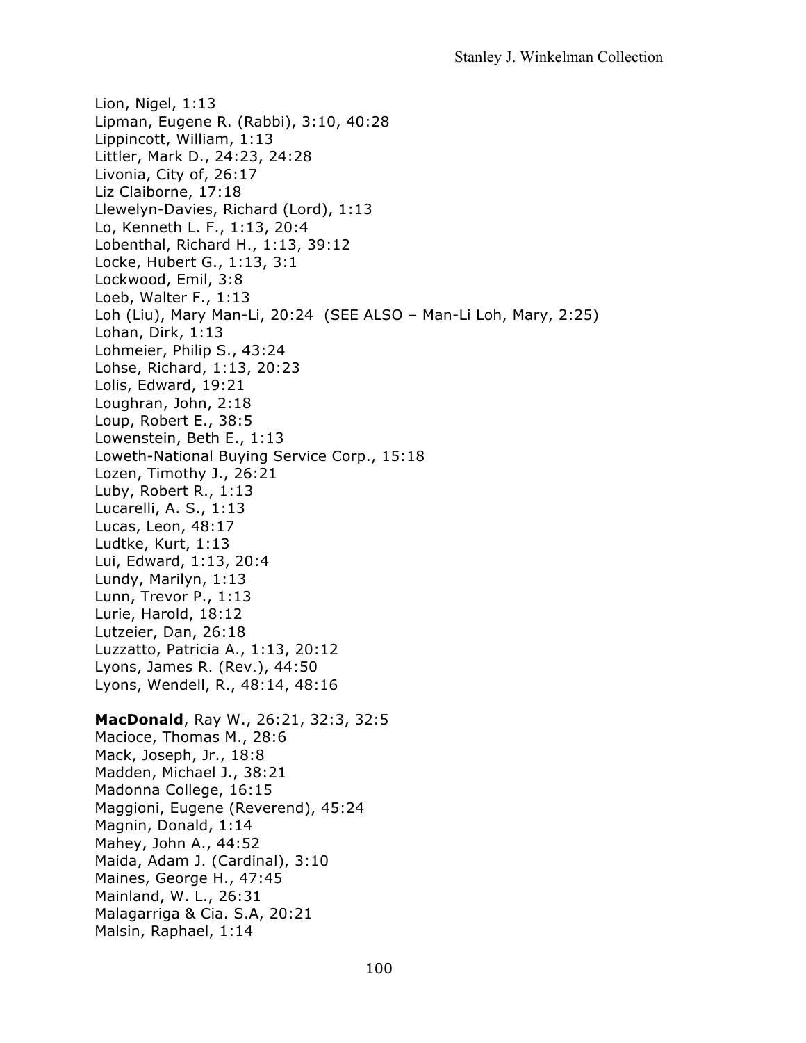Lion, Nigel, 1:13 Lipman, Eugene R. (Rabbi), 3:10, 40:28 Lippincott, William, 1:13 Littler, Mark D., 24:23, 24:28 Livonia, City of, 26:17 Liz Claiborne, 17:18 Llewelyn-Davies, Richard (Lord), 1:13 Lo, Kenneth L. F., 1:13, 20:4 Lobenthal, Richard H., 1:13, 39:12 Locke, Hubert G., 1:13, 3:1 Lockwood, Emil, 3:8 Loeb, Walter F., 1:13 Loh (Liu), Mary Man-Li, 20:24 (SEE ALSO – Man-Li Loh, Mary, 2:25) Lohan, Dirk, 1:13 Lohmeier, Philip S., 43:24 Lohse, Richard, 1:13, 20:23 Lolis, Edward, 19:21 Loughran, John, 2:18 Loup, Robert E., 38:5 Lowenstein, Beth E., 1:13 Loweth-National Buying Service Corp., 15:18 Lozen, Timothy J., 26:21 Luby, Robert R., 1:13 Lucarelli, A. S., 1:13 Lucas, Leon, 48:17 Ludtke, Kurt, 1:13 Lui, Edward, 1:13, 20:4 Lundy, Marilyn, 1:13 Lunn, Trevor P., 1:13 Lurie, Harold, 18:12 Lutzeier, Dan, 26:18 Luzzatto, Patricia A., 1:13, 20:12 Lyons, James R. (Rev.), 44:50 Lyons, Wendell, R., 48:14, 48:16 **MacDonald**, Ray W., 26:21, 32:3, 32:5 Macioce, Thomas M., 28:6 Mack, Joseph, Jr., 18:8 Madden, Michael J., 38:21 Madonna College, 16:15 Maggioni, Eugene (Reverend), 45:24 Magnin, Donald, 1:14 Mahey, John A., 44:52 Maida, Adam J. (Cardinal), 3:10 Maines, George H., 47:45 Mainland, W. L., 26:31 Malagarriga & Cia. S.A, 20:21 Malsin, Raphael, 1:14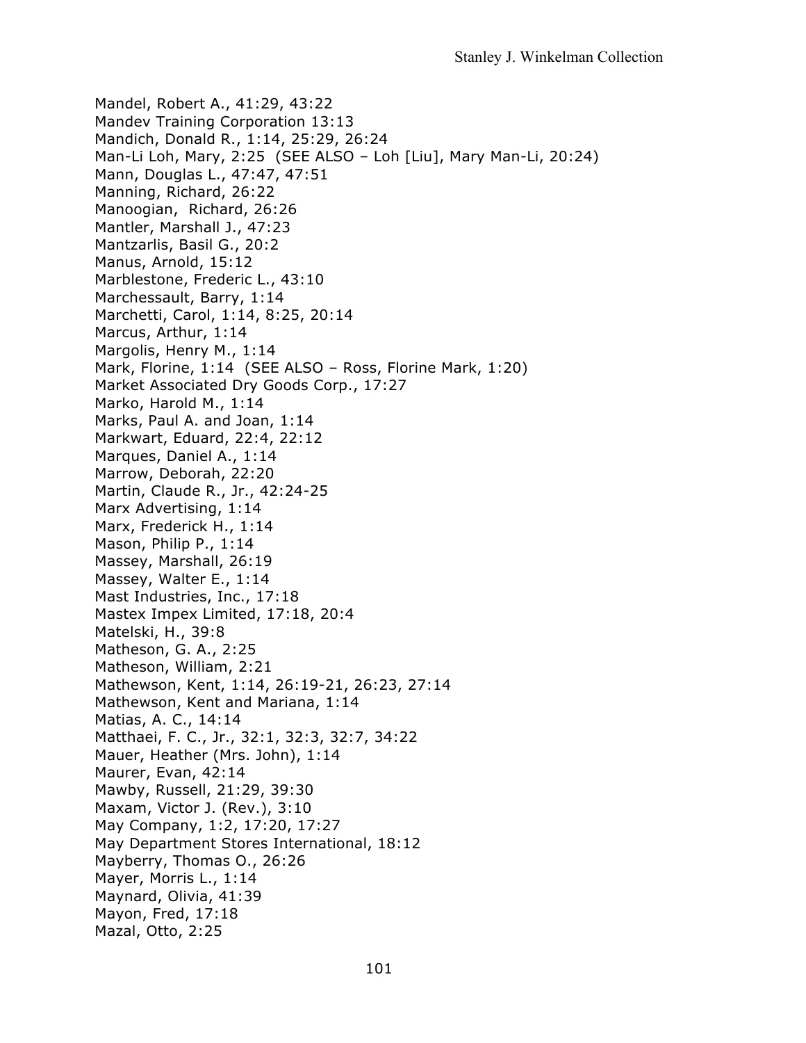Mandel, Robert A., 41:29, 43:22 Mandev Training Corporation 13:13 Mandich, Donald R., 1:14, 25:29, 26:24 Man-Li Loh, Mary, 2:25 (SEE ALSO – Loh [Liu], Mary Man-Li, 20:24) Mann, Douglas L., 47:47, 47:51 Manning, Richard, 26:22 Manoogian, Richard, 26:26 Mantler, Marshall J., 47:23 Mantzarlis, Basil G., 20:2 Manus, Arnold, 15:12 Marblestone, Frederic L., 43:10 Marchessault, Barry, 1:14 Marchetti, Carol, 1:14, 8:25, 20:14 Marcus, Arthur, 1:14 Margolis, Henry M., 1:14 Mark, Florine, 1:14 (SEE ALSO – Ross, Florine Mark, 1:20) Market Associated Dry Goods Corp., 17:27 Marko, Harold M., 1:14 Marks, Paul A. and Joan, 1:14 Markwart, Eduard, 22:4, 22:12 Marques, Daniel A., 1:14 Marrow, Deborah, 22:20 Martin, Claude R., Jr., 42:24-25 Marx Advertising, 1:14 Marx, Frederick H., 1:14 Mason, Philip P., 1:14 Massey, Marshall, 26:19 Massey, Walter E., 1:14 Mast Industries, Inc., 17:18 Mastex Impex Limited, 17:18, 20:4 Matelski, H., 39:8 Matheson, G. A., 2:25 Matheson, William, 2:21 Mathewson, Kent, 1:14, 26:19-21, 26:23, 27:14 Mathewson, Kent and Mariana, 1:14 Matias, A. C., 14:14 Matthaei, F. C., Jr., 32:1, 32:3, 32:7, 34:22 Mauer, Heather (Mrs. John), 1:14 Maurer, Evan, 42:14 Mawby, Russell, 21:29, 39:30 Maxam, Victor J. (Rev.), 3:10 May Company, 1:2, 17:20, 17:27 May Department Stores International, 18:12 Mayberry, Thomas O., 26:26 Mayer, Morris L., 1:14 Maynard, Olivia, 41:39 Mayon, Fred, 17:18 Mazal, Otto, 2:25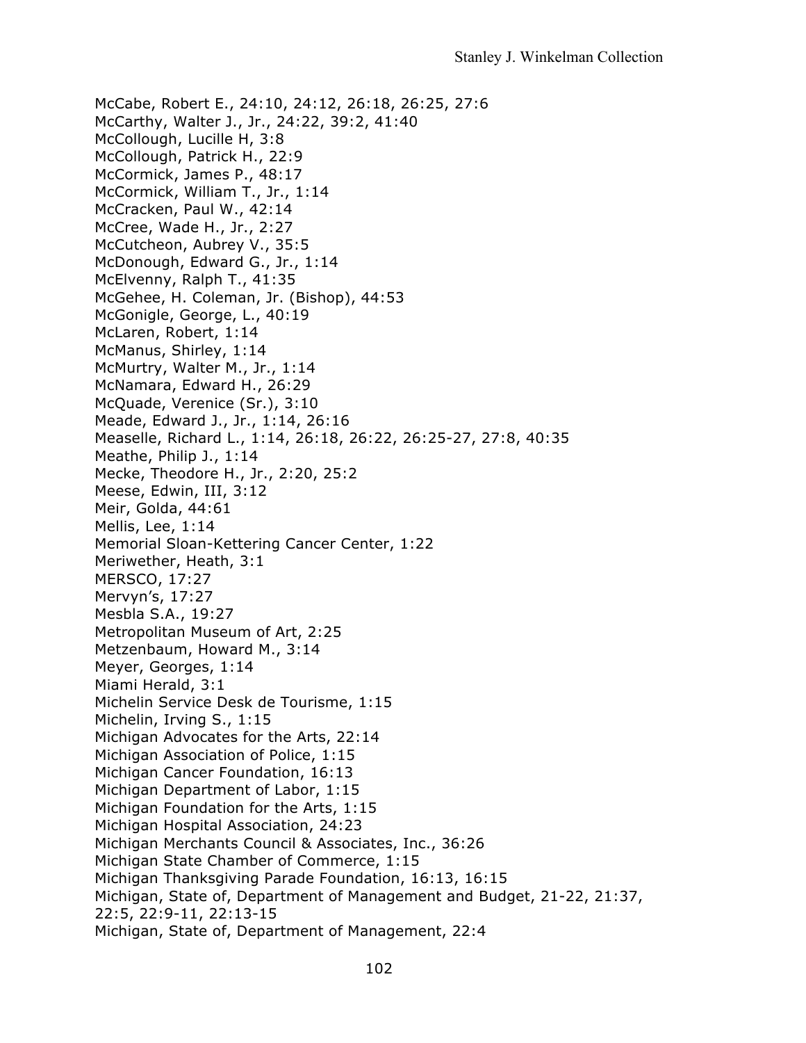McCabe, Robert E., 24:10, 24:12, 26:18, 26:25, 27:6 McCarthy, Walter J., Jr., 24:22, 39:2, 41:40 McCollough, Lucille H, 3:8 McCollough, Patrick H., 22:9 McCormick, James P., 48:17 McCormick, William T., Jr., 1:14 McCracken, Paul W., 42:14 McCree, Wade H., Jr., 2:27 McCutcheon, Aubrey V., 35:5 McDonough, Edward G., Jr., 1:14 McElvenny, Ralph T., 41:35 McGehee, H. Coleman, Jr. (Bishop), 44:53 McGonigle, George, L., 40:19 McLaren, Robert, 1:14 McManus, Shirley, 1:14 McMurtry, Walter M., Jr., 1:14 McNamara, Edward H., 26:29 McQuade, Verenice (Sr.), 3:10 Meade, Edward J., Jr., 1:14, 26:16 Measelle, Richard L., 1:14, 26:18, 26:22, 26:25-27, 27:8, 40:35 Meathe, Philip J., 1:14 Mecke, Theodore H., Jr., 2:20, 25:2 Meese, Edwin, III, 3:12 Meir, Golda, 44:61 Mellis, Lee, 1:14 Memorial Sloan-Kettering Cancer Center, 1:22 Meriwether, Heath, 3:1 MERSCO, 17:27 Mervyn's, 17:27 Mesbla S.A., 19:27 Metropolitan Museum of Art, 2:25 Metzenbaum, Howard M., 3:14 Meyer, Georges, 1:14 Miami Herald, 3:1 Michelin Service Desk de Tourisme, 1:15 Michelin, Irving S., 1:15 Michigan Advocates for the Arts, 22:14 Michigan Association of Police, 1:15 Michigan Cancer Foundation, 16:13 Michigan Department of Labor, 1:15 Michigan Foundation for the Arts, 1:15 Michigan Hospital Association, 24:23 Michigan Merchants Council & Associates, Inc., 36:26 Michigan State Chamber of Commerce, 1:15 Michigan Thanksgiving Parade Foundation, 16:13, 16:15 Michigan, State of, Department of Management and Budget, 21-22, 21:37, 22:5, 22:9-11, 22:13-15 Michigan, State of, Department of Management, 22:4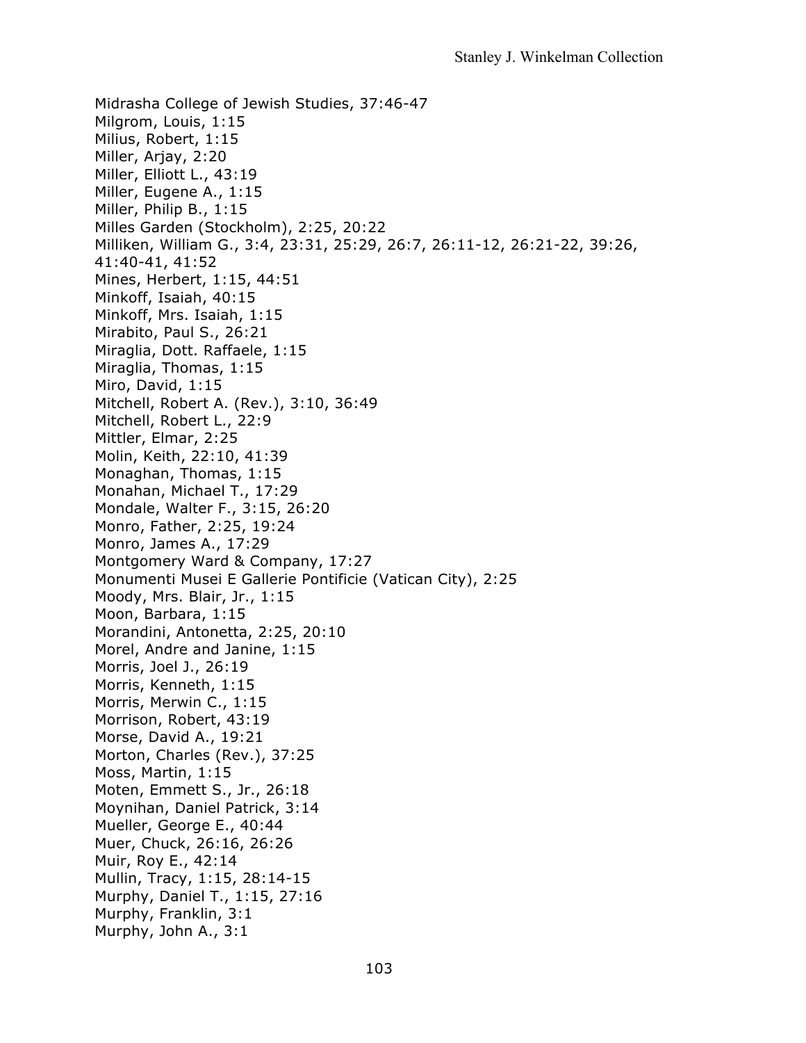Midrasha College of Jewish Studies, 37:46-47 Milgrom, Louis, 1:15 Milius, Robert, 1:15 Miller, Arjay, 2:20 Miller, Elliott L., 43:19 Miller, Eugene A., 1:15 Miller, Philip B., 1:15 Milles Garden (Stockholm), 2:25, 20:22 Milliken, William G., 3:4, 23:31, 25:29, 26:7, 26:11-12, 26:21-22, 39:26, 41:40-41, 41:52 Mines, Herbert, 1:15, 44:51 Minkoff, Isaiah, 40:15 Minkoff, Mrs. Isaiah, 1:15 Mirabito, Paul S., 26:21 Miraglia, Dott. Raffaele, 1:15 Miraglia, Thomas, 1:15 Miro, David, 1:15 Mitchell, Robert A. (Rev.), 3:10, 36:49 Mitchell, Robert L., 22:9 Mittler, Elmar, 2:25 Molin, Keith, 22:10, 41:39 Monaghan, Thomas, 1:15 Monahan, Michael T., 17:29 Mondale, Walter F., 3:15, 26:20 Monro, Father, 2:25, 19:24 Monro, James A., 17:29 Montgomery Ward & Company, 17:27 Monumenti Musei E Gallerie Pontificie (Vatican City), 2:25 Moody, Mrs. Blair, Jr., 1:15 Moon, Barbara, 1:15 Morandini, Antonetta, 2:25, 20:10 Morel, Andre and Janine, 1:15 Morris, Joel J., 26:19 Morris, Kenneth, 1:15 Morris, Merwin C., 1:15 Morrison, Robert, 43:19 Morse, David A., 19:21 Morton, Charles (Rev.), 37:25 Moss, Martin, 1:15 Moten, Emmett S., Jr., 26:18 Moynihan, Daniel Patrick, 3:14 Mueller, George E., 40:44 Muer, Chuck, 26:16, 26:26 Muir, Roy E., 42:14 Mullin, Tracy, 1:15, 28:14-15 Murphy, Daniel T., 1:15, 27:16 Murphy, Franklin, 3:1 Murphy, John A., 3:1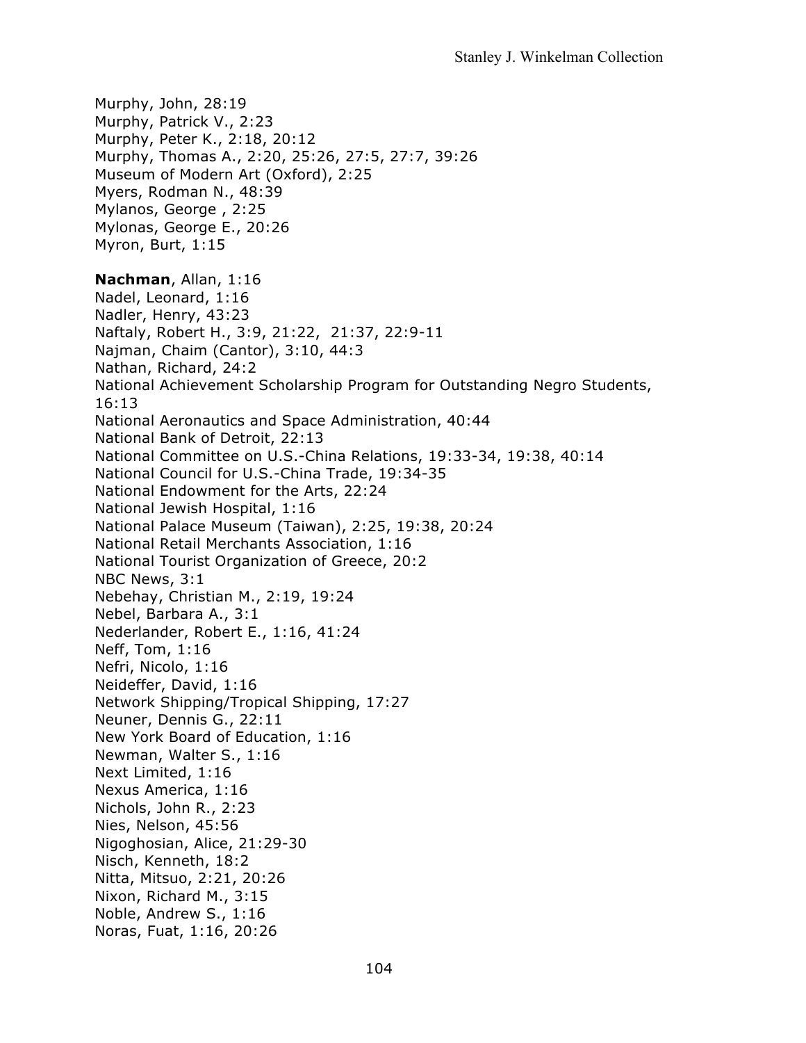Murphy, John, 28:19 Murphy, Patrick V., 2:23 Murphy, Peter K., 2:18, 20:12 Murphy, Thomas A., 2:20, 25:26, 27:5, 27:7, 39:26 Museum of Modern Art (Oxford), 2:25 Myers, Rodman N., 48:39 Mylanos, George , 2:25 Mylonas, George E., 20:26 Myron, Burt, 1:15 **Nachman**, Allan, 1:16 Nadel, Leonard, 1:16 Nadler, Henry, 43:23 Naftaly, Robert H., 3:9, 21:22, 21:37, 22:9-11 Najman, Chaim (Cantor), 3:10, 44:3 Nathan, Richard, 24:2 National Achievement Scholarship Program for Outstanding Negro Students, 16:13 National Aeronautics and Space Administration, 40:44 National Bank of Detroit, 22:13 National Committee on U.S.-China Relations, 19:33-34, 19:38, 40:14 National Council for U.S.-China Trade, 19:34-35 National Endowment for the Arts, 22:24 National Jewish Hospital, 1:16 National Palace Museum (Taiwan), 2:25, 19:38, 20:24 National Retail Merchants Association, 1:16 National Tourist Organization of Greece, 20:2 NBC News, 3:1 Nebehay, Christian M., 2:19, 19:24 Nebel, Barbara A., 3:1 Nederlander, Robert E., 1:16, 41:24 Neff, Tom, 1:16 Nefri, Nicolo, 1:16 Neideffer, David, 1:16 Network Shipping/Tropical Shipping, 17:27 Neuner, Dennis G., 22:11 New York Board of Education, 1:16 Newman, Walter S., 1:16 Next Limited, 1:16 Nexus America, 1:16 Nichols, John R., 2:23 Nies, Nelson, 45:56 Nigoghosian, Alice, 21:29-30 Nisch, Kenneth, 18:2 Nitta, Mitsuo, 2:21, 20:26 Nixon, Richard M., 3:15 Noble, Andrew S., 1:16 Noras, Fuat, 1:16, 20:26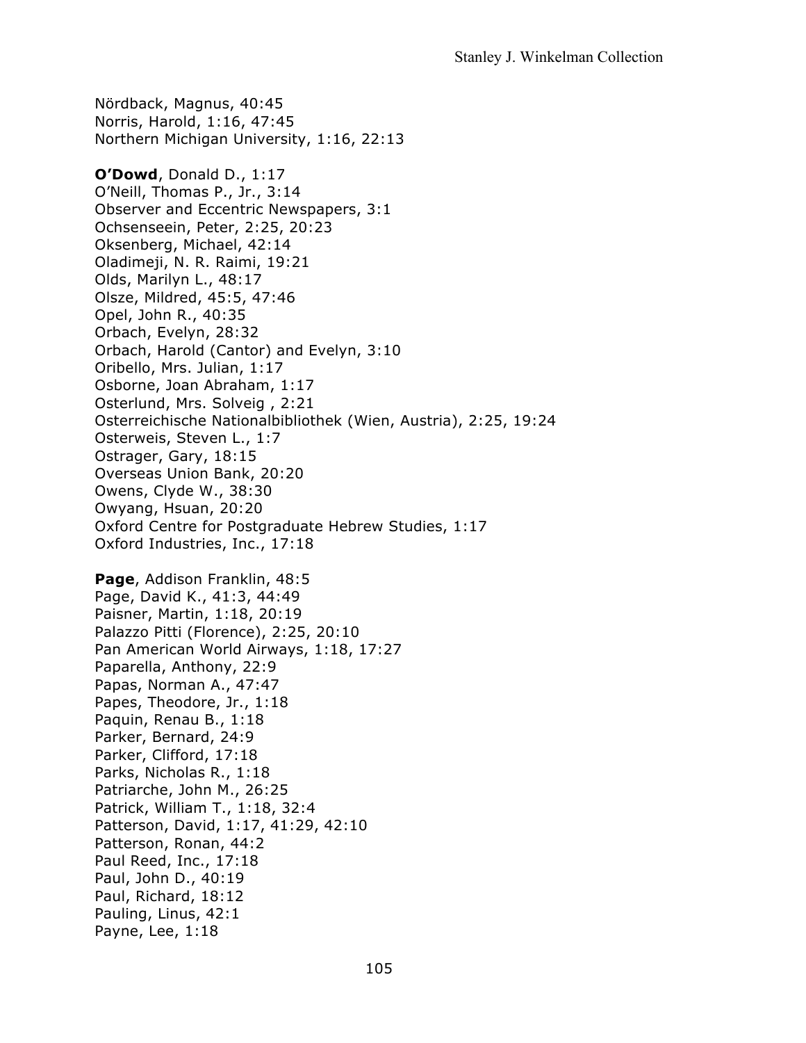Nördback, Magnus, 40:45 Norris, Harold, 1:16, 47:45 Northern Michigan University, 1:16, 22:13 **O'Dowd**, Donald D., 1:17 O'Neill, Thomas P., Jr., 3:14 Observer and Eccentric Newspapers, 3:1 Ochsenseein, Peter, 2:25, 20:23 Oksenberg, Michael, 42:14 Oladimeji, N. R. Raimi, 19:21 Olds, Marilyn L., 48:17 Olsze, Mildred, 45:5, 47:46 Opel, John R., 40:35 Orbach, Evelyn, 28:32 Orbach, Harold (Cantor) and Evelyn, 3:10 Oribello, Mrs. Julian, 1:17 Osborne, Joan Abraham, 1:17 Osterlund, Mrs. Solveig , 2:21 Osterreichische Nationalbibliothek (Wien, Austria), 2:25, 19:24 Osterweis, Steven L., 1:7 Ostrager, Gary, 18:15 Overseas Union Bank, 20:20 Owens, Clyde W., 38:30 Owyang, Hsuan, 20:20 Oxford Centre for Postgraduate Hebrew Studies, 1:17 Oxford Industries, Inc., 17:18 **Page**, Addison Franklin, 48:5

Page, David K., 41:3, 44:49 Paisner, Martin, 1:18, 20:19 Palazzo Pitti (Florence), 2:25, 20:10 Pan American World Airways, 1:18, 17:27 Paparella, Anthony, 22:9 Papas, Norman A., 47:47 Papes, Theodore, Jr., 1:18 Paquin, Renau B., 1:18 Parker, Bernard, 24:9 Parker, Clifford, 17:18 Parks, Nicholas R., 1:18 Patriarche, John M., 26:25 Patrick, William T., 1:18, 32:4 Patterson, David, 1:17, 41:29, 42:10 Patterson, Ronan, 44:2 Paul Reed, Inc., 17:18 Paul, John D., 40:19 Paul, Richard, 18:12 Pauling, Linus, 42:1 Payne, Lee, 1:18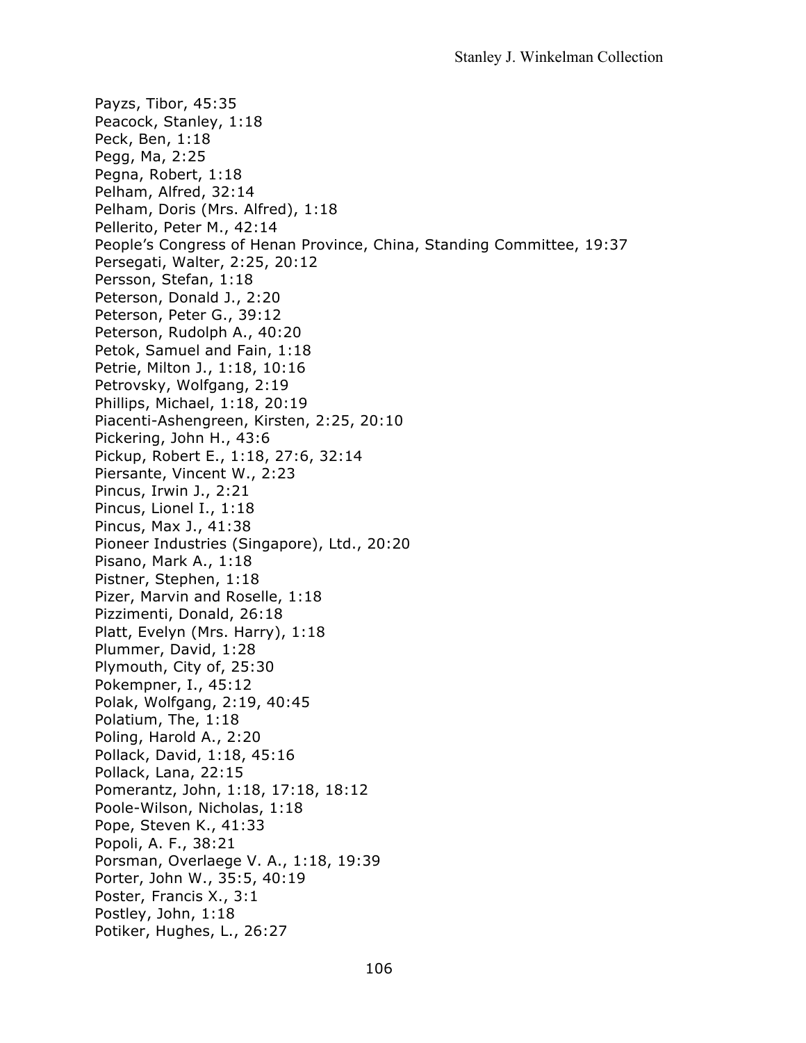Payzs, Tibor, 45:35 Peacock, Stanley, 1:18 Peck, Ben, 1:18 Pegg, Ma, 2:25 Pegna, Robert, 1:18 Pelham, Alfred, 32:14 Pelham, Doris (Mrs. Alfred), 1:18 Pellerito, Peter M., 42:14 People's Congress of Henan Province, China, Standing Committee, 19:37 Persegati, Walter, 2:25, 20:12 Persson, Stefan, 1:18 Peterson, Donald J., 2:20 Peterson, Peter G., 39:12 Peterson, Rudolph A., 40:20 Petok, Samuel and Fain, 1:18 Petrie, Milton J., 1:18, 10:16 Petrovsky, Wolfgang, 2:19 Phillips, Michael, 1:18, 20:19 Piacenti-Ashengreen, Kirsten, 2:25, 20:10 Pickering, John H., 43:6 Pickup, Robert E., 1:18, 27:6, 32:14 Piersante, Vincent W., 2:23 Pincus, Irwin J., 2:21 Pincus, Lionel I., 1:18 Pincus, Max J., 41:38 Pioneer Industries (Singapore), Ltd., 20:20 Pisano, Mark A., 1:18 Pistner, Stephen, 1:18 Pizer, Marvin and Roselle, 1:18 Pizzimenti, Donald, 26:18 Platt, Evelyn (Mrs. Harry), 1:18 Plummer, David, 1:28 Plymouth, City of, 25:30 Pokempner, I., 45:12 Polak, Wolfgang, 2:19, 40:45 Polatium, The, 1:18 Poling, Harold A., 2:20 Pollack, David, 1:18, 45:16 Pollack, Lana, 22:15 Pomerantz, John, 1:18, 17:18, 18:12 Poole-Wilson, Nicholas, 1:18 Pope, Steven K., 41:33 Popoli, A. F., 38:21 Porsman, Overlaege V. A., 1:18, 19:39 Porter, John W., 35:5, 40:19 Poster, Francis X., 3:1 Postley, John, 1:18 Potiker, Hughes, L., 26:27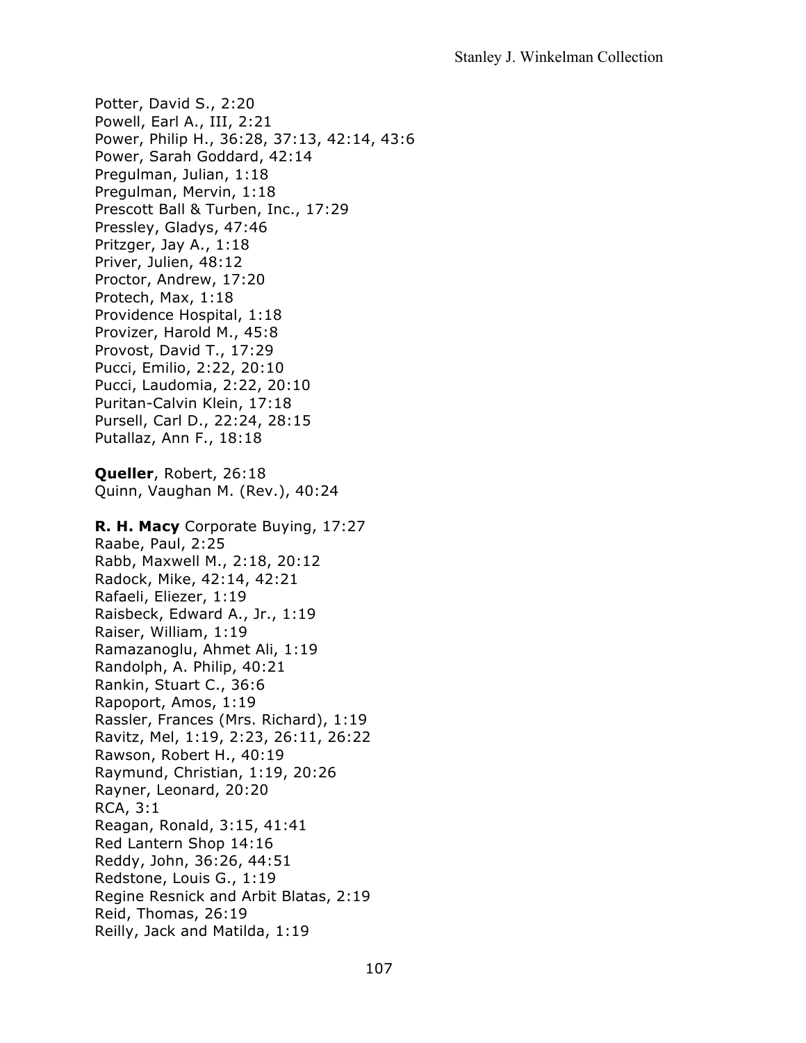Potter, David S., 2:20 Powell, Earl A., III, 2:21 Power, Philip H., 36:28, 37:13, 42:14, 43:6 Power, Sarah Goddard, 42:14 Pregulman, Julian, 1:18 Pregulman, Mervin, 1:18 Prescott Ball & Turben, Inc., 17:29 Pressley, Gladys, 47:46 Pritzger, Jay A., 1:18 Priver, Julien, 48:12 Proctor, Andrew, 17:20 Protech, Max, 1:18 Providence Hospital, 1:18 Provizer, Harold M., 45:8 Provost, David T., 17:29 Pucci, Emilio, 2:22, 20:10 Pucci, Laudomia, 2:22, 20:10 Puritan-Calvin Klein, 17:18 Pursell, Carl D., 22:24, 28:15 Putallaz, Ann F., 18:18 **Queller**, Robert, 26:18 Quinn, Vaughan M. (Rev.), 40:24 **R. H. Macy** Corporate Buying, 17:27 Raabe, Paul, 2:25 Rabb, Maxwell M., 2:18, 20:12 Radock, Mike, 42:14, 42:21 Rafaeli, Eliezer, 1:19 Raisbeck, Edward A., Jr., 1:19 Raiser, William, 1:19 Ramazanoglu, Ahmet Ali, 1:19 Randolph, A. Philip, 40:21 Rankin, Stuart C., 36:6 Rapoport, Amos, 1:19 Rassler, Frances (Mrs. Richard), 1:19 Ravitz, Mel, 1:19, 2:23, 26:11, 26:22 Rawson, Robert H., 40:19 Raymund, Christian, 1:19, 20:26 Rayner, Leonard, 20:20 RCA, 3:1 Reagan, Ronald, 3:15, 41:41 Red Lantern Shop 14:16 Reddy, John, 36:26, 44:51 Redstone, Louis G., 1:19 Regine Resnick and Arbit Blatas, 2:19 Reid, Thomas, 26:19 Reilly, Jack and Matilda, 1:19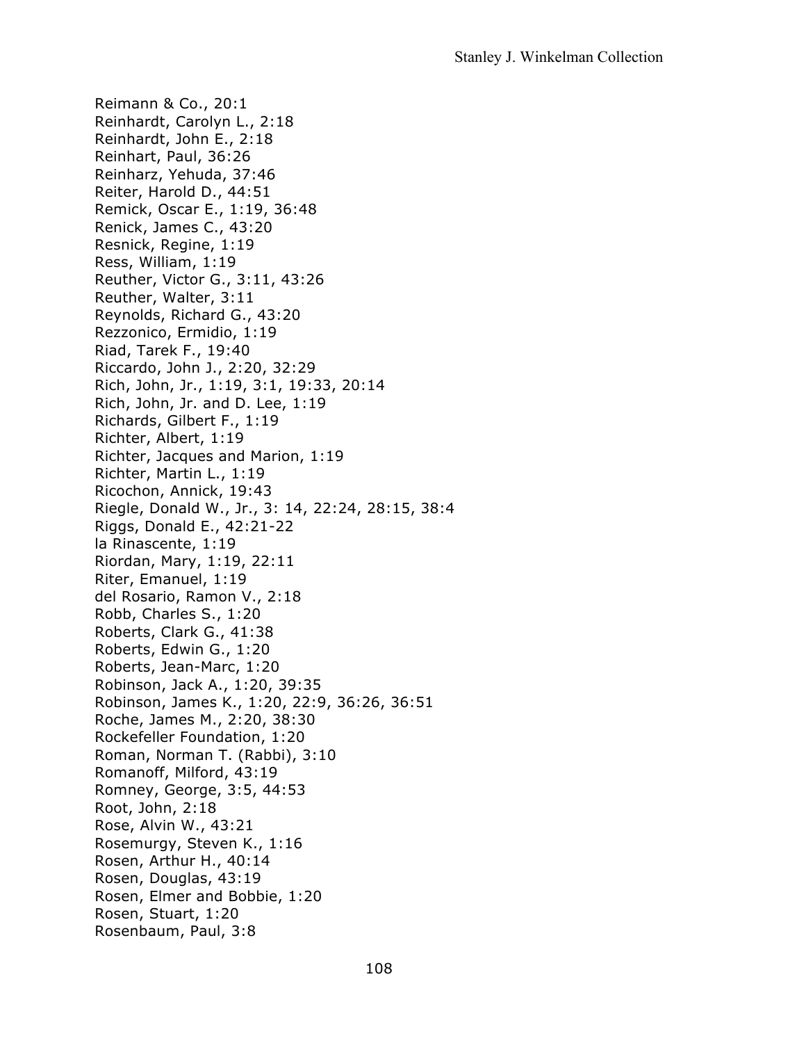Reimann & Co., 20:1 Reinhardt, Carolyn L., 2:18 Reinhardt, John E., 2:18 Reinhart, Paul, 36:26 Reinharz, Yehuda, 37:46 Reiter, Harold D., 44:51 Remick, Oscar E., 1:19, 36:48 Renick, James C., 43:20 Resnick, Regine, 1:19 Ress, William, 1:19 Reuther, Victor G., 3:11, 43:26 Reuther, Walter, 3:11 Reynolds, Richard G., 43:20 Rezzonico, Ermidio, 1:19 Riad, Tarek F., 19:40 Riccardo, John J., 2:20, 32:29 Rich, John, Jr., 1:19, 3:1, 19:33, 20:14 Rich, John, Jr. and D. Lee, 1:19 Richards, Gilbert F., 1:19 Richter, Albert, 1:19 Richter, Jacques and Marion, 1:19 Richter, Martin L., 1:19 Ricochon, Annick, 19:43 Riegle, Donald W., Jr., 3: 14, 22:24, 28:15, 38:4 Riggs, Donald E., 42:21-22 la Rinascente, 1:19 Riordan, Mary, 1:19, 22:11 Riter, Emanuel, 1:19 del Rosario, Ramon V., 2:18 Robb, Charles S., 1:20 Roberts, Clark G., 41:38 Roberts, Edwin G., 1:20 Roberts, Jean-Marc, 1:20 Robinson, Jack A., 1:20, 39:35 Robinson, James K., 1:20, 22:9, 36:26, 36:51 Roche, James M., 2:20, 38:30 Rockefeller Foundation, 1:20 Roman, Norman T. (Rabbi), 3:10 Romanoff, Milford, 43:19 Romney, George, 3:5, 44:53 Root, John, 2:18 Rose, Alvin W., 43:21 Rosemurgy, Steven K., 1:16 Rosen, Arthur H., 40:14 Rosen, Douglas, 43:19 Rosen, Elmer and Bobbie, 1:20 Rosen, Stuart, 1:20 Rosenbaum, Paul, 3:8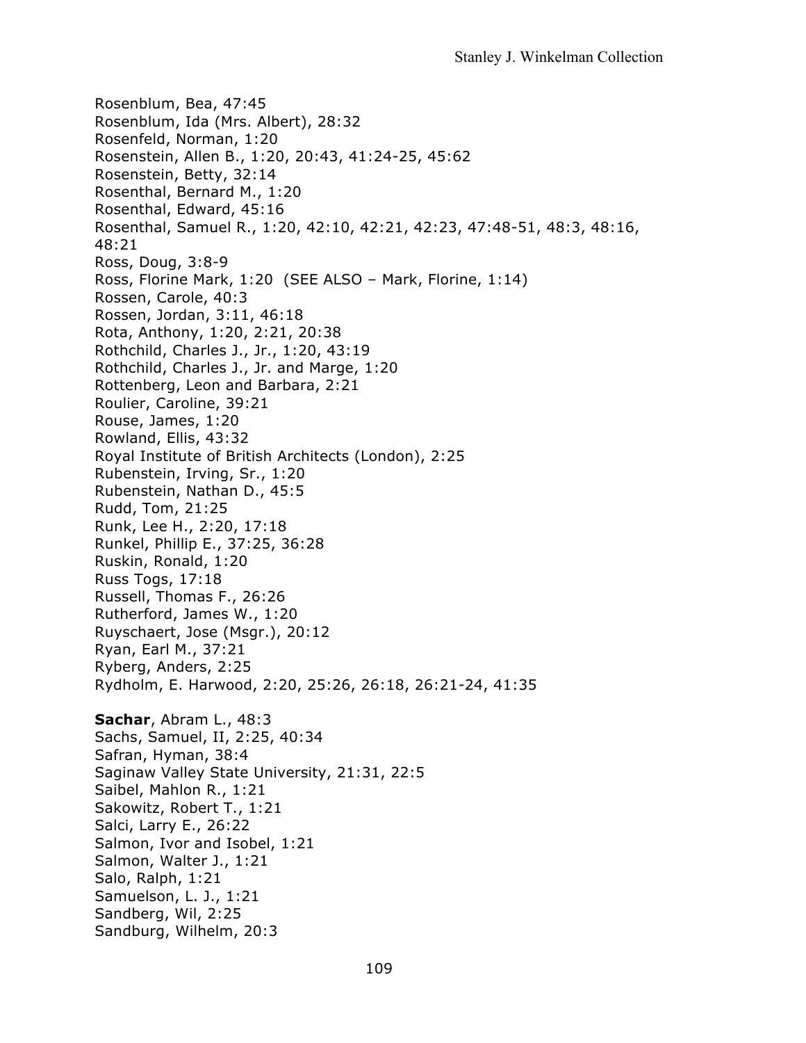Rosenblum, Bea, 47:45 Rosenblum, Ida (Mrs. Albert), 28:32 Rosenfeld, Norman, 1:20 Rosenstein, Allen B., 1:20, 20:43, 41:24-25, 45:62 Rosenstein, Betty, 32:14 Rosenthal, Bernard M., 1:20 Rosenthal, Edward, 45:16 Rosenthal, Samuel R., 1:20, 42:10, 42:21, 42:23, 47:48-51, 48:3, 48:16, 48:21 Ross, Doug, 3:8-9 Ross, Florine Mark, 1:20 (SEE ALSO – Mark, Florine, 1:14) Rossen, Carole, 40:3 Rossen, Jordan, 3:11, 46:18 Rota, Anthony, 1:20, 2:21, 20:38 Rothchild, Charles J., Jr., 1:20, 43:19 Rothchild, Charles J., Jr. and Marge, 1:20 Rottenberg, Leon and Barbara, 2:21 Roulier, Caroline, 39:21 Rouse, James, 1:20 Rowland, Ellis, 43:32 Royal Institute of British Architects (London), 2:25 Rubenstein, Irving, Sr., 1:20 Rubenstein, Nathan D., 45:5 Rudd, Tom, 21:25 Runk, Lee H., 2:20, 17:18 Runkel, Phillip E., 37:25, 36:28 Ruskin, Ronald, 1:20 Russ Togs, 17:18 Russell, Thomas F., 26:26 Rutherford, James W., 1:20 Ruyschaert, Jose (Msgr.), 20:12 Ryan, Earl M., 37:21 Ryberg, Anders, 2:25 Rydholm, E. Harwood, 2:20, 25:26, 26:18, 26:21-24, 41:35 **Sachar**, Abram L., 48:3 Sachs, Samuel, II, 2:25, 40:34 Safran, Hyman, 38:4 Saginaw Valley State University, 21:31, 22:5 Saibel, Mahlon R., 1:21 Sakowitz, Robert T., 1:21 Salci, Larry E., 26:22 Salmon, Ivor and Isobel, 1:21 Salmon, Walter J., 1:21 Salo, Ralph, 1:21 Samuelson, L. J., 1:21 Sandberg, Wil, 2:25 Sandburg, Wilhelm, 20:3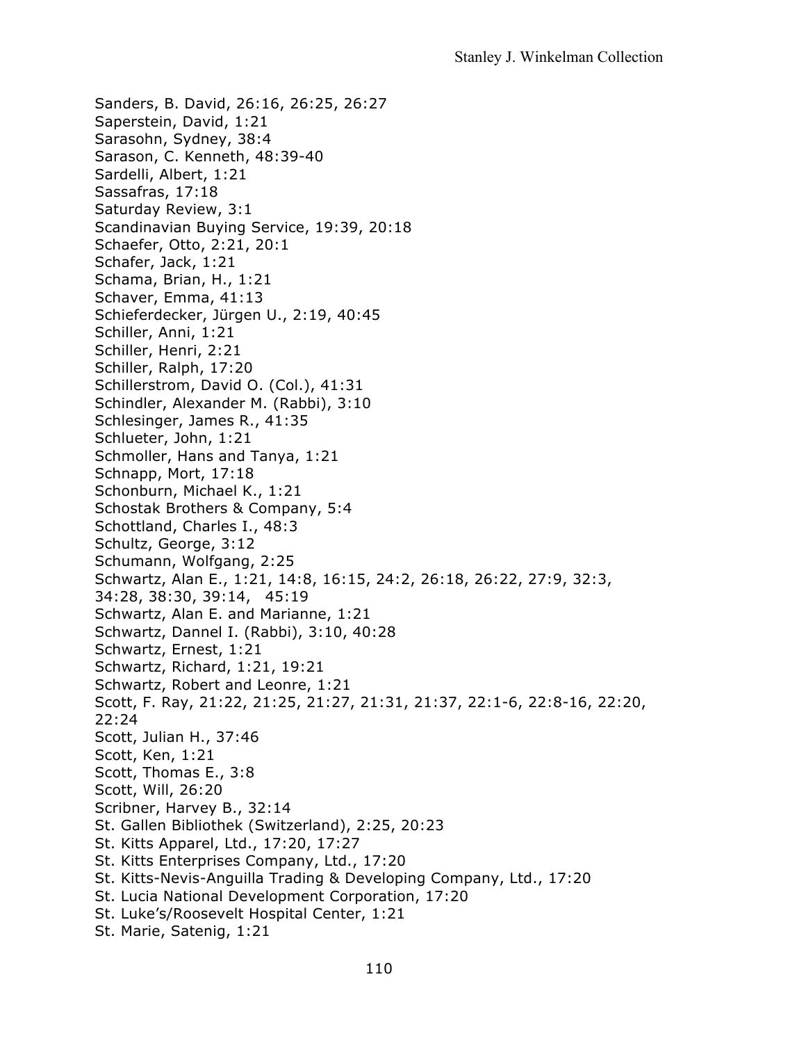Sanders, B. David, 26:16, 26:25, 26:27 Saperstein, David, 1:21 Sarasohn, Sydney, 38:4 Sarason, C. Kenneth, 48:39-40 Sardelli, Albert, 1:21 Sassafras, 17:18 Saturday Review, 3:1 Scandinavian Buying Service, 19:39, 20:18 Schaefer, Otto, 2:21, 20:1 Schafer, Jack, 1:21 Schama, Brian, H., 1:21 Schaver, Emma, 41:13 Schieferdecker, Jürgen U., 2:19, 40:45 Schiller, Anni, 1:21 Schiller, Henri, 2:21 Schiller, Ralph, 17:20 Schillerstrom, David O. (Col.), 41:31 Schindler, Alexander M. (Rabbi), 3:10 Schlesinger, James R., 41:35 Schlueter, John, 1:21 Schmoller, Hans and Tanya, 1:21 Schnapp, Mort, 17:18 Schonburn, Michael K., 1:21 Schostak Brothers & Company, 5:4 Schottland, Charles I., 48:3 Schultz, George, 3:12 Schumann, Wolfgang, 2:25 Schwartz, Alan E., 1:21, 14:8, 16:15, 24:2, 26:18, 26:22, 27:9, 32:3, 34:28, 38:30, 39:14, 45:19 Schwartz, Alan E. and Marianne, 1:21 Schwartz, Dannel I. (Rabbi), 3:10, 40:28 Schwartz, Ernest, 1:21 Schwartz, Richard, 1:21, 19:21 Schwartz, Robert and Leonre, 1:21 Scott, F. Ray, 21:22, 21:25, 21:27, 21:31, 21:37, 22:1-6, 22:8-16, 22:20, 22:24 Scott, Julian H., 37:46 Scott, Ken, 1:21 Scott, Thomas E., 3:8 Scott, Will, 26:20 Scribner, Harvey B., 32:14 St. Gallen Bibliothek (Switzerland), 2:25, 20:23 St. Kitts Apparel, Ltd., 17:20, 17:27 St. Kitts Enterprises Company, Ltd., 17:20 St. Kitts-Nevis-Anguilla Trading & Developing Company, Ltd., 17:20 St. Lucia National Development Corporation, 17:20 St. Luke's/Roosevelt Hospital Center, 1:21 St. Marie, Satenig, 1:21

110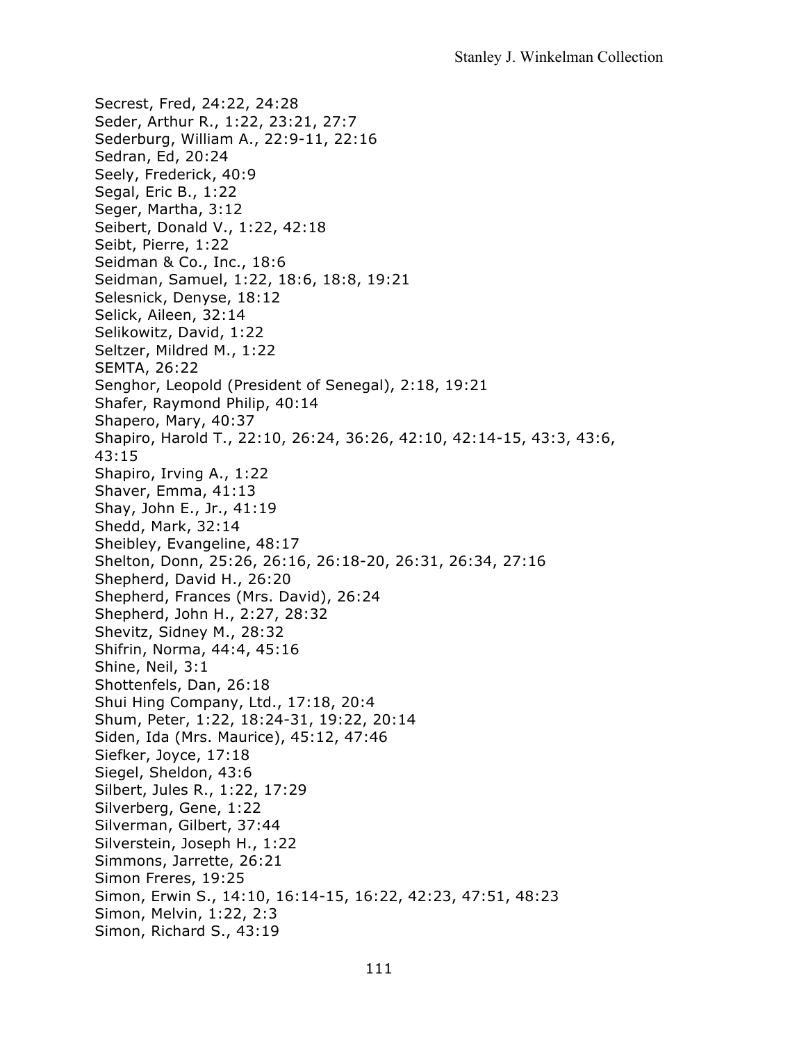Secrest, Fred, 24:22, 24:28 Seder, Arthur R., 1:22, 23:21, 27:7 Sederburg, William A., 22:9-11, 22:16 Sedran, Ed, 20:24 Seely, Frederick, 40:9 Segal, Eric B., 1:22 Seger, Martha, 3:12 Seibert, Donald V., 1:22, 42:18 Seibt, Pierre, 1:22 Seidman & Co., Inc., 18:6 Seidman, Samuel, 1:22, 18:6, 18:8, 19:21 Selesnick, Denyse, 18:12 Selick, Aileen, 32:14 Selikowitz, David, 1:22 Seltzer, Mildred M., 1:22 SEMTA, 26:22 Senghor, Leopold (President of Senegal), 2:18, 19:21 Shafer, Raymond Philip, 40:14 Shapero, Mary, 40:37 Shapiro, Harold T., 22:10, 26:24, 36:26, 42:10, 42:14-15, 43:3, 43:6, 43:15 Shapiro, Irving A., 1:22 Shaver, Emma, 41:13 Shay, John E., Jr., 41:19 Shedd, Mark, 32:14 Sheibley, Evangeline, 48:17 Shelton, Donn, 25:26, 26:16, 26:18-20, 26:31, 26:34, 27:16 Shepherd, David H., 26:20 Shepherd, Frances (Mrs. David), 26:24 Shepherd, John H., 2:27, 28:32 Shevitz, Sidney M., 28:32 Shifrin, Norma, 44:4, 45:16 Shine, Neil, 3:1 Shottenfels, Dan, 26:18 Shui Hing Company, Ltd., 17:18, 20:4 Shum, Peter, 1:22, 18:24-31, 19:22, 20:14 Siden, Ida (Mrs. Maurice), 45:12, 47:46 Siefker, Joyce, 17:18 Siegel, Sheldon, 43:6 Silbert, Jules R., 1:22, 17:29 Silverberg, Gene, 1:22 Silverman, Gilbert, 37:44 Silverstein, Joseph H., 1:22 Simmons, Jarrette, 26:21 Simon Freres, 19:25 Simon, Erwin S., 14:10, 16:14-15, 16:22, 42:23, 47:51, 48:23 Simon, Melvin, 1:22, 2:3 Simon, Richard S., 43:19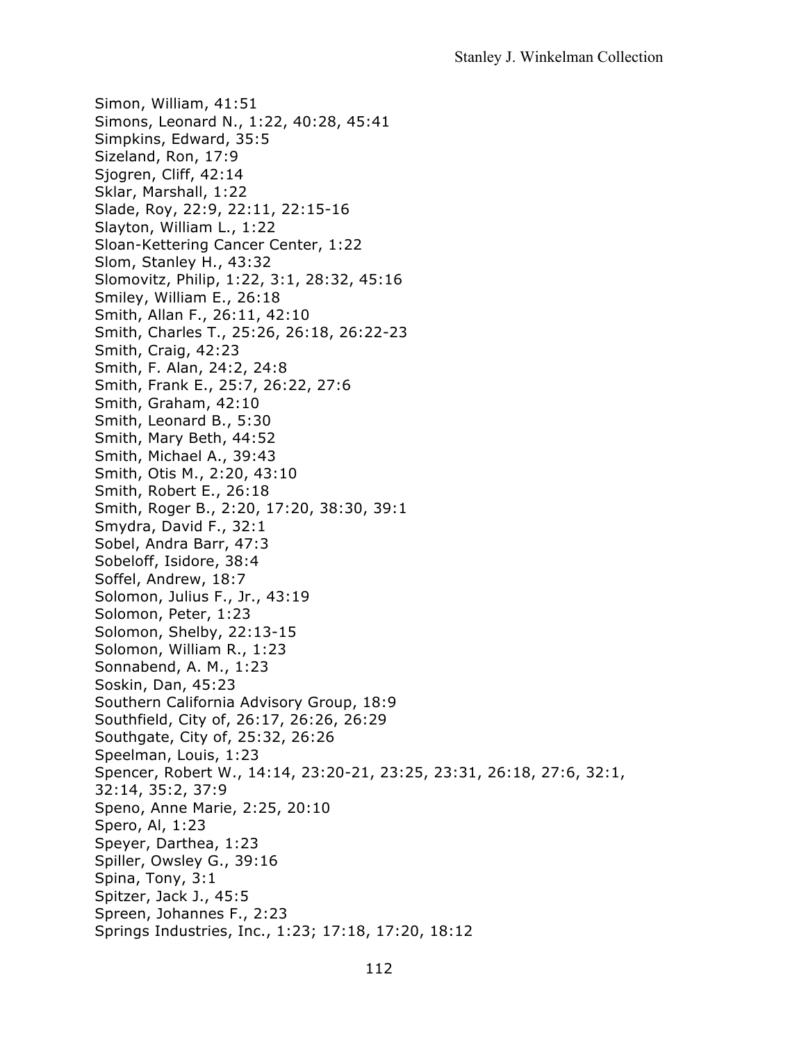Simon, William, 41:51 Simons, Leonard N., 1:22, 40:28, 45:41 Simpkins, Edward, 35:5 Sizeland, Ron, 17:9 Sjogren, Cliff, 42:14 Sklar, Marshall, 1:22 Slade, Roy, 22:9, 22:11, 22:15-16 Slayton, William L., 1:22 Sloan-Kettering Cancer Center, 1:22 Slom, Stanley H., 43:32 Slomovitz, Philip, 1:22, 3:1, 28:32, 45:16 Smiley, William E., 26:18 Smith, Allan F., 26:11, 42:10 Smith, Charles T., 25:26, 26:18, 26:22-23 Smith, Craig, 42:23 Smith, F. Alan, 24:2, 24:8 Smith, Frank E., 25:7, 26:22, 27:6 Smith, Graham, 42:10 Smith, Leonard B., 5:30 Smith, Mary Beth, 44:52 Smith, Michael A., 39:43 Smith, Otis M., 2:20, 43:10 Smith, Robert E., 26:18 Smith, Roger B., 2:20, 17:20, 38:30, 39:1 Smydra, David F., 32:1 Sobel, Andra Barr, 47:3 Sobeloff, Isidore, 38:4 Soffel, Andrew, 18:7 Solomon, Julius F., Jr., 43:19 Solomon, Peter, 1:23 Solomon, Shelby, 22:13-15 Solomon, William R., 1:23 Sonnabend, A. M., 1:23 Soskin, Dan, 45:23 Southern California Advisory Group, 18:9 Southfield, City of, 26:17, 26:26, 26:29 Southgate, City of, 25:32, 26:26 Speelman, Louis, 1:23 Spencer, Robert W., 14:14, 23:20-21, 23:25, 23:31, 26:18, 27:6, 32:1, 32:14, 35:2, 37:9 Speno, Anne Marie, 2:25, 20:10 Spero, Al, 1:23 Speyer, Darthea, 1:23 Spiller, Owsley G., 39:16 Spina, Tony, 3:1 Spitzer, Jack J., 45:5 Spreen, Johannes F., 2:23 Springs Industries, Inc., 1:23; 17:18, 17:20, 18:12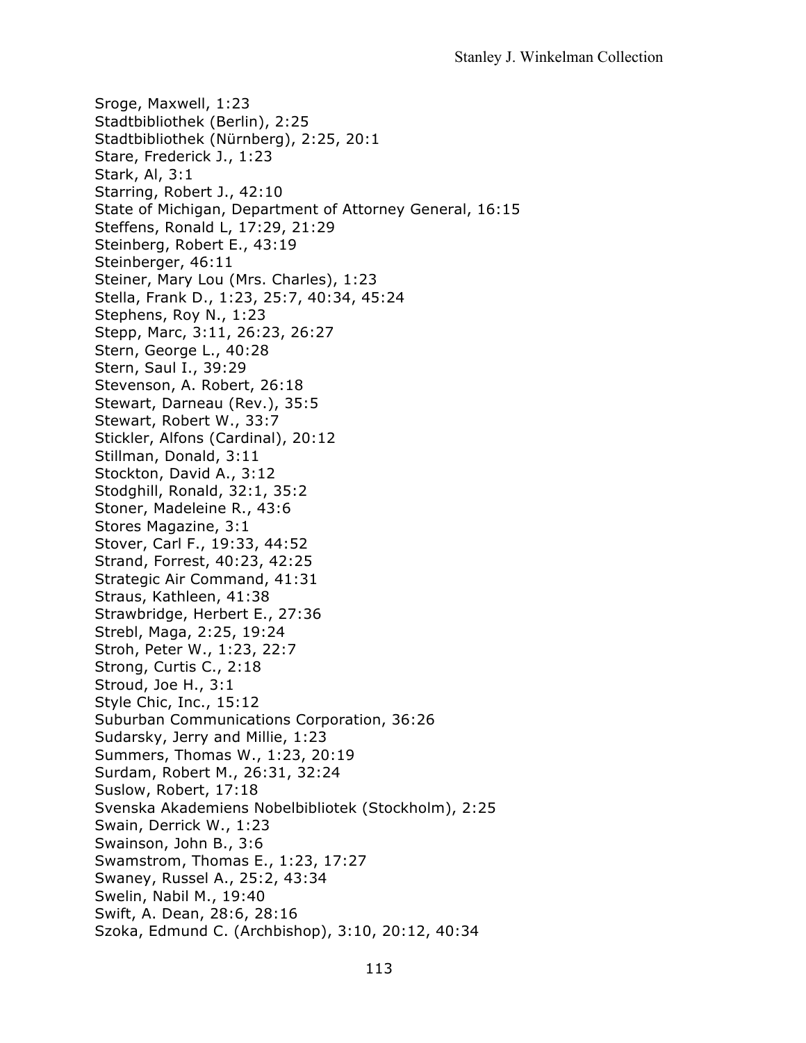Sroge, Maxwell, 1:23 Stadtbibliothek (Berlin), 2:25 Stadtbibliothek (Nürnberg), 2:25, 20:1 Stare, Frederick J., 1:23 Stark, Al, 3:1 Starring, Robert J., 42:10 State of Michigan, Department of Attorney General, 16:15 Steffens, Ronald L, 17:29, 21:29 Steinberg, Robert E., 43:19 Steinberger, 46:11 Steiner, Mary Lou (Mrs. Charles), 1:23 Stella, Frank D., 1:23, 25:7, 40:34, 45:24 Stephens, Roy N., 1:23 Stepp, Marc, 3:11, 26:23, 26:27 Stern, George L., 40:28 Stern, Saul I., 39:29 Stevenson, A. Robert, 26:18 Stewart, Darneau (Rev.), 35:5 Stewart, Robert W., 33:7 Stickler, Alfons (Cardinal), 20:12 Stillman, Donald, 3:11 Stockton, David A., 3:12 Stodghill, Ronald, 32:1, 35:2 Stoner, Madeleine R., 43:6 Stores Magazine, 3:1 Stover, Carl F., 19:33, 44:52 Strand, Forrest, 40:23, 42:25 Strategic Air Command, 41:31 Straus, Kathleen, 41:38 Strawbridge, Herbert E., 27:36 Strebl, Maga, 2:25, 19:24 Stroh, Peter W., 1:23, 22:7 Strong, Curtis C., 2:18 Stroud, Joe H., 3:1 Style Chic, Inc., 15:12 Suburban Communications Corporation, 36:26 Sudarsky, Jerry and Millie, 1:23 Summers, Thomas W., 1:23, 20:19 Surdam, Robert M., 26:31, 32:24 Suslow, Robert, 17:18 Svenska Akademiens Nobelbibliotek (Stockholm), 2:25 Swain, Derrick W., 1:23 Swainson, John B., 3:6 Swamstrom, Thomas E., 1:23, 17:27 Swaney, Russel A., 25:2, 43:34 Swelin, Nabil M., 19:40 Swift, A. Dean, 28:6, 28:16 Szoka, Edmund C. (Archbishop), 3:10, 20:12, 40:34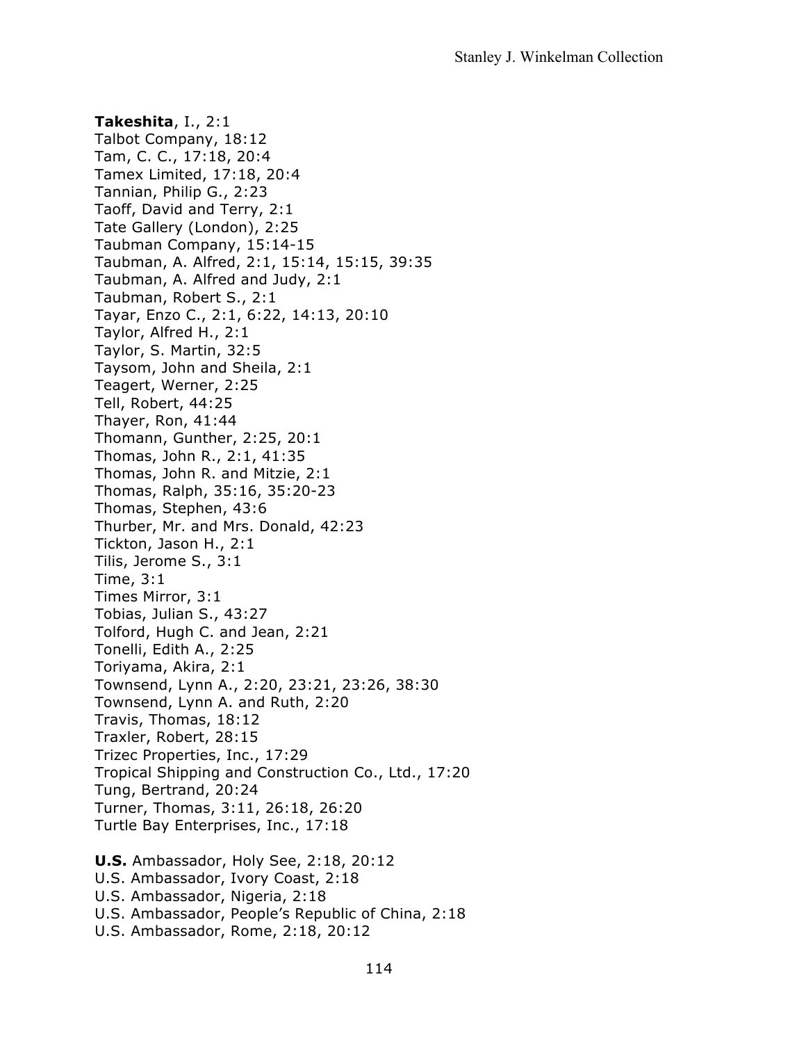**Takeshita**, I., 2:1 Talbot Company, 18:12 Tam, C. C., 17:18, 20:4 Tamex Limited, 17:18, 20:4 Tannian, Philip G., 2:23 Taoff, David and Terry, 2:1 Tate Gallery (London), 2:25 Taubman Company, 15:14-15 Taubman, A. Alfred, 2:1, 15:14, 15:15, 39:35 Taubman, A. Alfred and Judy, 2:1 Taubman, Robert S., 2:1 Tayar, Enzo C., 2:1, 6:22, 14:13, 20:10 Taylor, Alfred H., 2:1 Taylor, S. Martin, 32:5 Taysom, John and Sheila, 2:1 Teagert, Werner, 2:25 Tell, Robert, 44:25 Thayer, Ron, 41:44 Thomann, Gunther, 2:25, 20:1 Thomas, John R., 2:1, 41:35 Thomas, John R. and Mitzie, 2:1 Thomas, Ralph, 35:16, 35:20-23 Thomas, Stephen, 43:6 Thurber, Mr. and Mrs. Donald, 42:23 Tickton, Jason H., 2:1 Tilis, Jerome S., 3:1 Time, 3:1 Times Mirror, 3:1 Tobias, Julian S., 43:27 Tolford, Hugh C. and Jean, 2:21 Tonelli, Edith A., 2:25 Toriyama, Akira, 2:1 Townsend, Lynn A., 2:20, 23:21, 23:26, 38:30 Townsend, Lynn A. and Ruth, 2:20 Travis, Thomas, 18:12 Traxler, Robert, 28:15 Trizec Properties, Inc., 17:29 Tropical Shipping and Construction Co., Ltd., 17:20 Tung, Bertrand, 20:24 Turner, Thomas, 3:11, 26:18, 26:20 Turtle Bay Enterprises, Inc., 17:18

**U.S.** Ambassador, Holy See, 2:18, 20:12 U.S. Ambassador, Ivory Coast, 2:18 U.S. Ambassador, Nigeria, 2:18 U.S. Ambassador, People's Republic of China, 2:18 U.S. Ambassador, Rome, 2:18, 20:12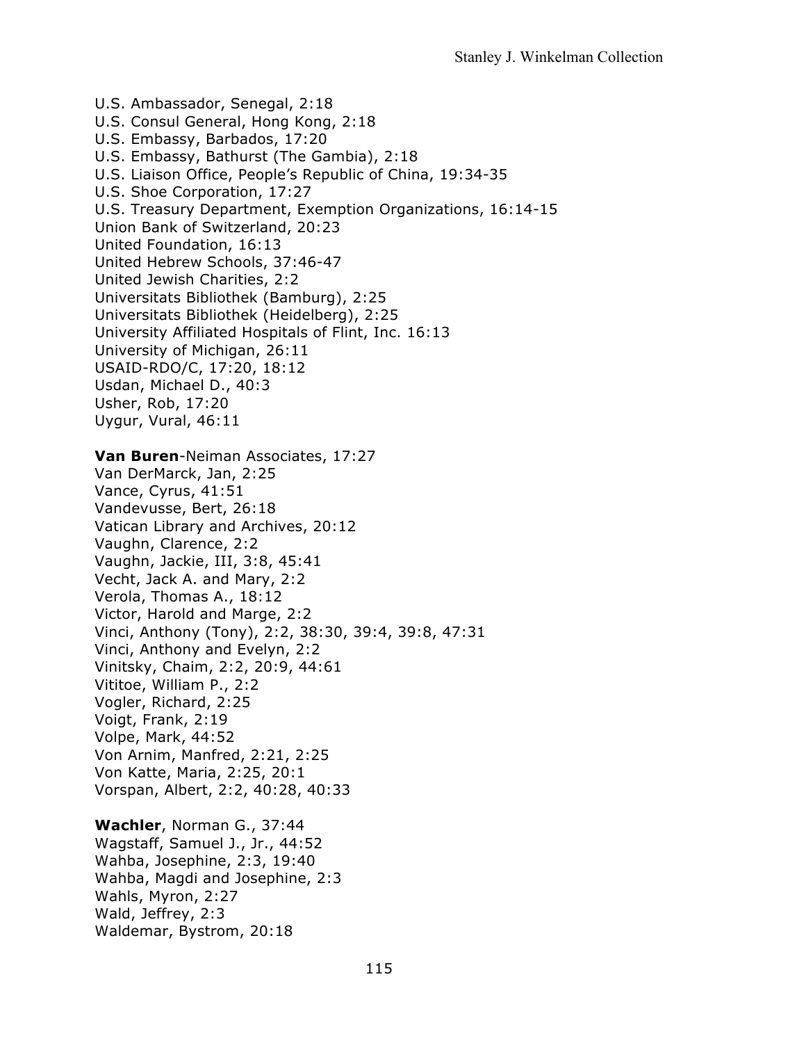U.S. Ambassador, Senegal, 2:18 U.S. Consul General, Hong Kong, 2:18 U.S. Embassy, Barbados, 17:20 U.S. Embassy, Bathurst (The Gambia), 2:18 U.S. Liaison Office, People's Republic of China, 19:34-35 U.S. Shoe Corporation, 17:27 U.S. Treasury Department, Exemption Organizations, 16:14-15 Union Bank of Switzerland, 20:23 United Foundation, 16:13 United Hebrew Schools, 37:46-47 United Jewish Charities, 2:2 Universitats Bibliothek (Bamburg), 2:25 Universitats Bibliothek (Heidelberg), 2:25 University Affiliated Hospitals of Flint, Inc. 16:13 University of Michigan, 26:11 USAID-RDO/C, 17:20, 18:12 Usdan, Michael D., 40:3 Usher, Rob, 17:20 Uygur, Vural, 46:11 **Van Buren**-Neiman Associates, 17:27 Van DerMarck, Jan, 2:25 Vance, Cyrus, 41:51 Vandevusse, Bert, 26:18 Vatican Library and Archives, 20:12 Vaughn, Clarence, 2:2 Vaughn, Jackie, III, 3:8, 45:41 Vecht, Jack A. and Mary, 2:2 Verola, Thomas A., 18:12 Victor, Harold and Marge, 2:2 Vinci, Anthony (Tony), 2:2, 38:30, 39:4, 39:8, 47:31 Vinci, Anthony and Evelyn, 2:2 Vinitsky, Chaim, 2:2, 20:9, 44:61 Vititoe, William P., 2:2 Vogler, Richard, 2:25 Voigt, Frank, 2:19 Volpe, Mark, 44:52 Von Arnim, Manfred, 2:21, 2:25 Von Katte, Maria, 2:25, 20:1 Vorspan, Albert, 2:2, 40:28, 40:33 **Wachler**, Norman G., 37:44

Wagstaff, Samuel J., Jr., 44:52 Wahba, Josephine, 2:3, 19:40 Wahba, Magdi and Josephine, 2:3 Wahls, Myron, 2:27 Wald, Jeffrey, 2:3 Waldemar, Bystrom, 20:18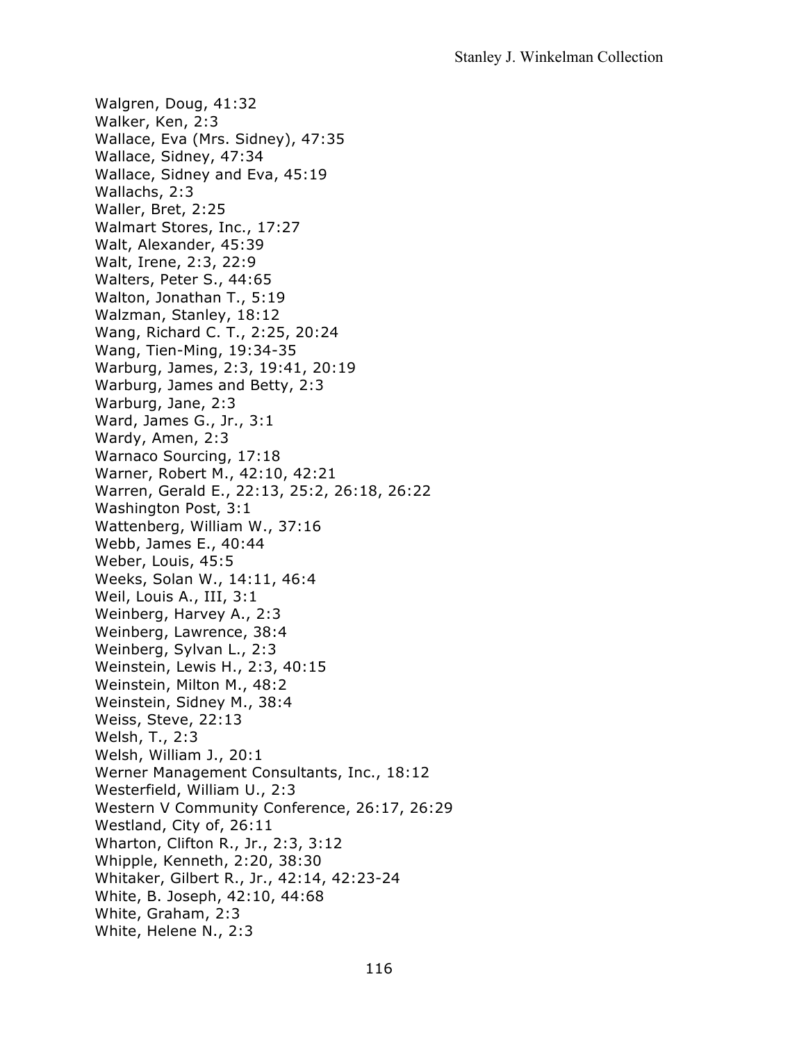Walgren, Doug, 41:32 Walker, Ken, 2:3 Wallace, Eva (Mrs. Sidney), 47:35 Wallace, Sidney, 47:34 Wallace, Sidney and Eva, 45:19 Wallachs, 2:3 Waller, Bret, 2:25 Walmart Stores, Inc., 17:27 Walt, Alexander, 45:39 Walt, Irene, 2:3, 22:9 Walters, Peter S., 44:65 Walton, Jonathan T., 5:19 Walzman, Stanley, 18:12 Wang, Richard C. T., 2:25, 20:24 Wang, Tien-Ming, 19:34-35 Warburg, James, 2:3, 19:41, 20:19 Warburg, James and Betty, 2:3 Warburg, Jane, 2:3 Ward, James G., Jr., 3:1 Wardy, Amen, 2:3 Warnaco Sourcing, 17:18 Warner, Robert M., 42:10, 42:21 Warren, Gerald E., 22:13, 25:2, 26:18, 26:22 Washington Post, 3:1 Wattenberg, William W., 37:16 Webb, James E., 40:44 Weber, Louis, 45:5 Weeks, Solan W., 14:11, 46:4 Weil, Louis A., III, 3:1 Weinberg, Harvey A., 2:3 Weinberg, Lawrence, 38:4 Weinberg, Sylvan L., 2:3 Weinstein, Lewis H., 2:3, 40:15 Weinstein, Milton M., 48:2 Weinstein, Sidney M., 38:4 Weiss, Steve, 22:13 Welsh, T., 2:3 Welsh, William J., 20:1 Werner Management Consultants, Inc., 18:12 Westerfield, William U., 2:3 Western V Community Conference, 26:17, 26:29 Westland, City of, 26:11 Wharton, Clifton R., Jr., 2:3, 3:12 Whipple, Kenneth, 2:20, 38:30 Whitaker, Gilbert R., Jr., 42:14, 42:23-24 White, B. Joseph, 42:10, 44:68 White, Graham, 2:3 White, Helene N., 2:3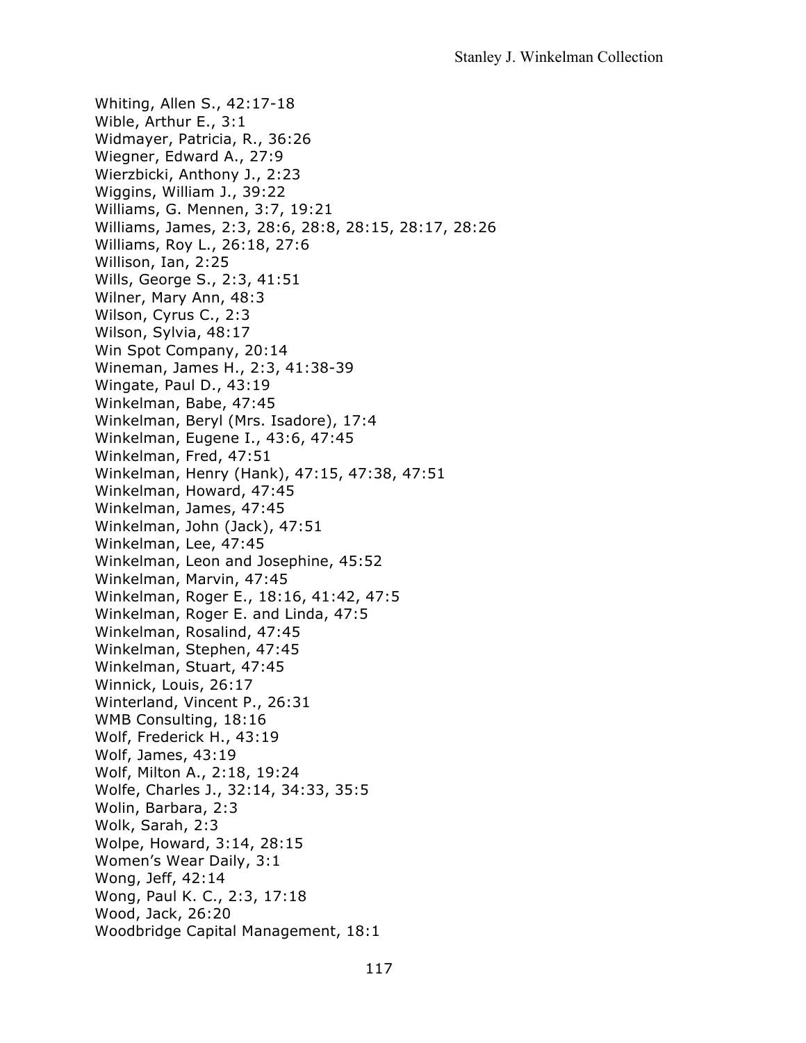Whiting, Allen S., 42:17-18 Wible, Arthur E., 3:1 Widmayer, Patricia, R., 36:26 Wiegner, Edward A., 27:9 Wierzbicki, Anthony J., 2:23 Wiggins, William J., 39:22 Williams, G. Mennen, 3:7, 19:21 Williams, James, 2:3, 28:6, 28:8, 28:15, 28:17, 28:26 Williams, Roy L., 26:18, 27:6 Willison, Ian, 2:25 Wills, George S., 2:3, 41:51 Wilner, Mary Ann, 48:3 Wilson, Cyrus C., 2:3 Wilson, Sylvia, 48:17 Win Spot Company, 20:14 Wineman, James H., 2:3, 41:38-39 Wingate, Paul D., 43:19 Winkelman, Babe, 47:45 Winkelman, Beryl (Mrs. Isadore), 17:4 Winkelman, Eugene I., 43:6, 47:45 Winkelman, Fred, 47:51 Winkelman, Henry (Hank), 47:15, 47:38, 47:51 Winkelman, Howard, 47:45 Winkelman, James, 47:45 Winkelman, John (Jack), 47:51 Winkelman, Lee, 47:45 Winkelman, Leon and Josephine, 45:52 Winkelman, Marvin, 47:45 Winkelman, Roger E., 18:16, 41:42, 47:5 Winkelman, Roger E. and Linda, 47:5 Winkelman, Rosalind, 47:45 Winkelman, Stephen, 47:45 Winkelman, Stuart, 47:45 Winnick, Louis, 26:17 Winterland, Vincent P., 26:31 WMB Consulting, 18:16 Wolf, Frederick H., 43:19 Wolf, James, 43:19 Wolf, Milton A., 2:18, 19:24 Wolfe, Charles J., 32:14, 34:33, 35:5 Wolin, Barbara, 2:3 Wolk, Sarah, 2:3 Wolpe, Howard, 3:14, 28:15 Women's Wear Daily, 3:1 Wong, Jeff, 42:14 Wong, Paul K. C., 2:3, 17:18 Wood, Jack, 26:20 Woodbridge Capital Management, 18:1